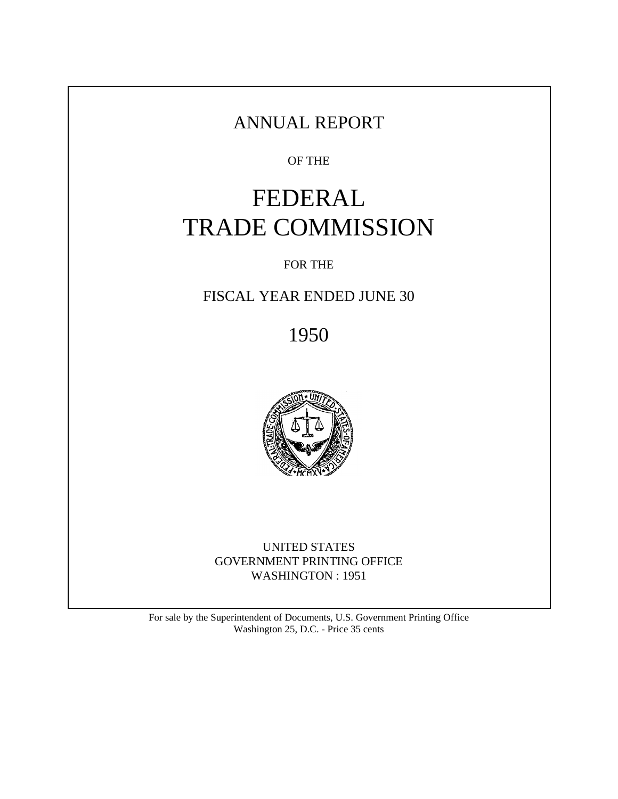# ANNUAL REPORT

## OF THE

# FEDERAL TRADE COMMISSION

FOR THE

# FISCAL YEAR ENDED JUNE 30

1950



UNITED STATES GOVERNMENT PRINTING OFFICE WASHINGTON : 1951

For sale by the Superintendent of Documents, U.S. Government Printing Office Washington 25, D.C. - Price 35 cents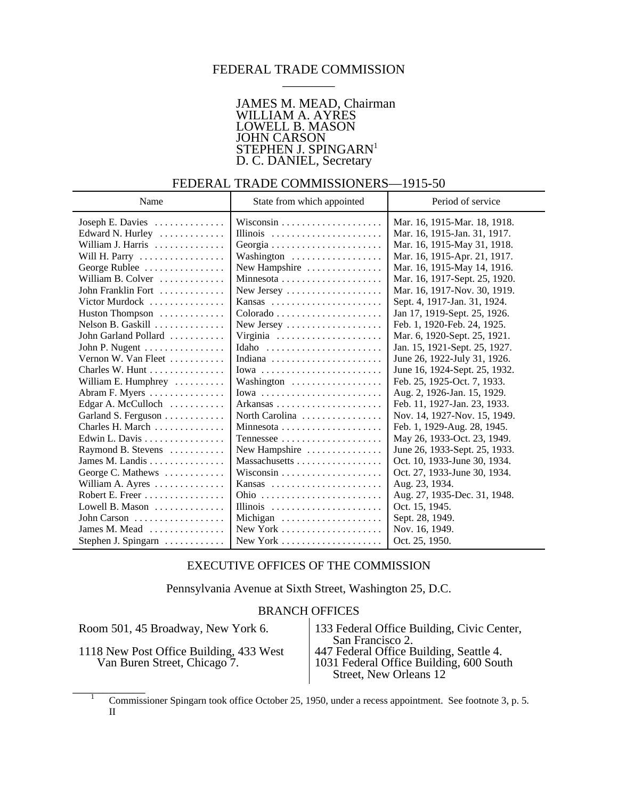#### FEDERAL TRADE COMMISSION \_\_\_\_\_\_\_\_

#### JAMES M. MEAD, Chairman WILLIAM A. AYRES LOWELL B. MASON JOHN CARSON STEPHEN J. SPINGARN<sup>1</sup> D. C. DANIEL, Secretary

#### FEDERAL TRADE COMMISSIONERS—1915-50

| Name                                            | State from which appointed                            | Period of service             |
|-------------------------------------------------|-------------------------------------------------------|-------------------------------|
| Joseph E. Davies $\dots \dots \dots \dots$      |                                                       | Mar. 16, 1915-Mar. 18, 1918.  |
| Edward N. Hurley                                | Illinois                                              | Mar. 16, 1915-Jan. 31, 1917.  |
| William J. Harris                               |                                                       | Mar. 16, 1915-May 31, 1918.   |
| Will H. Parry                                   | Washington                                            | Mar. 16, 1915-Apr. 21, 1917.  |
| George Rublee                                   | New Hampshire                                         | Mar. 16, 1915-May 14, 1916.   |
| William B. Colver                               |                                                       | Mar. 16, 1917-Sept. 25, 1920. |
| John Franklin Fort                              | New Jersey                                            | Mar. 16, 1917-Nov. 30, 1919.  |
| Victor Murdock $\dots\dots\dots\dots\dots$      | Kansas                                                | Sept. 4, 1917-Jan. 31, 1924.  |
| Huston Thompson                                 | $Colorado \dots \dots \dots \dots \dots \dots \dots$  | Jan 17, 1919-Sept. 25, 1926.  |
| Nelson B. Gaskill $\ldots \ldots \ldots \ldots$ | New Jersey                                            | Feb. 1, 1920-Feb. 24, 1925.   |
| John Garland Pollard                            | Virginia                                              | Mar. 6, 1920-Sept. 25, 1921.  |
| John P. Nugent                                  |                                                       | Jan. 15, 1921-Sept. 25, 1927. |
| Vernon W. Van Fleet                             |                                                       | June 26, 1922-July 31, 1926.  |
| Charles W. Hunt $\ldots \ldots \ldots \ldots$   |                                                       | June 16, 1924-Sept. 25, 1932. |
| William E. Humphrey                             | Washington                                            | Feb. 25, 1925-Oct. 7, 1933.   |
| Abram F. Myers                                  |                                                       | Aug. 2, 1926-Jan. 15, 1929.   |
| Edgar A. McCulloch                              |                                                       | Feb. 11, 1927-Jan. 23, 1933.  |
| Garland S. Ferguson                             | North Carolina $\ldots \ldots \ldots \ldots$          | Nov. 14, 1927-Nov. 15, 1949.  |
| Charles H. March                                |                                                       | Feb. 1, 1929-Aug. 28, 1945.   |
| Edwin L. Davis $\ldots \ldots \ldots \ldots$    | Tennessee $\ldots \ldots \ldots \ldots \ldots \ldots$ | May 26, 1933-Oct. 23, 1949.   |
| Raymond B. Stevens                              | New Hampshire                                         | June 26, 1933-Sept. 25, 1933. |
| James M. Landis $\dots \dots \dots \dots$       | Massachusetts                                         | Oct. 10, 1933-June 30, 1934.  |
| George C. Mathews                               |                                                       | Oct. 27, 1933-June 30, 1934.  |
| William A. Ayres                                | Kansas                                                | Aug. 23, 1934.                |
| Robert E. Freer                                 |                                                       | Aug. 27, 1935-Dec. 31, 1948.  |
|                                                 |                                                       | Oct. 15, 1945.                |
| John Carson $\dots\dots\dots\dots\dots\dots$    | Michigan                                              | Sept. 28, 1949.               |
| James M. Mead $\dots\dots\dots\dots\dots$       | New York $\ldots$ , $\ldots$                          | Nov. 16, 1949.                |
| Stephen J. Spingarn                             | New York                                              | Oct. 25, 1950.                |

#### EXECUTIVE OFFICES OF THE COMMISSION

Pennsylvania Avenue at Sixth Street, Washington 25, D.C.

#### BRANCH OFFICES

Room 501, 45 Broadway, New York 6.

\_\_\_\_\_\_\_\_\_\_\_\_

1118 New Post Office Building, 433 West Van Buren Street, Chicago 7.

<sup>133</sup> Federal Office Building, Civic Center, San Francisco 2. 447 Federal Office Building, Seattle 4. 1031 Federal Office Building, 600 South Street, New Orleans 12

<sup>1</sup> Commissioner Spingarn took office October 25, 1950, under a recess appointment. See footnote 3, p. 5. II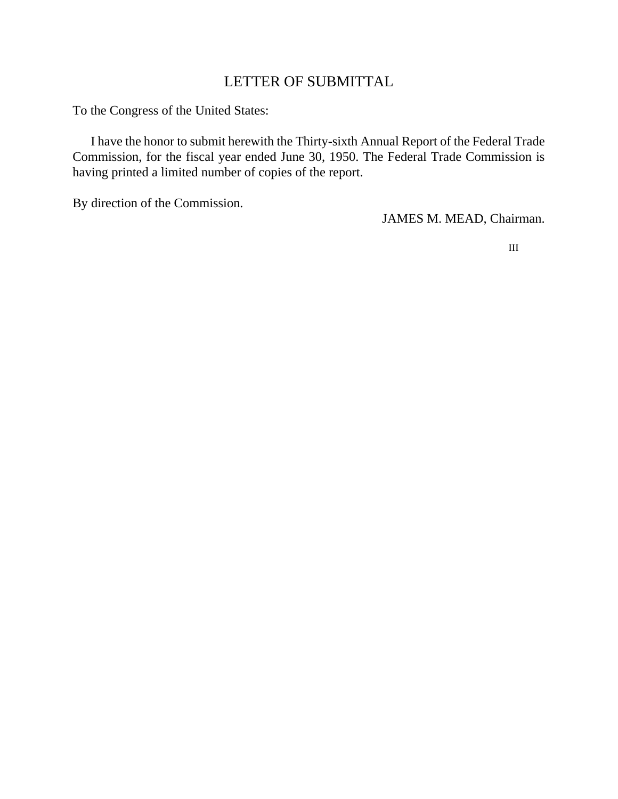## LETTER OF SUBMITTAL

To the Congress of the United States:

I have the honor to submit herewith the Thirty-sixth Annual Report of the Federal Trade Commission, for the fiscal year ended June 30, 1950. The Federal Trade Commission is having printed a limited number of copies of the report.

By direction of the Commission.

JAMES M. MEAD, Chairman.

III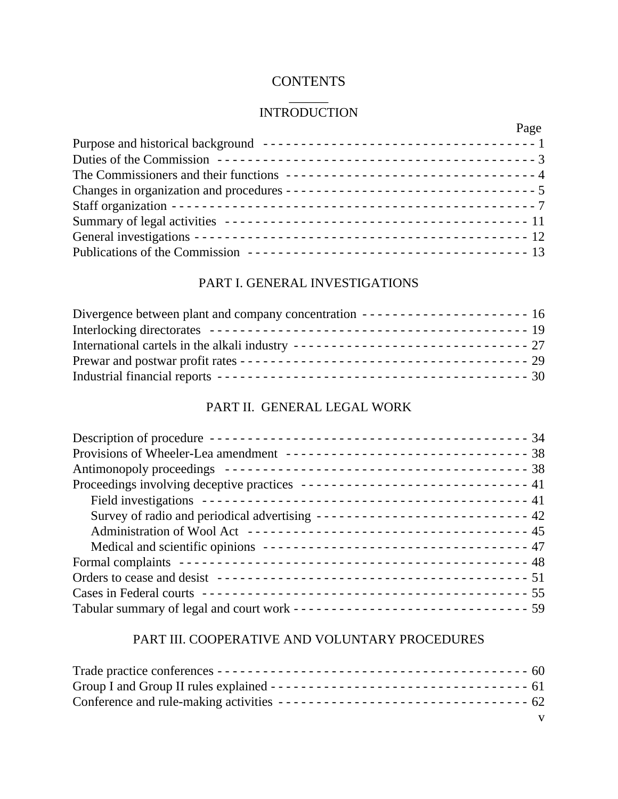## **CONTENTS**

## $\overline{\phantom{a}}$ INTRODUCTION

| Page |
|------|
|      |
|      |
|      |
|      |
|      |
|      |
|      |
|      |

## PART I. GENERAL INVESTIGATIONS

## PART II. GENERAL LEGAL WORK

| Proceedings involving deceptive practices ----------------------------- 41 |  |
|----------------------------------------------------------------------------|--|
|                                                                            |  |
| Survey of radio and periodical advertising ---------------------------- 42 |  |
|                                                                            |  |
| Medical and scientific opinions ----------------------------------- 47     |  |
|                                                                            |  |
|                                                                            |  |
|                                                                            |  |
| Tabular summary of legal and court work ------------------------------ 59  |  |

## PART III. COOPERATIVE AND VOLUNTARY PROCEDURES

| $\mathbf{V}$ |
|--------------|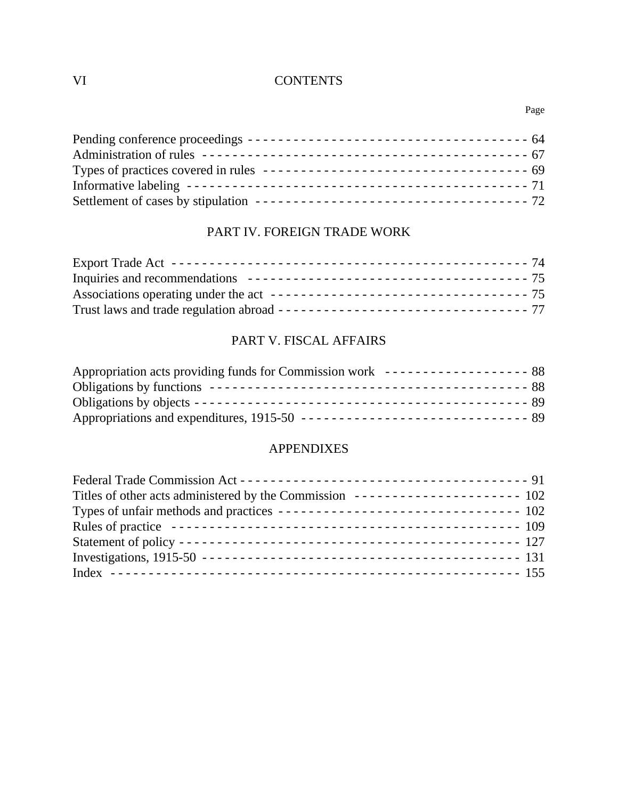## VI CONTENTS

## PART IV. FOREIGN TRADE WORK

## PART V. FISCAL AFFAIRS

| Appropriation acts providing funds for Commission work ----------------- 88   |  |
|-------------------------------------------------------------------------------|--|
|                                                                               |  |
|                                                                               |  |
| Appropriations and expenditures, 1915-50 --------------------------------- 89 |  |

## APPENDIXES

| Titles of other acts administered by the Commission --------------------- 102 |  |
|-------------------------------------------------------------------------------|--|
|                                                                               |  |
|                                                                               |  |
|                                                                               |  |
|                                                                               |  |
|                                                                               |  |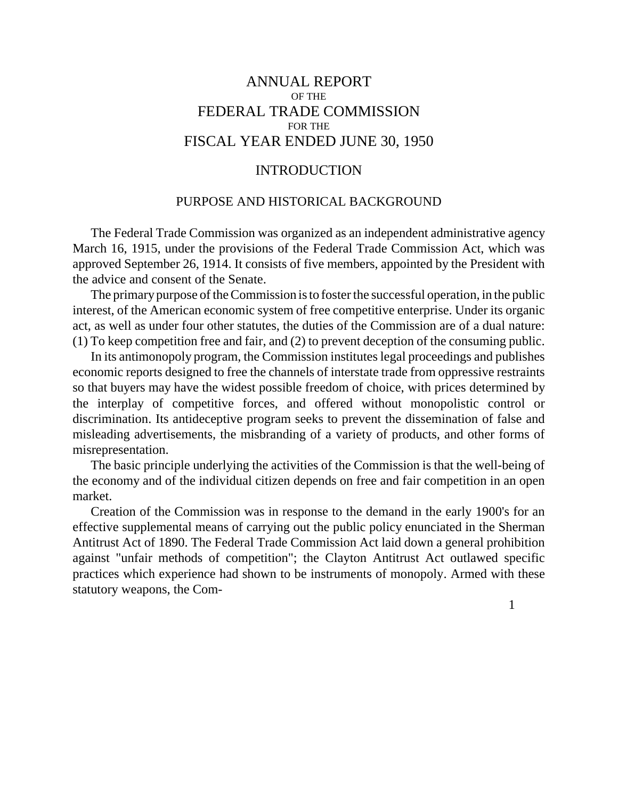### ANNUAL REPORT OF THE FEDERAL TRADE COMMISSION FOR THE FISCAL YEAR ENDED JUNE 30, 1950

#### INTRODUCTION

#### PURPOSE AND HISTORICAL BACKGROUND

The Federal Trade Commission was organized as an independent administrative agency March 16, 1915, under the provisions of the Federal Trade Commission Act, which was approved September 26, 1914. It consists of five members, appointed by the President with the advice and consent of the Senate.

The primary purpose of the Commission is to foster the successful operation, in the public interest, of the American economic system of free competitive enterprise. Under its organic act, as well as under four other statutes, the duties of the Commission are of a dual nature: (1) To keep competition free and fair, and (2) to prevent deception of the consuming public.

In its antimonopoly program, the Commission instituteslegal proceedings and publishes economic reports designed to free the channels of interstate trade from oppressive restraints so that buyers may have the widest possible freedom of choice, with prices determined by the interplay of competitive forces, and offered without monopolistic control or discrimination. Its antideceptive program seeks to prevent the dissemination of false and misleading advertisements, the misbranding of a variety of products, and other forms of misrepresentation.

The basic principle underlying the activities of the Commission is that the well-being of the economy and of the individual citizen depends on free and fair competition in an open market.

Creation of the Commission was in response to the demand in the early 1900's for an effective supplemental means of carrying out the public policy enunciated in the Sherman Antitrust Act of 1890. The Federal Trade Commission Act laid down a general prohibition against "unfair methods of competition"; the Clayton Antitrust Act outlawed specific practices which experience had shown to be instruments of monopoly. Armed with these statutory weapons, the Com-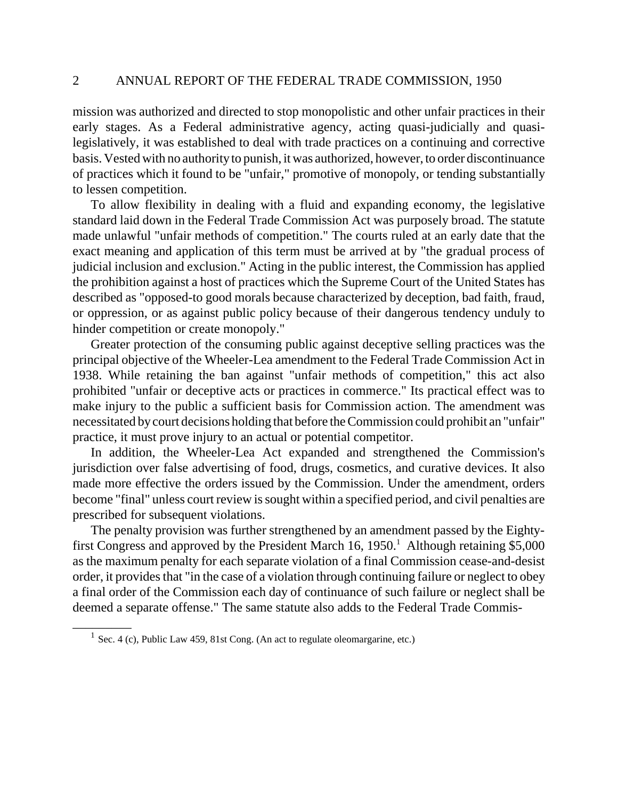mission was authorized and directed to stop monopolistic and other unfair practices in their early stages. As a Federal administrative agency, acting quasi-judicially and quasilegislatively, it was established to deal with trade practices on a continuing and corrective basis. Vested with no authorityto punish, it was authorized, however, to order discontinuance of practices which it found to be "unfair," promotive of monopoly, or tending substantially to lessen competition.

To allow flexibility in dealing with a fluid and expanding economy, the legislative standard laid down in the Federal Trade Commission Act was purposely broad. The statute made unlawful "unfair methods of competition." The courts ruled at an early date that the exact meaning and application of this term must be arrived at by "the gradual process of judicial inclusion and exclusion." Acting in the public interest, the Commission has applied the prohibition against a host of practices which the Supreme Court of the United States has described as "opposed-to good morals because characterized by deception, bad faith, fraud, or oppression, or as against public policy because of their dangerous tendency unduly to hinder competition or create monopoly."

Greater protection of the consuming public against deceptive selling practices was the principal objective of the Wheeler-Lea amendment to the Federal Trade Commission Act in 1938. While retaining the ban against "unfair methods of competition," this act also prohibited "unfair or deceptive acts or practices in commerce." Its practical effect was to make injury to the public a sufficient basis for Commission action. The amendment was necessitated bycourt decisions holding that before the Commission could prohibit an "unfair" practice, it must prove injury to an actual or potential competitor.

In addition, the Wheeler-Lea Act expanded and strengthened the Commission's jurisdiction over false advertising of food, drugs, cosmetics, and curative devices. It also made more effective the orders issued by the Commission. Under the amendment, orders become "final" unless court review is sought within a specified period, and civil penalties are prescribed for subsequent violations.

The penalty provision was further strengthened by an amendment passed by the Eightyfirst Congress and approved by the President March 16,  $1950<sup>1</sup>$  Although retaining \$5,000 as the maximum penalty for each separate violation of a final Commission cease-and-desist order, it provides that "in the case of a violation through continuing failure or neglect to obey a final order of the Commission each day of continuance of such failure or neglect shall be deemed a separate offense." The same statute also adds to the Federal Trade Commis-

 $\overline{\phantom{a}}$  . The set of the set of the set of the set of the set of the set of the set of the set of the set of the set of the set of the set of the set of the set of the set of the set of the set of the set of the set o

<sup>&</sup>lt;sup>1</sup> Sec. 4 (c), Public Law 459, 81st Cong. (An act to regulate oleomargarine, etc.)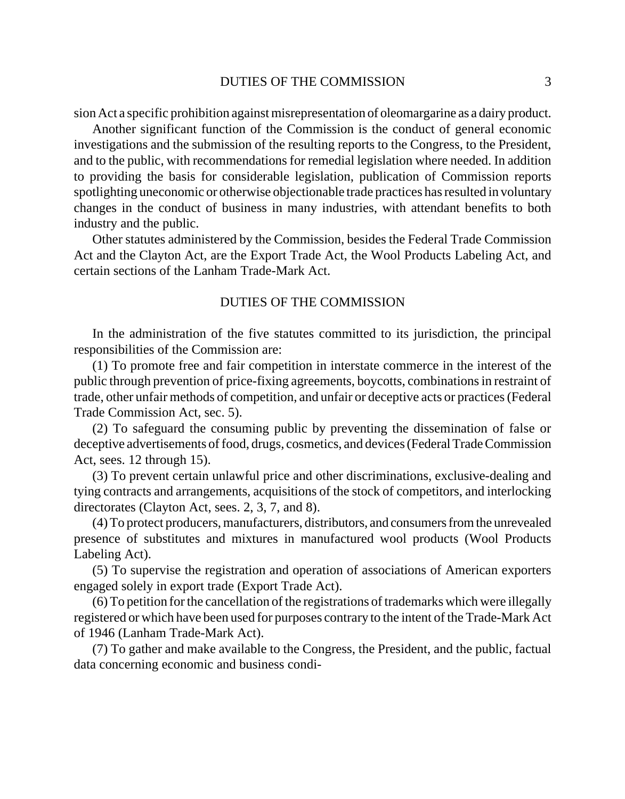#### DUTIES OF THE COMMISSION 3

#### sion Act a specific prohibition againstmisrepresentation of oleomargarine as a dairy product.

Another significant function of the Commission is the conduct of general economic investigations and the submission of the resulting reports to the Congress, to the President, and to the public, with recommendations for remedial legislation where needed. In addition to providing the basis for considerable legislation, publication of Commission reports spotlighting uneconomic or otherwise objectionable trade practices has resulted in voluntary changes in the conduct of business in many industries, with attendant benefits to both industry and the public.

Other statutes administered by the Commission, besides the Federal Trade Commission Act and the Clayton Act, are the Export Trade Act, the Wool Products Labeling Act, and certain sections of the Lanham Trade-Mark Act.

#### DUTIES OF THE COMMISSION

In the administration of the five statutes committed to its jurisdiction, the principal responsibilities of the Commission are:

(1) To promote free and fair competition in interstate commerce in the interest of the public through prevention of price-fixing agreements, boycotts, combinationsin restraint of trade, other unfair methods of competition, and unfair or deceptive acts or practices(Federal Trade Commission Act, sec. 5).

(2) To safeguard the consuming public by preventing the dissemination of false or deceptive advertisements of food, drugs, cosmetics, and devices (Federal Trade Commission Act, sees. 12 through 15).

(3) To prevent certain unlawful price and other discriminations, exclusive-dealing and tying contracts and arrangements, acquisitions of the stock of competitors, and interlocking directorates (Clayton Act, sees. 2, 3, 7, and 8).

(4)To protect producers,manufacturers, distributors, and consumers from the unrevealed presence of substitutes and mixtures in manufactured wool products (Wool Products Labeling Act).

(5) To supervise the registration and operation of associations of American exporters engaged solely in export trade (Export Trade Act).

(6) To petition forthe cancellation of the registrations of trademarks which were illegally registered or which have been used for purposes contrary to the intent of the Trade-Mark Act of 1946 (Lanham Trade-Mark Act).

(7) To gather and make available to the Congress, the President, and the public, factual data concerning economic and business condi-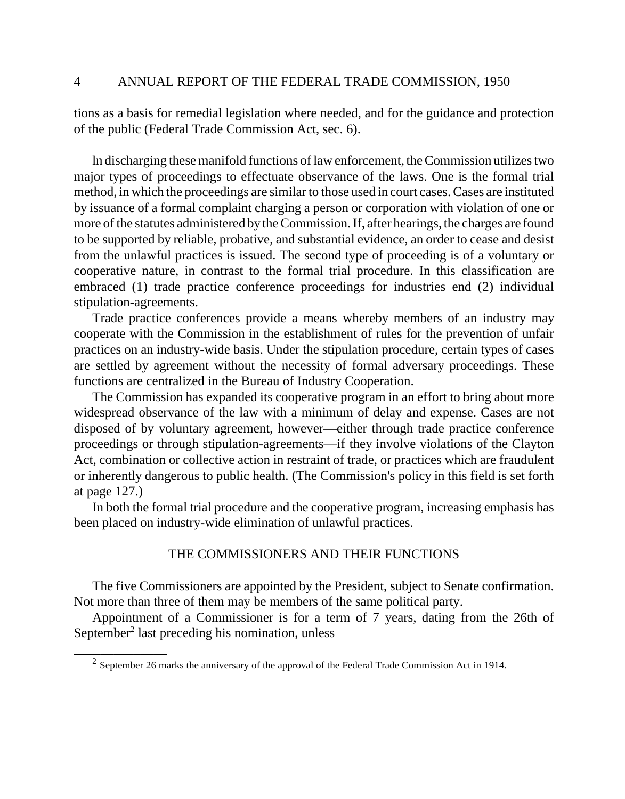tions as a basis for remedial legislation where needed, and for the guidance and protection of the public (Federal Trade Commission Act, sec. 6).

ln discharging these manifold functions of law enforcement, theCommission utilizestwo major types of proceedings to effectuate observance of the laws. One is the formal trial method, in which the proceedings are similar to those used in court cases. Cases are instituted by issuance of a formal complaint charging a person or corporation with violation of one or more of the statutes administered by the Commission. If, after hearings, the charges are found to be supported by reliable, probative, and substantial evidence, an order to cease and desist from the unlawful practices is issued. The second type of proceeding is of a voluntary or cooperative nature, in contrast to the formal trial procedure. In this classification are embraced (1) trade practice conference proceedings for industries end (2) individual stipulation-agreements.

Trade practice conferences provide a means whereby members of an industry may cooperate with the Commission in the establishment of rules for the prevention of unfair practices on an industry-wide basis. Under the stipulation procedure, certain types of cases are settled by agreement without the necessity of formal adversary proceedings. These functions are centralized in the Bureau of Industry Cooperation.

The Commission has expanded its cooperative program in an effort to bring about more widespread observance of the law with a minimum of delay and expense. Cases are not disposed of by voluntary agreement, however—either through trade practice conference proceedings or through stipulation-agreements—if they involve violations of the Clayton Act, combination or collective action in restraint of trade, or practices which are fraudulent or inherently dangerous to public health. (The Commission's policy in this field is set forth at page 127.)

In both the formal trial procedure and the cooperative program, increasing emphasis has been placed on industry-wide elimination of unlawful practices.

#### THE COMMISSIONERS AND THEIR FUNCTIONS

The five Commissioners are appointed by the President, subject to Senate confirmation. Not more than three of them may be members of the same political party.

Appointment of a Commissioner is for a term of 7 years, dating from the 26th of September<sup>2</sup> last preceding his nomination, unless

\_\_\_\_\_\_\_\_\_\_\_\_\_\_

<sup>&</sup>lt;sup>2</sup> September 26 marks the anniversary of the approval of the Federal Trade Commission Act in 1914.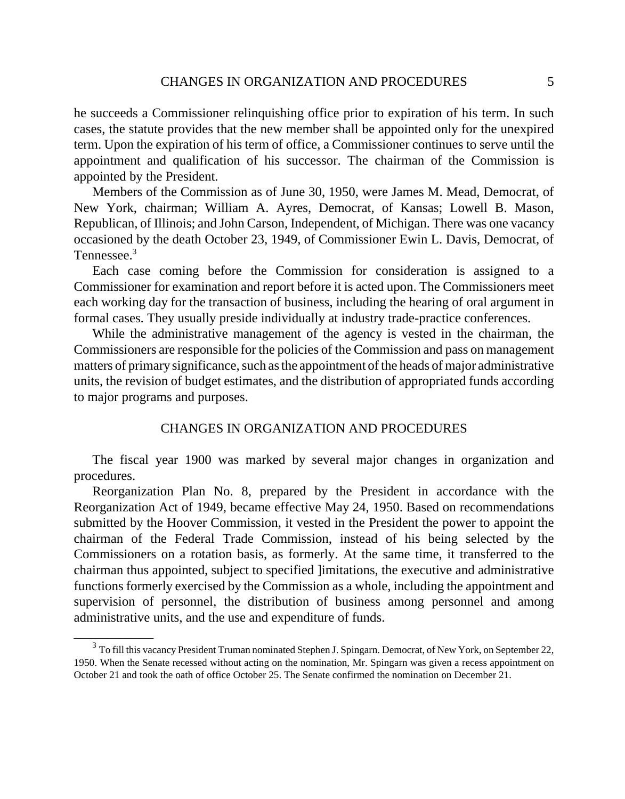he succeeds a Commissioner relinquishing office prior to expiration of his term. In such cases, the statute provides that the new member shall be appointed only for the unexpired term. Upon the expiration of his term of office, a Commissioner continues to serve until the appointment and qualification of his successor. The chairman of the Commission is appointed by the President.

Members of the Commission as of June 30, 1950, were James M. Mead, Democrat, of New York, chairman; William A. Ayres, Democrat, of Kansas; Lowell B. Mason, Republican, of Illinois; and John Carson, Independent, of Michigan. There was one vacancy occasioned by the death October 23, 1949, of Commissioner Ewin L. Davis, Democrat, of Tennessee.<sup>3</sup>

Each case coming before the Commission for consideration is assigned to a Commissioner for examination and report before it is acted upon. The Commissioners meet each working day for the transaction of business, including the hearing of oral argument in formal cases. They usually preside individually at industry trade-practice conferences.

While the administrative management of the agency is vested in the chairman, the Commissioners are responsible for the policies of the Commission and pass on management matters of primary significance, such as the appointment of the heads of major administrative units, the revision of budget estimates, and the distribution of appropriated funds according to major programs and purposes.

#### CHANGES IN ORGANIZATION AND PROCEDURES

The fiscal year 1900 was marked by several major changes in organization and procedures.

Reorganization Plan No. 8, prepared by the President in accordance with the Reorganization Act of 1949, became effective May 24, 1950. Based on recommendations submitted by the Hoover Commission, it vested in the President the power to appoint the chairman of the Federal Trade Commission, instead of his being selected by the Commissioners on a rotation basis, as formerly. At the same time, it transferred to the chairman thus appointed, subject to specified ]imitations, the executive and administrative functions formerly exercised by the Commission as a whole, including the appointment and supervision of personnel, the distribution of business among personnel and among administrative units, and the use and expenditure of funds.

\_\_\_\_\_\_\_\_\_\_\_\_

 $3$  To fill this vacancy President Truman nominated Stephen J. Spingarn. Democrat, of New York, on September 22, 1950. When the Senate recessed without acting on the nomination, Mr. Spingarn was given a recess appointment on October 21 and took the oath of office October 25. The Senate confirmed the nomination on December 21.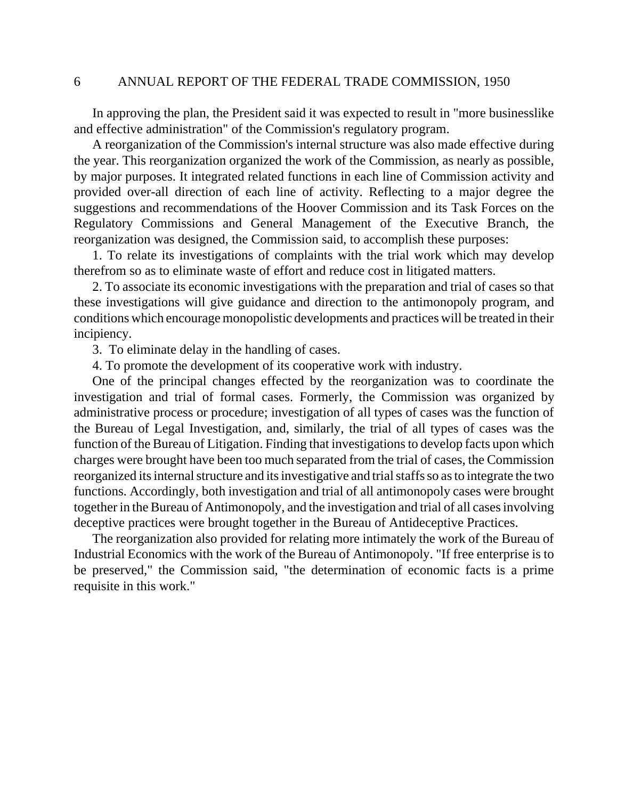In approving the plan, the President said it was expected to result in "more businesslike and effective administration" of the Commission's regulatory program.

A reorganization of the Commission's internal structure was also made effective during the year. This reorganization organized the work of the Commission, as nearly as possible, by major purposes. It integrated related functions in each line of Commission activity and provided over-all direction of each line of activity. Reflecting to a major degree the suggestions and recommendations of the Hoover Commission and its Task Forces on the Regulatory Commissions and General Management of the Executive Branch, the reorganization was designed, the Commission said, to accomplish these purposes:

1. To relate its investigations of complaints with the trial work which may develop therefrom so as to eliminate waste of effort and reduce cost in litigated matters.

2. To associate its economic investigations with the preparation and trial of cases so that these investigations will give guidance and direction to the antimonopoly program, and conditions which encourage monopolistic developments and practices will be treated in their incipiency.

3. To eliminate delay in the handling of cases.

4. To promote the development of its cooperative work with industry.

One of the principal changes effected by the reorganization was to coordinate the investigation and trial of formal cases. Formerly, the Commission was organized by administrative process or procedure; investigation of all types of cases was the function of the Bureau of Legal Investigation, and, similarly, the trial of all types of cases was the function of the Bureau of Litigation. Finding that investigations to develop facts upon which charges were brought have been too much separated from the trial of cases, the Commission reorganized its internal structure and its investigative and trial staffs so as to integrate the two functions. Accordingly, both investigation and trial of all antimonopoly cases were brought together in the Bureau of Antimonopoly, and the investigation and trial of all cases involving deceptive practices were brought together in the Bureau of Antideceptive Practices.

The reorganization also provided for relating more intimately the work of the Bureau of Industrial Economics with the work of the Bureau of Antimonopoly. "If free enterprise is to be preserved," the Commission said, "the determination of economic facts is a prime requisite in this work."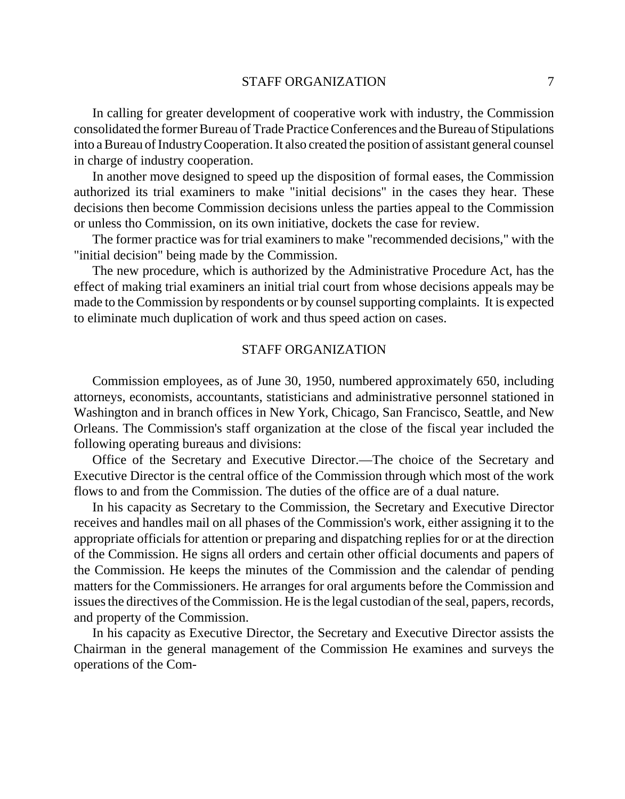#### STAFF ORGANIZATION 7

In calling for greater development of cooperative work with industry, the Commission consolidated the former Bureau of Trade Practice Conferences and the Bureau of Stipulations into a Bureau of Industry Cooperation. It also created the position of assistant general counsel in charge of industry cooperation.

In another move designed to speed up the disposition of formal eases, the Commission authorized its trial examiners to make "initial decisions" in the cases they hear. These decisions then become Commission decisions unless the parties appeal to the Commission or unless tho Commission, on its own initiative, dockets the case for review.

The former practice was for trial examiners to make "recommended decisions," with the "initial decision" being made by the Commission.

The new procedure, which is authorized by the Administrative Procedure Act, has the effect of making trial examiners an initial trial court from whose decisions appeals may be made to the Commission by respondents or by counsel supporting complaints. It is expected to eliminate much duplication of work and thus speed action on cases.

#### STAFF ORGANIZATION

Commission employees, as of June 30, 1950, numbered approximately 650, including attorneys, economists, accountants, statisticians and administrative personnel stationed in Washington and in branch offices in New York, Chicago, San Francisco, Seattle, and New Orleans. The Commission's staff organization at the close of the fiscal year included the following operating bureaus and divisions:

Office of the Secretary and Executive Director.—The choice of the Secretary and Executive Director is the central office of the Commission through which most of the work flows to and from the Commission. The duties of the office are of a dual nature.

In his capacity as Secretary to the Commission, the Secretary and Executive Director receives and handles mail on all phases of the Commission's work, either assigning it to the appropriate officials for attention or preparing and dispatching replies for or at the direction of the Commission. He signs all orders and certain other official documents and papers of the Commission. He keeps the minutes of the Commission and the calendar of pending matters for the Commissioners. He arranges for oral arguments before the Commission and issues the directives of the Commission. He is the legal custodian of the seal, papers, records, and property of the Commission.

In his capacity as Executive Director, the Secretary and Executive Director assists the Chairman in the general management of the Commission He examines and surveys the operations of the Com-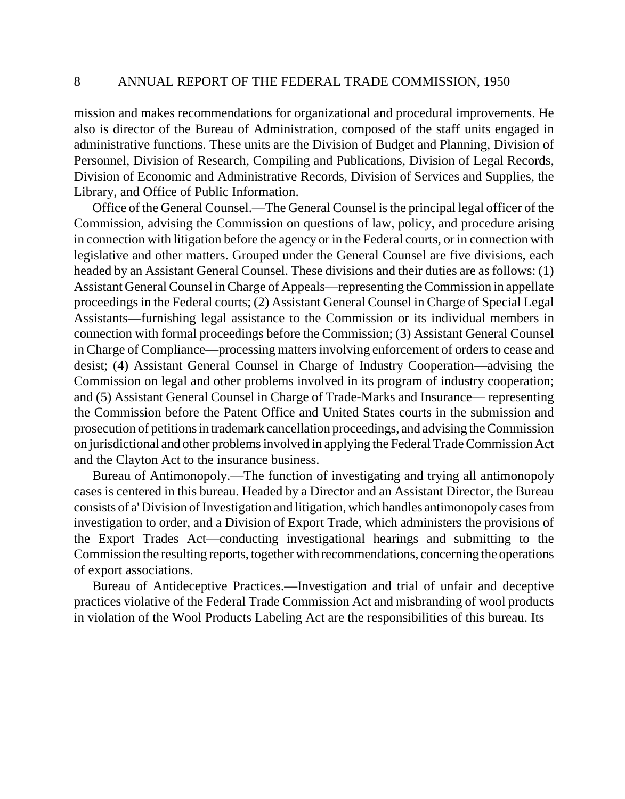mission and makes recommendations for organizational and procedural improvements. He also is director of the Bureau of Administration, composed of the staff units engaged in administrative functions. These units are the Division of Budget and Planning, Division of Personnel, Division of Research, Compiling and Publications, Division of Legal Records, Division of Economic and Administrative Records, Division of Services and Supplies, the Library, and Office of Public Information.

Office of the General Counsel.—The General Counsel isthe principal legal officer of the Commission, advising the Commission on questions of law, policy, and procedure arising in connection with litigation before the agency or in the Federal courts, or in connection with legislative and other matters. Grouped under the General Counsel are five divisions, each headed by an Assistant General Counsel. These divisions and their duties are as follows: (1) Assistant General Counsel inCharge of Appeals—representing theCommission in appellate proceedings in the Federal courts; (2) Assistant General Counsel in Charge of Special Legal Assistants—furnishing legal assistance to the Commission or its individual members in connection with formal proceedings before the Commission; (3) Assistant General Counsel in Charge of Compliance—processing matters involving enforcement of orders to cease and desist; (4) Assistant General Counsel in Charge of Industry Cooperation—advising the Commission on legal and other problems involved in its program of industry cooperation; and (5) Assistant General Counsel in Charge of Trade-Marks and Insurance— representing the Commission before the Patent Office and United States courts in the submission and prosecution of petitions in trademark cancellation proceedings, and advising the Commission on jurisdictional and other problemsinvolved in applying the Federal TradeCommission Act and the Clayton Act to the insurance business.

Bureau of Antimonopoly.—The function of investigating and trying all antimonopoly cases is centered in this bureau. Headed by a Director and an Assistant Director, the Bureau consists of a' Division of Investigation and litigation, which handles antimonopoly cases from investigation to order, and a Division of Export Trade, which administers the provisions of the Export Trades Act—conducting investigational hearings and submitting to the Commission the resulting reports, together with recommendations, concerning the operations of export associations.

Bureau of Antideceptive Practices.—Investigation and trial of unfair and deceptive practices violative of the Federal Trade Commission Act and misbranding of wool products in violation of the Wool Products Labeling Act are the responsibilities of this bureau. Its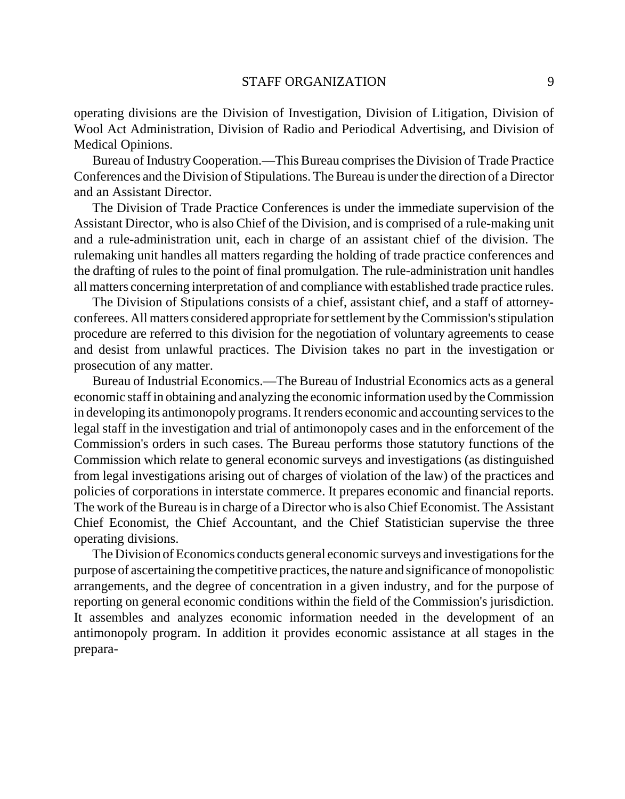operating divisions are the Division of Investigation, Division of Litigation, Division of Wool Act Administration, Division of Radio and Periodical Advertising, and Division of Medical Opinions.

Bureau of IndustryCooperation.—This Bureau comprisesthe Division of Trade Practice Conferences and the Division of Stipulations. The Bureau is under the direction of a Director and an Assistant Director.

The Division of Trade Practice Conferences is under the immediate supervision of the Assistant Director, who is also Chief of the Division, and is comprised of a rule-making unit and a rule-administration unit, each in charge of an assistant chief of the division. The rulemaking unit handles all matters regarding the holding of trade practice conferences and the drafting of rules to the point of final promulgation. The rule-administration unit handles all matters concerning interpretation of and compliance with established trade practice rules.

The Division of Stipulations consists of a chief, assistant chief, and a staff of attorneyconferees. All matters considered appropriate for settlement by the Commission's stipulation procedure are referred to this division for the negotiation of voluntary agreements to cease and desist from unlawful practices. The Division takes no part in the investigation or prosecution of any matter.

Bureau of Industrial Economics.—The Bureau of Industrial Economics acts as a general economic staffin obtaining and analyzing the economic information used by the Commission in developing its antimonopoly programs. It renders economic and accounting services to the legal staff in the investigation and trial of antimonopoly cases and in the enforcement of the Commission's orders in such cases. The Bureau performs those statutory functions of the Commission which relate to general economic surveys and investigations (as distinguished from legal investigations arising out of charges of violation of the law) of the practices and policies of corporations in interstate commerce. It prepares economic and financial reports. The work of the Bureau is in charge of a Director who is also Chief Economist. The Assistant Chief Economist, the Chief Accountant, and the Chief Statistician supervise the three operating divisions.

The Division of Economics conducts general economic surveys and investigationsforthe purpose of ascertaining the competitive practices, the nature and significance of monopolistic arrangements, and the degree of concentration in a given industry, and for the purpose of reporting on general economic conditions within the field of the Commission's jurisdiction. It assembles and analyzes economic information needed in the development of an antimonopoly program. In addition it provides economic assistance at all stages in the prepara-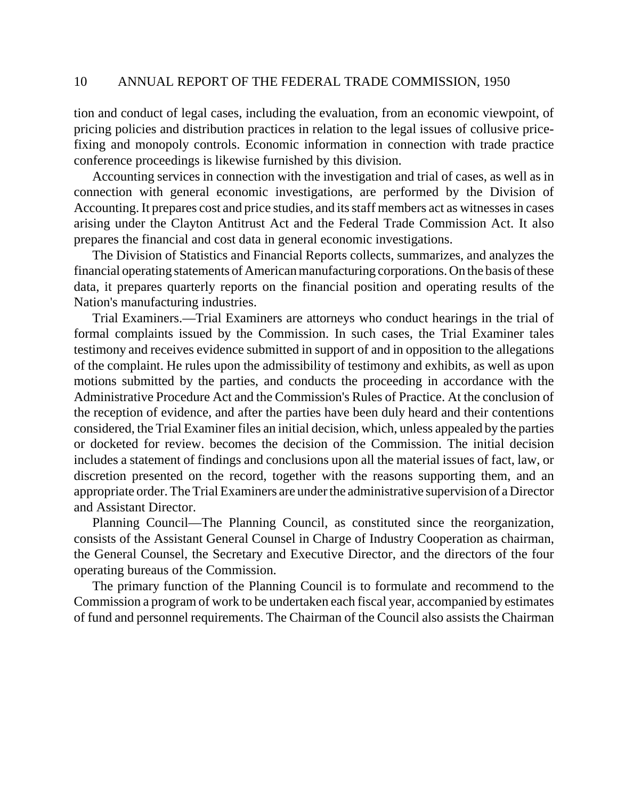tion and conduct of legal cases, including the evaluation, from an economic viewpoint, of pricing policies and distribution practices in relation to the legal issues of collusive pricefixing and monopoly controls. Economic information in connection with trade practice conference proceedings is likewise furnished by this division.

Accounting services in connection with the investigation and trial of cases, as well as in connection with general economic investigations, are performed by the Division of Accounting. It prepares cost and price studies, and its staff members act as witnesses in cases arising under the Clayton Antitrust Act and the Federal Trade Commission Act. It also prepares the financial and cost data in general economic investigations.

The Division of Statistics and Financial Reports collects, summarizes, and analyzes the financial operating statements of American manufacturing corporations. On the basis of these data, it prepares quarterly reports on the financial position and operating results of the Nation's manufacturing industries.

Trial Examiners.—Trial Examiners are attorneys who conduct hearings in the trial of formal complaints issued by the Commission. In such cases, the Trial Examiner tales testimony and receives evidence submitted in support of and in opposition to the allegations of the complaint. He rules upon the admissibility of testimony and exhibits, as well as upon motions submitted by the parties, and conducts the proceeding in accordance with the Administrative Procedure Act and the Commission's Rules of Practice. At the conclusion of the reception of evidence, and after the parties have been duly heard and their contentions considered, the Trial Examiner files an initial decision, which, unless appealed by the parties or docketed for review. becomes the decision of the Commission. The initial decision includes a statement of findings and conclusions upon all the material issues of fact, law, or discretion presented on the record, together with the reasons supporting them, and an appropriate order.TheTrialExaminers are underthe administrative supervision of a Director and Assistant Director.

Planning Council—The Planning Council, as constituted since the reorganization, consists of the Assistant General Counsel in Charge of Industry Cooperation as chairman, the General Counsel, the Secretary and Executive Director, and the directors of the four operating bureaus of the Commission.

The primary function of the Planning Council is to formulate and recommend to the Commission a program of work to be undertaken each fiscal year, accompanied by estimates of fund and personnel requirements. The Chairman of the Council also assists the Chairman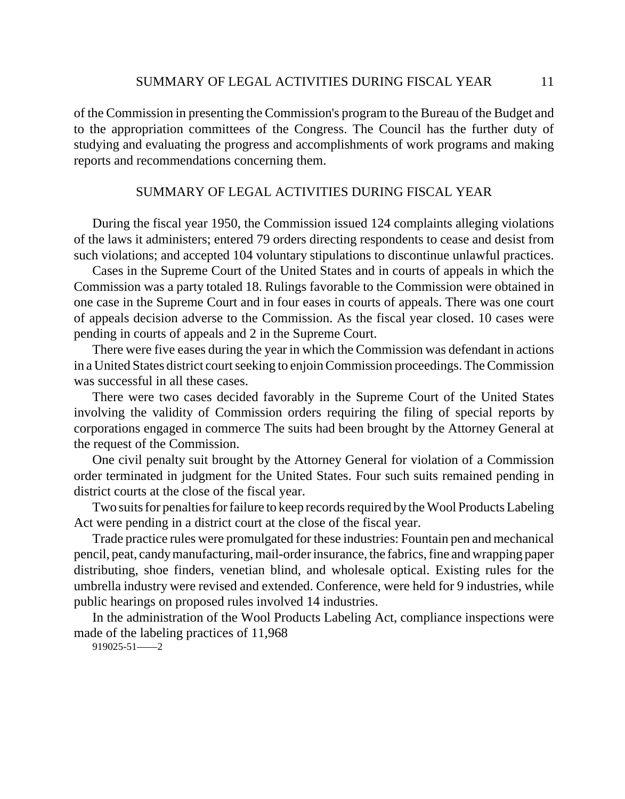of the Commission in presenting the Commission's program to the Bureau of the Budget and to the appropriation committees of the Congress. The Council has the further duty of studying and evaluating the progress and accomplishments of work programs and making reports and recommendations concerning them.

#### SUMMARY OF LEGAL ACTIVITIES DURING FISCAL YEAR

During the fiscal year 1950, the Commission issued 124 complaints alleging violations of the laws it administers; entered 79 orders directing respondents to cease and desist from such violations; and accepted 104 voluntary stipulations to discontinue unlawful practices.

Cases in the Supreme Court of the United States and in courts of appeals in which the Commission was a party totaled 18. Rulings favorable to the Commission were obtained in one case in the Supreme Court and in four eases in courts of appeals. There was one court of appeals decision adverse to the Commission. As the fiscal year closed. 10 cases were pending in courts of appeals and 2 in the Supreme Court.

There were five eases during the year in which the Commission was defendant in actions in a United States district court seeking to enjoin Commission proceedings. The Commission was successful in all these cases.

There were two cases decided favorably in the Supreme Court of the United States involving the validity of Commission orders requiring the filing of special reports by corporations engaged in commerce The suits had been brought by the Attorney General at the request of the Commission.

One civil penalty suit brought by the Attorney General for violation of a Commission order terminated in judgment for the United States. Four such suits remained pending in district courts at the close of the fiscal year.

Two suits for penalties for failure to keep records required by the Wool Products Labeling Act were pending in a district court at the close of the fiscal year.

Trade practice rules were promulgated for these industries: Fountain pen and mechanical pencil, peat, candymanufacturing, mail-order insurance, the fabrics, fine and wrapping paper distributing, shoe finders, venetian blind, and wholesale optical. Existing rules for the umbrella industry were revised and extended. Conference, were held for 9 industries, while public hearings on proposed rules involved 14 industries.

In the administration of the Wool Products Labeling Act, compliance inspections were made of the labeling practices of 11,968

919025-51——2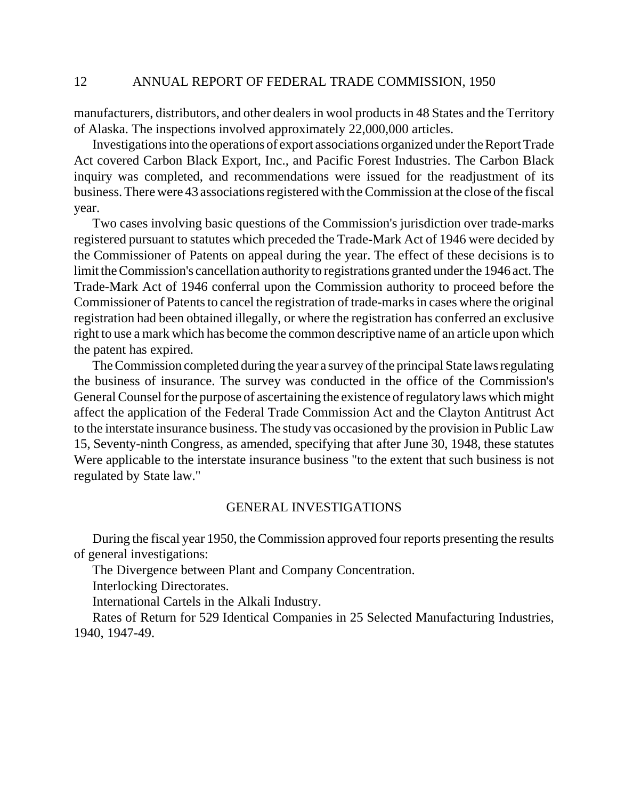manufacturers, distributors, and other dealersin wool productsin 48 States and the Territory of Alaska. The inspections involved approximately 22,000,000 articles.

Investigations into the operations of export associations organized under the Report Trade Act covered Carbon Black Export, Inc., and Pacific Forest Industries. The Carbon Black inquiry was completed, and recommendations were issued for the readjustment of its business. There were 43 associations registered with the Commission at the close of the fiscal year.

Two cases involving basic questions of the Commission's jurisdiction over trade-marks registered pursuant to statutes which preceded the Trade-Mark Act of 1946 were decided by the Commissioner of Patents on appeal during the year. The effect of these decisions is to limit the Commission's cancellation authority to registrations granted under the 1946 act. The Trade-Mark Act of 1946 conferral upon the Commission authority to proceed before the Commissioner of Patents to cancel the registration of trade-marks in cases where the original registration had been obtained illegally, or where the registration has conferred an exclusive right to use a mark which has become the common descriptive name of an article upon which the patent has expired.

The Commission completed during the year a survey of the principal State laws regulating the business of insurance. The survey was conducted in the office of the Commission's General Counsel for the purpose of ascertaining the existence of regulatory laws which might affect the application of the Federal Trade Commission Act and the Clayton Antitrust Act to the interstate insurance business. The study vas occasioned by the provision in Public Law 15, Seventy-ninth Congress, as amended, specifying that after June 30, 1948, these statutes Were applicable to the interstate insurance business "to the extent that such business is not regulated by State law."

#### GENERAL INVESTIGATIONS

During the fiscal year 1950, the Commission approved four reports presenting the results of general investigations:

The Divergence between Plant and Company Concentration.

Interlocking Directorates.

International Cartels in the Alkali Industry.

Rates of Return for 529 Identical Companies in 25 Selected Manufacturing Industries, 1940, 1947-49.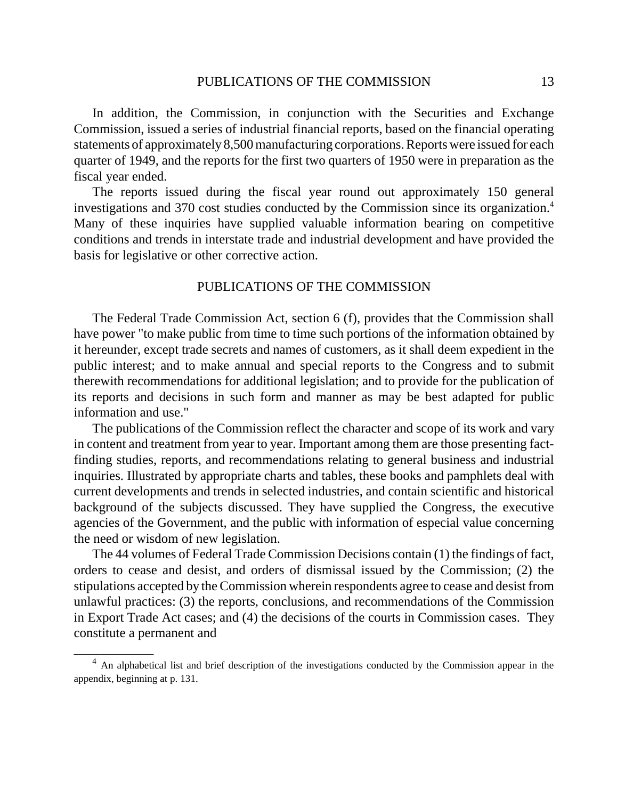In addition, the Commission, in conjunction with the Securities and Exchange Commission, issued a series of industrial financial reports, based on the financial operating statements of approximately 8,500 manufacturing corporations. Reports were issued for each quarter of 1949, and the reports for the first two quarters of 1950 were in preparation as the fiscal year ended.

The reports issued during the fiscal year round out approximately 150 general investigations and 370 cost studies conducted by the Commission since its organization.<sup>4</sup> Many of these inquiries have supplied valuable information bearing on competitive conditions and trends in interstate trade and industrial development and have provided the basis for legislative or other corrective action.

#### PUBLICATIONS OF THE COMMISSION

The Federal Trade Commission Act, section 6 (f), provides that the Commission shall have power "to make public from time to time such portions of the information obtained by it hereunder, except trade secrets and names of customers, as it shall deem expedient in the public interest; and to make annual and special reports to the Congress and to submit therewith recommendations for additional legislation; and to provide for the publication of its reports and decisions in such form and manner as may be best adapted for public information and use."

The publications of the Commission reflect the character and scope of its work and vary in content and treatment from year to year. Important among them are those presenting factfinding studies, reports, and recommendations relating to general business and industrial inquiries. Illustrated by appropriate charts and tables, these books and pamphlets deal with current developments and trends in selected industries, and contain scientific and historical background of the subjects discussed. They have supplied the Congress, the executive agencies of the Government, and the public with information of especial value concerning the need or wisdom of new legislation.

The 44 volumes of Federal Trade Commission Decisions contain (1) the findings of fact, orders to cease and desist, and orders of dismissal issued by the Commission; (2) the stipulations accepted by the Commission wherein respondents agree to cease and desist from unlawful practices: (3) the reports, conclusions, and recommendations of the Commission in Export Trade Act cases; and (4) the decisions of the courts in Commission cases. They constitute a permanent and

\_\_\_\_\_\_\_\_\_\_\_\_

<sup>&</sup>lt;sup>4</sup> An alphabetical list and brief description of the investigations conducted by the Commission appear in the appendix, beginning at p. 131.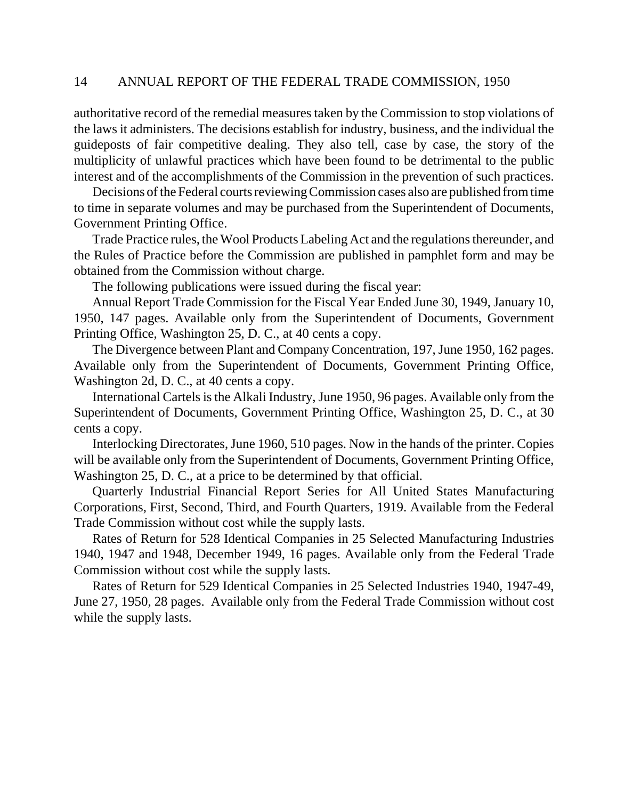authoritative record of the remedial measures taken by the Commission to stop violations of the laws it administers. The decisions establish for industry, business, and the individual the guideposts of fair competitive dealing. They also tell, case by case, the story of the multiplicity of unlawful practices which have been found to be detrimental to the public interest and of the accomplishments of the Commission in the prevention of such practices.

Decisions of the Federal courts reviewing Commission cases also are published from time to time in separate volumes and may be purchased from the Superintendent of Documents, Government Printing Office.

Trade Practice rules, the Wool Products Labeling Act and the regulations thereunder, and the Rules of Practice before the Commission are published in pamphlet form and may be obtained from the Commission without charge.

The following publications were issued during the fiscal year:

Annual Report Trade Commission for the Fiscal Year Ended June 30, 1949, January 10, 1950, 147 pages. Available only from the Superintendent of Documents, Government Printing Office, Washington 25, D. C., at 40 cents a copy.

The Divergence between Plant and Company Concentration, 197, June 1950, 162 pages. Available only from the Superintendent of Documents, Government Printing Office, Washington 2d, D. C., at 40 cents a copy.

International Cartels is the Alkali Industry, June 1950, 96 pages. Available only from the Superintendent of Documents, Government Printing Office, Washington 25, D. C., at 30 cents a copy.

Interlocking Directorates, June 1960, 510 pages. Now in the hands of the printer. Copies will be available only from the Superintendent of Documents, Government Printing Office, Washington 25, D. C., at a price to be determined by that official.

Quarterly Industrial Financial Report Series for All United States Manufacturing Corporations, First, Second, Third, and Fourth Quarters, 1919. Available from the Federal Trade Commission without cost while the supply lasts.

Rates of Return for 528 Identical Companies in 25 Selected Manufacturing Industries 1940, 1947 and 1948, December 1949, 16 pages. Available only from the Federal Trade Commission without cost while the supply lasts.

Rates of Return for 529 Identical Companies in 25 Selected Industries 1940, 1947-49, June 27, 1950, 28 pages. Available only from the Federal Trade Commission without cost while the supply lasts.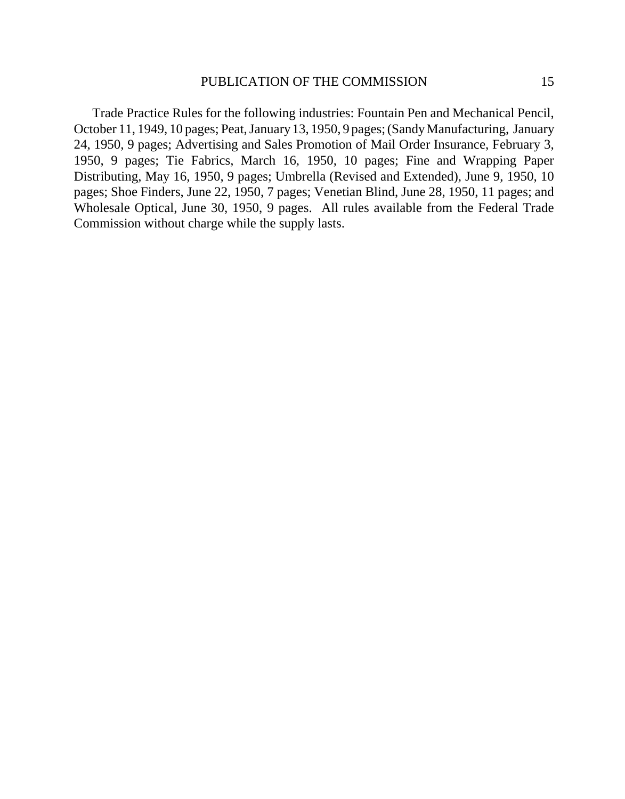Trade Practice Rules for the following industries: Fountain Pen and Mechanical Pencil, October 11, 1949, 10 pages; Peat, January 13, 1950, 9 pages; (Sandy Manufacturing, January 24, 1950, 9 pages; Advertising and Sales Promotion of Mail Order Insurance, February 3, 1950, 9 pages; Tie Fabrics, March 16, 1950, 10 pages; Fine and Wrapping Paper Distributing, May 16, 1950, 9 pages; Umbrella (Revised and Extended), June 9, 1950, 10 pages; Shoe Finders, June 22, 1950, 7 pages; Venetian Blind, June 28, 1950, 11 pages; and Wholesale Optical, June 30, 1950, 9 pages. All rules available from the Federal Trade Commission without charge while the supply lasts.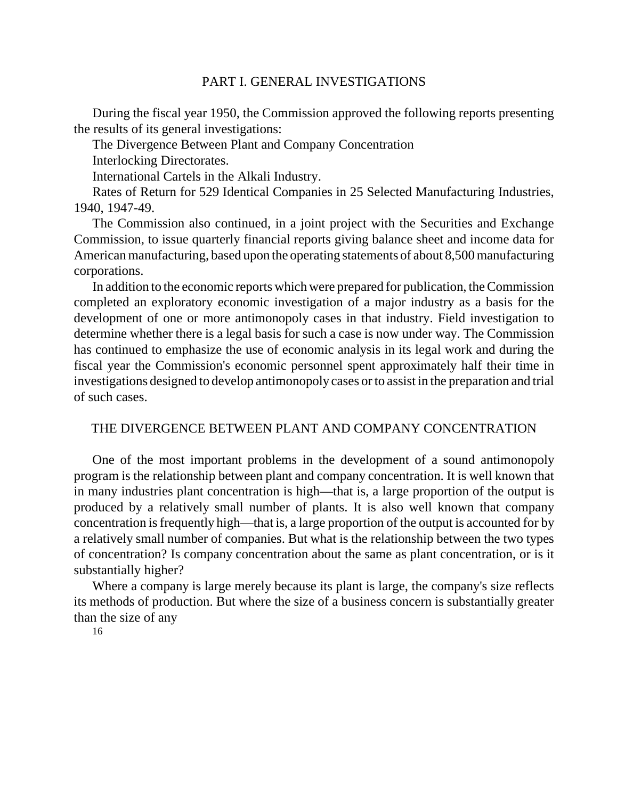#### PART I. GENERAL INVESTIGATIONS

During the fiscal year 1950, the Commission approved the following reports presenting the results of its general investigations:

The Divergence Between Plant and Company Concentration

Interlocking Directorates.

International Cartels in the Alkali Industry.

Rates of Return for 529 Identical Companies in 25 Selected Manufacturing Industries, 1940, 1947-49.

The Commission also continued, in a joint project with the Securities and Exchange Commission, to issue quarterly financial reports giving balance sheet and income data for American manufacturing, based upon the operating statements of about 8,500 manufacturing corporations.

In addition to the economic reports which were prepared for publication, theCommission completed an exploratory economic investigation of a major industry as a basis for the development of one or more antimonopoly cases in that industry. Field investigation to determine whether there is a legal basis for such a case is now under way. The Commission has continued to emphasize the use of economic analysis in its legal work and during the fiscal year the Commission's economic personnel spent approximately half their time in investigations designed to develop antimonopoly cases or to assist in the preparation and trial of such cases.

#### THE DIVERGENCE BETWEEN PLANT AND COMPANY CONCENTRATION

One of the most important problems in the development of a sound antimonopoly program is the relationship between plant and company concentration. It is well known that in many industries plant concentration is high—that is, a large proportion of the output is produced by a relatively small number of plants. It is also well known that company concentration isfrequently high—that is, a large proportion of the output is accounted for by a relatively small number of companies. But what is the relationship between the two types of concentration? Is company concentration about the same as plant concentration, or is it substantially higher?

Where a company is large merely because its plant is large, the company's size reflects its methods of production. But where the size of a business concern is substantially greater than the size of any

16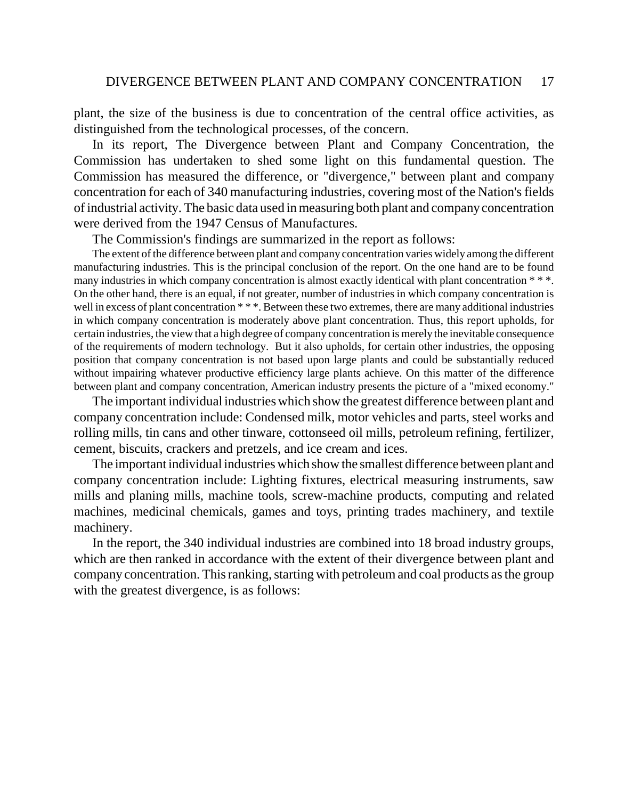plant, the size of the business is due to concentration of the central office activities, as distinguished from the technological processes, of the concern.

In its report, The Divergence between Plant and Company Concentration, the Commission has undertaken to shed some light on this fundamental question. The Commission has measured the difference, or "divergence," between plant and company concentration for each of 340 manufacturing industries, covering most of the Nation's fields ofindustrial activity. The basic data used inmeasuring both plant and companyconcentration were derived from the 1947 Census of Manufactures.

The Commission's findings are summarized in the report as follows:

The extent of the difference between plant and company concentration varies widely among the different manufacturing industries. This is the principal conclusion of the report. On the one hand are to be found many industries in which company concentration is almost exactly identical with plant concentration \* \* \*. On the other hand, there is an equal, if not greater, number of industries in which company concentration is well in excess of plant concentration \* \* \*. Between these two extremes, there are many additional industries in which company concentration is moderately above plant concentration. Thus, this report upholds, for certain industries, the viewthat a high degree of company concentration is merely the inevitable consequence of the requirements of modern technology. But it also upholds, for certain other industries, the opposing position that company concentration is not based upon large plants and could be substantially reduced without impairing whatever productive efficiency large plants achieve. On this matter of the difference between plant and company concentration, American industry presents the picture of a "mixed economy."

The important individual industries which show the greatest difference between plant and company concentration include: Condensed milk, motor vehicles and parts, steel works and rolling mills, tin cans and other tinware, cottonseed oil mills, petroleum refining, fertilizer, cement, biscuits, crackers and pretzels, and ice cream and ices.

The important individual industries which show the smallest difference between plant and company concentration include: Lighting fixtures, electrical measuring instruments, saw mills and planing mills, machine tools, screw-machine products, computing and related machines, medicinal chemicals, games and toys, printing trades machinery, and textile machinery.

In the report, the 340 individual industries are combined into 18 broad industry groups, which are then ranked in accordance with the extent of their divergence between plant and company concentration. This ranking, starting with petroleum and coal products as the group with the greatest divergence, is as follows: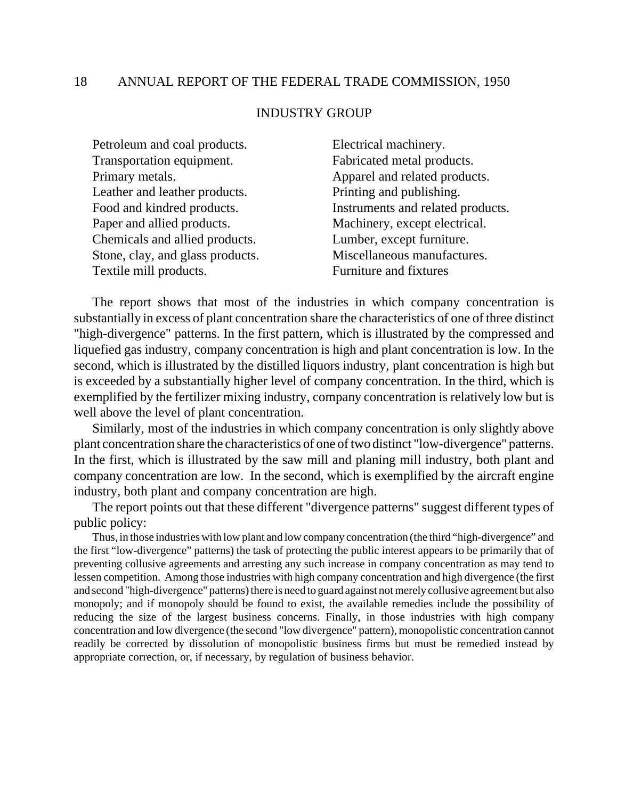#### INDUSTRY GROUP

| Petroleum and coal products.     | Electrical machinery.             |
|----------------------------------|-----------------------------------|
| Transportation equipment.        | Fabricated metal products.        |
| Primary metals.                  | Apparel and related products.     |
| Leather and leather products.    | Printing and publishing.          |
| Food and kindred products.       | Instruments and related products. |
| Paper and allied products.       | Machinery, except electrical.     |
| Chemicals and allied products.   | Lumber, except furniture.         |
| Stone, clay, and glass products. | Miscellaneous manufactures.       |
| Textile mill products.           | Furniture and fixtures            |

The report shows that most of the industries in which company concentration is substantially in excess of plant concentration share the characteristics of one of three distinct "high-divergence" patterns. In the first pattern, which is illustrated by the compressed and liquefied gas industry, company concentration is high and plant concentration is low. In the second, which is illustrated by the distilled liquors industry, plant concentration is high but is exceeded by a substantially higher level of company concentration. In the third, which is exemplified by the fertilizer mixing industry, company concentration is relatively low but is well above the level of plant concentration.

Similarly, most of the industries in which company concentration is only slightly above plant concentration share the characteristics of one of two distinct "low-divergence" patterns. In the first, which is illustrated by the saw mill and planing mill industry, both plant and company concentration are low. In the second, which is exemplified by the aircraft engine industry, both plant and company concentration are high.

The report points out that these different "divergence patterns" suggest different types of public policy:

Thus, in those industrieswith lowplant and low company concentration (the third "high-divergence" and the first "low-divergence" patterns) the task of protecting the public interest appears to be primarily that of preventing collusive agreements and arresting any such increase in company concentration as may tend to lessen competition. Among those industries with high company concentration and high divergence (the first and second "high-divergence" patterns) there is need to guard against not merely collusive agreement but also monopoly; and if monopoly should be found to exist, the available remedies include the possibility of reducing the size of the largest business concerns. Finally, in those industries with high company concentration and low divergence (the second "low divergence" pattern), monopolistic concentration cannot readily be corrected by dissolution of monopolistic business firms but must be remedied instead by appropriate correction, or, if necessary, by regulation of business behavior.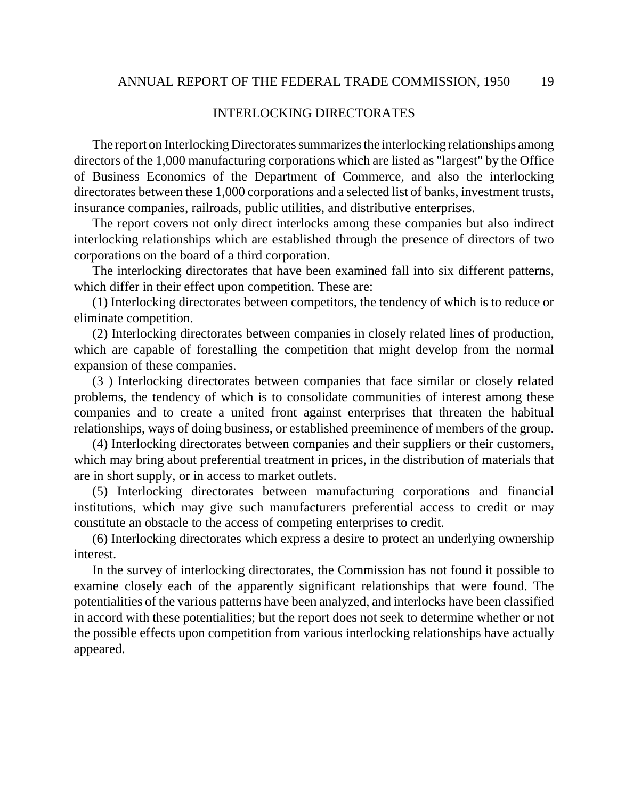#### INTERLOCKING DIRECTORATES

The report on Interlocking Directorates summarizes the interlocking relationships among directors of the 1,000 manufacturing corporations which are listed as "largest" by the Office of Business Economics of the Department of Commerce, and also the interlocking directorates between these 1,000 corporations and a selected list of banks, investment trusts, insurance companies, railroads, public utilities, and distributive enterprises.

The report covers not only direct interlocks among these companies but also indirect interlocking relationships which are established through the presence of directors of two corporations on the board of a third corporation.

The interlocking directorates that have been examined fall into six different patterns, which differ in their effect upon competition. These are:

(1) Interlocking directorates between competitors, the tendency of which is to reduce or eliminate competition.

(2) Interlocking directorates between companies in closely related lines of production, which are capable of forestalling the competition that might develop from the normal expansion of these companies.

(3 ) Interlocking directorates between companies that face similar or closely related problems, the tendency of which is to consolidate communities of interest among these companies and to create a united front against enterprises that threaten the habitual relationships, ways of doing business, or established preeminence of members of the group.

(4) Interlocking directorates between companies and their suppliers or their customers, which may bring about preferential treatment in prices, in the distribution of materials that are in short supply, or in access to market outlets.

(5) Interlocking directorates between manufacturing corporations and financial institutions, which may give such manufacturers preferential access to credit or may constitute an obstacle to the access of competing enterprises to credit.

(6) Interlocking directorates which express a desire to protect an underlying ownership interest.

In the survey of interlocking directorates, the Commission has not found it possible to examine closely each of the apparently significant relationships that were found. The potentialities of the various patterns have been analyzed, and interlocks have been classified in accord with these potentialities; but the report does not seek to determine whether or not the possible effects upon competition from various interlocking relationships have actually appeared.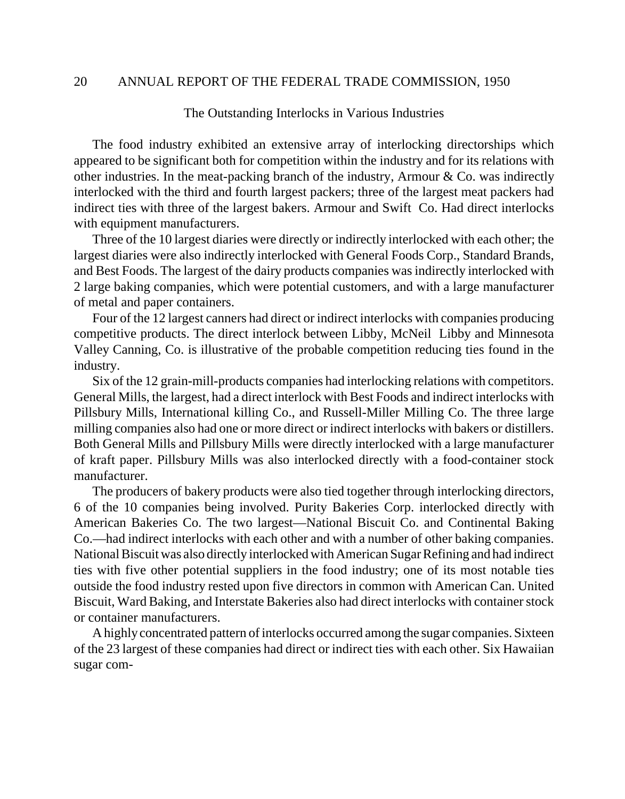#### The Outstanding Interlocks in Various Industries

The food industry exhibited an extensive array of interlocking directorships which appeared to be significant both for competition within the industry and for its relations with other industries. In the meat-packing branch of the industry, Armour & Co. was indirectly interlocked with the third and fourth largest packers; three of the largest meat packers had indirect ties with three of the largest bakers. Armour and Swift Co. Had direct interlocks with equipment manufacturers.

Three of the 10 largest diaries were directly or indirectly interlocked with each other; the largest diaries were also indirectly interlocked with General Foods Corp., Standard Brands, and Best Foods. The largest of the dairy products companies was indirectly interlocked with 2 large baking companies, which were potential customers, and with a large manufacturer of metal and paper containers.

Four of the 12 largest canners had direct or indirect interlocks with companies producing competitive products. The direct interlock between Libby, McNeil Libby and Minnesota Valley Canning, Co. is illustrative of the probable competition reducing ties found in the industry.

Six of the 12 grain-mill-products companies had interlocking relations with competitors. General Mills, the largest, had a direct interlock with Best Foods and indirect interlocks with Pillsbury Mills, International killing Co., and Russell-Miller Milling Co. The three large milling companies also had one or more direct or indirect interlocks with bakers or distillers. Both General Mills and Pillsbury Mills were directly interlocked with a large manufacturer of kraft paper. Pillsbury Mills was also interlocked directly with a food-container stock manufacturer.

The producers of bakery products were also tied together through interlocking directors, 6 of the 10 companies being involved. Purity Bakeries Corp. interlocked directly with American Bakeries Co. The two largest—National Biscuit Co. and Continental Baking Co.—had indirect interlocks with each other and with a number of other baking companies. National Biscuit was also directly interlocked with American Sugar Refining and had indirect ties with five other potential suppliers in the food industry; one of its most notable ties outside the food industry rested upon five directors in common with American Can. United Biscuit, Ward Baking, and Interstate Bakeries also had direct interlocks with container stock or container manufacturers.

A highly concentrated pattern of interlocks occurred among the sugar companies. Sixteen of the 23 largest of these companies had direct or indirect ties with each other. Six Hawaiian sugar com-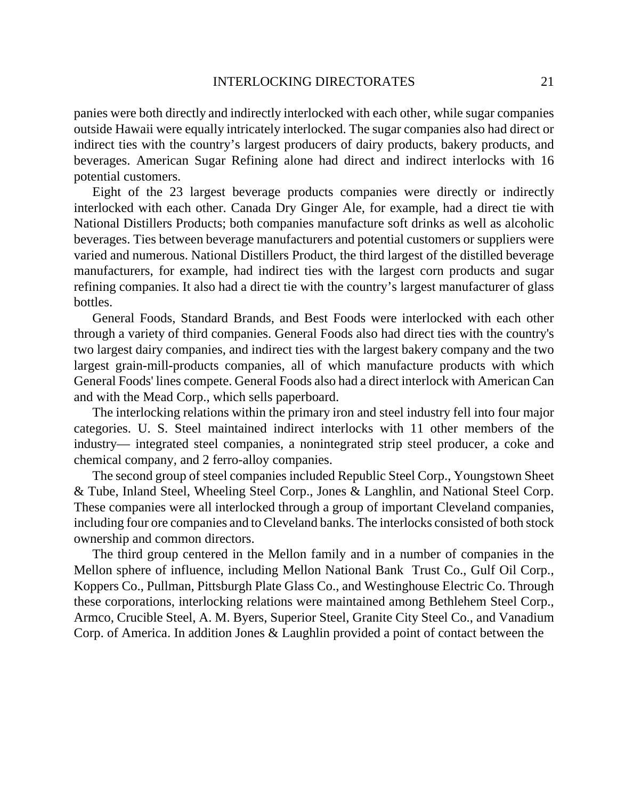#### INTERLOCKING DIRECTORATES 21

panies were both directly and indirectly interlocked with each other, while sugar companies outside Hawaii were equally intricately interlocked. The sugar companies also had direct or indirect ties with the country's largest producers of dairy products, bakery products, and beverages. American Sugar Refining alone had direct and indirect interlocks with 16 potential customers.

Eight of the 23 largest beverage products companies were directly or indirectly interlocked with each other. Canada Dry Ginger Ale, for example, had a direct tie with National Distillers Products; both companies manufacture soft drinks as well as alcoholic beverages. Ties between beverage manufacturers and potential customers or suppliers were varied and numerous. National Distillers Product, the third largest of the distilled beverage manufacturers, for example, had indirect ties with the largest corn products and sugar refining companies. It also had a direct tie with the country's largest manufacturer of glass bottles.

General Foods, Standard Brands, and Best Foods were interlocked with each other through a variety of third companies. General Foods also had direct ties with the country's two largest dairy companies, and indirect ties with the largest bakery company and the two largest grain-mill-products companies, all of which manufacture products with which General Foods' lines compete. General Foods also had a direct interlock with American Can and with the Mead Corp., which sells paperboard.

The interlocking relations within the primary iron and steel industry fell into four major categories. U. S. Steel maintained indirect interlocks with 11 other members of the industry— integrated steel companies, a nonintegrated strip steel producer, a coke and chemical company, and 2 ferro-alloy companies.

The second group of steel companies included Republic Steel Corp., Youngstown Sheet & Tube, Inland Steel, Wheeling Steel Corp., Jones & Langhlin, and National Steel Corp. These companies were all interlocked through a group of important Cleveland companies, including four ore companies and to Cleveland banks. The interlocks consisted of both stock ownership and common directors.

The third group centered in the Mellon family and in a number of companies in the Mellon sphere of influence, including Mellon National Bank Trust Co., Gulf Oil Corp., Koppers Co., Pullman, Pittsburgh Plate Glass Co., and Westinghouse Electric Co. Through these corporations, interlocking relations were maintained among Bethlehem Steel Corp., Armco, Crucible Steel, A. M. Byers, Superior Steel, Granite City Steel Co., and Vanadium Corp. of America. In addition Jones & Laughlin provided a point of contact between the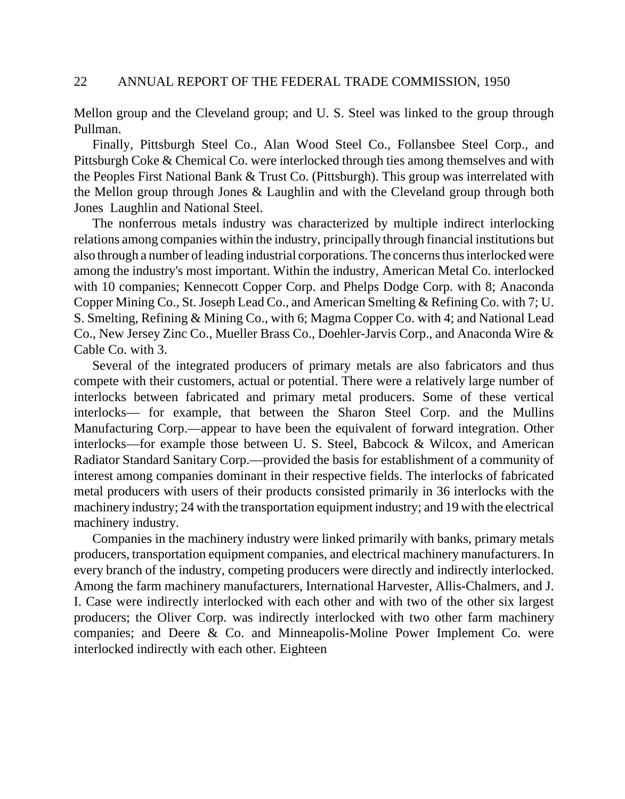Mellon group and the Cleveland group; and U. S. Steel was linked to the group through Pullman.

Finally, Pittsburgh Steel Co., Alan Wood Steel Co., Follansbee Steel Corp., and Pittsburgh Coke & Chemical Co. were interlocked through ties among themselves and with the Peoples First National Bank & Trust Co. (Pittsburgh). This group was interrelated with the Mellon group through Jones & Laughlin and with the Cleveland group through both Jones Laughlin and National Steel.

The nonferrous metals industry was characterized by multiple indirect interlocking relations among companies within the industry, principally through financial institutions but also through a number of leading industrial corporations. The concerns thus interlocked were among the industry's most important. Within the industry, American Metal Co. interlocked with 10 companies; Kennecott Copper Corp. and Phelps Dodge Corp. with 8; Anaconda Copper Mining Co., St.Joseph Lead Co., and American Smelting & Refining Co. with 7; U. S. Smelting, Refining & Mining Co., with 6; Magma Copper Co. with 4; and National Lead Co., New Jersey Zinc Co., Mueller Brass Co., Doehler-Jarvis Corp., and Anaconda Wire & Cable Co. with 3.

Several of the integrated producers of primary metals are also fabricators and thus compete with their customers, actual or potential. There were a relatively large number of interlocks between fabricated and primary metal producers. Some of these vertical interlocks— for example, that between the Sharon Steel Corp. and the Mullins Manufacturing Corp.—appear to have been the equivalent of forward integration. Other interlocks—for example those between U. S. Steel, Babcock & Wilcox, and American Radiator Standard Sanitary Corp.—provided the basis for establishment of a community of interest among companies dominant in their respective fields. The interlocks of fabricated metal producers with users of their products consisted primarily in 36 interlocks with the machinery industry; 24 with the transportation equipment industry; and 19 with the electrical machinery industry.

Companies in the machinery industry were linked primarily with banks, primary metals producers, transportation equipment companies, and electrical machinery manufacturers. In every branch of the industry, competing producers were directly and indirectly interlocked. Among the farm machinery manufacturers, International Harvester, Allis-Chalmers, and J. I. Case were indirectly interlocked with each other and with two of the other six largest producers; the Oliver Corp. was indirectly interlocked with two other farm machinery companies; and Deere & Co. and Minneapolis-Moline Power Implement Co. were interlocked indirectly with each other. Eighteen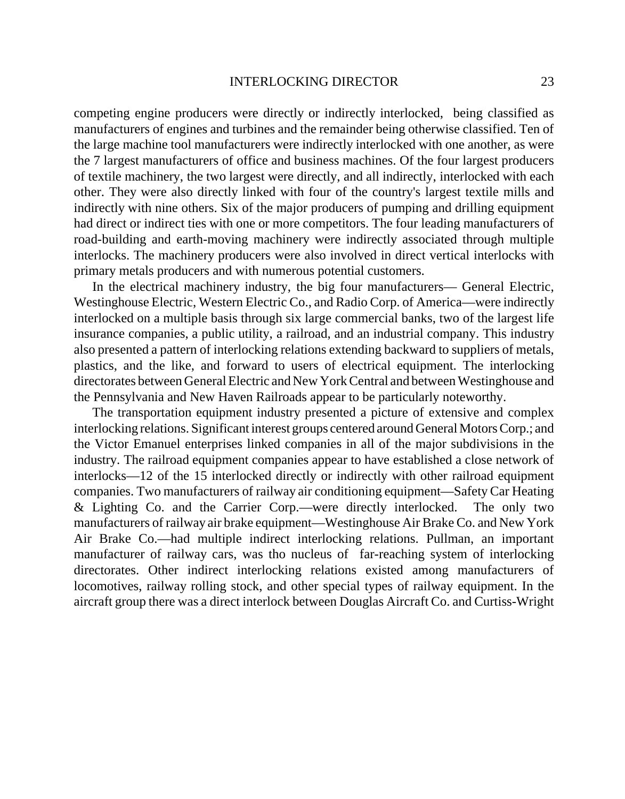competing engine producers were directly or indirectly interlocked, being classified as manufacturers of engines and turbines and the remainder being otherwise classified. Ten of the large machine tool manufacturers were indirectly interlocked with one another, as were the 7 largest manufacturers of office and business machines. Of the four largest producers of textile machinery, the two largest were directly, and all indirectly, interlocked with each other. They were also directly linked with four of the country's largest textile mills and indirectly with nine others. Six of the major producers of pumping and drilling equipment had direct or indirect ties with one or more competitors. The four leading manufacturers of road-building and earth-moving machinery were indirectly associated through multiple interlocks. The machinery producers were also involved in direct vertical interlocks with primary metals producers and with numerous potential customers.

In the electrical machinery industry, the big four manufacturers— General Electric, Westinghouse Electric, Western Electric Co., and Radio Corp. of America—were indirectly interlocked on a multiple basis through six large commercial banks, two of the largest life insurance companies, a public utility, a railroad, and an industrial company. This industry also presented a pattern of interlocking relations extending backward to suppliers of metals, plastics, and the like, and forward to users of electrical equipment. The interlocking directorates between General Electric and New York Central and between Westinghouse and the Pennsylvania and New Haven Railroads appear to be particularly noteworthy.

The transportation equipment industry presented a picture of extensive and complex interlocking relations. Significant interest groups centered around General Motors Corp.; and the Victor Emanuel enterprises linked companies in all of the major subdivisions in the industry. The railroad equipment companies appear to have established a close network of interlocks—12 of the 15 interlocked directly or indirectly with other railroad equipment companies. Two manufacturers of railway air conditioning equipment—Safety Car Heating & Lighting Co. and the Carrier Corp.—were directly interlocked. The only two manufacturers of railway air brake equipment—Westinghouse Air Brake Co. and New York Air Brake Co.—had multiple indirect interlocking relations. Pullman, an important manufacturer of railway cars, was tho nucleus of far-reaching system of interlocking directorates. Other indirect interlocking relations existed among manufacturers of locomotives, railway rolling stock, and other special types of railway equipment. In the aircraft group there was a direct interlock between Douglas Aircraft Co. and Curtiss-Wright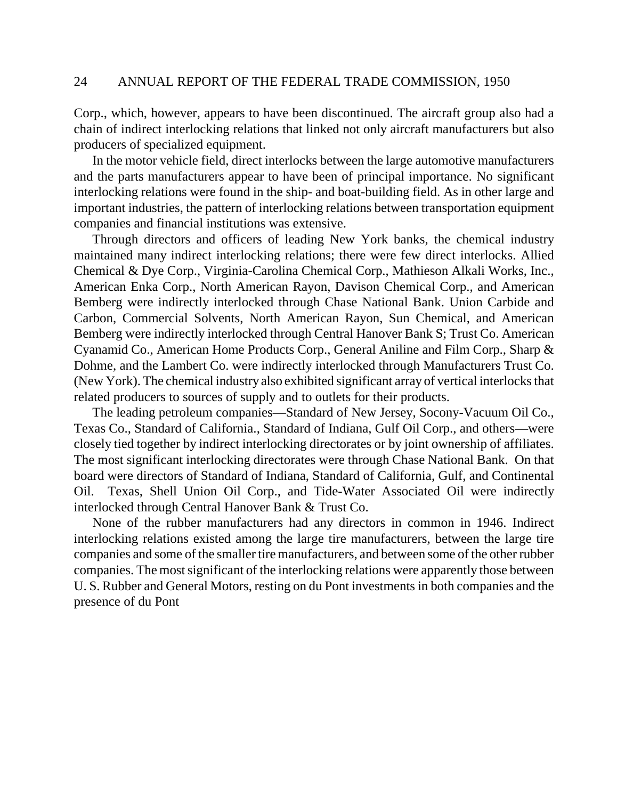Corp., which, however, appears to have been discontinued. The aircraft group also had a chain of indirect interlocking relations that linked not only aircraft manufacturers but also producers of specialized equipment.

In the motor vehicle field, direct interlocks between the large automotive manufacturers and the parts manufacturers appear to have been of principal importance. No significant interlocking relations were found in the ship- and boat-building field. As in other large and important industries, the pattern of interlocking relations between transportation equipment companies and financial institutions was extensive.

Through directors and officers of leading New York banks, the chemical industry maintained many indirect interlocking relations; there were few direct interlocks. Allied Chemical & Dye Corp., Virginia-Carolina Chemical Corp., Mathieson Alkali Works, Inc., American Enka Corp., North American Rayon, Davison Chemical Corp., and American Bemberg were indirectly interlocked through Chase National Bank. Union Carbide and Carbon, Commercial Solvents, North American Rayon, Sun Chemical, and American Bemberg were indirectly interlocked through Central Hanover Bank S; Trust Co. American Cyanamid Co., American Home Products Corp., General Aniline and Film Corp., Sharp & Dohme, and the Lambert Co. were indirectly interlocked through Manufacturers Trust Co. (New York). The chemical industry also exhibited significant array of vertical interlocks that related producers to sources of supply and to outlets for their products.

The leading petroleum companies—Standard of New Jersey, Socony-Vacuum Oil Co., Texas Co., Standard of California., Standard of Indiana, Gulf Oil Corp., and others—were closely tied together by indirect interlocking directorates or by joint ownership of affiliates. The most significant interlocking directorates were through Chase National Bank. On that board were directors of Standard of Indiana, Standard of California, Gulf, and Continental Oil. Texas, Shell Union Oil Corp., and Tide-Water Associated Oil were indirectly interlocked through Central Hanover Bank & Trust Co.

None of the rubber manufacturers had any directors in common in 1946. Indirect interlocking relations existed among the large tire manufacturers, between the large tire companies and some of the smaller tire manufacturers, and between some of the other rubber companies. The most significant of the interlocking relations were apparently those between U. S. Rubber and General Motors, resting on du Pont investmentsin both companies and the presence of du Pont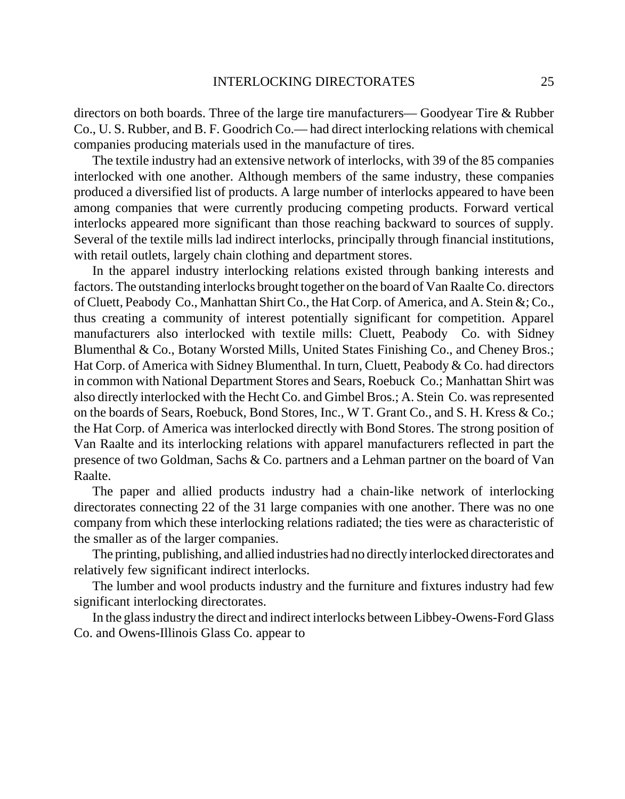directors on both boards. Three of the large tire manufacturers— Goodyear Tire & Rubber Co., U. S. Rubber, and B. F. Goodrich Co.— had direct interlocking relations with chemical companies producing materials used in the manufacture of tires.

The textile industry had an extensive network of interlocks, with 39 of the 85 companies interlocked with one another. Although members of the same industry, these companies produced a diversified list of products. A large number of interlocks appeared to have been among companies that were currently producing competing products. Forward vertical interlocks appeared more significant than those reaching backward to sources of supply. Several of the textile mills lad indirect interlocks, principally through financial institutions, with retail outlets, largely chain clothing and department stores.

In the apparel industry interlocking relations existed through banking interests and factors. The outstanding interlocks brought together on the board of Van Raalte Co. directors of Cluett, Peabody Co., Manhattan Shirt Co., the Hat Corp. of America, and A. Stein &; Co., thus creating a community of interest potentially significant for competition. Apparel manufacturers also interlocked with textile mills: Cluett, Peabody Co. with Sidney Blumenthal & Co., Botany Worsted Mills, United States Finishing Co., and Cheney Bros.; Hat Corp. of America with Sidney Blumenthal. In turn, Cluett, Peabody & Co. had directors in common with National Department Stores and Sears, Roebuck Co.; Manhattan Shirt was also directly interlocked with the Hecht Co. and Gimbel Bros.; A. Stein Co. was represented on the boards of Sears, Roebuck, Bond Stores, Inc., W T. Grant Co., and S. H. Kress & Co.; the Hat Corp. of America was interlocked directly with Bond Stores. The strong position of Van Raalte and its interlocking relations with apparel manufacturers reflected in part the presence of two Goldman, Sachs & Co. partners and a Lehman partner on the board of Van Raalte.

The paper and allied products industry had a chain-like network of interlocking directorates connecting 22 of the 31 large companies with one another. There was no one company from which these interlocking relations radiated; the ties were as characteristic of the smaller as of the larger companies.

The printing, publishing, and allied industries had no directlyinterlocked directorates and relatively few significant indirect interlocks.

The lumber and wool products industry and the furniture and fixtures industry had few significant interlocking directorates.

In the glassindustry the direct and indirect interlocks between Libbey-Owens-Ford Glass Co. and Owens-Illinois Glass Co. appear to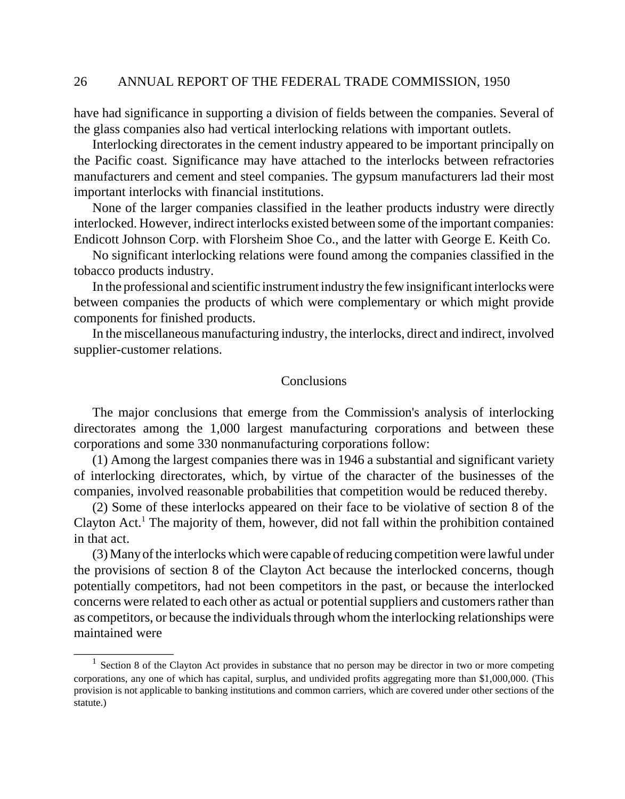have had significance in supporting a division of fields between the companies. Several of the glass companies also had vertical interlocking relations with important outlets.

Interlocking directorates in the cement industry appeared to be important principally on the Pacific coast. Significance may have attached to the interlocks between refractories manufacturers and cement and steel companies. The gypsum manufacturers lad their most important interlocks with financial institutions.

None of the larger companies classified in the leather products industry were directly interlocked. However, indirect interlocks existed between some of the important companies: Endicott Johnson Corp. with Florsheim Shoe Co., and the latter with George E. Keith Co.

No significant interlocking relations were found among the companies classified in the tobacco products industry.

In the professional and scientific instrument industry the few insignificant interlocks were between companies the products of which were complementary or which might provide components for finished products.

In the miscellaneous manufacturing industry, the interlocks, direct and indirect, involved supplier-customer relations.

#### **Conclusions**

The major conclusions that emerge from the Commission's analysis of interlocking directorates among the 1,000 largest manufacturing corporations and between these corporations and some 330 nonmanufacturing corporations follow:

(1) Among the largest companies there was in 1946 a substantial and significant variety of interlocking directorates, which, by virtue of the character of the businesses of the companies, involved reasonable probabilities that competition would be reduced thereby.

(2) Some of these interlocks appeared on their face to be violative of section 8 of the Clayton Act.<sup>1</sup> The majority of them, however, did not fall within the prohibition contained in that act.

(3) Many of the interlocks which were capable of reducing competition were lawful under the provisions of section 8 of the Clayton Act because the interlocked concerns, though potentially competitors, had not been competitors in the past, or because the interlocked concerns were related to each other as actual or potential suppliers and customers rather than as competitors, or because the individuals through whom the interlocking relationships were maintained were

\_\_\_\_\_\_\_\_\_\_\_\_\_\_\_

<sup>&</sup>lt;sup>1</sup> Section 8 of the Clayton Act provides in substance that no person may be director in two or more competing corporations, any one of which has capital, surplus, and undivided profits aggregating more than \$1,000,000. (This provision is not applicable to banking institutions and common carriers, which are covered under other sections of the statute.)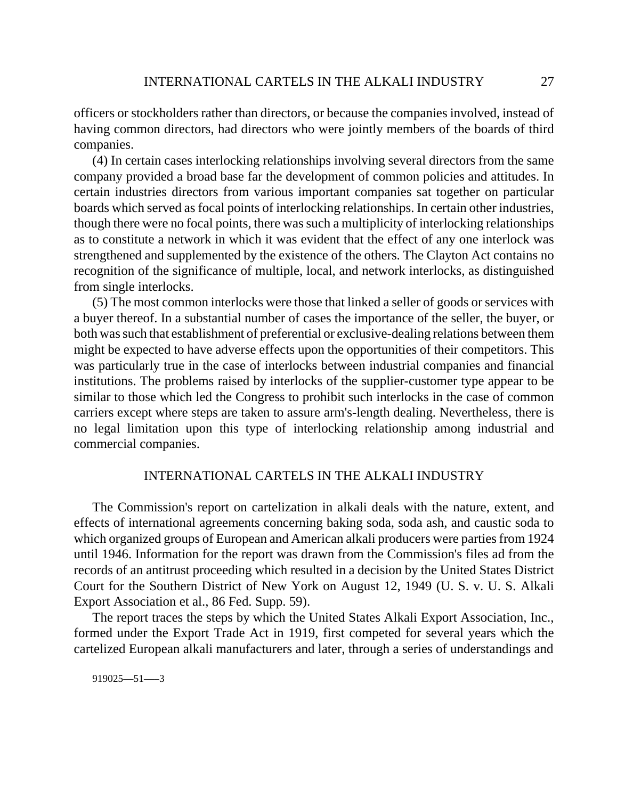officers or stockholders rather than directors, or because the companies involved, instead of having common directors, had directors who were jointly members of the boards of third companies.

(4) In certain cases interlocking relationships involving several directors from the same company provided a broad base far the development of common policies and attitudes. In certain industries directors from various important companies sat together on particular boards which served as focal points of interlocking relationships. In certain other industries, though there were no focal points, there was such a multiplicity of interlocking relationships as to constitute a network in which it was evident that the effect of any one interlock was strengthened and supplemented by the existence of the others. The Clayton Act contains no recognition of the significance of multiple, local, and network interlocks, as distinguished from single interlocks.

(5) The most common interlocks were those that linked a seller of goods or services with a buyer thereof. In a substantial number of cases the importance of the seller, the buyer, or both was such that establishment of preferential or exclusive-dealing relations between them might be expected to have adverse effects upon the opportunities of their competitors. This was particularly true in the case of interlocks between industrial companies and financial institutions. The problems raised by interlocks of the supplier-customer type appear to be similar to those which led the Congress to prohibit such interlocks in the case of common carriers except where steps are taken to assure arm's-length dealing. Nevertheless, there is no legal limitation upon this type of interlocking relationship among industrial and commercial companies.

#### INTERNATIONAL CARTELS IN THE ALKALI INDUSTRY

The Commission's report on cartelization in alkali deals with the nature, extent, and effects of international agreements concerning baking soda, soda ash, and caustic soda to which organized groups of European and American alkali producers were parties from 1924 until 1946. Information for the report was drawn from the Commission's files ad from the records of an antitrust proceeding which resulted in a decision by the United States District Court for the Southern District of New York on August 12, 1949 (U. S. v. U. S. Alkali Export Association et al., 86 Fed. Supp. 59).

The report traces the steps by which the United States Alkali Export Association, Inc., formed under the Export Trade Act in 1919, first competed for several years which the cartelized European alkali manufacturers and later, through a series of understandings and

919025—51—–3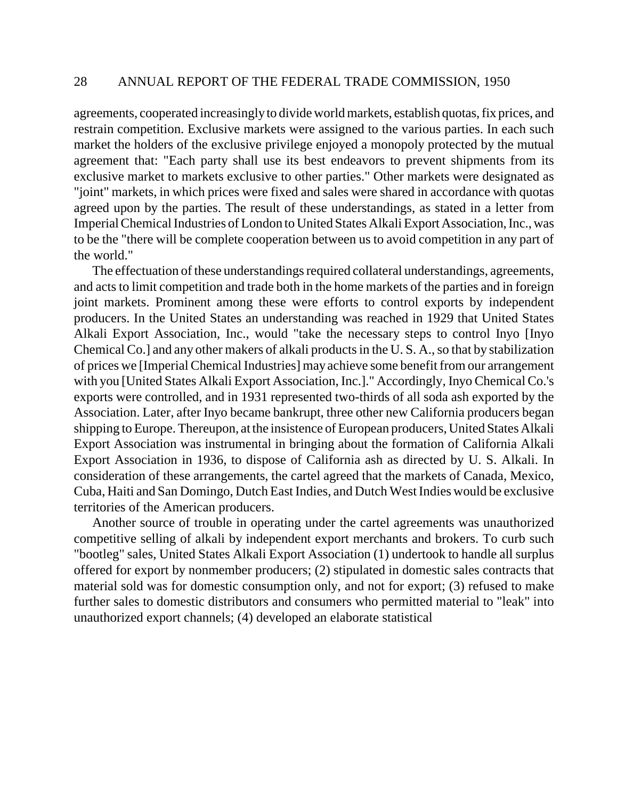agreements, cooperated increasinglyto divide worldmarkets, establish quotas, fix prices, and restrain competition. Exclusive markets were assigned to the various parties. In each such market the holders of the exclusive privilege enjoyed a monopoly protected by the mutual agreement that: "Each party shall use its best endeavors to prevent shipments from its exclusive market to markets exclusive to other parties." Other markets were designated as "joint" markets, in which prices were fixed and sales were shared in accordance with quotas agreed upon by the parties. The result of these understandings, as stated in a letter from Imperial Chemical Industries of London to United States Alkali Export Association, Inc., was to be the "there will be complete cooperation between us to avoid competition in any part of the world."

The effectuation of these understandings required collateral understandings, agreements, and acts to limit competition and trade both in the home markets of the parties and in foreign joint markets. Prominent among these were efforts to control exports by independent producers. In the United States an understanding was reached in 1929 that United States Alkali Export Association, Inc., would "take the necessary steps to control Inyo [Inyo Chemical Co.] and any other makers of alkali products in the U.S. A., so that by stabilization of prices we [Imperial Chemical Industries] may achieve some benefit from our arrangement with you [United States Alkali Export Association, Inc.]." Accordingly, Inyo ChemicalCo.'s exports were controlled, and in 1931 represented two-thirds of all soda ash exported by the Association. Later, after Inyo became bankrupt, three other new California producers began shipping to Europe.Thereupon, at the insistence of European producers, United States Alkali Export Association was instrumental in bringing about the formation of California Alkali Export Association in 1936, to dispose of California ash as directed by U. S. Alkali. In consideration of these arrangements, the cartel agreed that the markets of Canada, Mexico, Cuba, Haiti and San Domingo, Dutch East Indies, and Dutch West Indies would be exclusive territories of the American producers.

Another source of trouble in operating under the cartel agreements was unauthorized competitive selling of alkali by independent export merchants and brokers. To curb such "bootleg" sales, United States Alkali Export Association (1) undertook to handle all surplus offered for export by nonmember producers; (2) stipulated in domestic sales contracts that material sold was for domestic consumption only, and not for export; (3) refused to make further sales to domestic distributors and consumers who permitted material to "leak" into unauthorized export channels; (4) developed an elaborate statistical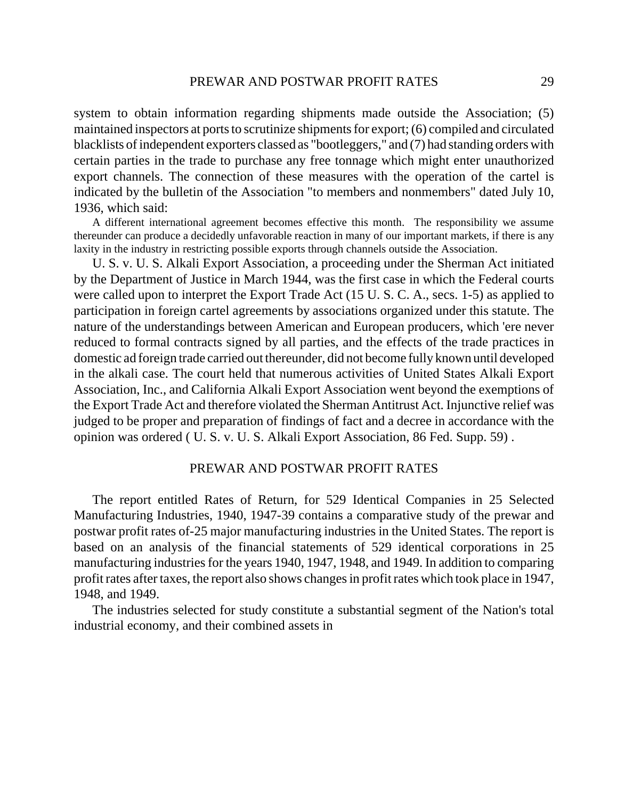system to obtain information regarding shipments made outside the Association; (5) maintained inspectors at ports to scrutinize shipments for export;  $(6)$  compiled and circulated blacklists of independent exporters classed as "bootleggers," and (7) had standing orders with certain parties in the trade to purchase any free tonnage which might enter unauthorized export channels. The connection of these measures with the operation of the cartel is indicated by the bulletin of the Association "to members and nonmembers" dated July 10, 1936, which said:

A different international agreement becomes effective this month. The responsibility we assume thereunder can produce a decidedly unfavorable reaction in many of our important markets, if there is any laxity in the industry in restricting possible exports through channels outside the Association.

U. S. v. U. S. Alkali Export Association, a proceeding under the Sherman Act initiated by the Department of Justice in March 1944, was the first case in which the Federal courts were called upon to interpret the Export Trade Act (15 U. S. C. A., secs. 1-5) as applied to participation in foreign cartel agreements by associations organized under this statute. The nature of the understandings between American and European producers, which 'ere never reduced to formal contracts signed by all parties, and the effects of the trade practices in domestic ad foreign trade carried out thereunder, did not become fully known until developed in the alkali case. The court held that numerous activities of United States Alkali Export Association, Inc., and California Alkali Export Association went beyond the exemptions of the Export Trade Act and therefore violated the Sherman Antitrust Act. Injunctive relief was judged to be proper and preparation of findings of fact and a decree in accordance with the opinion was ordered ( U. S. v. U. S. Alkali Export Association, 86 Fed. Supp. 59) .

#### PREWAR AND POSTWAR PROFIT RATES

The report entitled Rates of Return, for 529 Identical Companies in 25 Selected Manufacturing Industries, 1940, 1947-39 contains a comparative study of the prewar and postwar profit rates of-25 major manufacturing industries in the United States. The report is based on an analysis of the financial statements of 529 identical corporations in 25 manufacturing industries for the years 1940, 1947, 1948, and 1949. In addition to comparing profit rates after taxes, the report also shows changes in profit rates which took place in 1947, 1948, and 1949.

The industries selected for study constitute a substantial segment of the Nation's total industrial economy, and their combined assets in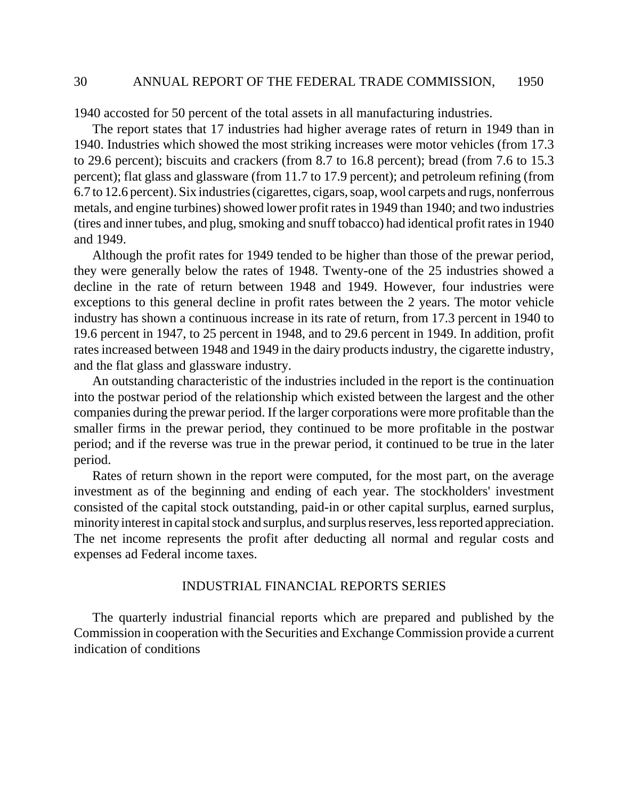1940 accosted for 50 percent of the total assets in all manufacturing industries.

The report states that 17 industries had higher average rates of return in 1949 than in 1940. Industries which showed the most striking increases were motor vehicles (from 17.3 to 29.6 percent); biscuits and crackers (from 8.7 to 16.8 percent); bread (from 7.6 to 15.3 percent); flat glass and glassware (from 11.7 to 17.9 percent); and petroleum refining (from 6.7 to 12.6 percent). Six industries(cigarettes, cigars,soap, wool carpets and rugs, nonferrous metals, and engine turbines) showed lower profit rates in 1949 than 1940; and two industries (tires and inner tubes, and plug, smoking and snuff tobacco) had identical profit rates in 1940 and 1949.

Although the profit rates for 1949 tended to be higher than those of the prewar period, they were generally below the rates of 1948. Twenty-one of the 25 industries showed a decline in the rate of return between 1948 and 1949. However, four industries were exceptions to this general decline in profit rates between the 2 years. The motor vehicle industry has shown a continuous increase in its rate of return, from 17.3 percent in 1940 to 19.6 percent in 1947, to 25 percent in 1948, and to 29.6 percent in 1949. In addition, profit rates increased between 1948 and 1949 in the dairy products industry, the cigarette industry, and the flat glass and glassware industry.

An outstanding characteristic of the industries included in the report is the continuation into the postwar period of the relationship which existed between the largest and the other companies during the prewar period. If the larger corporations were more profitable than the smaller firms in the prewar period, they continued to be more profitable in the postwar period; and if the reverse was true in the prewar period, it continued to be true in the later period.

Rates of return shown in the report were computed, for the most part, on the average investment as of the beginning and ending of each year. The stockholders' investment consisted of the capital stock outstanding, paid-in or other capital surplus, earned surplus, minority interest in capital stock and surplus, and surplus reserves, less reported appreciation. The net income represents the profit after deducting all normal and regular costs and expenses ad Federal income taxes.

#### INDUSTRIAL FINANCIAL REPORTS SERIES

The quarterly industrial financial reports which are prepared and published by the Commission in cooperation with the Securities and Exchange Commission provide a current indication of conditions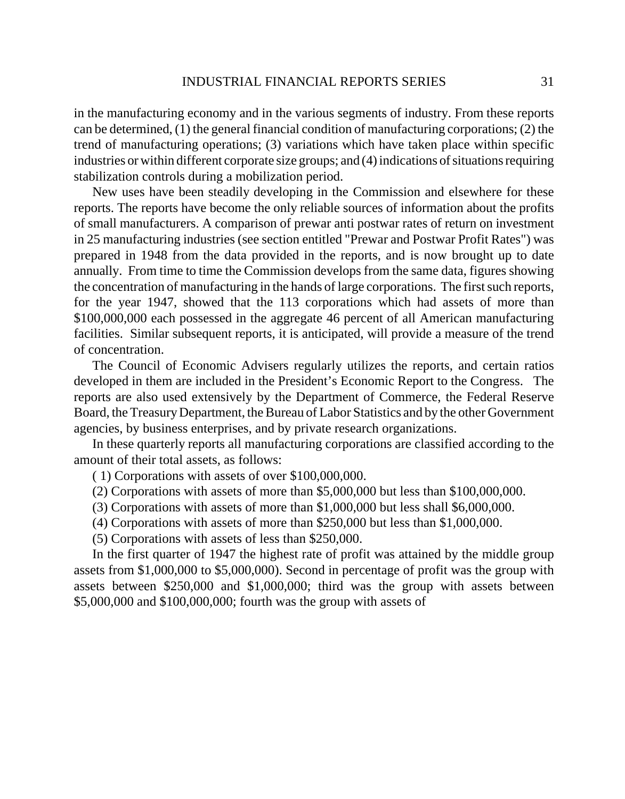in the manufacturing economy and in the various segments of industry. From these reports can be determined, (1) the general financial condition of manufacturing corporations; (2) the trend of manufacturing operations; (3) variations which have taken place within specific industries or within different corporate size groups; and (4) indications of situations requiring stabilization controls during a mobilization period.

New uses have been steadily developing in the Commission and elsewhere for these reports. The reports have become the only reliable sources of information about the profits of small manufacturers. A comparison of prewar anti postwar rates of return on investment in 25 manufacturing industries (see section entitled "Prewar and Postwar Profit Rates") was prepared in 1948 from the data provided in the reports, and is now brought up to date annually. From time to time the Commission develops from the same data, figures showing the concentration of manufacturing in the hands of large corporations. The first such reports, for the year 1947, showed that the 113 corporations which had assets of more than \$100,000,000 each possessed in the aggregate 46 percent of all American manufacturing facilities. Similar subsequent reports, it is anticipated, will provide a measure of the trend of concentration.

The Council of Economic Advisers regularly utilizes the reports, and certain ratios developed in them are included in the President's Economic Report to the Congress. The reports are also used extensively by the Department of Commerce, the Federal Reserve Board, the Treasury Department, the Bureau of Labor Statistics and by the other Government agencies, by business enterprises, and by private research organizations.

In these quarterly reports all manufacturing corporations are classified according to the amount of their total assets, as follows:

- ( 1) Corporations with assets of over \$100,000,000.
- (2) Corporations with assets of more than \$5,000,000 but less than \$100,000,000.
- (3) Corporations with assets of more than \$1,000,000 but less shall \$6,000,000.
- (4) Corporations with assets of more than \$250,000 but less than \$1,000,000.
- (5) Corporations with assets of less than \$250,000.

In the first quarter of 1947 the highest rate of profit was attained by the middle group assets from \$1,000,000 to \$5,000,000). Second in percentage of profit was the group with assets between \$250,000 and \$1,000,000; third was the group with assets between \$5,000,000 and \$100,000,000; fourth was the group with assets of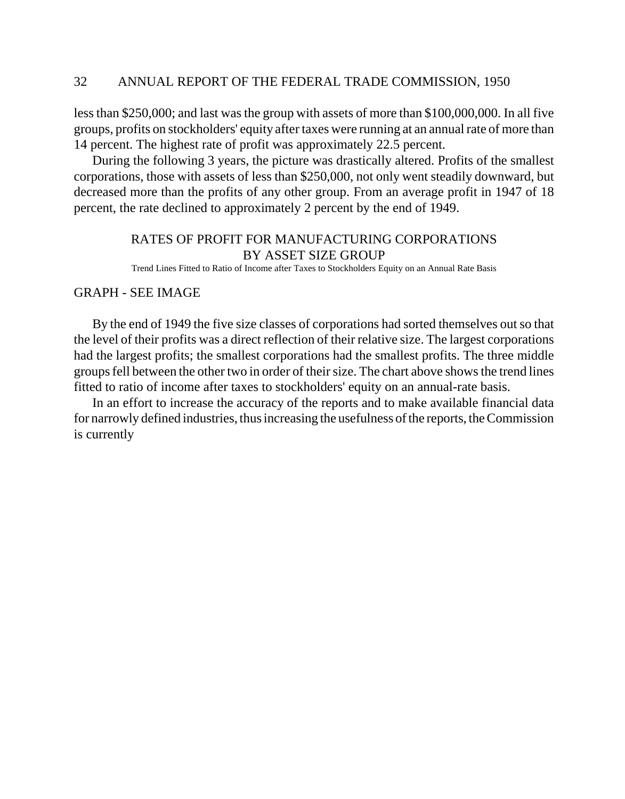lessthan \$250,000; and last was the group with assets of more than \$100,000,000. In all five groups, profits on stockholders' equity after taxes were running at an annualrate of more than 14 percent. The highest rate of profit was approximately 22.5 percent.

During the following 3 years, the picture was drastically altered. Profits of the smallest corporations, those with assets of less than \$250,000, not only went steadily downward, but decreased more than the profits of any other group. From an average profit in 1947 of 18 percent, the rate declined to approximately 2 percent by the end of 1949.

## RATES OF PROFIT FOR MANUFACTURING CORPORATIONS BY ASSET SIZE GROUP

Trend Lines Fitted to Ratio of Income after Taxes to Stockholders Equity on an Annual Rate Basis

#### GRAPH - SEE IMAGE

By the end of 1949 the five size classes of corporations had sorted themselves out so that the level of their profits was a direct reflection of their relative size. The largest corporations had the largest profits; the smallest corporations had the smallest profits. The three middle groups fell between the other two in order of their size. The chart above shows the trend lines fitted to ratio of income after taxes to stockholders' equity on an annual-rate basis.

In an effort to increase the accuracy of the reports and to make available financial data for narrowly defined industries, thus increasing the usefulness of the reports, the Commission is currently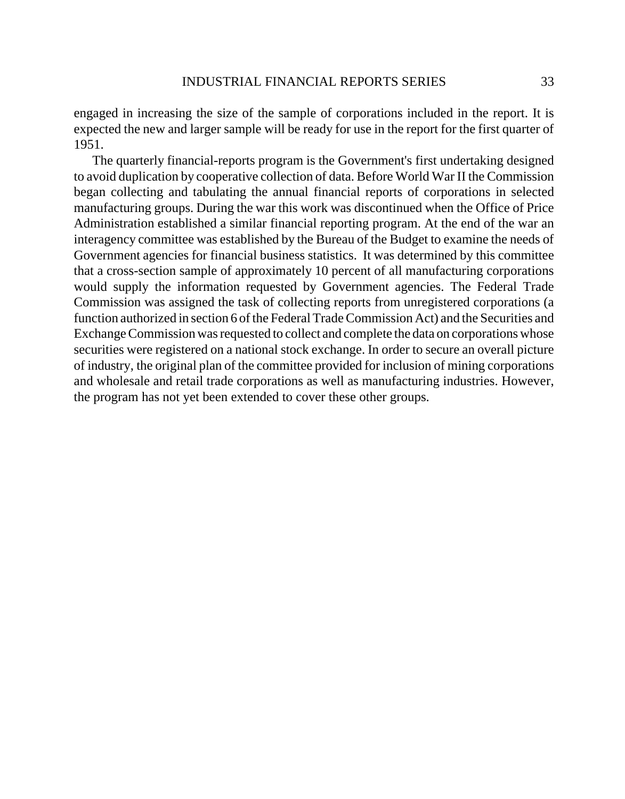engaged in increasing the size of the sample of corporations included in the report. It is expected the new and larger sample will be ready for use in the report for the first quarter of 1951.

The quarterly financial-reports program is the Government's first undertaking designed to avoid duplication by cooperative collection of data. Before World War II the Commission began collecting and tabulating the annual financial reports of corporations in selected manufacturing groups. During the war this work was discontinued when the Office of Price Administration established a similar financial reporting program. At the end of the war an interagency committee was established by the Bureau of the Budget to examine the needs of Government agencies for financial business statistics. It was determined by this committee that a cross-section sample of approximately 10 percent of all manufacturing corporations would supply the information requested by Government agencies. The Federal Trade Commission was assigned the task of collecting reports from unregistered corporations (a function authorized in section 6 of the Federal Trade Commission Act) and the Securities and Exchange Commission was requested to collect and complete the data on corporations whose securities were registered on a national stock exchange. In order to secure an overall picture of industry, the original plan of the committee provided for inclusion of mining corporations and wholesale and retail trade corporations as well as manufacturing industries. However, the program has not yet been extended to cover these other groups.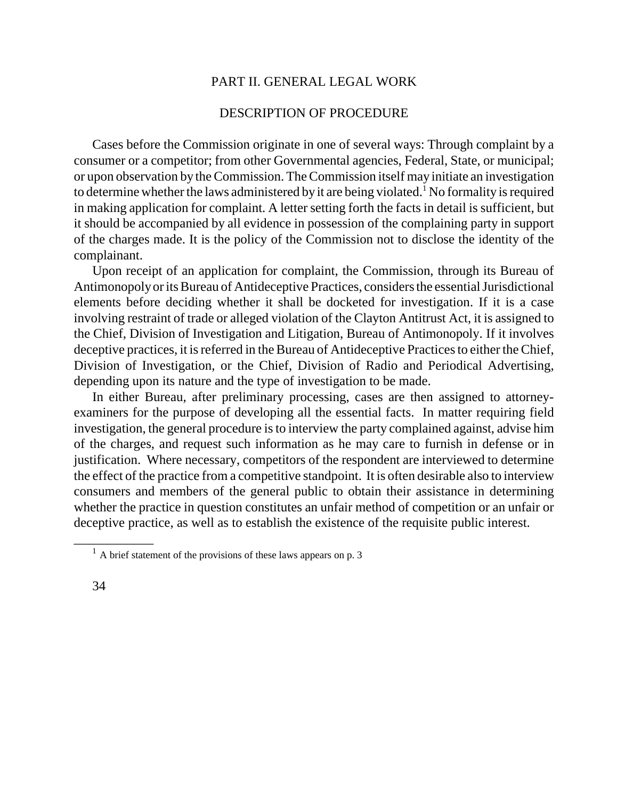## PART II. GENERAL LEGAL WORK

#### DESCRIPTION OF PROCEDURE

Cases before the Commission originate in one of several ways: Through complaint by a consumer or a competitor; from other Governmental agencies, Federal, State, or municipal; or upon observation by theCommission. TheCommission itself may initiate an investigation to determine whether the laws administered by it are being violated.<sup>1</sup> No formality is required in making application for complaint. A letter setting forth the facts in detail is sufficient, but it should be accompanied by all evidence in possession of the complaining party in support of the charges made. It is the policy of the Commission not to disclose the identity of the complainant.

Upon receipt of an application for complaint, the Commission, through its Bureau of Antimonopoly or its Bureau of Antideceptive Practices, considers the essential Jurisdictional elements before deciding whether it shall be docketed for investigation. If it is a case involving restraint of trade or alleged violation of the Clayton Antitrust Act, it is assigned to the Chief, Division of Investigation and Litigation, Bureau of Antimonopoly. If it involves deceptive practices, it is referred in the Bureau of Antideceptive Practices to either the Chief, Division of Investigation, or the Chief, Division of Radio and Periodical Advertising, depending upon its nature and the type of investigation to be made.

In either Bureau, after preliminary processing, cases are then assigned to attorneyexaminers for the purpose of developing all the essential facts. In matter requiring field investigation, the general procedure isto interview the party complained against, advise him of the charges, and request such information as he may care to furnish in defense or in justification. Where necessary, competitors of the respondent are interviewed to determine the effect of the practice from a competitive standpoint. It is often desirable also to interview consumers and members of the general public to obtain their assistance in determining whether the practice in question constitutes an unfair method of competition or an unfair or deceptive practice, as well as to establish the existence of the requisite public interest.

\_\_\_\_\_\_\_\_\_\_\_\_

 $<sup>1</sup>$  A brief statement of the provisions of these laws appears on p. 3</sup>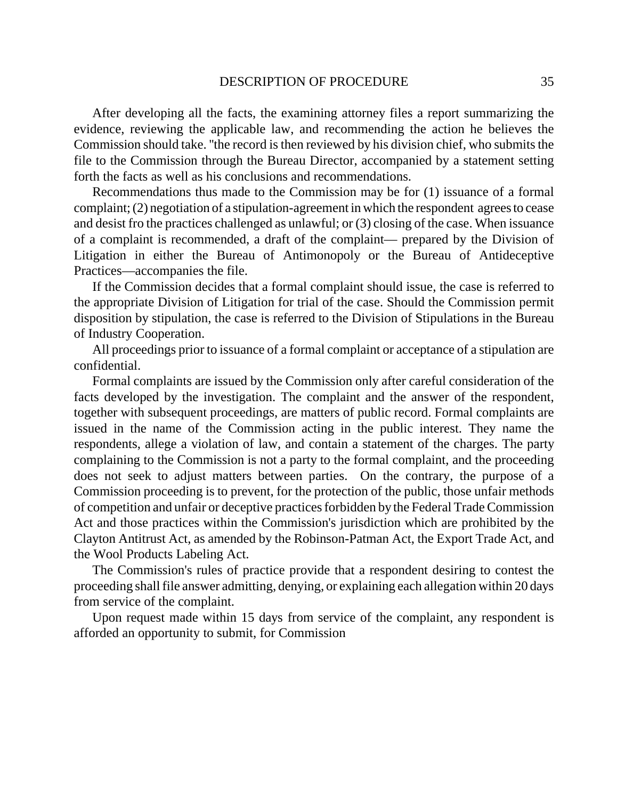After developing all the facts, the examining attorney files a report summarizing the evidence, reviewing the applicable law, and recommending the action he believes the Commission should take. "the record is then reviewed by his division chief, who submits the file to the Commission through the Bureau Director, accompanied by a statement setting forth the facts as well as his conclusions and recommendations.

Recommendations thus made to the Commission may be for (1) issuance of a formal complaint;(2) negotiation of a stipulation-agreement in which the respondent agrees to cease and desist fro the practices challenged as unlawful; or (3) closing of the case. When issuance of a complaint is recommended, a draft of the complaint— prepared by the Division of Litigation in either the Bureau of Antimonopoly or the Bureau of Antideceptive Practices—accompanies the file.

If the Commission decides that a formal complaint should issue, the case is referred to the appropriate Division of Litigation for trial of the case. Should the Commission permit disposition by stipulation, the case is referred to the Division of Stipulations in the Bureau of Industry Cooperation.

All proceedings prior to issuance of a formal complaint or acceptance of a stipulation are confidential.

Formal complaints are issued by the Commission only after careful consideration of the facts developed by the investigation. The complaint and the answer of the respondent, together with subsequent proceedings, are matters of public record. Formal complaints are issued in the name of the Commission acting in the public interest. They name the respondents, allege a violation of law, and contain a statement of the charges. The party complaining to the Commission is not a party to the formal complaint, and the proceeding does not seek to adjust matters between parties. On the contrary, the purpose of a Commission proceeding is to prevent, for the protection of the public, those unfair methods of competition and unfair or deceptive practicesforbidden by the Federal Trade Commission Act and those practices within the Commission's jurisdiction which are prohibited by the Clayton Antitrust Act, as amended by the Robinson-Patman Act, the Export Trade Act, and the Wool Products Labeling Act.

The Commission's rules of practice provide that a respondent desiring to contest the proceeding shall file answer admitting, denying, or explaining each allegation within 20 days from service of the complaint.

Upon request made within 15 days from service of the complaint, any respondent is afforded an opportunity to submit, for Commission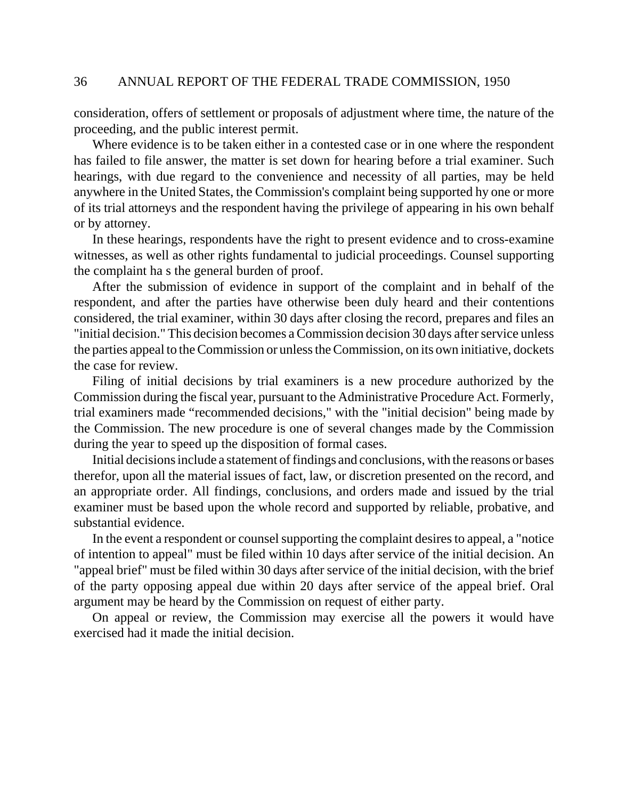consideration, offers of settlement or proposals of adjustment where time, the nature of the proceeding, and the public interest permit.

Where evidence is to be taken either in a contested case or in one where the respondent has failed to file answer, the matter is set down for hearing before a trial examiner. Such hearings, with due regard to the convenience and necessity of all parties, may be held anywhere in the United States, the Commission's complaint being supported hy one or more of its trial attorneys and the respondent having the privilege of appearing in his own behalf or by attorney.

In these hearings, respondents have the right to present evidence and to cross-examine witnesses, as well as other rights fundamental to judicial proceedings. Counsel supporting the complaint ha s the general burden of proof.

After the submission of evidence in support of the complaint and in behalf of the respondent, and after the parties have otherwise been duly heard and their contentions considered, the trial examiner, within 30 days after closing the record, prepares and files an "initial decision." This decision becomes a Commission decision 30 days after service unless the parties appeal to the Commission or unless the Commission, on its own initiative, dockets the case for review.

Filing of initial decisions by trial examiners is a new procedure authorized by the Commission during the fiscal year, pursuant to the Administrative Procedure Act. Formerly, trial examiners made "recommended decisions," with the "initial decision" being made by the Commission. The new procedure is one of several changes made by the Commission during the year to speed up the disposition of formal cases.

Initial decisions include a statement of findings and conclusions, with the reasons or bases therefor, upon all the material issues of fact, law, or discretion presented on the record, and an appropriate order. All findings, conclusions, and orders made and issued by the trial examiner must be based upon the whole record and supported by reliable, probative, and substantial evidence.

In the event a respondent or counsel supporting the complaint desires to appeal, a "notice" of intention to appeal" must be filed within 10 days after service of the initial decision. An "appeal brief" must be filed within 30 days after service of the initial decision, with the brief of the party opposing appeal due within 20 days after service of the appeal brief. Oral argument may be heard by the Commission on request of either party.

On appeal or review, the Commission may exercise all the powers it would have exercised had it made the initial decision.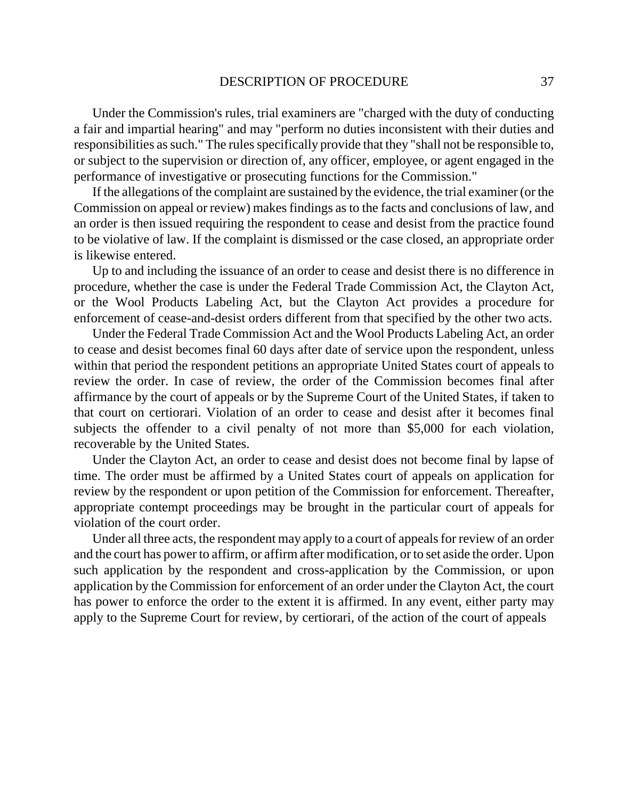Under the Commission's rules, trial examiners are "charged with the duty of conducting a fair and impartial hearing" and may "perform no duties inconsistent with their duties and responsibilities as such." The rules specifically provide that they "shall not be responsible to, or subject to the supervision or direction of, any officer, employee, or agent engaged in the performance of investigative or prosecuting functions for the Commission."

If the allegations of the complaint are sustained by the evidence, the trial examiner(or the Commission on appeal or review) makes findings as to the facts and conclusions of law, and an order is then issued requiring the respondent to cease and desist from the practice found to be violative of law. If the complaint is dismissed or the case closed, an appropriate order is likewise entered.

Up to and including the issuance of an order to cease and desist there is no difference in procedure, whether the case is under the Federal Trade Commission Act, the Clayton Act, or the Wool Products Labeling Act, but the Clayton Act provides a procedure for enforcement of cease-and-desist orders different from that specified by the other two acts.

Under the Federal Trade Commission Act and the Wool Products Labeling Act, an order to cease and desist becomes final 60 days after date of service upon the respondent, unless within that period the respondent petitions an appropriate United States court of appeals to review the order. In case of review, the order of the Commission becomes final after affirmance by the court of appeals or by the Supreme Court of the United States, if taken to that court on certiorari. Violation of an order to cease and desist after it becomes final subjects the offender to a civil penalty of not more than \$5,000 for each violation, recoverable by the United States.

Under the Clayton Act, an order to cease and desist does not become final by lapse of time. The order must be affirmed by a United States court of appeals on application for review by the respondent or upon petition of the Commission for enforcement. Thereafter, appropriate contempt proceedings may be brought in the particular court of appeals for violation of the court order.

Under all three acts, the respondent may apply to a court of appeals for review of an order and the court has power to affirm, or affirm after modification, or to set aside the order. Upon such application by the respondent and cross-application by the Commission, or upon application by the Commission for enforcement of an order under the Clayton Act, the court has power to enforce the order to the extent it is affirmed. In any event, either party may apply to the Supreme Court for review, by certiorari, of the action of the court of appeals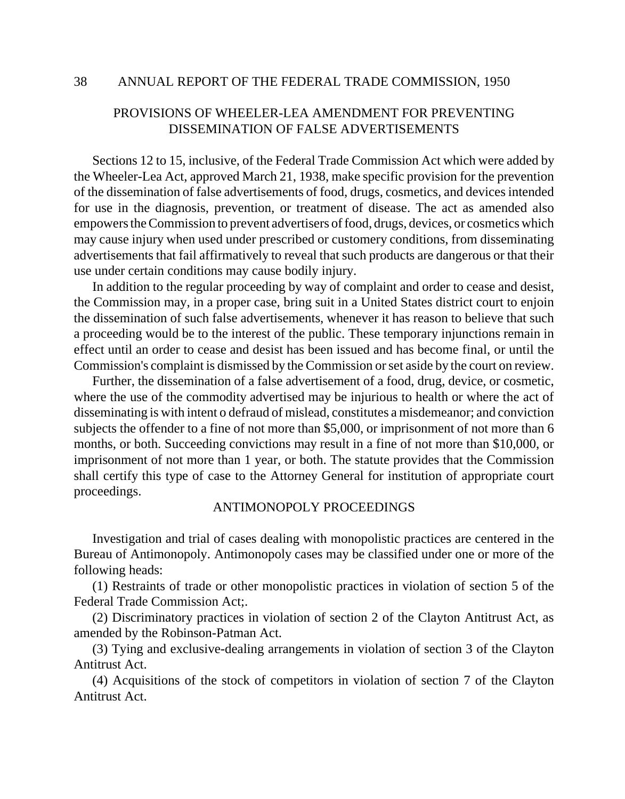## PROVISIONS OF WHEELER-LEA AMENDMENT FOR PREVENTING DISSEMINATION OF FALSE ADVERTISEMENTS

Sections 12 to 15, inclusive, of the Federal Trade Commission Act which were added by the Wheeler-Lea Act, approved March 21, 1938, make specific provision for the prevention of the dissemination of false advertisements of food, drugs, cosmetics, and devices intended for use in the diagnosis, prevention, or treatment of disease. The act as amended also empowerstheCommission to prevent advertisers of food, drugs, devices, or cosmetics which may cause injury when used under prescribed or customery conditions, from disseminating advertisements that fail affirmatively to reveal that such products are dangerous or that their use under certain conditions may cause bodily injury.

In addition to the regular proceeding by way of complaint and order to cease and desist, the Commission may, in a proper case, bring suit in a United States district court to enjoin the dissemination of such false advertisements, whenever it has reason to believe that such a proceeding would be to the interest of the public. These temporary injunctions remain in effect until an order to cease and desist has been issued and has become final, or until the Commission's complaint is dismissed by the Commission orset aside by the court on review.

Further, the dissemination of a false advertisement of a food, drug, device, or cosmetic, where the use of the commodity advertised may be injurious to health or where the act of disseminating is with intent o defraud of mislead, constitutes a misdemeanor; and conviction subjects the offender to a fine of not more than \$5,000, or imprisonment of not more than 6 months, or both. Succeeding convictions may result in a fine of not more than \$10,000, or imprisonment of not more than 1 year, or both. The statute provides that the Commission shall certify this type of case to the Attorney General for institution of appropriate court proceedings.

### ANTIMONOPOLY PROCEEDINGS

Investigation and trial of cases dealing with monopolistic practices are centered in the Bureau of Antimonopoly. Antimonopoly cases may be classified under one or more of the following heads:

(1) Restraints of trade or other monopolistic practices in violation of section 5 of the Federal Trade Commission Act;.

(2) Discriminatory practices in violation of section 2 of the Clayton Antitrust Act, as amended by the Robinson-Patman Act.

(3) Tying and exclusive-dealing arrangements in violation of section 3 of the Clayton Antitrust Act.

(4) Acquisitions of the stock of competitors in violation of section 7 of the Clayton Antitrust Act.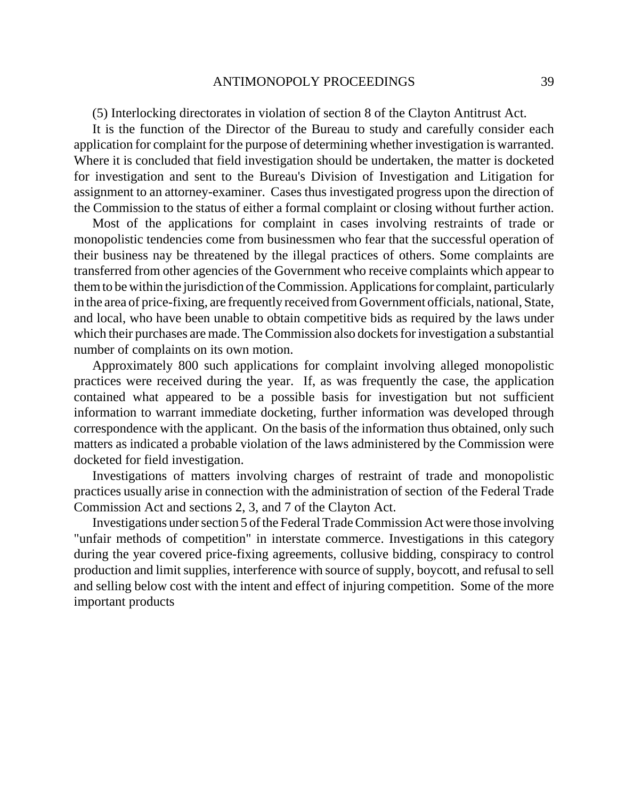## ANTIMONOPOLY PROCEEDINGS 39

#### (5) Interlocking directorates in violation of section 8 of the Clayton Antitrust Act.

It is the function of the Director of the Bureau to study and carefully consider each application for complaint for the purpose of determining whether investigation is warranted. Where it is concluded that field investigation should be undertaken, the matter is docketed for investigation and sent to the Bureau's Division of Investigation and Litigation for assignment to an attorney-examiner. Cases thus investigated progress upon the direction of the Commission to the status of either a formal complaint or closing without further action.

Most of the applications for complaint in cases involving restraints of trade or monopolistic tendencies come from businessmen who fear that the successful operation of their business nay be threatened by the illegal practices of others. Some complaints are transferred from other agencies of the Government who receive complaints which appear to them to be within the jurisdiction of the Commission. Applications for complaint, particularly in the area of price-fixing, are frequently received from Government officials, national, State, and local, who have been unable to obtain competitive bids as required by the laws under which their purchases are made. The Commission also dockets for investigation a substantial number of complaints on its own motion.

Approximately 800 such applications for complaint involving alleged monopolistic practices were received during the year. If, as was frequently the case, the application contained what appeared to be a possible basis for investigation but not sufficient information to warrant immediate docketing, further information was developed through correspondence with the applicant. On the basis of the information thus obtained, only such matters as indicated a probable violation of the laws administered by the Commission were docketed for field investigation.

Investigations of matters involving charges of restraint of trade and monopolistic practices usually arise in connection with the administration of section of the Federal Trade Commission Act and sections 2, 3, and 7 of the Clayton Act.

Investigations under section 5 of the Federal Trade Commission Act were those involving "unfair methods of competition" in interstate commerce. Investigations in this category during the year covered price-fixing agreements, collusive bidding, conspiracy to control production and limit supplies, interference with source of supply, boycott, and refusal to sell and selling below cost with the intent and effect of injuring competition. Some of the more important products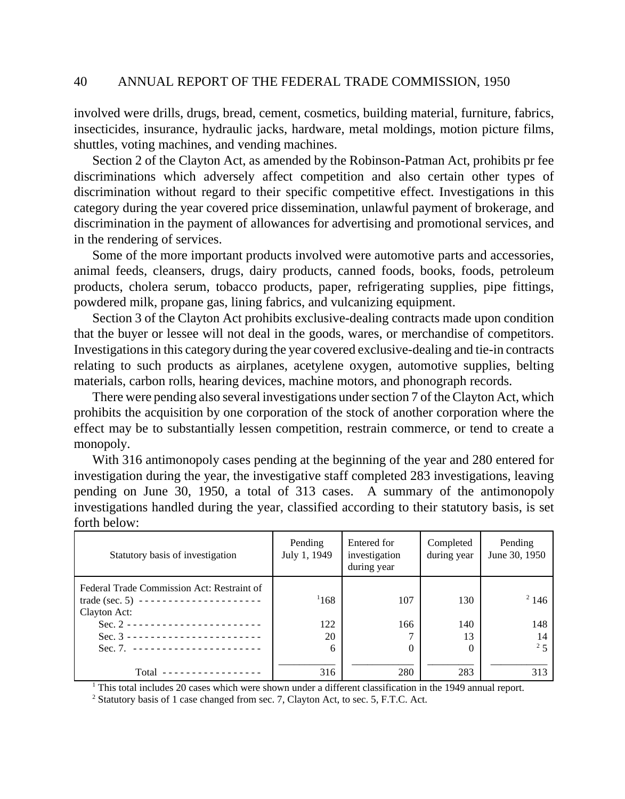involved were drills, drugs, bread, cement, cosmetics, building material, furniture, fabrics, insecticides, insurance, hydraulic jacks, hardware, metal moldings, motion picture films, shuttles, voting machines, and vending machines.

Section 2 of the Clayton Act, as amended by the Robinson-Patman Act, prohibits pr fee discriminations which adversely affect competition and also certain other types of discrimination without regard to their specific competitive effect. Investigations in this category during the year covered price dissemination, unlawful payment of brokerage, and discrimination in the payment of allowances for advertising and promotional services, and in the rendering of services.

Some of the more important products involved were automotive parts and accessories, animal feeds, cleansers, drugs, dairy products, canned foods, books, foods, petroleum products, cholera serum, tobacco products, paper, refrigerating supplies, pipe fittings, powdered milk, propane gas, lining fabrics, and vulcanizing equipment.

Section 3 of the Clayton Act prohibits exclusive-dealing contracts made upon condition that the buyer or lessee will not deal in the goods, wares, or merchandise of competitors. Investigations in this category during the year covered exclusive-dealing and tie-in contracts relating to such products as airplanes, acetylene oxygen, automotive supplies, belting materials, carbon rolls, hearing devices, machine motors, and phonograph records.

There were pending also several investigations under section 7 of the Clayton Act, which prohibits the acquisition by one corporation of the stock of another corporation where the effect may be to substantially lessen competition, restrain commerce, or tend to create a monopoly.

With 316 antimonopoly cases pending at the beginning of the year and 280 entered for investigation during the year, the investigative staff completed 283 investigations, leaving pending on June 30, 1950, a total of 313 cases. A summary of the antimonopoly investigations handled during the year, classified according to their statutory basis, is set forth below:

| Statutory basis of investigation                                                                     | Pending<br>July 1, 1949 | Entered for<br>investigation<br>during year | Completed<br>during year | Pending<br>June 30, 1950 |
|------------------------------------------------------------------------------------------------------|-------------------------|---------------------------------------------|--------------------------|--------------------------|
| Federal Trade Commission Act: Restraint of<br>trade (sec. 5) -----------------------<br>Clayton Act: | 1168                    | 107                                         | 130                      | $^{2}$ 146               |
|                                                                                                      | 122                     | 166                                         | 140                      | 148                      |
| Sec. $3$ --------------------------                                                                  | 20                      | ⇁                                           | 13                       | 14                       |
|                                                                                                      | 6                       | 0                                           | $\Omega$                 | $2\overline{5}$          |
| Total                                                                                                | 316                     | 280                                         | 283                      | 313                      |

<sup>1</sup> This total includes 20 cases which were shown under a different classification in the 1949 annual report.

<sup>2</sup> Statutory basis of 1 case changed from sec. 7, Clayton Act, to sec. 5, F.T.C. Act.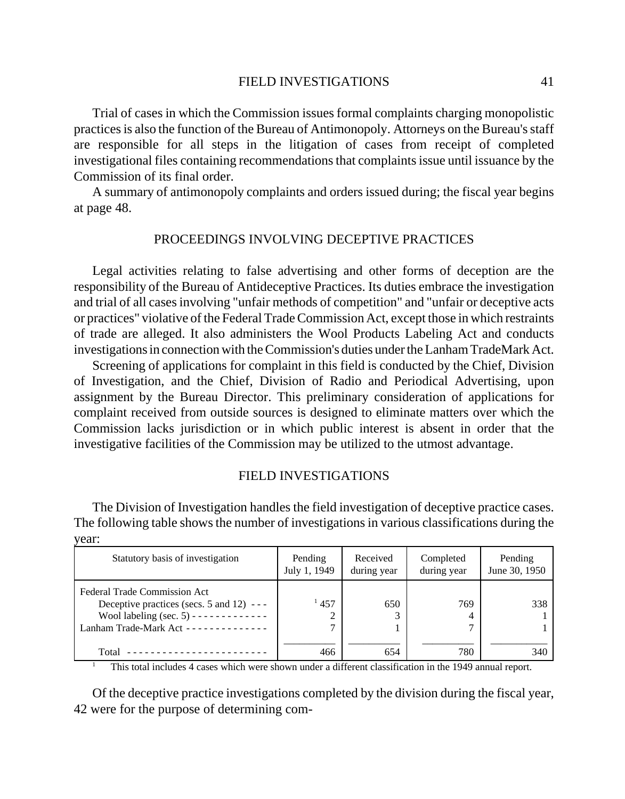### FIELD INVESTIGATIONS 41

Trial of cases in which the Commission issuesformal complaints charging monopolistic practicesis also the function of the Bureau of Antimonopoly. Attorneys on the Bureau'sstaff are responsible for all steps in the litigation of cases from receipt of completed investigational files containing recommendations that complaints issue until issuance by the Commission of its final order.

A summary of antimonopoly complaints and orders issued during; the fiscal year begins at page 48.

### PROCEEDINGS INVOLVING DECEPTIVE PRACTICES

Legal activities relating to false advertising and other forms of deception are the responsibility of the Bureau of Antideceptive Practices. Its duties embrace the investigation and trial of all casesinvolving "unfair methods of competition" and "unfair or deceptive acts or practices" violative of the Federal TradeCommission Act, except those in which restraints of trade are alleged. It also administers the Wool Products Labeling Act and conducts investigations in connection with the Commission's duties under the Lanham TradeMark Act.

Screening of applications for complaint in this field is conducted by the Chief, Division of Investigation, and the Chief, Division of Radio and Periodical Advertising, upon assignment by the Bureau Director. This preliminary consideration of applications for complaint received from outside sources is designed to eliminate matters over which the Commission lacks jurisdiction or in which public interest is absent in order that the investigative facilities of the Commission may be utilized to the utmost advantage.

#### FIELD INVESTIGATIONS

The Division of Investigation handles the field investigation of deceptive practice cases. The following table shows the number of investigations in various classifications during the year:

| Statutory basis of investigation                                                                                                                                       | Pending<br>July 1, 1949 | Received<br>during year | Completed<br>during year | Pending<br>June 30, 1950 |
|------------------------------------------------------------------------------------------------------------------------------------------------------------------------|-------------------------|-------------------------|--------------------------|--------------------------|
| Federal Trade Commission Act<br>Deceptive practices (secs. 5 and 12) ---<br>Wool labeling (sec. 5) - - - - - - - - - - - - - -<br>Lanham Trade-Mark Act -------------- | 1457<br>⇁               | 650                     | 769                      | 338                      |
| Total<br><u>.</u>                                                                                                                                                      | 466                     | 654                     | 780                      | 340                      |

<sup>1</sup> This total includes 4 cases which were shown under a different classification in the 1949 annual report.

Of the deceptive practice investigations completed by the division during the fiscal year, 42 were for the purpose of determining com-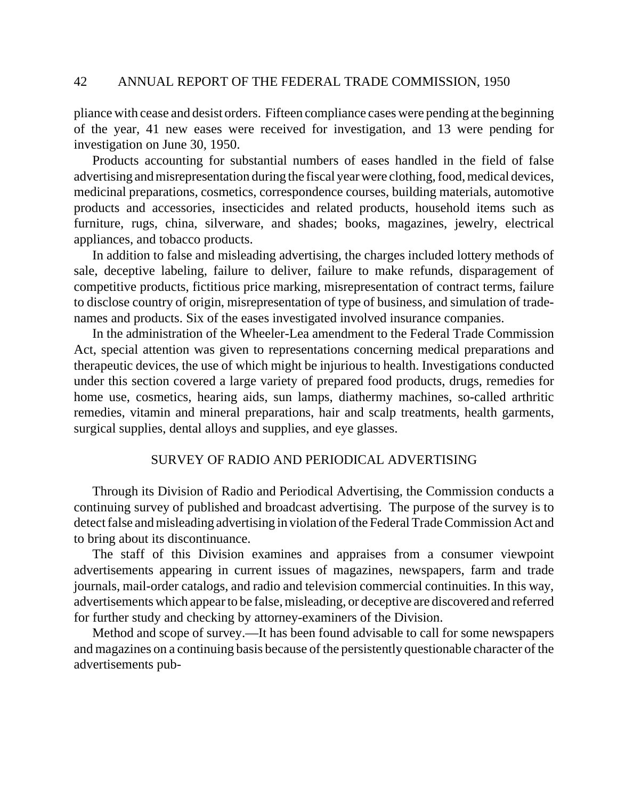pliance with cease and desist orders. Fifteen compliance cases were pending at the beginning of the year, 41 new eases were received for investigation, and 13 were pending for investigation on June 30, 1950.

Products accounting for substantial numbers of eases handled in the field of false advertising and misrepresentation during the fiscal year were clothing, food, medical devices, medicinal preparations, cosmetics, correspondence courses, building materials, automotive products and accessories, insecticides and related products, household items such as furniture, rugs, china, silverware, and shades; books, magazines, jewelry, electrical appliances, and tobacco products.

In addition to false and misleading advertising, the charges included lottery methods of sale, deceptive labeling, failure to deliver, failure to make refunds, disparagement of competitive products, fictitious price marking, misrepresentation of contract terms, failure to disclose country of origin, misrepresentation of type of business, and simulation of tradenames and products. Six of the eases investigated involved insurance companies.

In the administration of the Wheeler-Lea amendment to the Federal Trade Commission Act, special attention was given to representations concerning medical preparations and therapeutic devices, the use of which might be injurious to health. Investigations conducted under this section covered a large variety of prepared food products, drugs, remedies for home use, cosmetics, hearing aids, sun lamps, diathermy machines, so-called arthritic remedies, vitamin and mineral preparations, hair and scalp treatments, health garments, surgical supplies, dental alloys and supplies, and eye glasses.

### SURVEY OF RADIO AND PERIODICAL ADVERTISING

Through its Division of Radio and Periodical Advertising, the Commission conducts a continuing survey of published and broadcast advertising. The purpose of the survey is to detect false and misleading advertising in violation of the Federal Trade Commission Act and to bring about its discontinuance.

The staff of this Division examines and appraises from a consumer viewpoint advertisements appearing in current issues of magazines, newspapers, farm and trade journals, mail-order catalogs, and radio and television commercial continuities. In this way, advertisements which appearto be false, misleading, or deceptive are discovered and referred for further study and checking by attorney-examiners of the Division.

Method and scope of survey.—It has been found advisable to call for some newspapers and magazines on a continuing basis because of the persistently questionable character of the advertisements pub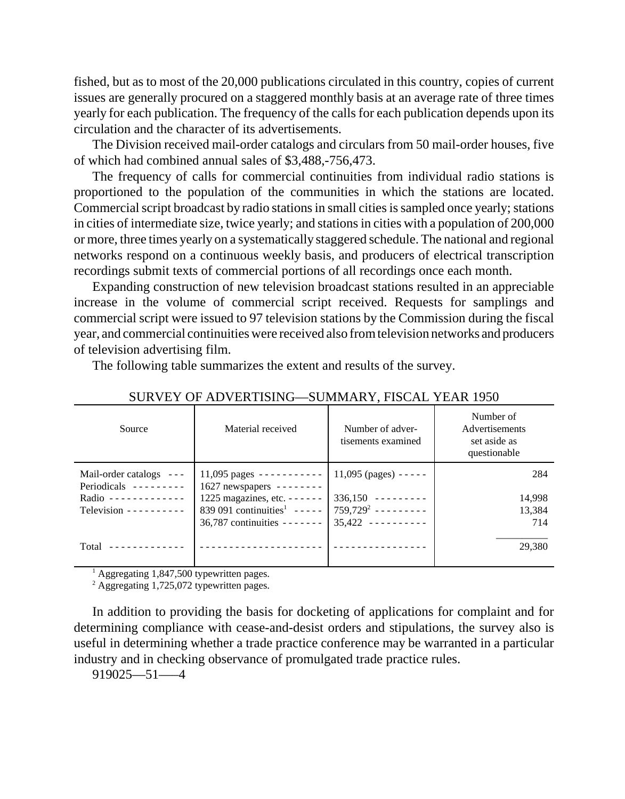fished, but as to most of the 20,000 publications circulated in this country, copies of current issues are generally procured on a staggered monthly basis at an average rate of three times yearly for each publication. The frequency of the calls for each publication depends upon its circulation and the character of its advertisements.

The Division received mail-order catalogs and circulars from 50 mail-order houses, five of which had combined annual sales of \$3,488,-756,473.

The frequency of calls for commercial continuities from individual radio stations is proportioned to the population of the communities in which the stations are located. Commercial script broadcast by radio stations in small cities is sampled once yearly; stations in cities of intermediate size, twice yearly; and stations in cities with a population of 200,000 or more, three times yearly on a systematically staggered schedule. The national and regional networks respond on a continuous weekly basis, and producers of electrical transcription recordings submit texts of commercial portions of all recordings once each month.

Expanding construction of new television broadcast stations resulted in an appreciable increase in the volume of commercial script received. Requests for samplings and commercial script were issued to 97 television stations by the Commission during the fiscal year, and commercial continuities were received also fromtelevision networks and producers of television advertising film.

The following table summarizes the extent and results of the survey.

| Source                                               | Material received                                 | Number of adver-<br>tisements examined | Number of<br>Advertisements<br>set aside as<br>questionable |
|------------------------------------------------------|---------------------------------------------------|----------------------------------------|-------------------------------------------------------------|
| Mail-order catalogs<br>Periodicals $- - - - - - - -$ | 11,095 pages -----------<br>1627 newspapers $---$ | $11,095$ (pages) - - - - -             | 284                                                         |
| Radio -------------                                  | 1225 magazines, etc. - - - - - -                  | $336,150$ ---------                    | 14,998                                                      |
| Television $- - - - - - - - -$                       | $839091$ continuities <sup>1</sup> -----          | $759,729^2$ ---------                  | 13,384                                                      |
|                                                      | $36,787$ continuities -------                     | $35,422$ ----------                    | 714                                                         |
| Total                                                |                                                   |                                        | 29,380                                                      |

SURVEY OF ADVERTISING—SUMMARY, FISCAL YEAR 1950

<sup>1</sup> Aggregating 1,847,500 typewritten pages.

 $2$  Aggregating 1,725,072 typewritten pages.

In addition to providing the basis for docketing of applications for complaint and for determining compliance with cease-and-desist orders and stipulations, the survey also is useful in determining whether a trade practice conference may be warranted in a particular industry and in checking observance of promulgated trade practice rules.

919025—51—–4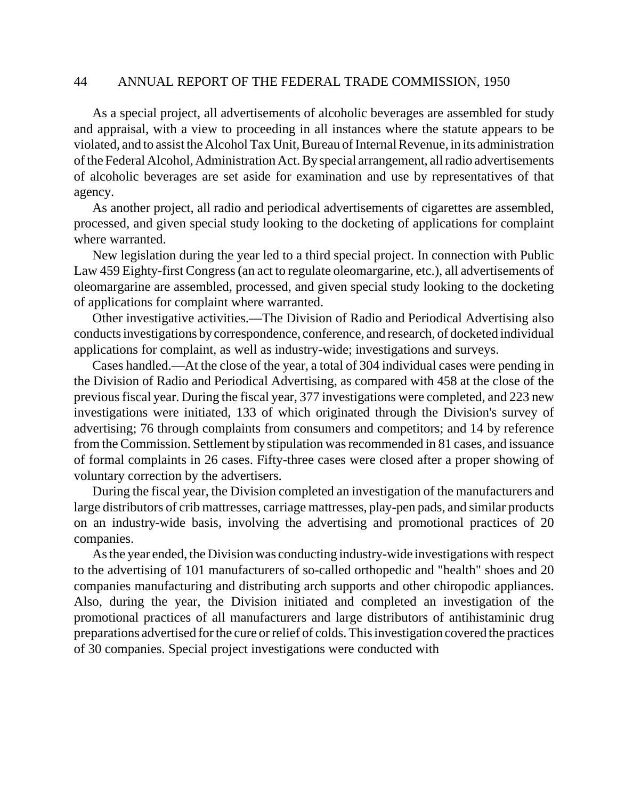As a special project, all advertisements of alcoholic beverages are assembled for study and appraisal, with a view to proceeding in all instances where the statute appears to be violated, and to assist the Alcohol Tax Unit, Bureau of Internal Revenue, in its administration ofthe Federal Alcohol, Administration Act.Byspecial arrangement, allradio advertisements of alcoholic beverages are set aside for examination and use by representatives of that agency.

As another project, all radio and periodical advertisements of cigarettes are assembled, processed, and given special study looking to the docketing of applications for complaint where warranted.

New legislation during the year led to a third special project. In connection with Public Law 459 Eighty-first Congress(an act to regulate oleomargarine, etc.), all advertisements of oleomargarine are assembled, processed, and given special study looking to the docketing of applications for complaint where warranted.

Other investigative activities.—The Division of Radio and Periodical Advertising also conductsinvestigations bycorrespondence, conference, and research, of docketed individual applications for complaint, as well as industry-wide; investigations and surveys.

Cases handled.—At the close of the year, a total of 304 individual cases were pending in the Division of Radio and Periodical Advertising, as compared with 458 at the close of the previousfiscal year. During the fiscal year, 377 investigations were completed, and 223 new investigations were initiated, 133 of which originated through the Division's survey of advertising; 76 through complaints from consumers and competitors; and 14 by reference from the Commission. Settlement by stipulation was recommended in 81 cases, and issuance of formal complaints in 26 cases. Fifty-three cases were closed after a proper showing of voluntary correction by the advertisers.

During the fiscal year, the Division completed an investigation of the manufacturers and large distributors of crib mattresses, carriage mattresses, play-pen pads, and similar products on an industry-wide basis, involving the advertising and promotional practices of 20 companies.

Asthe year ended, the Division was conducting industry-wide investigations with respect to the advertising of 101 manufacturers of so-called orthopedic and "health" shoes and 20 companies manufacturing and distributing arch supports and other chiropodic appliances. Also, during the year, the Division initiated and completed an investigation of the promotional practices of all manufacturers and large distributors of antihistaminic drug preparations advertised forthe cure orrelief of colds.This investigation covered the practices of 30 companies. Special project investigations were conducted with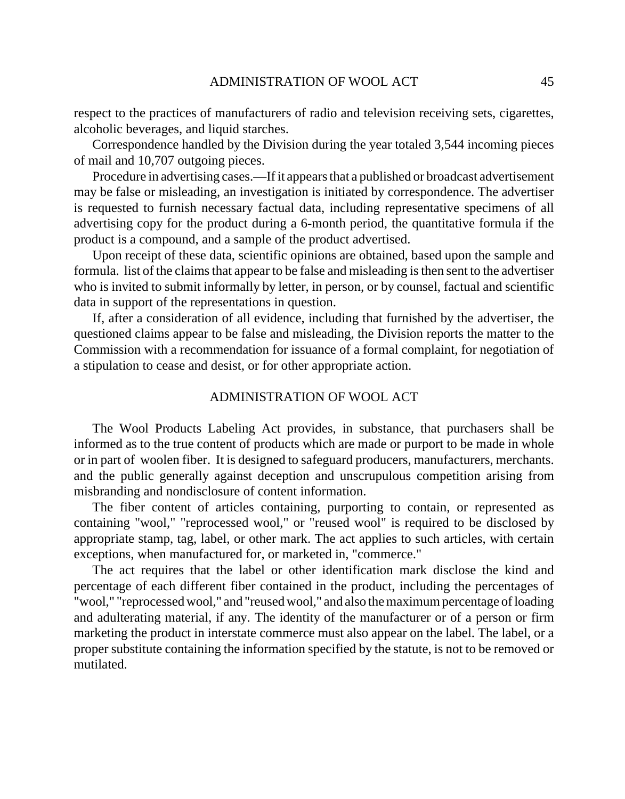respect to the practices of manufacturers of radio and television receiving sets, cigarettes, alcoholic beverages, and liquid starches.

Correspondence handled by the Division during the year totaled 3,544 incoming pieces of mail and 10,707 outgoing pieces.

Procedure in advertising cases.—If it appears that a published or broadcast advertisement may be false or misleading, an investigation is initiated by correspondence. The advertiser is requested to furnish necessary factual data, including representative specimens of all advertising copy for the product during a 6-month period, the quantitative formula if the product is a compound, and a sample of the product advertised.

Upon receipt of these data, scientific opinions are obtained, based upon the sample and formula. list of the claims that appear to be false and misleading is then sent to the advertiser who is invited to submit informally by letter, in person, or by counsel, factual and scientific data in support of the representations in question.

If, after a consideration of all evidence, including that furnished by the advertiser, the questioned claims appear to be false and misleading, the Division reports the matter to the Commission with a recommendation for issuance of a formal complaint, for negotiation of a stipulation to cease and desist, or for other appropriate action.

## ADMINISTRATION OF WOOL ACT

The Wool Products Labeling Act provides, in substance, that purchasers shall be informed as to the true content of products which are made or purport to be made in whole or in part of woolen fiber. It is designed to safeguard producers, manufacturers, merchants. and the public generally against deception and unscrupulous competition arising from misbranding and nondisclosure of content information.

The fiber content of articles containing, purporting to contain, or represented as containing "wool," "reprocessed wool," or "reused wool" is required to be disclosed by appropriate stamp, tag, label, or other mark. The act applies to such articles, with certain exceptions, when manufactured for, or marketed in, "commerce."

The act requires that the label or other identification mark disclose the kind and percentage of each different fiber contained in the product, including the percentages of "wool," "reprocessed wool," and "reused wool," and also the maximum percentage of loading and adulterating material, if any. The identity of the manufacturer or of a person or firm marketing the product in interstate commerce must also appear on the label. The label, or a proper substitute containing the information specified by the statute, is not to be removed or mutilated.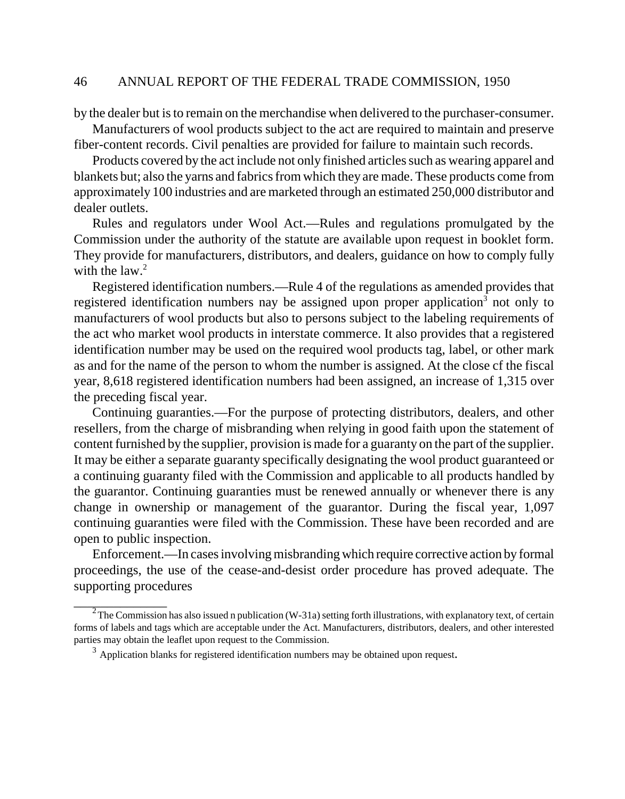by the dealer but isto remain on the merchandise when delivered to the purchaser-consumer.

Manufacturers of wool products subject to the act are required to maintain and preserve fiber-content records. Civil penalties are provided for failure to maintain such records.

Products covered by the act include not only finished articles such as wearing apparel and blankets but; also the yarns and fabrics from which they are made. These products come from approximately 100 industries and are marketed through an estimated 250,000 distributor and dealer outlets.

Rules and regulators under Wool Act.—Rules and regulations promulgated by the Commission under the authority of the statute are available upon request in booklet form. They provide for manufacturers, distributors, and dealers, guidance on how to comply fully with the  $law<sup>2</sup>$ 

Registered identification numbers.—Rule 4 of the regulations as amended provides that registered identification numbers nay be assigned upon proper application<sup>3</sup> not only to manufacturers of wool products but also to persons subject to the labeling requirements of the act who market wool products in interstate commerce. It also provides that a registered identification number may be used on the required wool products tag, label, or other mark as and for the name of the person to whom the number is assigned. At the close cf the fiscal year, 8,618 registered identification numbers had been assigned, an increase of 1,315 over the preceding fiscal year.

Continuing guaranties.—For the purpose of protecting distributors, dealers, and other resellers, from the charge of misbranding when relying in good faith upon the statement of content furnished by the supplier, provision is made for a guaranty on the part of the supplier. It may be either a separate guaranty specifically designating the wool product guaranteed or a continuing guaranty filed with the Commission and applicable to all products handled by the guarantor. Continuing guaranties must be renewed annually or whenever there is any change in ownership or management of the guarantor. During the fiscal year, 1,097 continuing guaranties were filed with the Commission. These have been recorded and are open to public inspection.

Enforcement.—In cases involving misbranding which require corrective action by formal proceedings, the use of the cease-and-desist order procedure has proved adequate. The supporting procedures

\_\_\_\_\_\_\_\_\_\_\_\_\_\_

 $\frac{1}{2}$ The Commission has also issued n publication (W-31a) setting forth illustrations, with explanatory text, of certain forms of labels and tags which are acceptable under the Act. Manufacturers, distributors, dealers, and other interested parties may obtain the leaflet upon request to the Commission.

 $3$  Application blanks for registered identification numbers may be obtained upon request.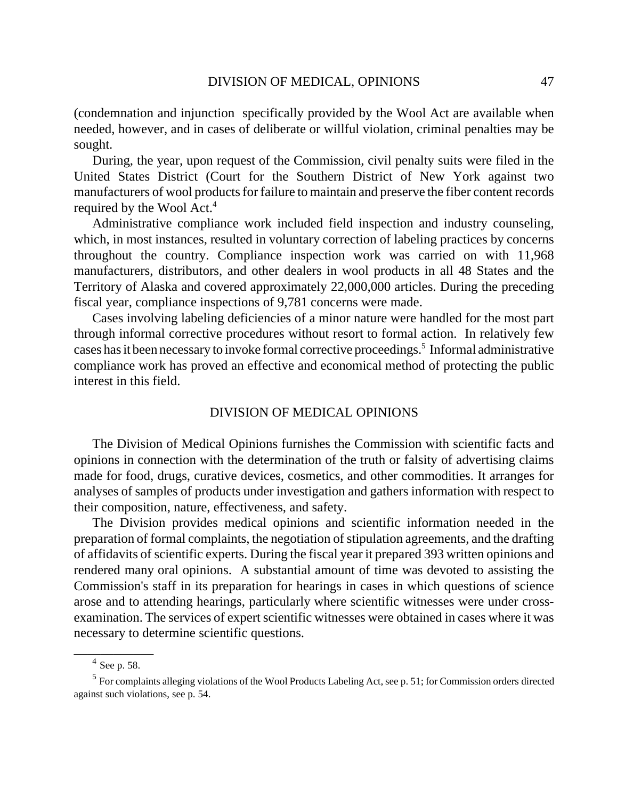(condemnation and injunction specifically provided by the Wool Act are available when needed, however, and in cases of deliberate or willful violation, criminal penalties may be sought.

During, the year, upon request of the Commission, civil penalty suits were filed in the United States District (Court for the Southern District of New York against two manufacturers of wool products for failure to maintain and preserve the fiber content records required by the Wool Act.<sup>4</sup>

Administrative compliance work included field inspection and industry counseling, which, in most instances, resulted in voluntary correction of labeling practices by concerns throughout the country. Compliance inspection work was carried on with 11,968 manufacturers, distributors, and other dealers in wool products in all 48 States and the Territory of Alaska and covered approximately 22,000,000 articles. During the preceding fiscal year, compliance inspections of 9,781 concerns were made.

Cases involving labeling deficiencies of a minor nature were handled for the most part through informal corrective procedures without resort to formal action. In relatively few cases has it been necessary to invoke formal corrective proceedings.<sup>5</sup> Informal administrative compliance work has proved an effective and economical method of protecting the public interest in this field.

### DIVISION OF MEDICAL OPINIONS

The Division of Medical Opinions furnishes the Commission with scientific facts and opinions in connection with the determination of the truth or falsity of advertising claims made for food, drugs, curative devices, cosmetics, and other commodities. It arranges for analyses of samples of products under investigation and gathers information with respect to their composition, nature, effectiveness, and safety.

The Division provides medical opinions and scientific information needed in the preparation of formal complaints, the negotiation of stipulation agreements, and the drafting of affidavits of scientific experts. During the fiscal year it prepared 393 written opinions and rendered many oral opinions. A substantial amount of time was devoted to assisting the Commission's staff in its preparation for hearings in cases in which questions of science arose and to attending hearings, particularly where scientific witnesses were under crossexamination. The services of expert scientific witnesses were obtained in cases where it was necessary to determine scientific questions.

\_\_\_\_\_\_\_\_\_\_\_\_  $<sup>4</sup>$  See p. 58.</sup>

 $<sup>5</sup>$  For complaints alleging violations of the Wool Products Labeling Act, see p. 51; for Commission orders directed</sup> against such violations, see p. 54.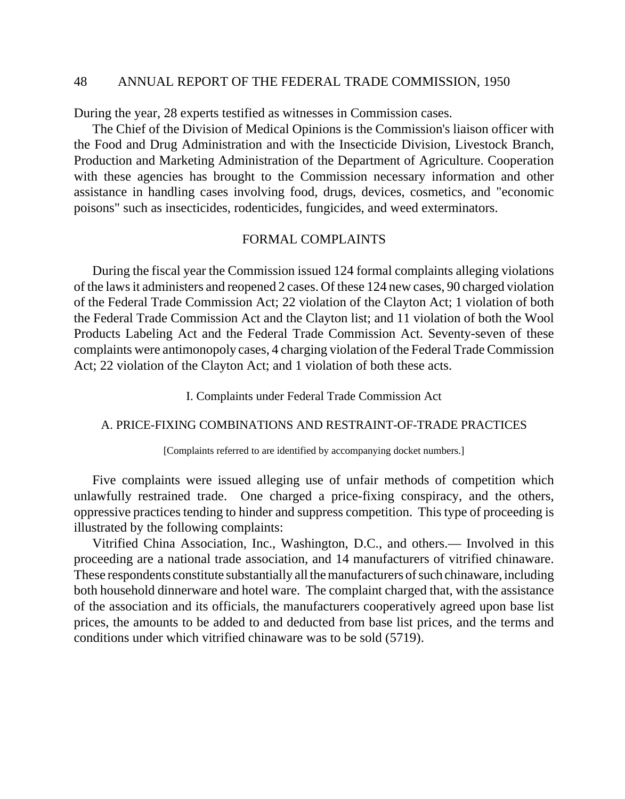During the year, 28 experts testified as witnesses in Commission cases.

The Chief of the Division of Medical Opinions is the Commission's liaison officer with the Food and Drug Administration and with the Insecticide Division, Livestock Branch, Production and Marketing Administration of the Department of Agriculture. Cooperation with these agencies has brought to the Commission necessary information and other assistance in handling cases involving food, drugs, devices, cosmetics, and "economic poisons" such as insecticides, rodenticides, fungicides, and weed exterminators.

### FORMAL COMPLAINTS

During the fiscal year the Commission issued 124 formal complaints alleging violations of the lawsit administers and reopened 2 cases. Of these 124 new cases, 90 charged violation of the Federal Trade Commission Act; 22 violation of the Clayton Act; 1 violation of both the Federal Trade Commission Act and the Clayton list; and 11 violation of both the Wool Products Labeling Act and the Federal Trade Commission Act. Seventy-seven of these complaints were antimonopoly cases, 4 charging violation of the Federal Trade Commission Act; 22 violation of the Clayton Act; and 1 violation of both these acts.

I. Complaints under Federal Trade Commission Act

#### A. PRICE-FIXING COMBINATIONS AND RESTRAINT-OF-TRADE PRACTICES

[Complaints referred to are identified by accompanying docket numbers.]

Five complaints were issued alleging use of unfair methods of competition which unlawfully restrained trade. One charged a price-fixing conspiracy, and the others, oppressive practices tending to hinder and suppress competition. This type of proceeding is illustrated by the following complaints:

Vitrified China Association, Inc., Washington, D.C., and others.— Involved in this proceeding are a national trade association, and 14 manufacturers of vitrified chinaware. These respondents constitute substantially all the manufacturers of such chinaware, including both household dinnerware and hotel ware. The complaint charged that, with the assistance of the association and its officials, the manufacturers cooperatively agreed upon base list prices, the amounts to be added to and deducted from base list prices, and the terms and conditions under which vitrified chinaware was to be sold (5719).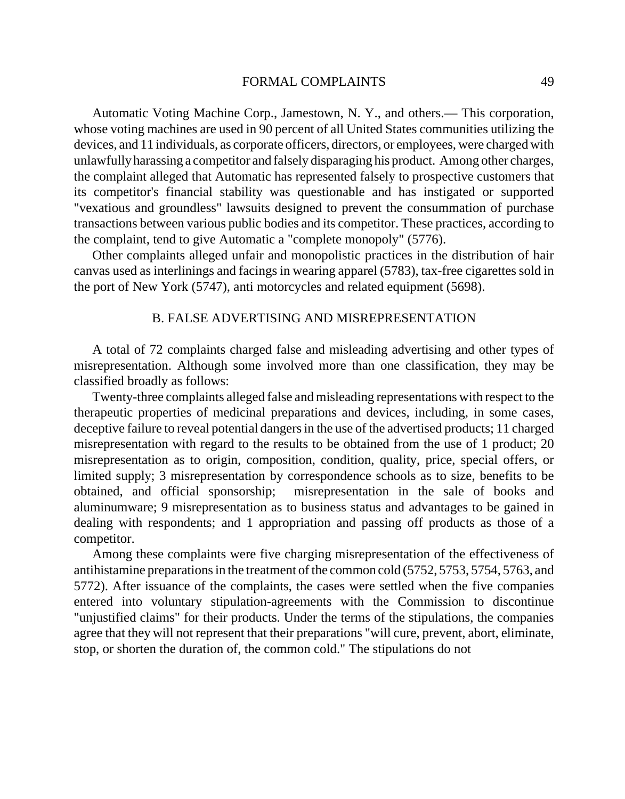Automatic Voting Machine Corp., Jamestown, N. Y., and others.— This corporation, whose voting machines are used in 90 percent of all United States communities utilizing the devices, and 11 individuals, as corporate officers, directors, or employees, were charged with unlawfully harassing a competitor and falsely disparaging his product. Among other charges, the complaint alleged that Automatic has represented falsely to prospective customers that its competitor's financial stability was questionable and has instigated or supported "vexatious and groundless" lawsuits designed to prevent the consummation of purchase transactions between various public bodies and its competitor. These practices, according to the complaint, tend to give Automatic a "complete monopoly" (5776).

Other complaints alleged unfair and monopolistic practices in the distribution of hair canvas used as interlinings and facings in wearing apparel (5783), tax-free cigarettes sold in the port of New York (5747), anti motorcycles and related equipment (5698).

### B. FALSE ADVERTISING AND MISREPRESENTATION

A total of 72 complaints charged false and misleading advertising and other types of misrepresentation. Although some involved more than one classification, they may be classified broadly as follows:

Twenty-three complaints alleged false and misleading representations with respect to the therapeutic properties of medicinal preparations and devices, including, in some cases, deceptive failure to reveal potential dangers in the use of the advertised products; 11 charged misrepresentation with regard to the results to be obtained from the use of 1 product; 20 misrepresentation as to origin, composition, condition, quality, price, special offers, or limited supply; 3 misrepresentation by correspondence schools as to size, benefits to be obtained, and official sponsorship; misrepresentation in the sale of books and aluminumware; 9 misrepresentation as to business status and advantages to be gained in dealing with respondents; and 1 appropriation and passing off products as those of a competitor.

Among these complaints were five charging misrepresentation of the effectiveness of antihistamine preparations in the treatment of the common cold (5752, 5753, 5754, 5763, and 5772). After issuance of the complaints, the cases were settled when the five companies entered into voluntary stipulation-agreements with the Commission to discontinue "unjustified claims" for their products. Under the terms of the stipulations, the companies agree that they will not represent that their preparations "will cure, prevent, abort, eliminate, stop, or shorten the duration of, the common cold." The stipulations do not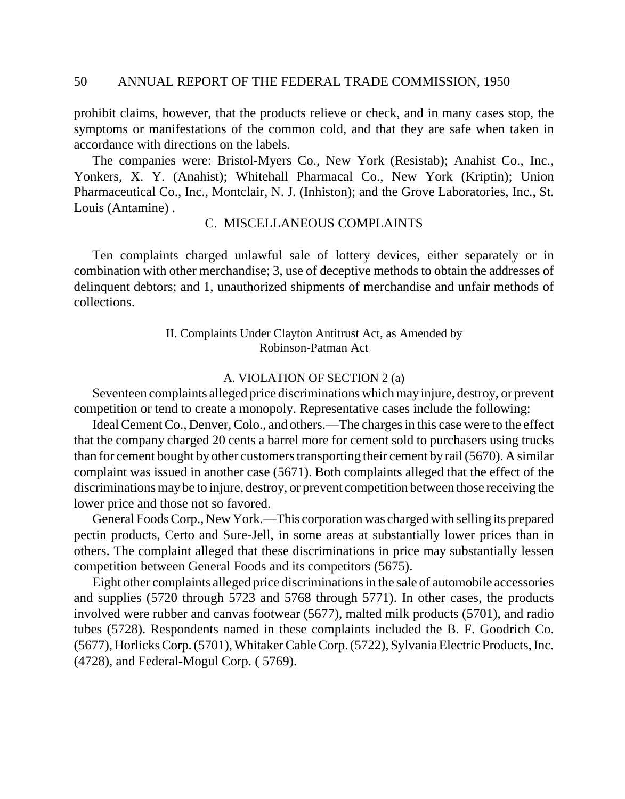prohibit claims, however, that the products relieve or check, and in many cases stop, the symptoms or manifestations of the common cold, and that they are safe when taken in accordance with directions on the labels.

The companies were: Bristol-Myers Co., New York (Resistab); Anahist Co., Inc., Yonkers, X. Y. (Anahist); Whitehall Pharmacal Co., New York (Kriptin); Union Pharmaceutical Co., Inc., Montclair, N. J. (Inhiston); and the Grove Laboratories, Inc., St. Louis (Antamine) .

### C. MISCELLANEOUS COMPLAINTS

Ten complaints charged unlawful sale of lottery devices, either separately or in combination with other merchandise; 3, use of deceptive methods to obtain the addresses of delinquent debtors; and 1, unauthorized shipments of merchandise and unfair methods of collections.

### II. Complaints Under Clayton Antitrust Act, as Amended by Robinson-Patman Act

### A. VIOLATION OF SECTION 2 (a)

Seventeen complaints alleged price discriminations which may injure, destroy, or prevent competition or tend to create a monopoly. Representative cases include the following:

Ideal Cement Co., Denver, Colo., and others.—The charges in this case were to the effect that the company charged 20 cents a barrel more for cement sold to purchasers using trucks than for cement bought by other customers transporting their cement by rail (5670). A similar complaint was issued in another case (5671). Both complaints alleged that the effect of the discriminations may be to injure, destroy, or prevent competition between those receiving the lower price and those not so favored.

General Foods Corp., New York.—This corporation was charged with selling its prepared pectin products, Certo and Sure-Jell, in some areas at substantially lower prices than in others. The complaint alleged that these discriminations in price may substantially lessen competition between General Foods and its competitors (5675).

Eight other complaints alleged price discriminations in the sale of automobile accessories and supplies (5720 through 5723 and 5768 through 5771). In other cases, the products involved were rubber and canvas footwear (5677), malted milk products (5701), and radio tubes (5728). Respondents named in these complaints included the B. F. Goodrich Co. (5677), Horlicks Corp. (5701), Whitaker Cable Corp. (5722), Sylvania Electric Products, Inc. (4728), and Federal-Mogul Corp. ( 5769).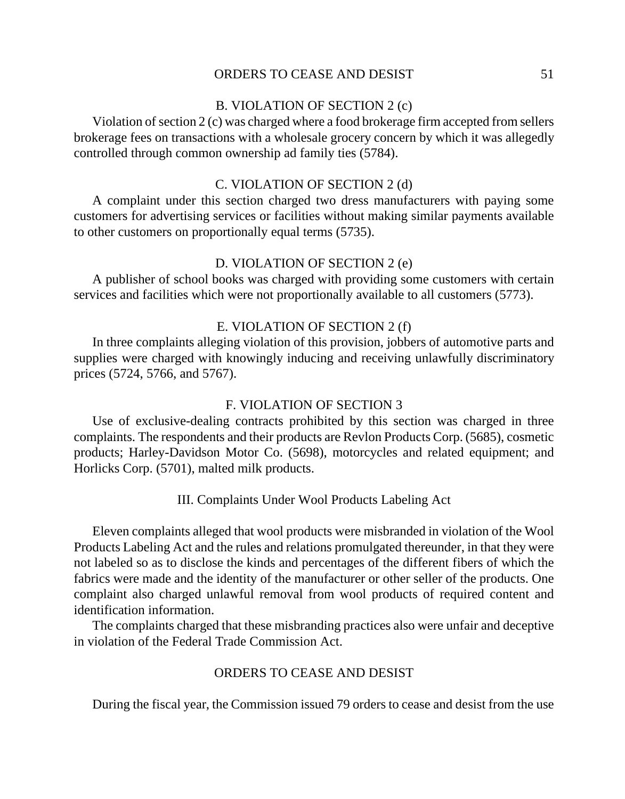### ORDERS TO CEASE AND DESIST 51

### B. VIOLATION OF SECTION 2 (c)

Violation of section 2 (c) was charged where a food brokerage firm accepted from sellers brokerage fees on transactions with a wholesale grocery concern by which it was allegedly controlled through common ownership ad family ties (5784).

### C. VIOLATION OF SECTION 2 (d)

A complaint under this section charged two dress manufacturers with paying some customers for advertising services or facilities without making similar payments available to other customers on proportionally equal terms (5735).

### D. VIOLATION OF SECTION 2 (e)

A publisher of school books was charged with providing some customers with certain services and facilities which were not proportionally available to all customers (5773).

## E. VIOLATION OF SECTION 2 (f)

In three complaints alleging violation of this provision, jobbers of automotive parts and supplies were charged with knowingly inducing and receiving unlawfully discriminatory prices (5724, 5766, and 5767).

### F. VIOLATION OF SECTION 3

Use of exclusive-dealing contracts prohibited by this section was charged in three complaints. The respondents and their products are Revlon Products Corp. (5685), cosmetic products; Harley-Davidson Motor Co. (5698), motorcycles and related equipment; and Horlicks Corp. (5701), malted milk products.

### III. Complaints Under Wool Products Labeling Act

Eleven complaints alleged that wool products were misbranded in violation of the Wool Products Labeling Act and the rules and relations promulgated thereunder, in that they were not labeled so as to disclose the kinds and percentages of the different fibers of which the fabrics were made and the identity of the manufacturer or other seller of the products. One complaint also charged unlawful removal from wool products of required content and identification information.

The complaints charged that these misbranding practices also were unfair and deceptive in violation of the Federal Trade Commission Act.

### ORDERS TO CEASE AND DESIST

During the fiscal year, the Commission issued 79 orders to cease and desist from the use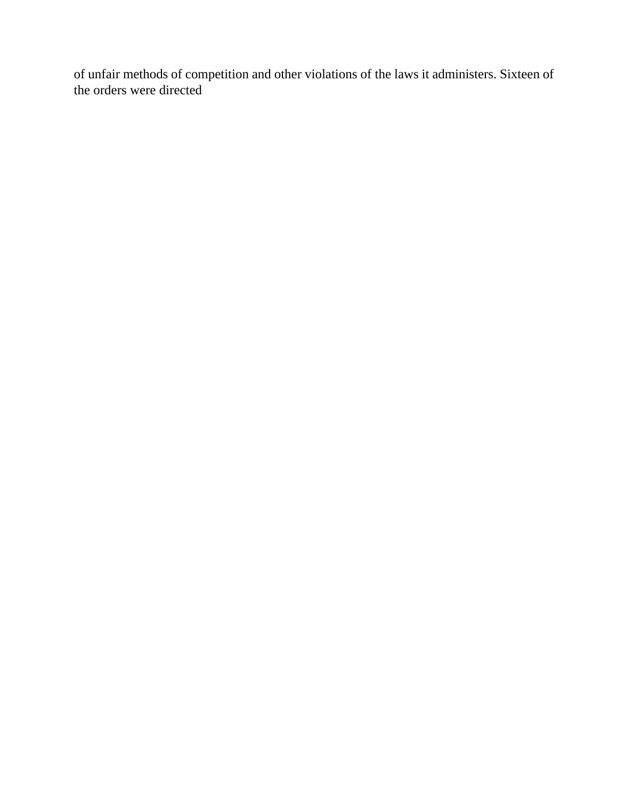of unfair methods of competition and other violations of the laws it administers. Sixteen of the orders were directed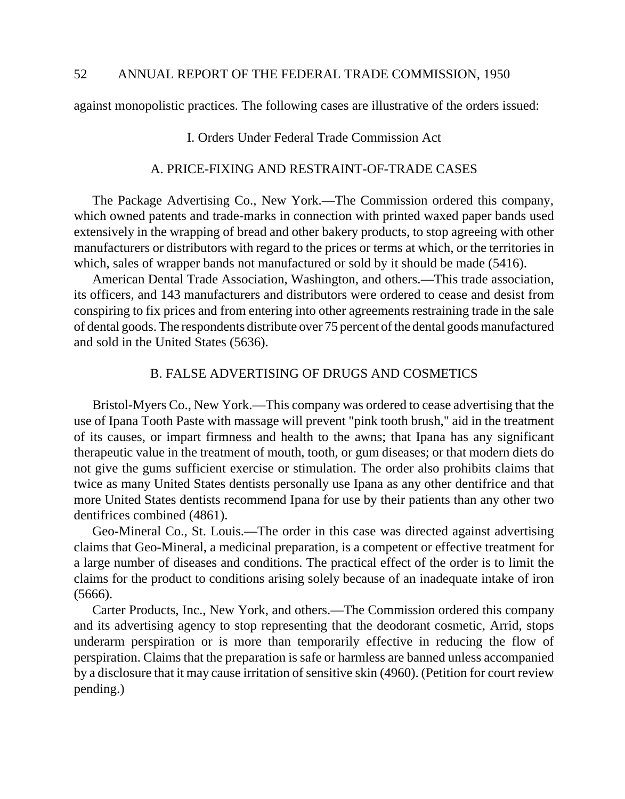against monopolistic practices. The following cases are illustrative of the orders issued:

### I. Orders Under Federal Trade Commission Act

### A. PRICE-FIXING AND RESTRAINT-OF-TRADE CASES

The Package Advertising Co., New York.—The Commission ordered this company, which owned patents and trade-marks in connection with printed waxed paper bands used extensively in the wrapping of bread and other bakery products, to stop agreeing with other manufacturers or distributors with regard to the prices or terms at which, or the territories in which, sales of wrapper bands not manufactured or sold by it should be made (5416).

American Dental Trade Association, Washington, and others.—This trade association, its officers, and 143 manufacturers and distributors were ordered to cease and desist from conspiring to fix prices and from entering into other agreements restraining trade in the sale of dental goods. The respondents distribute over 75 percent of the dental goods manufactured and sold in the United States (5636).

### B. FALSE ADVERTISING OF DRUGS AND COSMETICS

Bristol-Myers Co., New York.—This company was ordered to cease advertising that the use of Ipana Tooth Paste with massage will prevent "pink tooth brush," aid in the treatment of its causes, or impart firmness and health to the awns; that Ipana has any significant therapeutic value in the treatment of mouth, tooth, or gum diseases; or that modern diets do not give the gums sufficient exercise or stimulation. The order also prohibits claims that twice as many United States dentists personally use Ipana as any other dentifrice and that more United States dentists recommend Ipana for use by their patients than any other two dentifrices combined (4861).

Geo-Mineral Co., St. Louis.—The order in this case was directed against advertising claims that Geo-Mineral, a medicinal preparation, is a competent or effective treatment for a large number of diseases and conditions. The practical effect of the order is to limit the claims for the product to conditions arising solely because of an inadequate intake of iron (5666).

Carter Products, Inc., New York, and others.—The Commission ordered this company and its advertising agency to stop representing that the deodorant cosmetic, Arrid, stops underarm perspiration or is more than temporarily effective in reducing the flow of perspiration. Claims that the preparation is safe or harmless are banned unless accompanied by a disclosure that it may cause irritation of sensitive skin (4960). (Petition for court review pending.)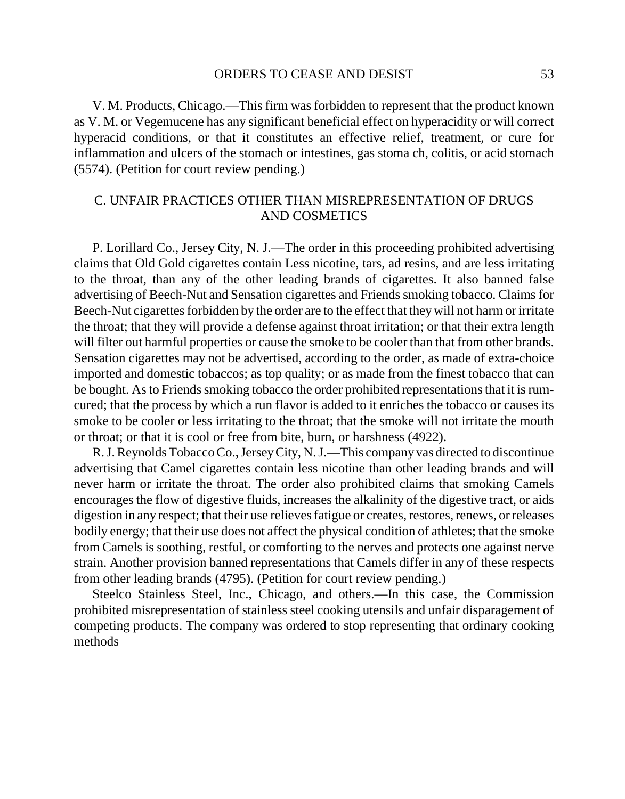V. M. Products, Chicago.—This firm was forbidden to represent that the product known as V. M. or Vegemucene has any significant beneficial effect on hyperacidity or will correct hyperacid conditions, or that it constitutes an effective relief, treatment, or cure for inflammation and ulcers of the stomach or intestines, gas stoma ch, colitis, or acid stomach (5574). (Petition for court review pending.)

# C. UNFAIR PRACTICES OTHER THAN MISREPRESENTATION OF DRUGS AND COSMETICS

P. Lorillard Co., Jersey City, N. J.—The order in this proceeding prohibited advertising claims that Old Gold cigarettes contain Less nicotine, tars, ad resins, and are less irritating to the throat, than any of the other leading brands of cigarettes. It also banned false advertising of Beech-Nut and Sensation cigarettes and Friends smoking tobacco. Claims for Beech-Nut cigarettes forbidden by the order are to the effect that they will not harm or irritate the throat; that they will provide a defense against throat irritation; or that their extra length will filter out harmful properties or cause the smoke to be cooler than that from other brands. Sensation cigarettes may not be advertised, according to the order, as made of extra-choice imported and domestic tobaccos; as top quality; or as made from the finest tobacco that can be bought. As to Friends smoking tobacco the order prohibited representations that it is rumcured; that the process by which a run flavor is added to it enriches the tobacco or causes its smoke to be cooler or less irritating to the throat; that the smoke will not irritate the mouth or throat; or that it is cool or free from bite, burn, or harshness (4922).

R.J.ReynoldsTobaccoCo.,JerseyCity, N.J.—This companyvas directed to discontinue advertising that Camel cigarettes contain less nicotine than other leading brands and will never harm or irritate the throat. The order also prohibited claims that smoking Camels encourages the flow of digestive fluids, increases the alkalinity of the digestive tract, or aids digestion in any respect; that their use relieves fatigue or creates, restores, renews, or releases bodily energy; that their use does not affect the physical condition of athletes; that the smoke from Camels is soothing, restful, or comforting to the nerves and protects one against nerve strain. Another provision banned representations that Camels differ in any of these respects from other leading brands (4795). (Petition for court review pending.)

Steelco Stainless Steel, Inc., Chicago, and others.—In this case, the Commission prohibited misrepresentation of stainless steel cooking utensils and unfair disparagement of competing products. The company was ordered to stop representing that ordinary cooking methods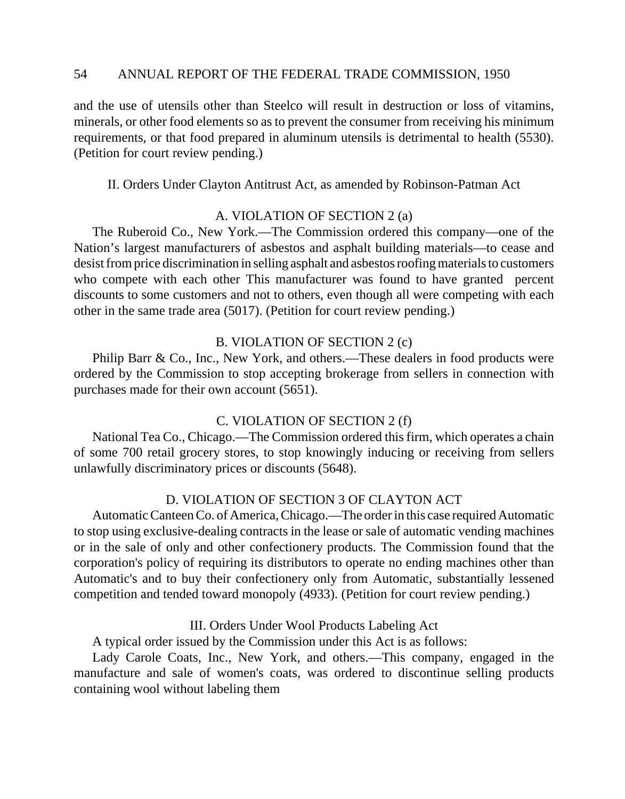and the use of utensils other than Steelco will result in destruction or loss of vitamins, minerals, or other food elements so as to prevent the consumer from receiving his minimum requirements, or that food prepared in aluminum utensils is detrimental to health (5530). (Petition for court review pending.)

II. Orders Under Clayton Antitrust Act, as amended by Robinson-Patman Act

### A. VIOLATION OF SECTION 2 (a)

The Ruberoid Co., New York.—The Commission ordered this company—one of the Nation's largest manufacturers of asbestos and asphalt building materials—to cease and desist from price discrimination in selling asphalt and asbestos roofing materials to customers who compete with each other This manufacturer was found to have granted percent discounts to some customers and not to others, even though all were competing with each other in the same trade area (5017). (Petition for court review pending.)

### B. VIOLATION OF SECTION 2 (c)

Philip Barr & Co., Inc., New York, and others.—These dealers in food products were ordered by the Commission to stop accepting brokerage from sellers in connection with purchases made for their own account (5651).

## C. VIOLATION OF SECTION 2 (f)

National Tea Co., Chicago.—The Commission ordered this firm, which operates a chain of some 700 retail grocery stores, to stop knowingly inducing or receiving from sellers unlawfully discriminatory prices or discounts (5648).

## D. VIOLATION OF SECTION 3 OF CLAYTON ACT

AutomaticCanteenCo. of America,Chicago.—The order in this case required Automatic to stop using exclusive-dealing contracts in the lease or sale of automatic vending machines or in the sale of only and other confectionery products. The Commission found that the corporation's policy of requiring its distributors to operate no ending machines other than Automatic's and to buy their confectionery only from Automatic, substantially lessened competition and tended toward monopoly (4933). (Petition for court review pending.)

### III. Orders Under Wool Products Labeling Act

A typical order issued by the Commission under this Act is as follows:

Lady Carole Coats, Inc., New York, and others.—This company, engaged in the manufacture and sale of women's coats, was ordered to discontinue selling products containing wool without labeling them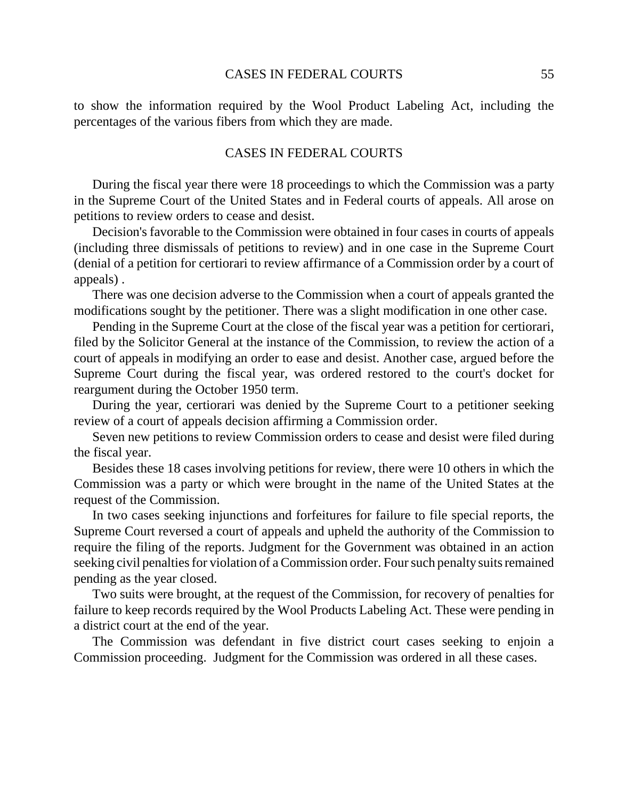#### CASES IN FEDERAL COURTS 55

to show the information required by the Wool Product Labeling Act, including the percentages of the various fibers from which they are made.

### CASES IN FEDERAL COURTS

During the fiscal year there were 18 proceedings to which the Commission was a party in the Supreme Court of the United States and in Federal courts of appeals. All arose on petitions to review orders to cease and desist.

Decision's favorable to the Commission were obtained in four cases in courts of appeals (including three dismissals of petitions to review) and in one case in the Supreme Court (denial of a petition for certiorari to review affirmance of a Commission order by a court of appeals) .

There was one decision adverse to the Commission when a court of appeals granted the modifications sought by the petitioner. There was a slight modification in one other case.

Pending in the Supreme Court at the close of the fiscal year was a petition for certiorari, filed by the Solicitor General at the instance of the Commission, to review the action of a court of appeals in modifying an order to ease and desist. Another case, argued before the Supreme Court during the fiscal year, was ordered restored to the court's docket for reargument during the October 1950 term.

During the year, certiorari was denied by the Supreme Court to a petitioner seeking review of a court of appeals decision affirming a Commission order.

Seven new petitions to review Commission orders to cease and desist were filed during the fiscal year.

Besides these 18 cases involving petitions for review, there were 10 others in which the Commission was a party or which were brought in the name of the United States at the request of the Commission.

In two cases seeking injunctions and forfeitures for failure to file special reports, the Supreme Court reversed a court of appeals and upheld the authority of the Commission to require the filing of the reports. Judgment for the Government was obtained in an action seeking civil penalties for violation of a Commission order. Four such penalty suits remained pending as the year closed.

Two suits were brought, at the request of the Commission, for recovery of penalties for failure to keep records required by the Wool Products Labeling Act. These were pending in a district court at the end of the year.

The Commission was defendant in five district court cases seeking to enjoin a Commission proceeding. Judgment for the Commission was ordered in all these cases.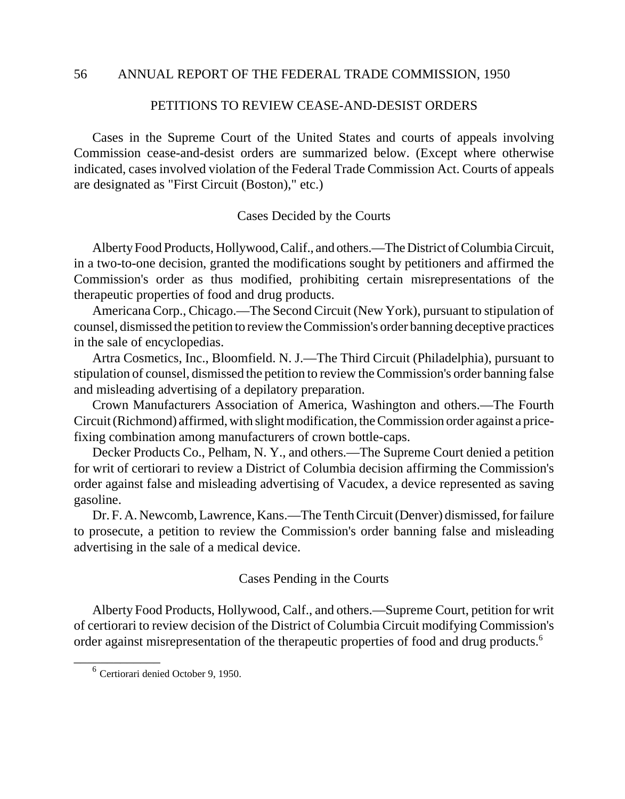# PETITIONS TO REVIEW CEASE-AND-DESIST ORDERS

Cases in the Supreme Court of the United States and courts of appeals involving Commission cease-and-desist orders are summarized below. (Except where otherwise indicated, cases involved violation of the Federal Trade Commission Act. Courts of appeals are designated as "First Circuit (Boston)," etc.)

#### Cases Decided by the Courts

Alberty Food Products, Hollywood, Calif., and others.—The District of Columbia Circuit, in a two-to-one decision, granted the modifications sought by petitioners and affirmed the Commission's order as thus modified, prohibiting certain misrepresentations of the therapeutic properties of food and drug products.

Americana Corp., Chicago.—The Second Circuit (New York), pursuant to stipulation of counsel, dismissed the petition to review theCommission's order banning deceptive practices in the sale of encyclopedias.

Artra Cosmetics, Inc., Bloomfield. N. J.—The Third Circuit (Philadelphia), pursuant to stipulation of counsel, dismissed the petition to review theCommission's order banning false and misleading advertising of a depilatory preparation.

Crown Manufacturers Association of America, Washington and others.—The Fourth Circuit(Richmond) affirmed, with slight modification, the Commission order against a pricefixing combination among manufacturers of crown bottle-caps.

Decker Products Co., Pelham, N. Y., and others.—The Supreme Court denied a petition for writ of certiorari to review a District of Columbia decision affirming the Commission's order against false and misleading advertising of Vacudex, a device represented as saving gasoline.

Dr. F. A. Newcomb,Lawrence, Kans.—The Tenth Circuit (Denver) dismissed, for failure to prosecute, a petition to review the Commission's order banning false and misleading advertising in the sale of a medical device.

### Cases Pending in the Courts

Alberty Food Products, Hollywood, Calf., and others.—Supreme Court, petition for writ of certiorari to review decision of the District of Columbia Circuit modifying Commission's order against misrepresentation of the therapeutic properties of food and drug products.<sup>6</sup>

\_\_\_\_\_\_\_\_\_\_\_\_\_

<sup>6</sup> Certiorari denied October 9, 1950.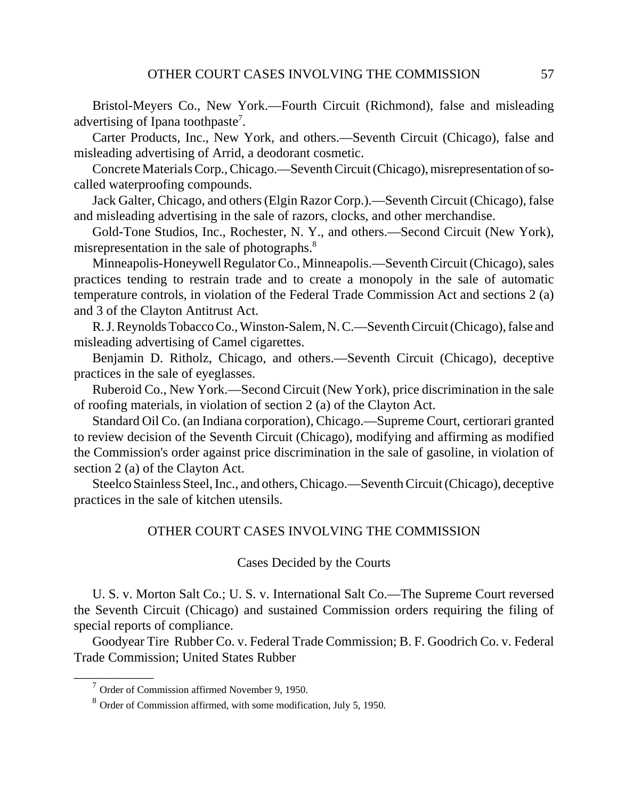Bristol-Meyers Co., New York.—Fourth Circuit (Richmond), false and misleading advertising of Ipana toothpaste<sup>7</sup>.

Carter Products, Inc., New York, and others.—Seventh Circuit (Chicago), false and misleading advertising of Arrid, a deodorant cosmetic.

Concrete MaterialsCorp.,Chicago.—Seventh Circuit (Chicago), misrepresentation of socalled waterproofing compounds.

Jack Galter, Chicago, and others(Elgin Razor Corp.).—Seventh Circuit (Chicago), false and misleading advertising in the sale of razors, clocks, and other merchandise.

Gold-Tone Studios, Inc., Rochester, N. Y., and others.—Second Circuit (New York), misrepresentation in the sale of photographs.<sup>8</sup>

Minneapolis-Honeywell Regulator Co., Minneapolis.—Seventh Circuit (Chicago), sales practices tending to restrain trade and to create a monopoly in the sale of automatic temperature controls, in violation of the Federal Trade Commission Act and sections 2 (a) and 3 of the Clayton Antitrust Act.

R. J. Reynolds Tobacco Co., Winston-Salem, N. C.—Seventh Circuit (Chicago), false and misleading advertising of Camel cigarettes.

Benjamin D. Ritholz, Chicago, and others.—Seventh Circuit (Chicago), deceptive practices in the sale of eyeglasses.

Ruberoid Co., New York.—Second Circuit (New York), price discrimination in the sale of roofing materials, in violation of section 2 (a) of the Clayton Act.

Standard Oil Co. (an Indiana corporation), Chicago.—Supreme Court, certiorari granted to review decision of the Seventh Circuit (Chicago), modifying and affirming as modified the Commission's order against price discrimination in the sale of gasoline, in violation of section 2 (a) of the Clayton Act.

Steelco Stainless Steel, Inc., and others, Chicago.—Seventh Circuit (Chicago), deceptive practices in the sale of kitchen utensils.

# OTHER COURT CASES INVOLVING THE COMMISSION

Cases Decided by the Courts

U. S. v. Morton Salt Co.; U. S. v. International Salt Co.—The Supreme Court reversed the Seventh Circuit (Chicago) and sustained Commission orders requiring the filing of special reports of compliance.

Goodyear Tire Rubber Co. v. Federal Trade Commission; B. F. Goodrich Co. v. Federal Trade Commission; United States Rubber

\_\_\_\_\_\_\_\_\_\_\_\_

<sup>7</sup> Order of Commission affirmed November 9, 1950.

<sup>8</sup> Order of Commission affirmed, with some modification, July 5, 1950.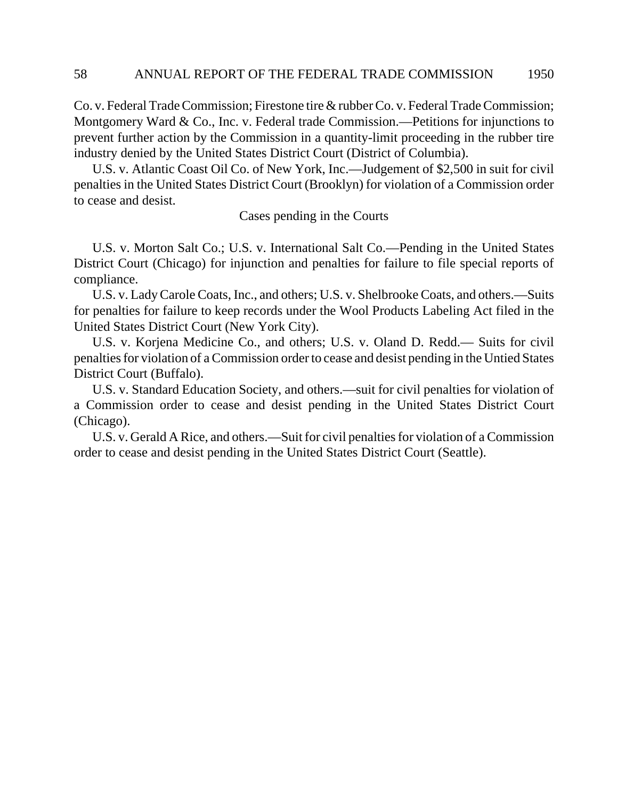Co. v. Federal Trade Commission; Firestone tire & rubber Co. v. Federal Trade Commission; Montgomery Ward & Co., Inc. v. Federal trade Commission.—Petitions for injunctions to prevent further action by the Commission in a quantity-limit proceeding in the rubber tire industry denied by the United States District Court (District of Columbia).

U.S. v. Atlantic Coast Oil Co. of New York, Inc.—Judgement of \$2,500 in suit for civil penalties in the United States District Court (Brooklyn) for violation of a Commission order to cease and desist.

Cases pending in the Courts

U.S. v. Morton Salt Co.; U.S. v. International Salt Co.—Pending in the United States District Court (Chicago) for injunction and penalties for failure to file special reports of compliance.

U.S. v. LadyCarole Coats, Inc., and others; U.S. v. Shelbrooke Coats, and others.—Suits for penalties for failure to keep records under the Wool Products Labeling Act filed in the United States District Court (New York City).

U.S. v. Korjena Medicine Co., and others; U.S. v. Oland D. Redd.— Suits for civil penaltiesfor violation of a Commission orderto cease and desist pending in the Untied States District Court (Buffalo).

U.S. v. Standard Education Society, and others.—suit for civil penalties for violation of a Commission order to cease and desist pending in the United States District Court (Chicago).

U.S. v. Gerald A Rice, and others.—Suit for civil penalties for violation of a Commission order to cease and desist pending in the United States District Court (Seattle).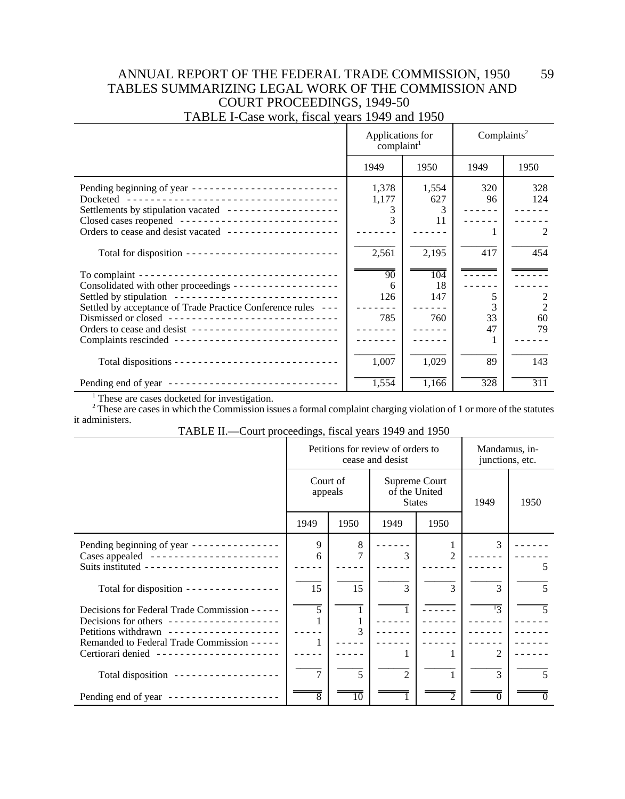## ANNUAL REPORT OF THE FEDERAL TRADE COMMISSION, 1950 59 TABLES SUMMARIZING LEGAL WORK OF THE COMMISSION AND COURT PROCEEDINGS, 1949-50 TABLE I-Case work, fiscal years 1949 and 1950

|                                                                                                                                                                                                                                                                                                                                                | Applications for<br>complaint <sup>1</sup> |                                  | Complaints <sup>2</sup>  |                 |
|------------------------------------------------------------------------------------------------------------------------------------------------------------------------------------------------------------------------------------------------------------------------------------------------------------------------------------------------|--------------------------------------------|----------------------------------|--------------------------|-----------------|
|                                                                                                                                                                                                                                                                                                                                                | 1949                                       | 1950                             | 1949                     | 1950            |
| Pending beginning of year --------------------------<br>Settlements by stipulation vacated -------------------<br>Closed cases reopened ----------------------------<br>Orders to cease and desist vacated -------------------                                                                                                                 | 1,378<br>1,177<br>3<br>3                   | 1,554<br>627<br>11               | 320<br>96                | 328<br>124<br>2 |
| Total for disposition ---------------------------                                                                                                                                                                                                                                                                                              | 2,561                                      | 2,195                            | 417                      | 454             |
| -----------------------------------<br>To complaint -<br>Settled by acceptance of Trade Practice Conference rules ---<br>Dismissed or closed -------------------------------<br>Orders to cease and desist --------------------------<br>Complaints rescinded ----------------------------<br>Total dispositions ----------------------------- | 90<br>6<br>126<br>785<br>1,007             | 104<br>18<br>147<br>760<br>1,029 | 5<br>3<br>33<br>47<br>89 | 60<br>79<br>143 |
| Pending end of year                                                                                                                                                                                                                                                                                                                            | 1,554                                      | 1,166                            | 328                      | 311             |

<sup>1</sup> These are cases docketed for investigation.

 $2^2$  These are cases in which the Commission issues a formal complaint charging violation of 1 or more of the statutes it administers.

| TABLE II.—Court proceedings, fiscal years 1949 and 1950 |
|---------------------------------------------------------|
|---------------------------------------------------------|

|                                                                                                                                                                                | TADLE II.—Court proceedings, fiscar years 1747 and 1750<br>Petitions for review of orders to<br>cease and desist |                 |                                                 |                             | Mandamus, in-<br>junctions, etc. |      |
|--------------------------------------------------------------------------------------------------------------------------------------------------------------------------------|------------------------------------------------------------------------------------------------------------------|-----------------|-------------------------------------------------|-----------------------------|----------------------------------|------|
|                                                                                                                                                                                | Court of<br>appeals                                                                                              |                 | Supreme Court<br>of the United<br><b>States</b> |                             | 1949                             | 1950 |
|                                                                                                                                                                                | 1949                                                                                                             | 1950            | 1949                                            | 1950                        |                                  |      |
| Pending beginning of year ---------------<br>Cases appealed ----------------------<br>Suits instituted ------------------------                                                | 9<br>6                                                                                                           | 8               | 3                                               | $\mathcal{D}_{\mathcal{L}}$ | 3                                | 5    |
| Total for disposition ----------------                                                                                                                                         | 15                                                                                                               | 15              | 3                                               | 3                           | 3                                |      |
| Decisions for Federal Trade Commission - - - - -<br>Decisions for others $\cdots$<br>Petitions withdrawn -------------------<br>Remanded to Federal Trade Commission - - - - - | 5                                                                                                                | 3               |                                                 |                             | $\frac{1}{3}$                    |      |
| Certiorari denied ---------------------<br>Total disposition ------------------                                                                                                | 7                                                                                                                | 5               | $\mathfrak{D}$                                  |                             | 2<br>3                           | 5    |
| Pending end of year -------------------                                                                                                                                        | $\overline{8}$                                                                                                   | $\overline{10}$ |                                                 |                             | 0                                |      |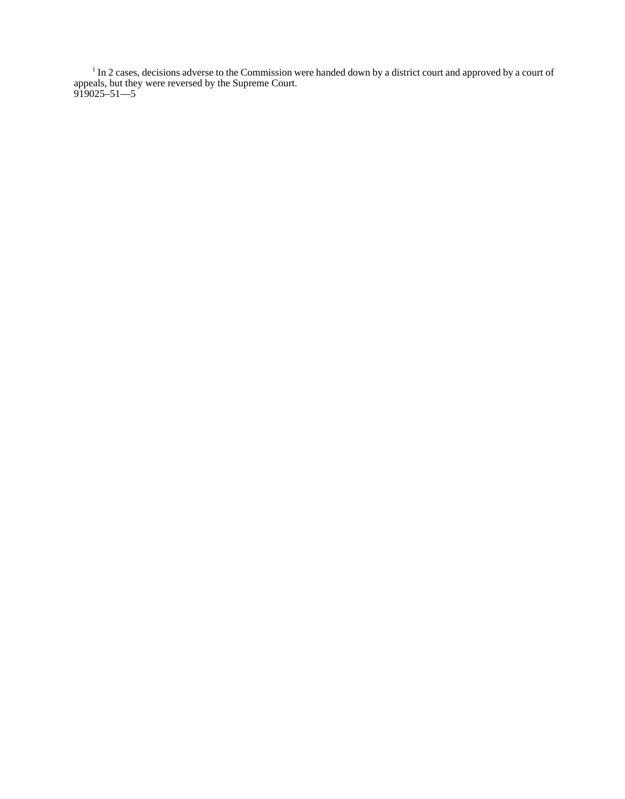$1$  In 2 cases, decisions adverse to the Commission were handed down by a district court and approved by a court of appeals, but they were reversed by the Supreme Court. 919025–51—5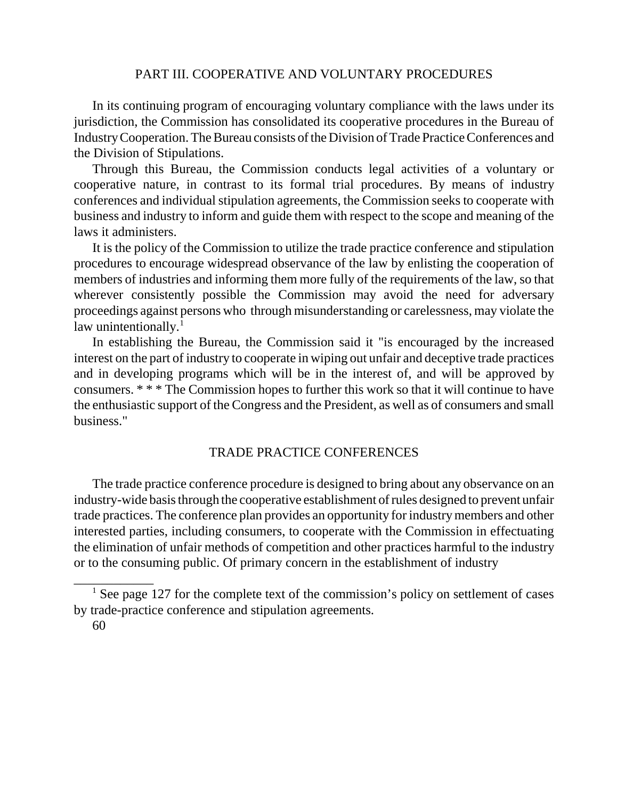### PART III. COOPERATIVE AND VOLUNTARY PROCEDURES

In its continuing program of encouraging voluntary compliance with the laws under its jurisdiction, the Commission has consolidated its cooperative procedures in the Bureau of IndustryCooperation.The Bureau consists of the Division of Trade Practice Conferences and the Division of Stipulations.

Through this Bureau, the Commission conducts legal activities of a voluntary or cooperative nature, in contrast to its formal trial procedures. By means of industry conferences and individual stipulation agreements, the Commission seeks to cooperate with business and industry to inform and guide them with respect to the scope and meaning of the laws it administers.

It is the policy of the Commission to utilize the trade practice conference and stipulation procedures to encourage widespread observance of the law by enlisting the cooperation of members of industries and informing them more fully of the requirements of the law, so that wherever consistently possible the Commission may avoid the need for adversary proceedings against persons who through misunderstanding or carelessness, may violate the law unintentionally.<sup>1</sup>

In establishing the Bureau, the Commission said it "is encouraged by the increased interest on the part of industry to cooperate in wiping out unfair and deceptive trade practices and in developing programs which will be in the interest of, and will be approved by consumers. \* \* \* The Commission hopes to further this work so that it will continue to have the enthusiastic support of the Congress and the President, as well as of consumers and small business."

# TRADE PRACTICE CONFERENCES

The trade practice conference procedure is designed to bring about any observance on an industry-wide basis through the cooperative establishment of rules designed to prevent unfair trade practices. The conference plan provides an opportunity for industrymembers and other interested parties, including consumers, to cooperate with the Commission in effectuating the elimination of unfair methods of competition and other practices harmful to the industry or to the consuming public. Of primary concern in the establishment of industry

\_\_\_\_\_\_\_\_\_\_\_\_

<sup>&</sup>lt;sup>1</sup> See page 127 for the complete text of the commission's policy on settlement of cases by trade-practice conference and stipulation agreements.

<sup>60</sup>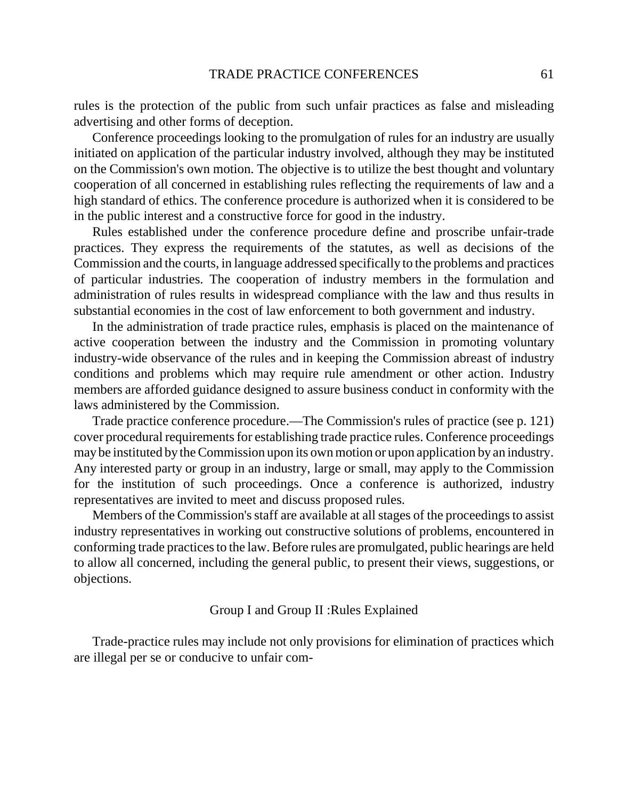rules is the protection of the public from such unfair practices as false and misleading advertising and other forms of deception.

Conference proceedings looking to the promulgation of rules for an industry are usually initiated on application of the particular industry involved, although they may be instituted on the Commission's own motion. The objective is to utilize the best thought and voluntary cooperation of all concerned in establishing rules reflecting the requirements of law and a high standard of ethics. The conference procedure is authorized when it is considered to be in the public interest and a constructive force for good in the industry.

Rules established under the conference procedure define and proscribe unfair-trade practices. They express the requirements of the statutes, as well as decisions of the Commission and the courts, in language addressed specifically to the problems and practices of particular industries. The cooperation of industry members in the formulation and administration of rules results in widespread compliance with the law and thus results in substantial economies in the cost of law enforcement to both government and industry.

In the administration of trade practice rules, emphasis is placed on the maintenance of active cooperation between the industry and the Commission in promoting voluntary industry-wide observance of the rules and in keeping the Commission abreast of industry conditions and problems which may require rule amendment or other action. Industry members are afforded guidance designed to assure business conduct in conformity with the laws administered by the Commission.

Trade practice conference procedure.—The Commission's rules of practice (see p. 121) cover procedural requirements for establishing trade practice rules. Conference proceedings may be instituted by the Commission upon its own motion or upon application by an industry. Any interested party or group in an industry, large or small, may apply to the Commission for the institution of such proceedings. Once a conference is authorized, industry representatives are invited to meet and discuss proposed rules.

Members of the Commission's staff are available at all stages of the proceedings to assist industry representatives in working out constructive solutions of problems, encountered in conforming trade practices to the law. Before rules are promulgated, public hearings are held to allow all concerned, including the general public, to present their views, suggestions, or objections.

### Group I and Group II :Rules Explained

Trade-practice rules may include not only provisions for elimination of practices which are illegal per se or conducive to unfair com-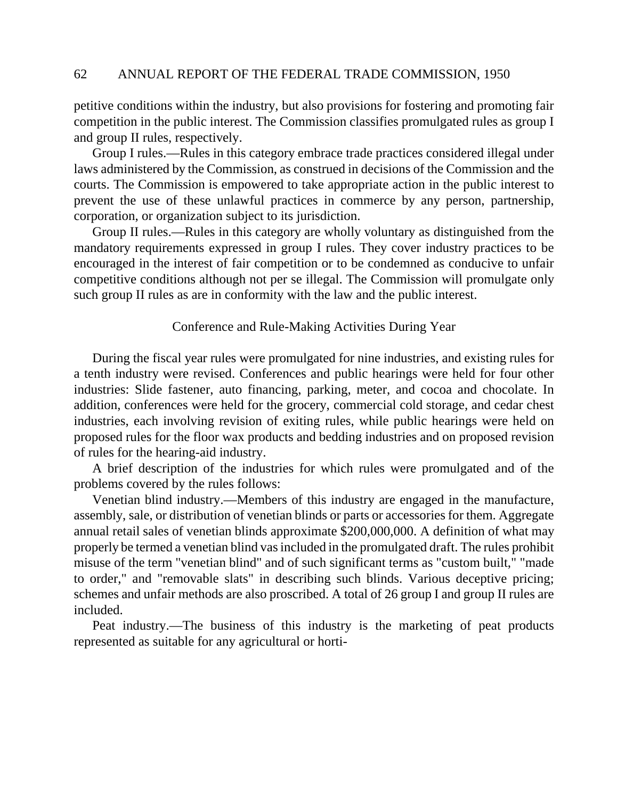petitive conditions within the industry, but also provisions for fostering and promoting fair competition in the public interest. The Commission classifies promulgated rules as group I and group II rules, respectively.

Group I rules.—Rules in this category embrace trade practices considered illegal under laws administered by the Commission, as construed in decisions of the Commission and the courts. The Commission is empowered to take appropriate action in the public interest to prevent the use of these unlawful practices in commerce by any person, partnership, corporation, or organization subject to its jurisdiction.

Group II rules.—Rules in this category are wholly voluntary as distinguished from the mandatory requirements expressed in group I rules. They cover industry practices to be encouraged in the interest of fair competition or to be condemned as conducive to unfair competitive conditions although not per se illegal. The Commission will promulgate only such group II rules as are in conformity with the law and the public interest.

#### Conference and Rule-Making Activities During Year

During the fiscal year rules were promulgated for nine industries, and existing rules for a tenth industry were revised. Conferences and public hearings were held for four other industries: Slide fastener, auto financing, parking, meter, and cocoa and chocolate. In addition, conferences were held for the grocery, commercial cold storage, and cedar chest industries, each involving revision of exiting rules, while public hearings were held on proposed rules for the floor wax products and bedding industries and on proposed revision of rules for the hearing-aid industry.

A brief description of the industries for which rules were promulgated and of the problems covered by the rules follows:

Venetian blind industry.—Members of this industry are engaged in the manufacture, assembly, sale, or distribution of venetian blinds or parts or accessories for them. Aggregate annual retail sales of venetian blinds approximate \$200,000,000. A definition of what may properly be termed a venetian blind vasincluded in the promulgated draft. The rules prohibit misuse of the term "venetian blind" and of such significant terms as "custom built," "made to order," and "removable slats" in describing such blinds. Various deceptive pricing; schemes and unfair methods are also proscribed. A total of 26 group I and group II rules are included.

Peat industry.—The business of this industry is the marketing of peat products represented as suitable for any agricultural or horti-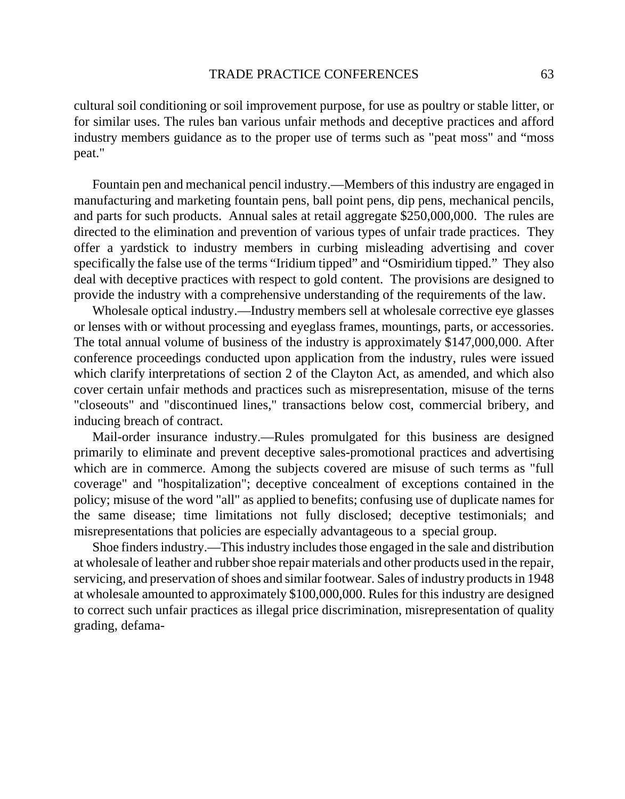cultural soil conditioning or soil improvement purpose, for use as poultry or stable litter, or for similar uses. The rules ban various unfair methods and deceptive practices and afford industry members guidance as to the proper use of terms such as "peat moss" and "moss peat."

Fountain pen and mechanical pencil industry.—Members of this industry are engaged in manufacturing and marketing fountain pens, ball point pens, dip pens, mechanical pencils, and parts for such products. Annual sales at retail aggregate \$250,000,000. The rules are directed to the elimination and prevention of various types of unfair trade practices. They offer a yardstick to industry members in curbing misleading advertising and cover specifically the false use of the terms "Iridium tipped" and "Osmiridium tipped." They also deal with deceptive practices with respect to gold content. The provisions are designed to provide the industry with a comprehensive understanding of the requirements of the law.

Wholesale optical industry.—Industry members sell at wholesale corrective eye glasses or lenses with or without processing and eyeglass frames, mountings, parts, or accessories. The total annual volume of business of the industry is approximately \$147,000,000. After conference proceedings conducted upon application from the industry, rules were issued which clarify interpretations of section 2 of the Clayton Act, as amended, and which also cover certain unfair methods and practices such as misrepresentation, misuse of the terns "closeouts" and "discontinued lines," transactions below cost, commercial bribery, and inducing breach of contract.

Mail-order insurance industry.—Rules promulgated for this business are designed primarily to eliminate and prevent deceptive sales-promotional practices and advertising which are in commerce. Among the subjects covered are misuse of such terms as "full coverage" and "hospitalization"; deceptive concealment of exceptions contained in the policy; misuse of the word "all" as applied to benefits; confusing use of duplicate names for the same disease; time limitations not fully disclosed; deceptive testimonials; and misrepresentations that policies are especially advantageous to a special group.

Shoe finders industry.—This industry includes those engaged in the sale and distribution at wholesale of leather and rubber shoe repair materials and other products used in the repair, servicing, and preservation of shoes and similar footwear. Sales of industry products in 1948 at wholesale amounted to approximately \$100,000,000. Rules for this industry are designed to correct such unfair practices as illegal price discrimination, misrepresentation of quality grading, defama-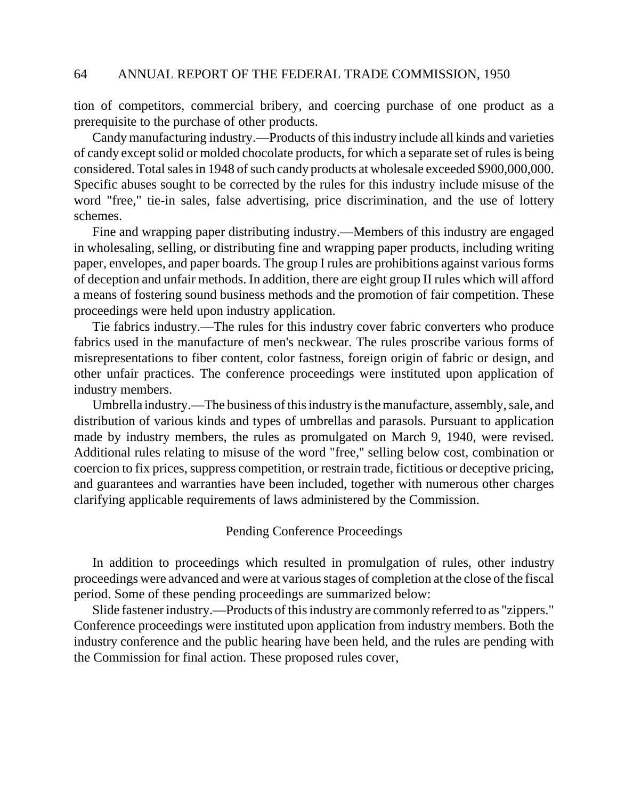tion of competitors, commercial bribery, and coercing purchase of one product as a prerequisite to the purchase of other products.

Candy manufacturing industry.—Products of thisindustry include all kinds and varieties of candy except solid or molded chocolate products, for which a separate set of rules is being considered. Total sales in 1948 of such candy products at wholesale exceeded \$900,000,000. Specific abuses sought to be corrected by the rules for this industry include misuse of the word "free," tie-in sales, false advertising, price discrimination, and the use of lottery schemes.

Fine and wrapping paper distributing industry.—Members of this industry are engaged in wholesaling, selling, or distributing fine and wrapping paper products, including writing paper, envelopes, and paper boards. The group I rules are prohibitions against various forms of deception and unfair methods. In addition, there are eight group II rules which will afford a means of fostering sound business methods and the promotion of fair competition. These proceedings were held upon industry application.

Tie fabrics industry.—The rules for this industry cover fabric converters who produce fabrics used in the manufacture of men's neckwear. The rules proscribe various forms of misrepresentations to fiber content, color fastness, foreign origin of fabric or design, and other unfair practices. The conference proceedings were instituted upon application of industry members.

Umbrella industry.—The business of this industry is the manufacture, assembly, sale, and distribution of various kinds and types of umbrellas and parasols. Pursuant to application made by industry members, the rules as promulgated on March 9, 1940, were revised. Additional rules relating to misuse of the word "free,'' selling below cost, combination or coercion to fix prices, suppress competition, or restrain trade, fictitious or deceptive pricing, and guarantees and warranties have been included, together with numerous other charges clarifying applicable requirements of laws administered by the Commission.

## Pending Conference Proceedings

In addition to proceedings which resulted in promulgation of rules, other industry proceedings were advanced and were at variousstages of completion at the close of the fiscal period. Some of these pending proceedings are summarized below:

Slide fastener industry.—Products of this industry are commonly referred to as "zippers." Conference proceedings were instituted upon application from industry members. Both the industry conference and the public hearing have been held, and the rules are pending with the Commission for final action. These proposed rules cover,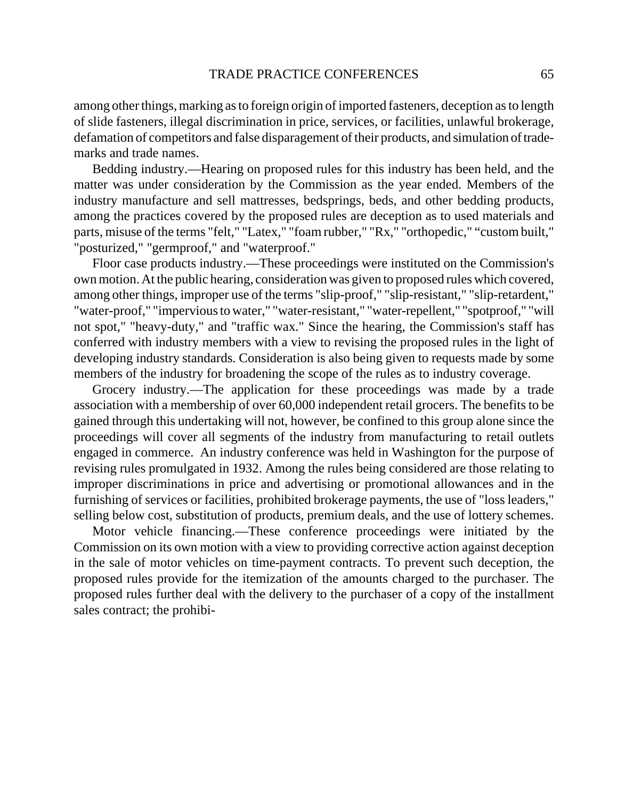among other things, marking as to foreign origin of imported fasteners, deception as to length of slide fasteners, illegal discrimination in price, services, or facilities, unlawful brokerage, defamation of competitors and false disparagement of their products, and simulation of trademarks and trade names.

Bedding industry.—Hearing on proposed rules for this industry has been held, and the matter was under consideration by the Commission as the year ended. Members of the industry manufacture and sell mattresses, bedsprings, beds, and other bedding products, among the practices covered by the proposed rules are deception as to used materials and parts, misuse of the terms "felt," "Latex," "foam rubber," "Rx," "orthopedic," "custom built," "posturized," "germproof," and "waterproof."

Floor case products industry.—These proceedings were instituted on the Commission's ownmotion. At the public hearing, consideration was given to proposed rules which covered, among other things, improper use of the terms "slip-proof," "slip-resistant," "slip-retardent," "water-proof," "impervious to water," "water-resistant," "water-repellent," "spotproof," "will not spot," "heavy-duty," and "traffic wax." Since the hearing, the Commission's staff has conferred with industry members with a view to revising the proposed rules in the light of developing industry standards. Consideration is also being given to requests made by some members of the industry for broadening the scope of the rules as to industry coverage.

Grocery industry.—The application for these proceedings was made by a trade association with a membership of over 60,000 independent retail grocers. The benefits to be gained through this undertaking will not, however, be confined to this group alone since the proceedings will cover all segments of the industry from manufacturing to retail outlets engaged in commerce. An industry conference was held in Washington for the purpose of revising rules promulgated in 1932. Among the rules being considered are those relating to improper discriminations in price and advertising or promotional allowances and in the furnishing of services or facilities, prohibited brokerage payments, the use of "loss leaders," selling below cost, substitution of products, premium deals, and the use of lottery schemes.

Motor vehicle financing.—These conference proceedings were initiated by the Commission on its own motion with a view to providing corrective action against deception in the sale of motor vehicles on time-payment contracts. To prevent such deception, the proposed rules provide for the itemization of the amounts charged to the purchaser. The proposed rules further deal with the delivery to the purchaser of a copy of the installment sales contract; the prohibi-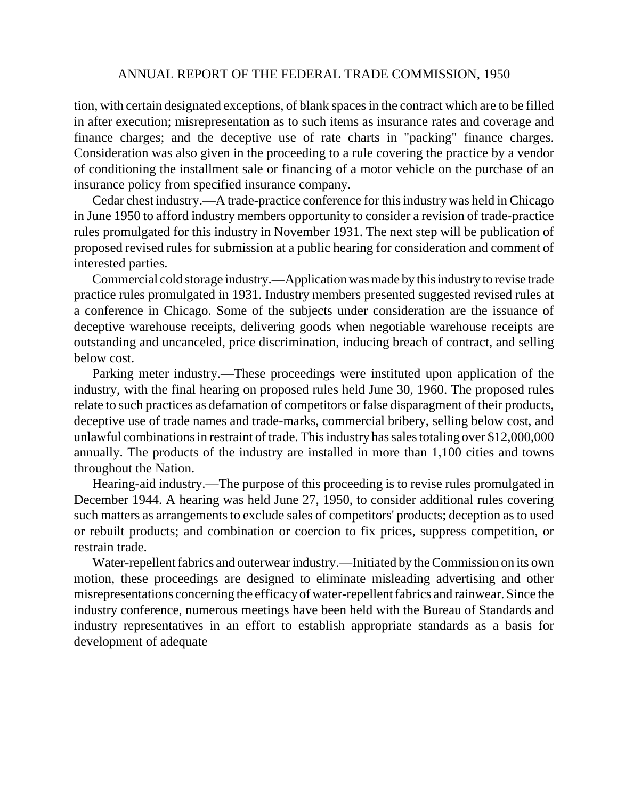tion, with certain designated exceptions, of blank spacesin the contract which are to be filled in after execution; misrepresentation as to such items as insurance rates and coverage and finance charges; and the deceptive use of rate charts in "packing" finance charges. Consideration was also given in the proceeding to a rule covering the practice by a vendor of conditioning the installment sale or financing of a motor vehicle on the purchase of an insurance policy from specified insurance company.

Cedar chest industry.—A trade-practice conference for thisindustry was held in Chicago in June 1950 to afford industry members opportunity to consider a revision of trade-practice rules promulgated for this industry in November 1931. The next step will be publication of proposed revised rules for submission at a public hearing for consideration and comment of interested parties.

Commercial cold storage industry.—Application was made by this industry to revise trade practice rules promulgated in 1931. Industry members presented suggested revised rules at a conference in Chicago. Some of the subjects under consideration are the issuance of deceptive warehouse receipts, delivering goods when negotiable warehouse receipts are outstanding and uncanceled, price discrimination, inducing breach of contract, and selling below cost.

Parking meter industry.—These proceedings were instituted upon application of the industry, with the final hearing on proposed rules held June 30, 1960. The proposed rules relate to such practices as defamation of competitors or false disparagment of their products, deceptive use of trade names and trade-marks, commercial bribery, selling below cost, and unlawful combinations in restraint of trade. This industry has sales totaling over  $$12,000,000$ annually. The products of the industry are installed in more than 1,100 cities and towns throughout the Nation.

Hearing-aid industry.—The purpose of this proceeding is to revise rules promulgated in December 1944. A hearing was held June 27, 1950, to consider additional rules covering such matters as arrangements to exclude sales of competitors' products; deception as to used or rebuilt products; and combination or coercion to fix prices, suppress competition, or restrain trade.

Water-repellent fabrics and outerwear industry.—Initiated by the Commission on its own motion, these proceedings are designed to eliminate misleading advertising and other misrepresentations concerning the efficacy of water-repellent fabrics and rainwear. Since the industry conference, numerous meetings have been held with the Bureau of Standards and industry representatives in an effort to establish appropriate standards as a basis for development of adequate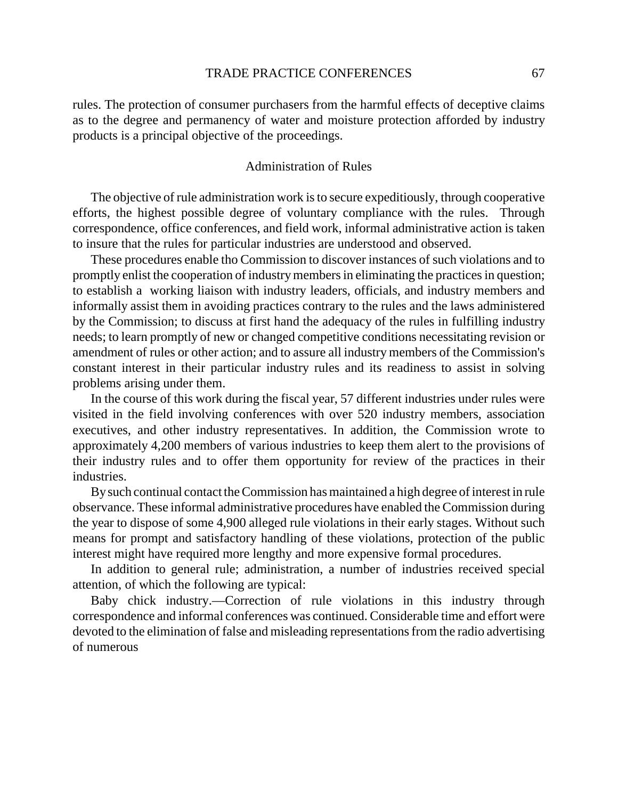### TRADE PRACTICE CONFERENCES 67

rules. The protection of consumer purchasers from the harmful effects of deceptive claims as to the degree and permanency of water and moisture protection afforded by industry products is a principal objective of the proceedings.

#### Administration of Rules

The objective of rule administration work is to secure expeditiously, through cooperative efforts, the highest possible degree of voluntary compliance with the rules. Through correspondence, office conferences, and field work, informal administrative action is taken to insure that the rules for particular industries are understood and observed.

These procedures enable tho Commission to discover instances of such violations and to promptly enlist the cooperation of industry members in eliminating the practices in question; to establish a working liaison with industry leaders, officials, and industry members and informally assist them in avoiding practices contrary to the rules and the laws administered by the Commission; to discuss at first hand the adequacy of the rules in fulfilling industry needs; to learn promptly of new or changed competitive conditions necessitating revision or amendment of rules or other action; and to assure all industry members of the Commission's constant interest in their particular industry rules and its readiness to assist in solving problems arising under them.

In the course of this work during the fiscal year, 57 different industries under rules were visited in the field involving conferences with over 520 industry members, association executives, and other industry representatives. In addition, the Commission wrote to approximately 4,200 members of various industries to keep them alert to the provisions of their industry rules and to offer them opportunity for review of the practices in their industries.

By such continual contact the Commission has maintained a high degree of interest in rule observance. These informal administrative procedures have enabled the Commission during the year to dispose of some 4,900 alleged rule violations in their early stages. Without such means for prompt and satisfactory handling of these violations, protection of the public interest might have required more lengthy and more expensive formal procedures.

In addition to general rule; administration, a number of industries received special attention, of which the following are typical:

Baby chick industry.—Correction of rule violations in this industry through correspondence and informal conferences was continued. Considerable time and effort were devoted to the elimination of false and misleading representations from the radio advertising of numerous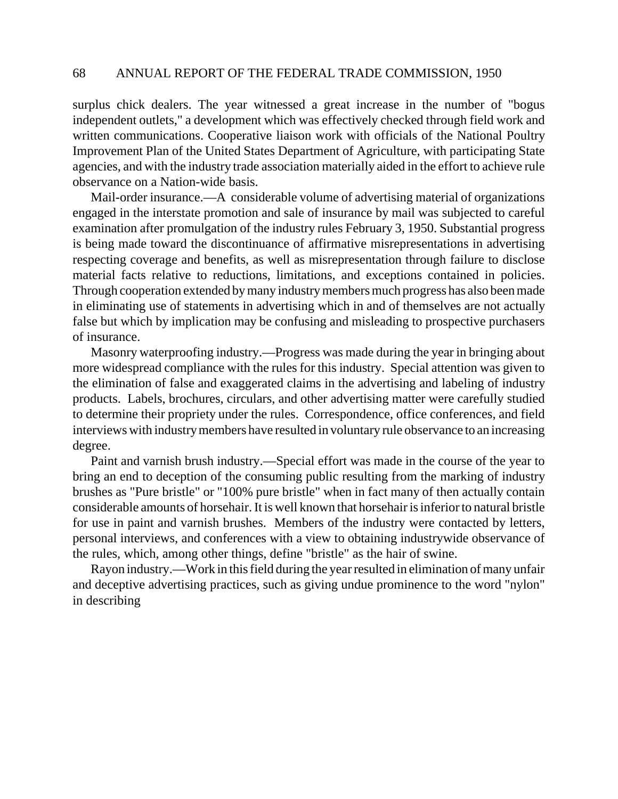surplus chick dealers. The year witnessed a great increase in the number of "bogus independent outlets," a development which was effectively checked through field work and written communications. Cooperative liaison work with officials of the National Poultry Improvement Plan of the United States Department of Agriculture, with participating State agencies, and with the industry trade association materially aided in the effort to achieve rule observance on a Nation-wide basis.

Mail-order insurance.—A considerable volume of advertising material of organizations engaged in the interstate promotion and sale of insurance by mail was subjected to careful examination after promulgation of the industry rules February 3, 1950. Substantial progress is being made toward the discontinuance of affirmative misrepresentations in advertising respecting coverage and benefits, as well as misrepresentation through failure to disclose material facts relative to reductions, limitations, and exceptions contained in policies. Through cooperation extended by many industry members much progress has also been made in eliminating use of statements in advertising which in and of themselves are not actually false but which by implication may be confusing and misleading to prospective purchasers of insurance.

Masonry waterproofing industry.—Progress was made during the year in bringing about more widespread compliance with the rules for this industry. Special attention was given to the elimination of false and exaggerated claims in the advertising and labeling of industry products. Labels, brochures, circulars, and other advertising matter were carefully studied to determine their propriety under the rules. Correspondence, office conferences, and field interviews with industry members have resulted in voluntary rule observance to an increasing degree.

Paint and varnish brush industry.—Special effort was made in the course of the year to bring an end to deception of the consuming public resulting from the marking of industry brushes as "Pure bristle" or "100% pure bristle" when in fact many of then actually contain considerable amounts of horsehair. It is well known that horsehair is inferior to natural bristle for use in paint and varnish brushes. Members of the industry were contacted by letters, personal interviews, and conferences with a view to obtaining industrywide observance of the rules, which, among other things, define "bristle" as the hair of swine.

Rayon industry.—Work in this field during the year resulted in elimination of many unfair and deceptive advertising practices, such as giving undue prominence to the word "nylon" in describing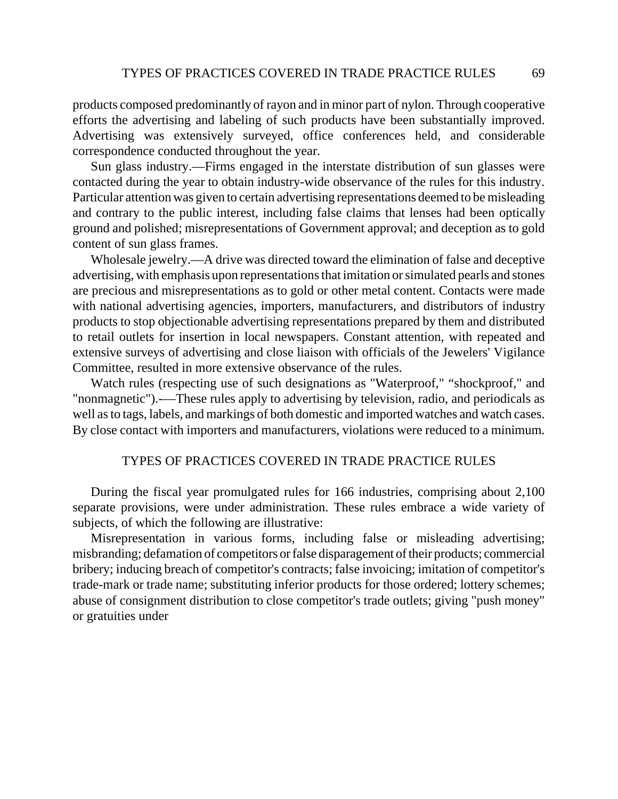products composed predominantly of rayon and in minor part of nylon. Through cooperative efforts the advertising and labeling of such products have been substantially improved. Advertising was extensively surveyed, office conferences held, and considerable correspondence conducted throughout the year.

Sun glass industry.—Firms engaged in the interstate distribution of sun glasses were contacted during the year to obtain industry-wide observance of the rules for this industry. Particular attention was given to certain advertising representations deemed to be misleading and contrary to the public interest, including false claims that lenses had been optically ground and polished; misrepresentations of Government approval; and deception as to gold content of sun glass frames.

Wholesale jewelry.—A drive was directed toward the elimination of false and deceptive advertising, with emphasis upon representationsthat imitation orsimulated pearls and stones are precious and misrepresentations as to gold or other metal content. Contacts were made with national advertising agencies, importers, manufacturers, and distributors of industry products to stop objectionable advertising representations prepared by them and distributed to retail outlets for insertion in local newspapers. Constant attention, with repeated and extensive surveys of advertising and close liaison with officials of the Jewelers' Vigilance Committee, resulted in more extensive observance of the rules.

Watch rules (respecting use of such designations as "Waterproof," "shockproof," and "nonmagnetic").-—These rules apply to advertising by television, radio, and periodicals as well asto tags, labels, and markings of both domestic and imported watches and watch cases. By close contact with importers and manufacturers, violations were reduced to a minimum.

#### TYPES OF PRACTICES COVERED IN TRADE PRACTICE RULES

During the fiscal year promulgated rules for 166 industries, comprising about 2,100 separate provisions, were under administration. These rules embrace a wide variety of subjects, of which the following are illustrative:

Misrepresentation in various forms, including false or misleading advertising; misbranding; defamation of competitors or false disparagement of their products; commercial bribery; inducing breach of competitor's contracts; false invoicing; imitation of competitor's trade-mark or trade name; substituting inferior products for those ordered; lottery schemes; abuse of consignment distribution to close competitor's trade outlets; giving "push money" or gratuities under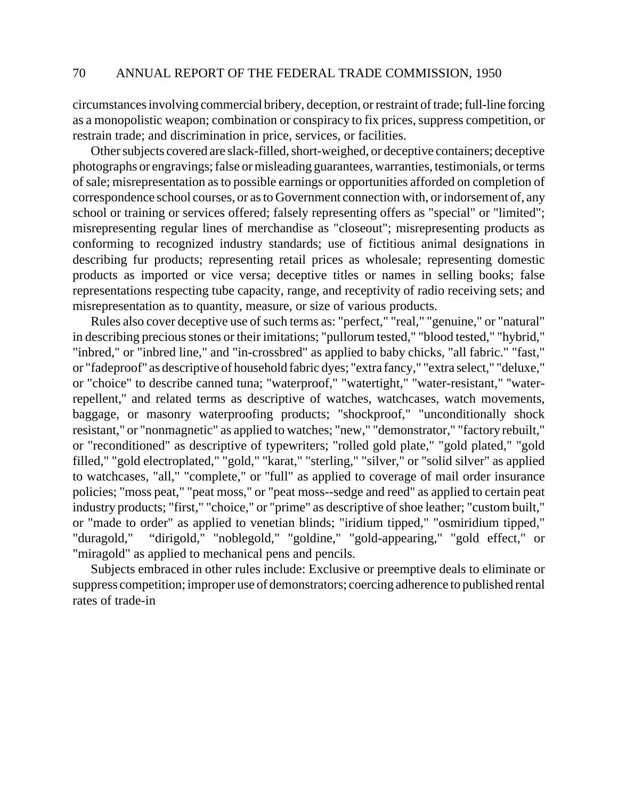circumstances involving commercial bribery, deception, or restraint of trade; full-line forcing as a monopolistic weapon; combination or conspiracy to fix prices, suppress competition, or restrain trade; and discrimination in price, services, or facilities.

Other subjects covered are slack-filled, short-weighed, or deceptive containers; deceptive photographs or engravings; false or misleading guarantees, warranties, testimonials, or terms of sale; misrepresentation asto possible earnings or opportunities afforded on completion of correspondence school courses, or as to Government connection with, or indorsement of, any school or training or services offered; falsely representing offers as "special" or "limited"; misrepresenting regular lines of merchandise as "closeout"; misrepresenting products as conforming to recognized industry standards; use of fictitious animal designations in describing fur products; representing retail prices as wholesale; representing domestic products as imported or vice versa; deceptive titles or names in selling books; false representations respecting tube capacity, range, and receptivity of radio receiving sets; and misrepresentation as to quantity, measure, or size of various products.

Rules also cover deceptive use of such terms as: "perfect," "real," "genuine," or "natural" in describing precious stones or their imitations; "pullorum tested," "blood tested," "hybrid," "inbred," or "inbred line," and "in-crossbred" as applied to baby chicks, "all fabric." "fast," or "fadeproof" as descriptive of household fabric dyes; "extra fancy," "extra select," "deluxe," or "choice" to describe canned tuna; "waterproof," "watertight," "water-resistant," ''waterrepellent,'' and related terms as descriptive of watches, watchcases, watch movements, baggage, or masonry waterproofing products; "shockproof," "unconditionally shock resistant," or "nonmagnetic" as applied to watches; "new," "demonstrator," "factory rebuilt," or "reconditioned" as descriptive of typewriters; "rolled gold plate," "gold plated," "gold filled," "gold electroplated," "gold," "karat," "sterling," "silver," or "solid silver" as applied to watchcases, "all," "complete," or ''full" as applied to coverage of mail order insurance policies; "moss peat," "peat moss," or "peat moss--sedge and reed" as applied to certain peat industry products; "first," "choice," or "prime" as descriptive of shoe leather; "custom built," or "made to order" as applied to venetian blinds; "iridium tipped," "osmiridium tipped," "duragold," "dirigold," "noblegold," "goldine," "gold-appearing," "gold effect," or "miragold" as applied to mechanical pens and pencils.

Subjects embraced in other rules include: Exclusive or preemptive deals to eliminate or suppress competition; improper use of demonstrators; coercing adherence to published rental rates of trade-in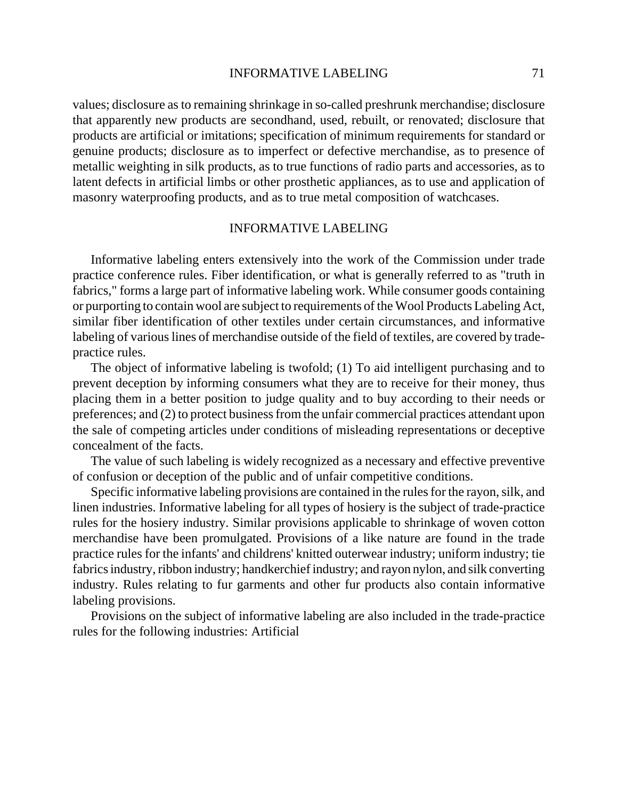#### INFORMATIVE LABELING 71

values; disclosure as to remaining shrinkage in so-called preshrunk merchandise; disclosure that apparently new products are secondhand, used, rebuilt, or renovated; disclosure that products are artificial or imitations; specification of minimum requirements for standard or genuine products; disclosure as to imperfect or defective merchandise, as to presence of metallic weighting in silk products, as to true functions of radio parts and accessories, as to latent defects in artificial limbs or other prosthetic appliances, as to use and application of masonry waterproofing products, and as to true metal composition of watchcases.

## INFORMATIVE LABELING

Informative labeling enters extensively into the work of the Commission under trade practice conference rules. Fiber identification, or what is generally referred to as "truth in fabrics," forms a large part of informative labeling work. While consumer goods containing or purporting to contain wool are subject to requirements of the Wool Products Labeling Act, similar fiber identification of other textiles under certain circumstances, and informative labeling of various lines of merchandise outside of the field of textiles, are covered by tradepractice rules.

The object of informative labeling is twofold; (1) To aid intelligent purchasing and to prevent deception by informing consumers what they are to receive for their money, thus placing them in a better position to judge quality and to buy according to their needs or preferences; and (2) to protect businessfrom the unfair commercial practices attendant upon the sale of competing articles under conditions of misleading representations or deceptive concealment of the facts.

The value of such labeling is widely recognized as a necessary and effective preventive of confusion or deception of the public and of unfair competitive conditions.

Specific informative labeling provisions are contained in the rules for the rayon, silk, and linen industries. Informative labeling for all types of hosiery is the subject of trade-practice rules for the hosiery industry. Similar provisions applicable to shrinkage of woven cotton merchandise have been promulgated. Provisions of a like nature are found in the trade practice rules for the infants' and childrens' knitted outerwear industry; uniform industry; tie fabrics industry, ribbon industry; handkerchief industry; and rayon nylon, and silk converting industry. Rules relating to fur garments and other fur products also contain informative labeling provisions.

Provisions on the subject of informative labeling are also included in the trade-practice rules for the following industries: Artificial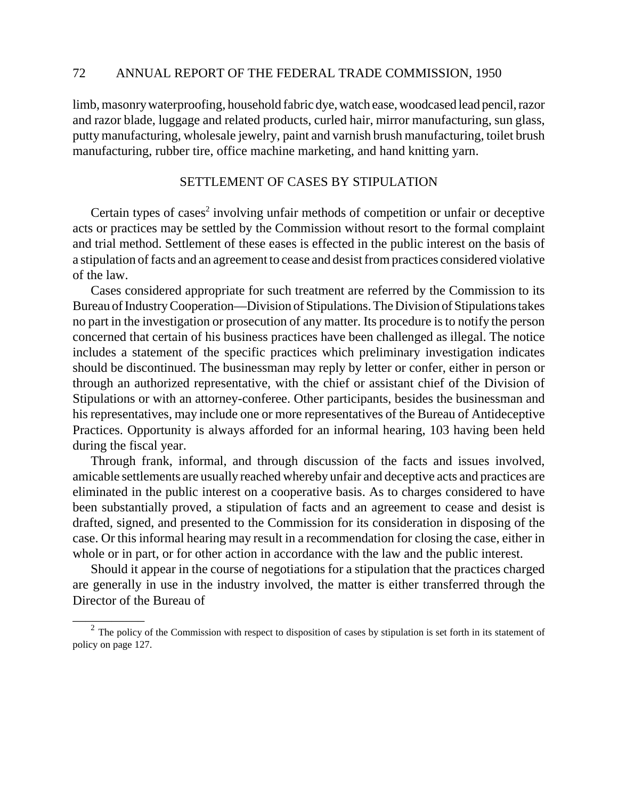limb, masonry waterproofing, household fabric dye, watch ease, woodcased lead pencil, razor and razor blade, luggage and related products, curled hair, mirror manufacturing, sun glass, putty manufacturing, wholesale jewelry, paint and varnish brush manufacturing, toilet brush manufacturing, rubber tire, office machine marketing, and hand knitting yarn.

### SETTLEMENT OF CASES BY STIPULATION

Certain types of cases<sup>2</sup> involving unfair methods of competition or unfair or deceptive acts or practices may be settled by the Commission without resort to the formal complaint and trial method. Settlement of these eases is effected in the public interest on the basis of a stipulation of facts and an agreement to cease and desist from practices considered violative of the law.

Cases considered appropriate for such treatment are referred by the Commission to its Bureau of Industry Cooperation—Division of Stipulations. The Division of Stipulations takes no part in the investigation or prosecution of any matter. Its procedure isto notify the person concerned that certain of his business practices have been challenged as illegal. The notice includes a statement of the specific practices which preliminary investigation indicates should be discontinued. The businessman may reply by letter or confer, either in person or through an authorized representative, with the chief or assistant chief of the Division of Stipulations or with an attorney-conferee. Other participants, besides the businessman and his representatives, may include one or more representatives of the Bureau of Antideceptive Practices. Opportunity is always afforded for an informal hearing, 103 having been held during the fiscal year.

Through frank, informal, and through discussion of the facts and issues involved, amicable settlements are usually reached whereby unfair and deceptive acts and practices are eliminated in the public interest on a cooperative basis. As to charges considered to have been substantially proved, a stipulation of facts and an agreement to cease and desist is drafted, signed, and presented to the Commission for its consideration in disposing of the case. Or this informal hearing may result in a recommendation for closing the case, either in whole or in part, or for other action in accordance with the law and the public interest.

Should it appear in the course of negotiations for a stipulation that the practices charged are generally in use in the industry involved, the matter is either transferred through the Director of the Bureau of

\_\_\_\_\_\_\_\_\_\_\_

 $2<sup>2</sup>$  The policy of the Commission with respect to disposition of cases by stipulation is set forth in its statement of policy on page 127.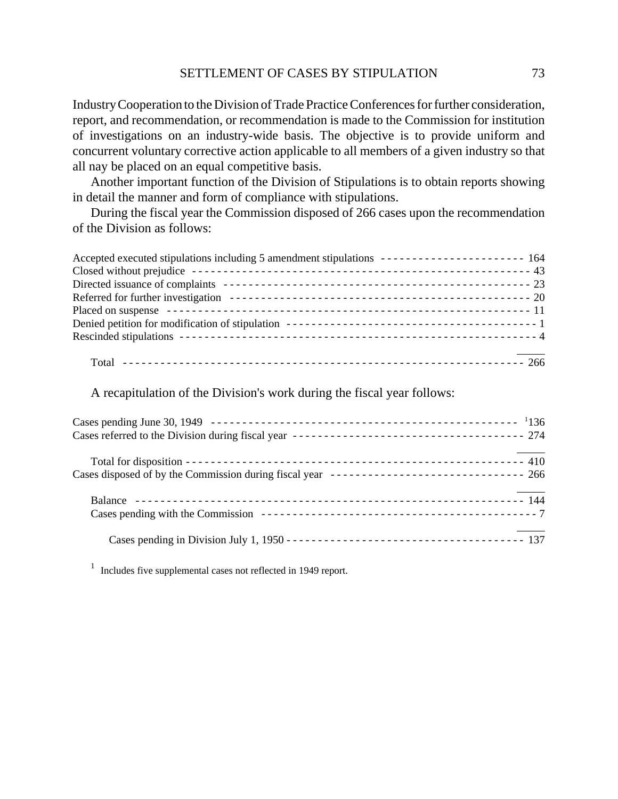IndustryCooperation to the Division of Trade Practice Conferences for further consideration, report, and recommendation, or recommendation is made to the Commission for institution of investigations on an industry-wide basis. The objective is to provide uniform and concurrent voluntary corrective action applicable to all members of a given industry so that all nay be placed on an equal competitive basis.

Another important function of the Division of Stipulations is to obtain reports showing in detail the manner and form of compliance with stipulations.

During the fiscal year the Commission disposed of 266 cases upon the recommendation of the Division as follows:

| Accepted executed stipulations including 5 amendment stipulations ---------------------- 164 |  |
|----------------------------------------------------------------------------------------------|--|
|                                                                                              |  |
|                                                                                              |  |
|                                                                                              |  |
|                                                                                              |  |
|                                                                                              |  |
|                                                                                              |  |
|                                                                                              |  |
|                                                                                              |  |

A recapitulation of the Division's work during the fiscal year follows:

| Cases disposed of by the Commission during fiscal year --------------------------------- 266 |  |
|----------------------------------------------------------------------------------------------|--|
|                                                                                              |  |
|                                                                                              |  |
|                                                                                              |  |

<sup>1</sup> Includes five supplemental cases not reflected in 1949 report.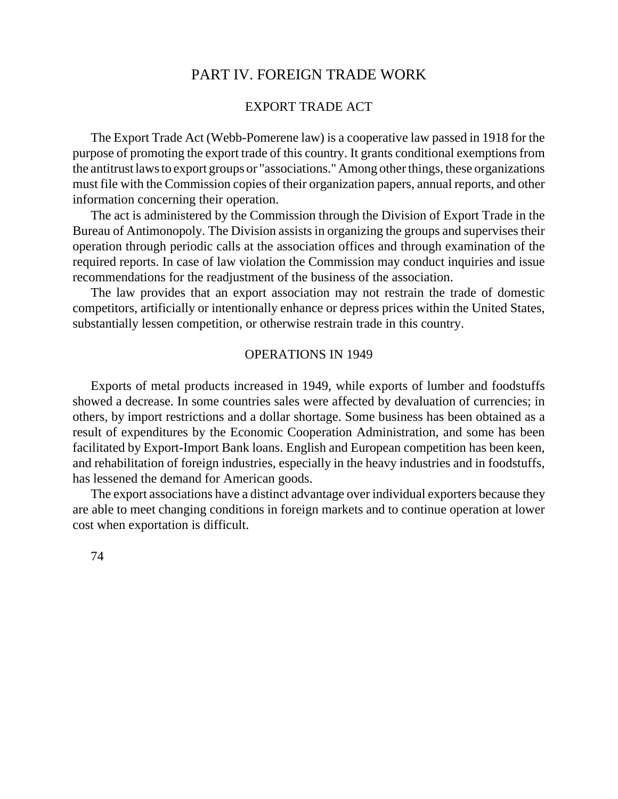## PART IV. FOREIGN TRADE WORK

## EXPORT TRADE ACT

The Export Trade Act (Webb-Pomerene law) is a cooperative law passed in 1918 for the purpose of promoting the export trade of this country. It grants conditional exemptionsfrom the antitrust lawsto export groups or "associations." Among otherthings, these organizations must file with the Commission copies of their organization papers, annual reports, and other information concerning their operation.

The act is administered by the Commission through the Division of Export Trade in the Bureau of Antimonopoly. The Division assists in organizing the groups and supervises their operation through periodic calls at the association offices and through examination of the required reports. In case of law violation the Commission may conduct inquiries and issue recommendations for the readjustment of the business of the association.

The law provides that an export association may not restrain the trade of domestic competitors, artificially or intentionally enhance or depress prices within the United States, substantially lessen competition, or otherwise restrain trade in this country.

#### OPERATIONS IN 1949

Exports of metal products increased in 1949, while exports of lumber and foodstuffs showed a decrease. In some countries sales were affected by devaluation of currencies; in others, by import restrictions and a dollar shortage. Some business has been obtained as a result of expenditures by the Economic Cooperation Administration, and some has been facilitated by Export-Import Bank loans. English and European competition has been keen, and rehabilitation of foreign industries, especially in the heavy industries and in foodstuffs, has lessened the demand for American goods.

The export associations have a distinct advantage over individual exporters because they are able to meet changing conditions in foreign markets and to continue operation at lower cost when exportation is difficult.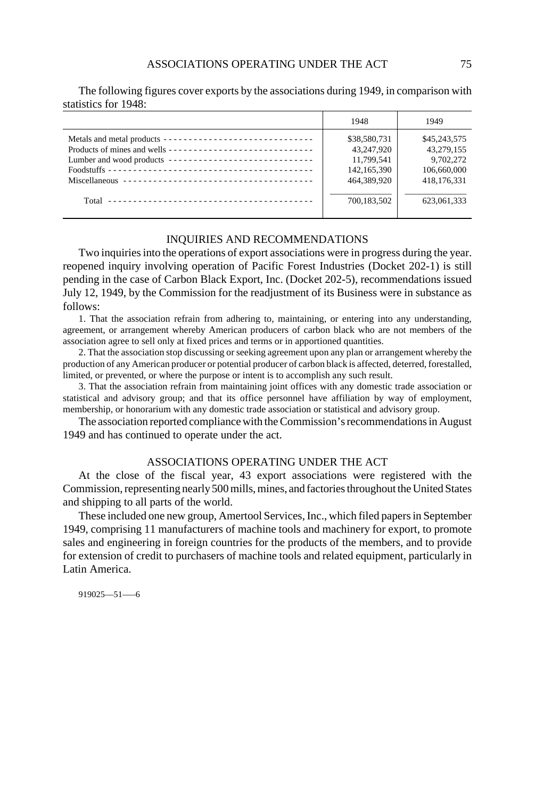The following figures cover exports by the associations during 1949, in comparison with statistics for 1948:

|                                                                                                                                                                                        | 1948                                                                     | 1949                                                                  |
|----------------------------------------------------------------------------------------------------------------------------------------------------------------------------------------|--------------------------------------------------------------------------|-----------------------------------------------------------------------|
| Metals and metal products --------------------------------<br>Products of mines and wells --------------------------------<br>Lumber and wood products ------------------------------- | \$38,580,731<br>43,247,920<br>11.799.541<br>142, 165, 390<br>464,389,920 | \$45,243,575<br>43,279,155<br>9.702.272<br>106,660,000<br>418,176,331 |
|                                                                                                                                                                                        | 700.183.502                                                              | 623,061,333                                                           |

#### INQUIRIES AND RECOMMENDATIONS

Two inquiries into the operations of export associations were in progress during the year. reopened inquiry involving operation of Pacific Forest Industries (Docket 202-1) is still pending in the case of Carbon Black Export, Inc. (Docket 202-5), recommendations issued July 12, 1949, by the Commission for the readjustment of its Business were in substance as follows:

1. That the association refrain from adhering to, maintaining, or entering into any understanding, agreement, or arrangement whereby American producers of carbon black who are not members of the association agree to sell only at fixed prices and terms or in apportioned quantities.

2. That the association stop discussing or seeking agreement upon any plan or arrangement whereby the production of any American producer or potential producer of carbon black is affected, deterred, forestalled, limited, or prevented, or where the purpose or intent is to accomplish any such result.

3. That the association refrain from maintaining joint offices with any domestic trade association or statistical and advisory group; and that its office personnel have affiliation by way of employment, membership, or honorarium with any domestic trade association or statistical and advisory group.

The association reported compliance with the Commission's recommendations in August 1949 and has continued to operate under the act.

### ASSOCIATIONS OPERATING UNDER THE ACT

At the close of the fiscal year, 43 export associations were registered with the Commission, representing nearly 500 mills, mines, and factories throughout the United States and shipping to all parts of the world.

These included one new group, Amertool Services, Inc., which filed papersin September 1949, comprising 11 manufacturers of machine tools and machinery for export, to promote sales and engineering in foreign countries for the products of the members, and to provide for extension of credit to purchasers of machine tools and related equipment, particularly in Latin America.

919025—51—–6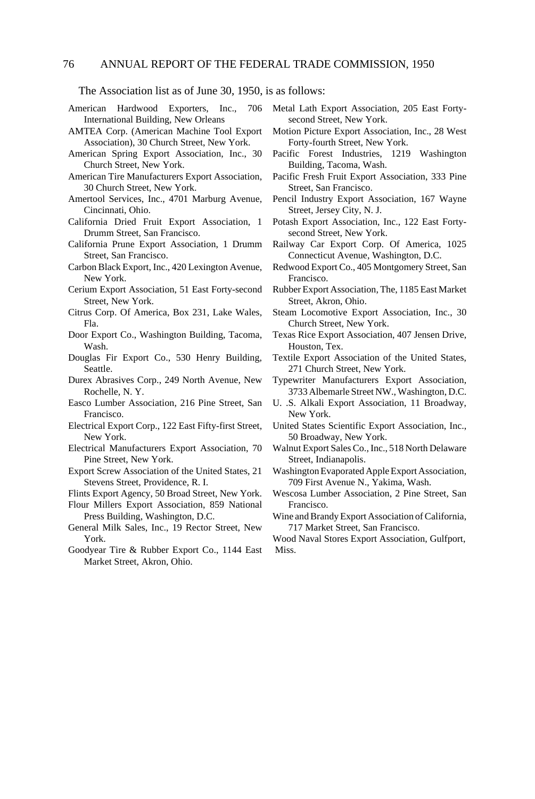The Association list as of June 30, 1950, is as follows:

- American Hardwood Exporters, Inc., 706 International Building, New Orleans
- AMTEA Corp. (American Machine Tool Export Association), 30 Church Street, New York.
- American Spring Export Association, Inc., 30 Church Street, New York.
- American Tire Manufacturers Export Association, 30 Church Street, New York.
- Amertool Services, Inc., 4701 Marburg Avenue, Cincinnati, Ohio.
- California Dried Fruit Export Association, 1 Drumm Street, San Francisco.
- California Prune Export Association, 1 Drumm Street, San Francisco.
- Carbon Black Export, Inc., 420 Lexington Avenue, New York.
- Cerium Export Association, 51 East Forty-second Street, New York.
- Citrus Corp. Of America, Box 231, Lake Wales, Fla.
- Door Export Co., Washington Building, Tacoma, Wash.
- Douglas Fir Export Co., 530 Henry Building, Seattle.
- Durex Abrasives Corp., 249 North Avenue, New Rochelle, N. Y.
- Easco Lumber Association, 216 Pine Street, San Francisco.
- Electrical Export Corp., 122 East Fifty-first Street, New York.
- Electrical Manufacturers Export Association, 70 Pine Street, New York.
- Export Screw Association of the United States, 21 Stevens Street, Providence, R. I.
- Flints Export Agency, 50 Broad Street, New York.
- Flour Millers Export Association, 859 National Press Building, Washington, D.C.
- General Milk Sales, Inc., 19 Rector Street, New York.
- Goodyear Tire & Rubber Export Co., 1144 East Market Street, Akron, Ohio.
- Metal Lath Export Association, 205 East Fortysecond Street, New York.
- Motion Picture Export Association, Inc., 28 West Forty-fourth Street, New York.
- Pacific Forest Industries, 1219 Washington Building, Tacoma, Wash.
- Pacific Fresh Fruit Export Association, 333 Pine Street, San Francisco.
- Pencil Industry Export Association, 167 Wayne Street, Jersey City, N. J.
- Potash Export Association, Inc., 122 East Fortysecond Street, New York.
- Railway Car Export Corp. Of America, 1025 Connecticut Avenue, Washington, D.C.
- Redwood Export Co., 405 Montgomery Street, San Francisco.
- Rubber Export Association, The, 1185 East Market Street, Akron, Ohio.
- Steam Locomotive Export Association, Inc., 30 Church Street, New York.
- Texas Rice Export Association, 407 Jensen Drive, Houston, Tex.
- Textile Export Association of the United States, 271 Church Street, New York.
- Typewriter Manufacturers Export Association, 3733 Albemarle Street NW., Washington, D.C.
- U. .S. Alkali Export Association, 11 Broadway, New York.
- United States Scientific Export Association, Inc., 50 Broadway, New York.
- Walnut Export Sales Co., Inc., 518 North Delaware Street, Indianapolis.
- Washington Evaporated Apple Export Association, 709 First Avenue N., Yakima, Wash.
- Wescosa Lumber Association, 2 Pine Street, San Francisco.
- Wine and Brandy Export Association of California, 717 Market Street, San Francisco.

Wood Naval Stores Export Association, Gulfport, Miss.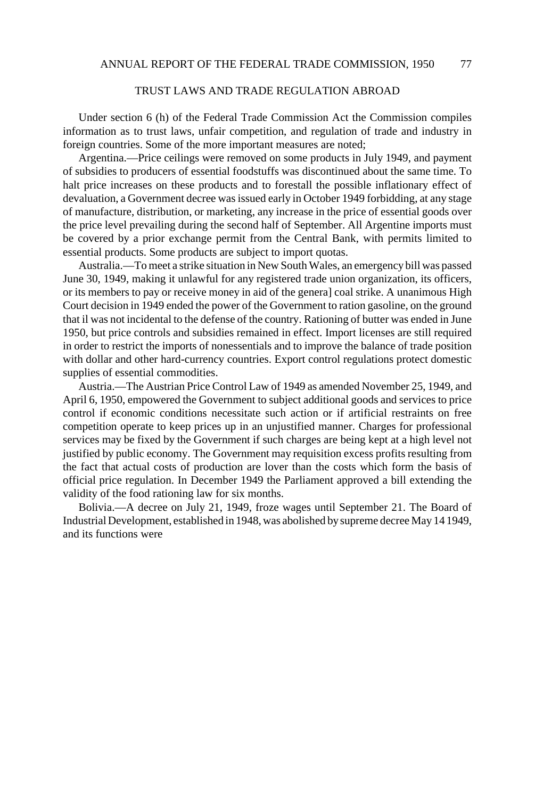## TRUST LAWS AND TRADE REGULATION ABROAD

Under section 6 (h) of the Federal Trade Commission Act the Commission compiles information as to trust laws, unfair competition, and regulation of trade and industry in foreign countries. Some of the more important measures are noted;

Argentina.—Price ceilings were removed on some products in July 1949, and payment of subsidies to producers of essential foodstuffs was discontinued about the same time. To halt price increases on these products and to forestall the possible inflationary effect of devaluation, a Government decree was issued early in October 1949 forbidding, at any stage of manufacture, distribution, or marketing, any increase in the price of essential goods over the price level prevailing during the second half of September. All Argentine imports must be covered by a prior exchange permit from the Central Bank, with permits limited to essential products. Some products are subject to import quotas.

Australia.—To meet a strike situation in New South Wales, an emergency bill was passed June 30, 1949, making it unlawful for any registered trade union organization, its officers, or its members to pay or receive money in aid of the genera] coal strike. A unanimous High Court decision in 1949 ended the power of the Government to ration gasoline, on the ground that il was not incidental to the defense of the country. Rationing of butter was ended in June 1950, but price controls and subsidies remained in effect. Import licenses are still required in order to restrict the imports of nonessentials and to improve the balance of trade position with dollar and other hard-currency countries. Export control regulations protect domestic supplies of essential commodities.

Austria.—The Austrian Price Control Law of 1949 as amended November 25, 1949, and April 6, 1950, empowered the Government to subject additional goods and services to price control if economic conditions necessitate such action or if artificial restraints on free competition operate to keep prices up in an unjustified manner. Charges for professional services may be fixed by the Government if such charges are being kept at a high level not justified by public economy. The Government may requisition excess profits resulting from the fact that actual costs of production are lover than the costs which form the basis of official price regulation. In December 1949 the Parliament approved a bill extending the validity of the food rationing law for six months.

Bolivia.—A decree on July 21, 1949, froze wages until September 21. The Board of Industrial Development, established in 1948, was abolished bysupreme decree May 14 1949, and its functions were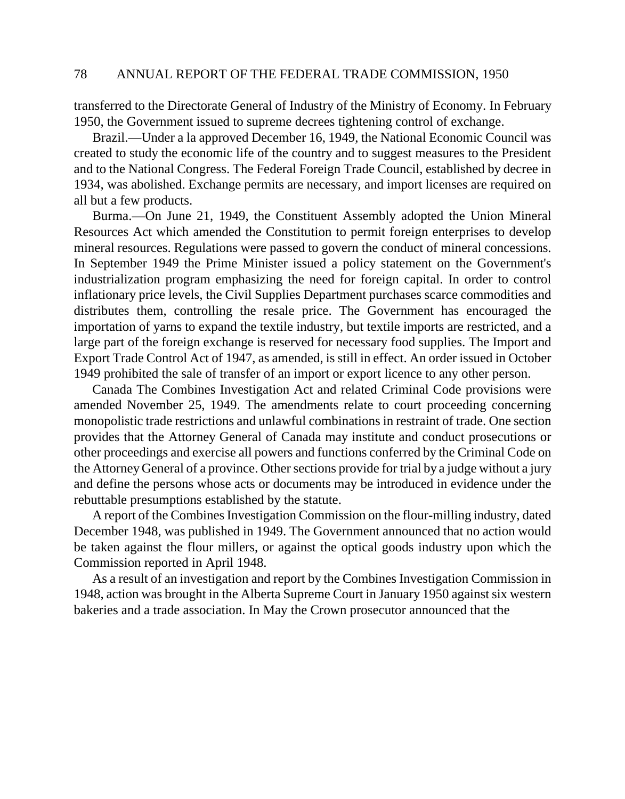transferred to the Directorate General of Industry of the Ministry of Economy. In February 1950, the Government issued to supreme decrees tightening control of exchange.

Brazil.—Under a la approved December 16, 1949, the National Economic Council was created to study the economic life of the country and to suggest measures to the President and to the National Congress. The Federal Foreign Trade Council, established by decree in 1934, was abolished. Exchange permits are necessary, and import licenses are required on all but a few products.

Burma.—On June 21, 1949, the Constituent Assembly adopted the Union Mineral Resources Act which amended the Constitution to permit foreign enterprises to develop mineral resources. Regulations were passed to govern the conduct of mineral concessions. In September 1949 the Prime Minister issued a policy statement on the Government's industrialization program emphasizing the need for foreign capital. In order to control inflationary price levels, the Civil Supplies Department purchases scarce commodities and distributes them, controlling the resale price. The Government has encouraged the importation of yarns to expand the textile industry, but textile imports are restricted, and a large part of the foreign exchange is reserved for necessary food supplies. The Import and Export Trade Control Act of 1947, as amended, is still in effect. An order issued in October 1949 prohibited the sale of transfer of an import or export licence to any other person.

Canada The Combines Investigation Act and related Criminal Code provisions were amended November 25, 1949. The amendments relate to court proceeding concerning monopolistic trade restrictions and unlawful combinations in restraint of trade. One section provides that the Attorney General of Canada may institute and conduct prosecutions or other proceedings and exercise all powers and functions conferred by the Criminal Code on the Attorney General of a province. Other sections provide for trial by a judge without a jury and define the persons whose acts or documents may be introduced in evidence under the rebuttable presumptions established by the statute.

A report of the Combines Investigation Commission on the flour-milling industry, dated December 1948, was published in 1949. The Government announced that no action would be taken against the flour millers, or against the optical goods industry upon which the Commission reported in April 1948.

As a result of an investigation and report by the Combines Investigation Commission in 1948, action was brought in the Alberta Supreme Court in January 1950 against six western bakeries and a trade association. In May the Crown prosecutor announced that the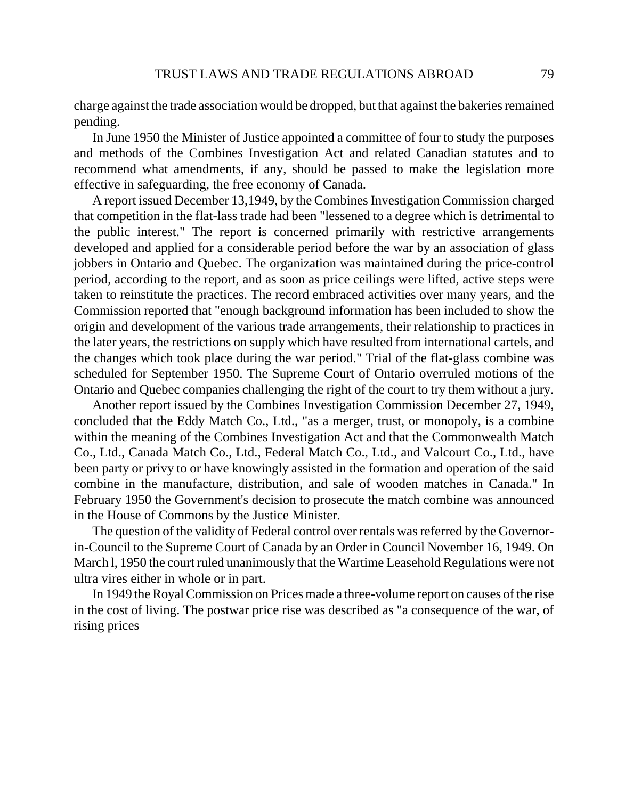charge against the trade association would be dropped, but that against the bakeries remained pending.

In June 1950 the Minister of Justice appointed a committee of four to study the purposes and methods of the Combines Investigation Act and related Canadian statutes and to recommend what amendments, if any, should be passed to make the legislation more effective in safeguarding, the free economy of Canada.

A report issued December 13,1949, by the Combines Investigation Commission charged that competition in the flat-lass trade had been "lessened to a degree which is detrimental to the public interest." The report is concerned primarily with restrictive arrangements developed and applied for a considerable period before the war by an association of glass jobbers in Ontario and Quebec. The organization was maintained during the price-control period, according to the report, and as soon as price ceilings were lifted, active steps were taken to reinstitute the practices. The record embraced activities over many years, and the Commission reported that "enough background information has been included to show the origin and development of the various trade arrangements, their relationship to practices in the later years, the restrictions on supply which have resulted from international cartels, and the changes which took place during the war period." Trial of the flat-glass combine was scheduled for September 1950. The Supreme Court of Ontario overruled motions of the Ontario and Quebec companies challenging the right of the court to try them without a jury.

Another report issued by the Combines Investigation Commission December 27, 1949, concluded that the Eddy Match Co., Ltd., "as a merger, trust, or monopoly, is a combine within the meaning of the Combines Investigation Act and that the Commonwealth Match Co., Ltd., Canada Match Co., Ltd., Federal Match Co., Ltd., and Valcourt Co., Ltd., have been party or privy to or have knowingly assisted in the formation and operation of the said combine in the manufacture, distribution, and sale of wooden matches in Canada." In February 1950 the Government's decision to prosecute the match combine was announced in the House of Commons by the Justice Minister.

The question of the validity of Federal control over rentals was referred by the Governorin-Council to the Supreme Court of Canada by an Order in Council November 16, 1949. On March l, 1950 the court ruled unanimously that the Wartime Leasehold Regulations were not ultra vires either in whole or in part.

In 1949 the Royal Commission on Prices made a three-volume report on causes of the rise in the cost of living. The postwar price rise was described as "a consequence of the war, of rising prices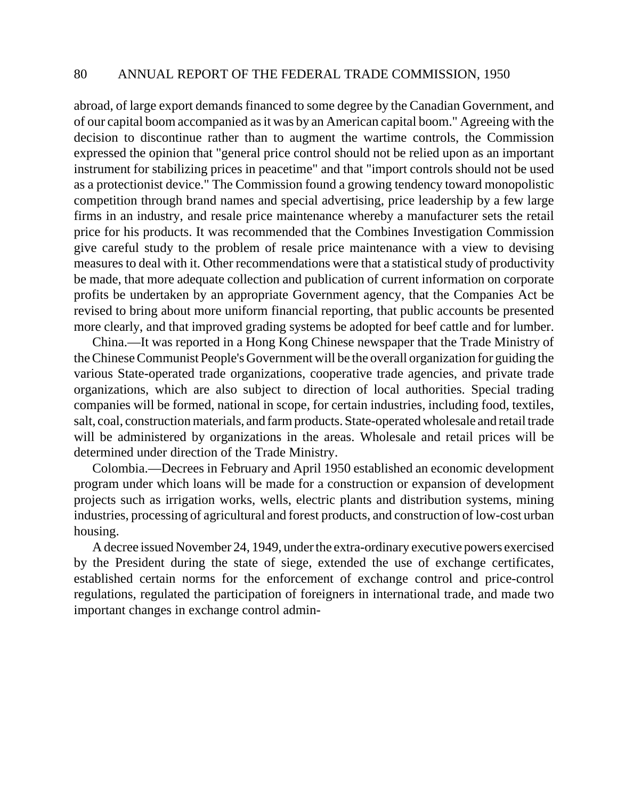abroad, of large export demands financed to some degree by the Canadian Government, and of our capital boom accompanied asit was by an American capital boom." Agreeing with the decision to discontinue rather than to augment the wartime controls, the Commission expressed the opinion that "general price control should not be relied upon as an important instrument for stabilizing prices in peacetime" and that "import controls should not be used as a protectionist device." The Commission found a growing tendency toward monopolistic competition through brand names and special advertising, price leadership by a few large firms in an industry, and resale price maintenance whereby a manufacturer sets the retail price for his products. It was recommended that the Combines Investigation Commission give careful study to the problem of resale price maintenance with a view to devising measures to deal with it. Other recommendations were that a statistical study of productivity be made, that more adequate collection and publication of current information on corporate profits be undertaken by an appropriate Government agency, that the Companies Act be revised to bring about more uniform financial reporting, that public accounts be presented more clearly, and that improved grading systems be adopted for beef cattle and for lumber.

China.—It was reported in a Hong Kong Chinese newspaper that the Trade Ministry of theChineseCommunist People's Government will be the overall organization for guiding the various State-operated trade organizations, cooperative trade agencies, and private trade organizations, which are also subject to direction of local authorities. Special trading companies will be formed, national in scope, for certain industries, including food, textiles, salt, coal, construction materials, and farm products. State-operated wholesale and retail trade will be administered by organizations in the areas. Wholesale and retail prices will be determined under direction of the Trade Ministry.

Colombia.—Decrees in February and April 1950 established an economic development program under which loans will be made for a construction or expansion of development projects such as irrigation works, wells, electric plants and distribution systems, mining industries, processing of agricultural and forest products, and construction of low-cost urban housing.

A decree issued November 24, 1949, under the extra-ordinary executive powers exercised by the President during the state of siege, extended the use of exchange certificates, established certain norms for the enforcement of exchange control and price-control regulations, regulated the participation of foreigners in international trade, and made two important changes in exchange control admin-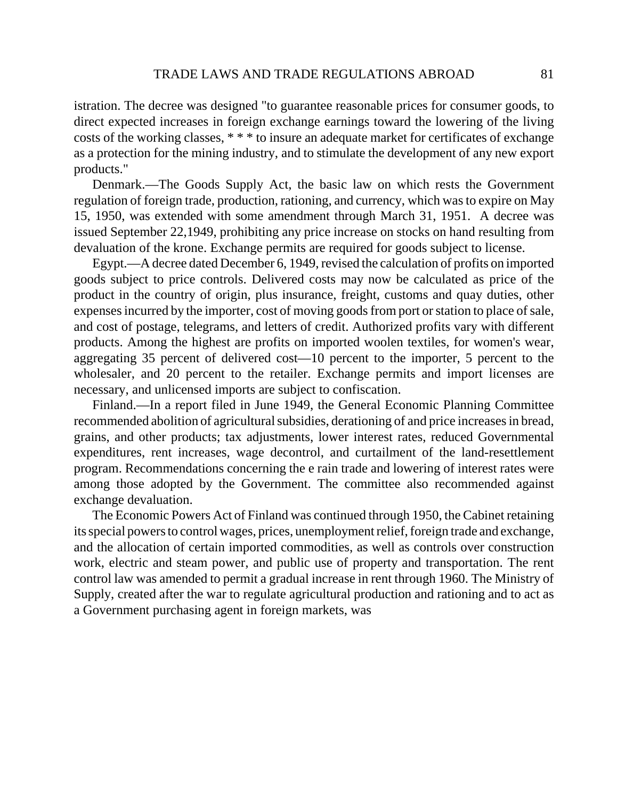istration. The decree was designed "to guarantee reasonable prices for consumer goods, to direct expected increases in foreign exchange earnings toward the lowering of the living costs of the working classes, \* \* \* to insure an adequate market for certificates of exchange as a protection for the mining industry, and to stimulate the development of any new export products."

Denmark.—The Goods Supply Act, the basic law on which rests the Government regulation of foreign trade, production, rationing, and currency, which wasto expire on May 15, 1950, was extended with some amendment through March 31, 1951. A decree was issued September 22,1949, prohibiting any price increase on stocks on hand resulting from devaluation of the krone. Exchange permits are required for goods subject to license.

Egypt.—A decree dated December 6, 1949, revised the calculation of profits on imported goods subject to price controls. Delivered costs may now be calculated as price of the product in the country of origin, plus insurance, freight, customs and quay duties, other expenses incurred by the importer, cost of moving goods from port or station to place of sale, and cost of postage, telegrams, and letters of credit. Authorized profits vary with different products. Among the highest are profits on imported woolen textiles, for women's wear, aggregating 35 percent of delivered cost—10 percent to the importer, 5 percent to the wholesaler, and 20 percent to the retailer. Exchange permits and import licenses are necessary, and unlicensed imports are subject to confiscation.

Finland.—In a report filed in June 1949, the General Economic Planning Committee recommended abolition of agricultural subsidies, derationing of and price increases in bread, grains, and other products; tax adjustments, lower interest rates, reduced Governmental expenditures, rent increases, wage decontrol, and curtailment of the land-resettlement program. Recommendations concerning the e rain trade and lowering of interest rates were among those adopted by the Government. The committee also recommended against exchange devaluation.

The Economic Powers Act of Finland was continued through 1950, the Cabinet retaining its special powers to control wages, prices, unemployment relief, foreign trade and exchange, and the allocation of certain imported commodities, as well as controls over construction work, electric and steam power, and public use of property and transportation. The rent control law was amended to permit a gradual increase in rent through 1960. The Ministry of Supply, created after the war to regulate agricultural production and rationing and to act as a Government purchasing agent in foreign markets, was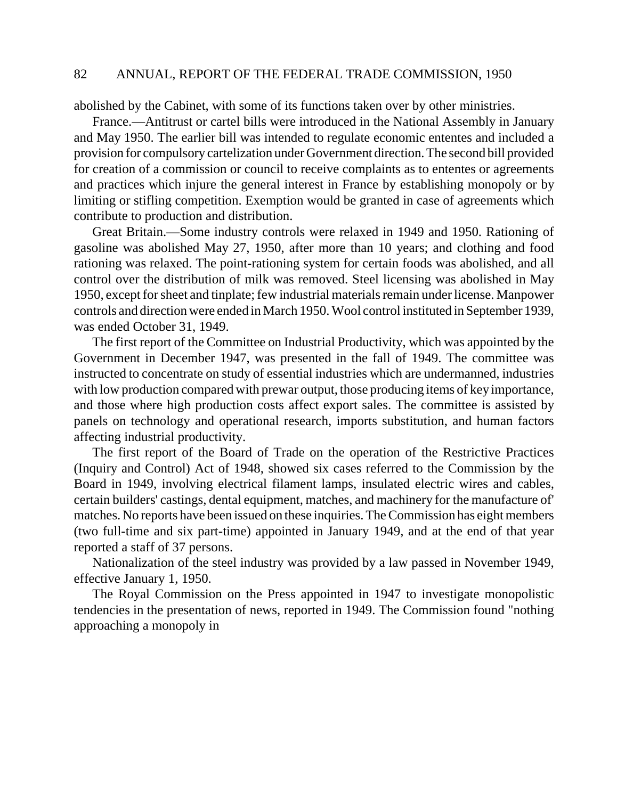abolished by the Cabinet, with some of its functions taken over by other ministries.

France.—Antitrust or cartel bills were introduced in the National Assembly in January and May 1950. The earlier bill was intended to regulate economic ententes and included a provision for compulsory cartelization under Government direction. The second bill provided for creation of a commission or council to receive complaints as to ententes or agreements and practices which injure the general interest in France by establishing monopoly or by limiting or stifling competition. Exemption would be granted in case of agreements which contribute to production and distribution.

Great Britain.—Some industry controls were relaxed in 1949 and 1950. Rationing of gasoline was abolished May 27, 1950, after more than 10 years; and clothing and food rationing was relaxed. The point-rationing system for certain foods was abolished, and all control over the distribution of milk was removed. Steel licensing was abolished in May 1950, except for sheet and tinplate; few industrial materials remain under license. Manpower controls and direction were ended inMarch 1950.Wool control instituted in September 1939, was ended October 31, 1949.

The first report of the Committee on Industrial Productivity, which was appointed by the Government in December 1947, was presented in the fall of 1949. The committee was instructed to concentrate on study of essential industries which are undermanned, industries with low production compared with prewar output, those producing items of key importance, and those where high production costs affect export sales. The committee is assisted by panels on technology and operational research, imports substitution, and human factors affecting industrial productivity.

The first report of the Board of Trade on the operation of the Restrictive Practices (Inquiry and Control) Act of 1948, showed six cases referred to the Commission by the Board in 1949, involving electrical filament lamps, insulated electric wires and cables, certain builders' castings, dental equipment, matches, and machinery for the manufacture of' matches. No reports have been issued on these inquiries. The Commission has eight members (two full-time and six part-time) appointed in January 1949, and at the end of that year reported a staff of 37 persons.

Nationalization of the steel industry was provided by a law passed in November 1949, effective January 1, 1950.

The Royal Commission on the Press appointed in 1947 to investigate monopolistic tendencies in the presentation of news, reported in 1949. The Commission found "nothing approaching a monopoly in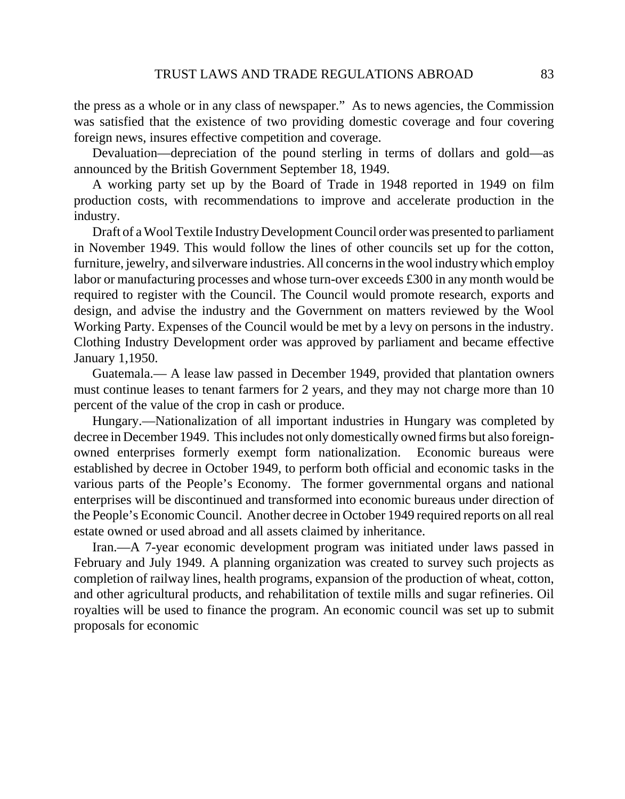the press as a whole or in any class of newspaper." As to news agencies, the Commission was satisfied that the existence of two providing domestic coverage and four covering foreign news, insures effective competition and coverage.

Devaluation—depreciation of the pound sterling in terms of dollars and gold—as announced by the British Government September 18, 1949.

A working party set up by the Board of Trade in 1948 reported in 1949 on film production costs, with recommendations to improve and accelerate production in the industry.

Draft of a Wool Textile Industry Development Council order was presented to parliament in November 1949. This would follow the lines of other councils set up for the cotton, furniture, jewelry, and silverware industries. All concerns in the wool industry which employ labor or manufacturing processes and whose turn-over exceeds £300 in any month would be required to register with the Council. The Council would promote research, exports and design, and advise the industry and the Government on matters reviewed by the Wool Working Party. Expenses of the Council would be met by a levy on persons in the industry. Clothing Industry Development order was approved by parliament and became effective January 1,1950.

Guatemala.— A lease law passed in December 1949, provided that plantation owners must continue leases to tenant farmers for 2 years, and they may not charge more than 10 percent of the value of the crop in cash or produce.

Hungary.—Nationalization of all important industries in Hungary was completed by decree in December 1949. This includes not only domestically owned firms but also foreignowned enterprises formerly exempt form nationalization. Economic bureaus were established by decree in October 1949, to perform both official and economic tasks in the various parts of the People's Economy. The former governmental organs and national enterprises will be discontinued and transformed into economic bureaus under direction of the People's Economic Council. Another decree in October 1949 required reports on all real estate owned or used abroad and all assets claimed by inheritance.

Iran.—A 7-year economic development program was initiated under laws passed in February and July 1949. A planning organization was created to survey such projects as completion of railway lines, health programs, expansion of the production of wheat, cotton, and other agricultural products, and rehabilitation of textile mills and sugar refineries. Oil royalties will be used to finance the program. An economic council was set up to submit proposals for economic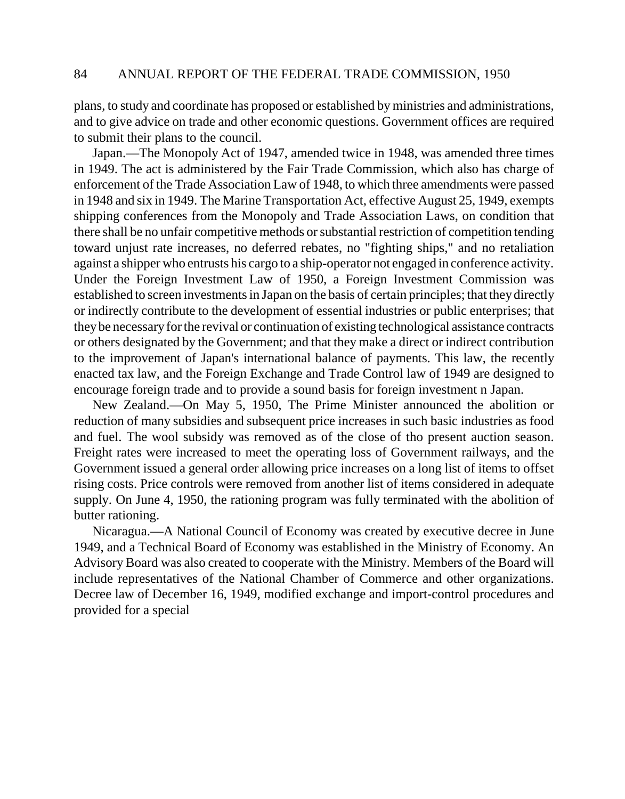plans, to study and coordinate has proposed or established by ministries and administrations, and to give advice on trade and other economic questions. Government offices are required to submit their plans to the council.

Japan.—The Monopoly Act of 1947, amended twice in 1948, was amended three times in 1949. The act is administered by the Fair Trade Commission, which also has charge of enforcement of the Trade Association Law of 1948, to which three amendments were passed in 1948 and six in 1949. The Marine Transportation Act, effective August 25, 1949, exempts shipping conferences from the Monopoly and Trade Association Laws, on condition that there shall be no unfair competitive methods or substantial restriction of competition tending toward unjust rate increases, no deferred rebates, no "fighting ships," and no retaliation against a shipper who entrusts his cargo to a ship-operator not engaged in conference activity. Under the Foreign Investment Law of 1950, a Foreign Investment Commission was established to screen investments in Japan on the basis of certain principles; that they directly or indirectly contribute to the development of essential industries or public enterprises; that theybe necessaryforthe revival or continuation of existing technological assistance contracts or others designated by the Government; and that they make a direct or indirect contribution to the improvement of Japan's international balance of payments. This law, the recently enacted tax law, and the Foreign Exchange and Trade Control law of 1949 are designed to encourage foreign trade and to provide a sound basis for foreign investment n Japan.

New Zealand.—On May 5, 1950, The Prime Minister announced the abolition or reduction of many subsidies and subsequent price increases in such basic industries as food and fuel. The wool subsidy was removed as of the close of tho present auction season. Freight rates were increased to meet the operating loss of Government railways, and the Government issued a general order allowing price increases on a long list of items to offset rising costs. Price controls were removed from another list of items considered in adequate supply. On June 4, 1950, the rationing program was fully terminated with the abolition of butter rationing.

Nicaragua.—A National Council of Economy was created by executive decree in June 1949, and a Technical Board of Economy was established in the Ministry of Economy. An Advisory Board was also created to cooperate with the Ministry. Members of the Board will include representatives of the National Chamber of Commerce and other organizations. Decree law of December 16, 1949, modified exchange and import-control procedures and provided for a special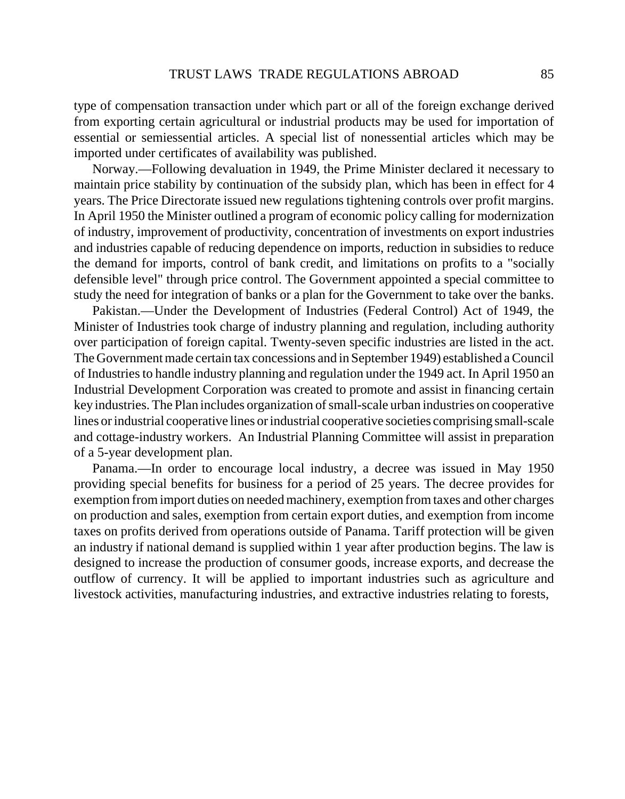type of compensation transaction under which part or all of the foreign exchange derived from exporting certain agricultural or industrial products may be used for importation of essential or semiessential articles. A special list of nonessential articles which may be imported under certificates of availability was published.

Norway.—Following devaluation in 1949, the Prime Minister declared it necessary to maintain price stability by continuation of the subsidy plan, which has been in effect for 4 years. The Price Directorate issued new regulations tightening controls over profit margins. In April 1950 the Minister outlined a program of economic policy calling for modernization of industry, improvement of productivity, concentration of investments on export industries and industries capable of reducing dependence on imports, reduction in subsidies to reduce the demand for imports, control of bank credit, and limitations on profits to a "socially defensible level" through price control. The Government appointed a special committee to study the need for integration of banks or a plan for the Government to take over the banks.

Pakistan.—Under the Development of Industries (Federal Control) Act of 1949, the Minister of Industries took charge of industry planning and regulation, including authority over participation of foreign capital. Twenty-seven specific industries are listed in the act. The Government made certain tax concessions and in September 1949) established a Council of Industriesto handle industry planning and regulation under the 1949 act. In April 1950 an Industrial Development Corporation was created to promote and assist in financing certain key industries. The Plan includes organization of small-scale urban industries on cooperative lines orindustrial cooperative lines or industrial cooperative societies comprising small-scale and cottage-industry workers. An Industrial Planning Committee will assist in preparation of a 5-year development plan.

Panama.—In order to encourage local industry, a decree was issued in May 1950 providing special benefits for business for a period of 25 years. The decree provides for exemption fromimport duties on needed machinery, exemption fromtaxes and other charges on production and sales, exemption from certain export duties, and exemption from income taxes on profits derived from operations outside of Panama. Tariff protection will be given an industry if national demand is supplied within 1 year after production begins. The law is designed to increase the production of consumer goods, increase exports, and decrease the outflow of currency. It will be applied to important industries such as agriculture and livestock activities, manufacturing industries, and extractive industries relating to forests,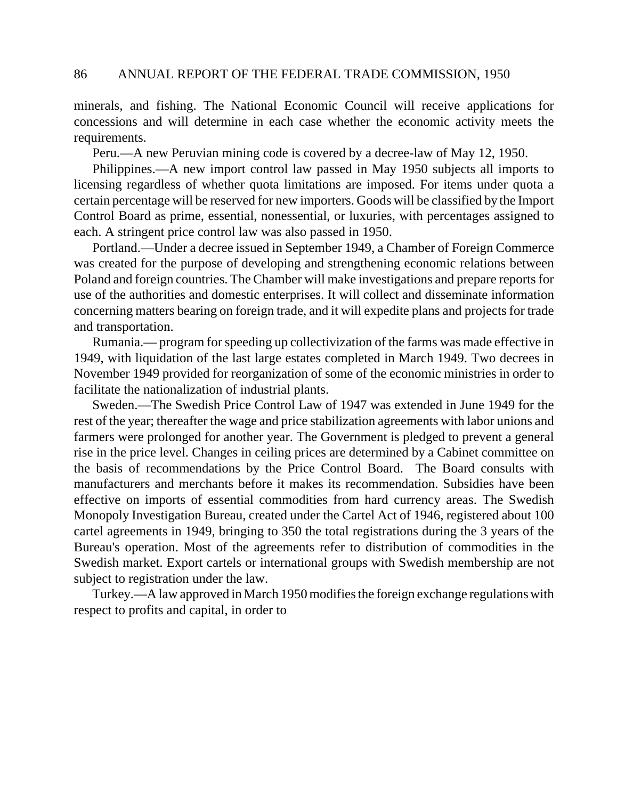minerals, and fishing. The National Economic Council will receive applications for concessions and will determine in each case whether the economic activity meets the requirements.

Peru.—A new Peruvian mining code is covered by a decree-law of May 12, 1950.

Philippines.—A new import control law passed in May 1950 subjects all imports to licensing regardless of whether quota limitations are imposed. For items under quota a certain percentage will be reserved for new importers. Goods will be classified by the Import Control Board as prime, essential, nonessential, or luxuries, with percentages assigned to each. A stringent price control law was also passed in 1950.

Portland.—Under a decree issued in September 1949, a Chamber of Foreign Commerce was created for the purpose of developing and strengthening economic relations between Poland and foreign countries. The Chamber will make investigations and prepare reports for use of the authorities and domestic enterprises. It will collect and disseminate information concerning matters bearing on foreign trade, and it will expedite plans and projects for trade and transportation.

Rumania.— program for speeding up collectivization of the farms was made effective in 1949, with liquidation of the last large estates completed in March 1949. Two decrees in November 1949 provided for reorganization of some of the economic ministries in order to facilitate the nationalization of industrial plants.

Sweden.—The Swedish Price Control Law of 1947 was extended in June 1949 for the rest of the year; thereafter the wage and price stabilization agreements with labor unions and farmers were prolonged for another year. The Government is pledged to prevent a general rise in the price level. Changes in ceiling prices are determined by a Cabinet committee on the basis of recommendations by the Price Control Board. The Board consults with manufacturers and merchants before it makes its recommendation. Subsidies have been effective on imports of essential commodities from hard currency areas. The Swedish Monopoly Investigation Bureau, created under the Cartel Act of 1946, registered about 100 cartel agreements in 1949, bringing to 350 the total registrations during the 3 years of the Bureau's operation. Most of the agreements refer to distribution of commodities in the Swedish market. Export cartels or international groups with Swedish membership are not subject to registration under the law.

Turkey.—A law approved in March 1950 modifies the foreign exchange regulations with respect to profits and capital, in order to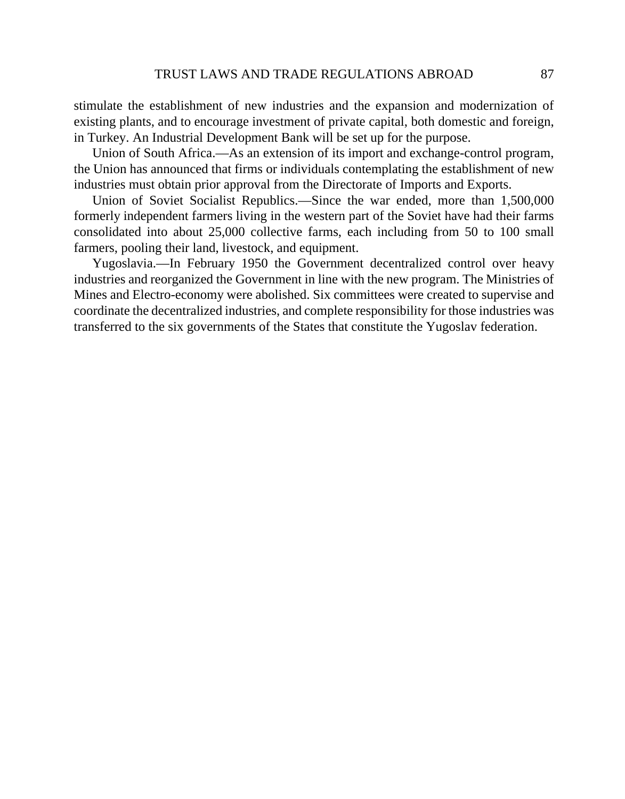stimulate the establishment of new industries and the expansion and modernization of existing plants, and to encourage investment of private capital, both domestic and foreign, in Turkey. An Industrial Development Bank will be set up for the purpose.

Union of South Africa.—As an extension of its import and exchange-control program, the Union has announced that firms or individuals contemplating the establishment of new industries must obtain prior approval from the Directorate of Imports and Exports.

Union of Soviet Socialist Republics.—Since the war ended, more than 1,500,000 formerly independent farmers living in the western part of the Soviet have had their farms consolidated into about 25,000 collective farms, each including from 50 to 100 small farmers, pooling their land, livestock, and equipment.

Yugoslavia.—In February 1950 the Government decentralized control over heavy industries and reorganized the Government in line with the new program. The Ministries of Mines and Electro-economy were abolished. Six committees were created to supervise and coordinate the decentralized industries, and complete responsibility for those industries was transferred to the six governments of the States that constitute the Yugoslav federation.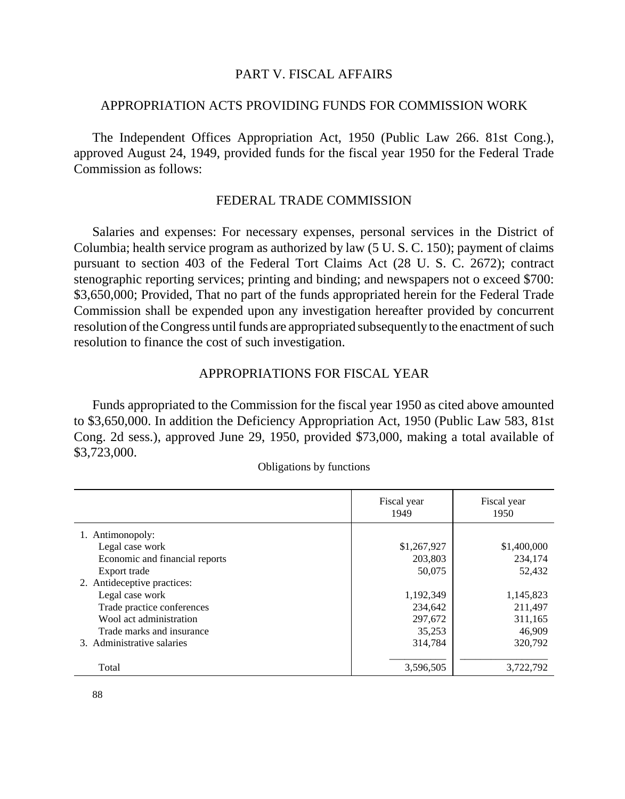#### PART V. FISCAL AFFAIRS

#### APPROPRIATION ACTS PROVIDING FUNDS FOR COMMISSION WORK

The Independent Offices Appropriation Act, 1950 (Public Law 266. 81st Cong.), approved August 24, 1949, provided funds for the fiscal year 1950 for the Federal Trade Commission as follows:

## FEDERAL TRADE COMMISSION

Salaries and expenses: For necessary expenses, personal services in the District of Columbia; health service program as authorized by law (5 U. S. C. 150); payment of claims pursuant to section 403 of the Federal Tort Claims Act (28 U. S. C. 2672); contract stenographic reporting services; printing and binding; and newspapers not o exceed \$700: \$3,650,000; Provided, That no part of the funds appropriated herein for the Federal Trade Commission shall be expended upon any investigation hereafter provided by concurrent resolution of the Congress until funds are appropriated subsequently to the enactment of such resolution to finance the cost of such investigation.

## APPROPRIATIONS FOR FISCAL YEAR

Funds appropriated to the Commission for the fiscal year 1950 as cited above amounted to \$3,650,000. In addition the Deficiency Appropriation Act, 1950 (Public Law 583, 81st Cong. 2d sess.), approved June 29, 1950, provided \$73,000, making a total available of \$3,723,000.

|  | Obligations by functions |  |  |
|--|--------------------------|--|--|
|--|--------------------------|--|--|

|                                                                       | Fiscal year<br>1949    | Fiscal year<br>1950    |
|-----------------------------------------------------------------------|------------------------|------------------------|
| 1. Antimonopoly:<br>Legal case work<br>Economic and financial reports | \$1,267,927<br>203,803 | \$1,400,000<br>234,174 |
| Export trade<br>2. Antideceptive practices:                           | 50,075                 | 52,432                 |
| Legal case work<br>Trade practice conferences                         | 1,192,349<br>234,642   | 1,145,823<br>211,497   |
| Wool act administration<br>Trade marks and insurance                  | 297,672<br>35,253      | 311,165<br>46,909      |
| 3. Administrative salaries                                            | 314,784                | 320,792                |
| Total                                                                 | 3,596,505              | 3,722,792              |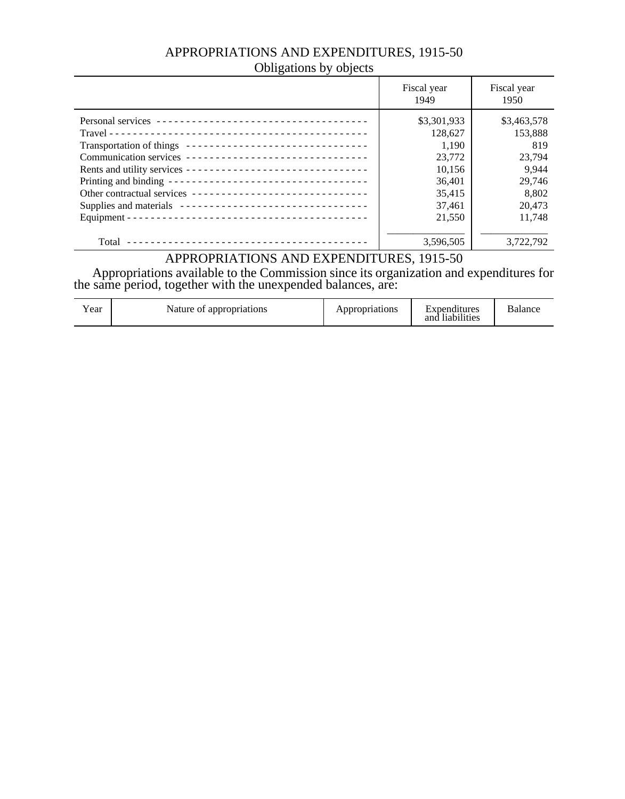## APPROPRIATIONS AND EXPENDITURES, 1915-50 Obligations by objects

|                                                              | Fiscal year<br>1949 | Fiscal year<br>1950 |
|--------------------------------------------------------------|---------------------|---------------------|
|                                                              | \$3,301,933         | \$3,463,578         |
|                                                              | 128,627             | 153,888             |
| Transportation of things --------------------------------    | 1.190               | 819                 |
| Communication services ----------------------------------    | 23,772              | 23.794              |
| Rents and utility services --------------------------------- | 10,156              | 9.944               |
| Printing and binding -----------------------------------     | 36,401              | 29,746              |
| Other contractual services --------------------------------- | 35,415              | 8,802               |
| Supplies and materials ----------------------------------    | 37,461              | 20,473              |
|                                                              | 21,550              | 11.748              |
| Total                                                        | 3.596.505           | 3.722.792           |

## APPROPRIATIONS AND EXPENDITURES, 1915-50

Appropriations available to the Commission since its organization and expenditures for the same period, together with the unexpended balances, are:

| ear | appropriations<br>Nature<br>0I | poropriations | Expenditures<br><br>and<br>. liabilities | Balance |
|-----|--------------------------------|---------------|------------------------------------------|---------|
|-----|--------------------------------|---------------|------------------------------------------|---------|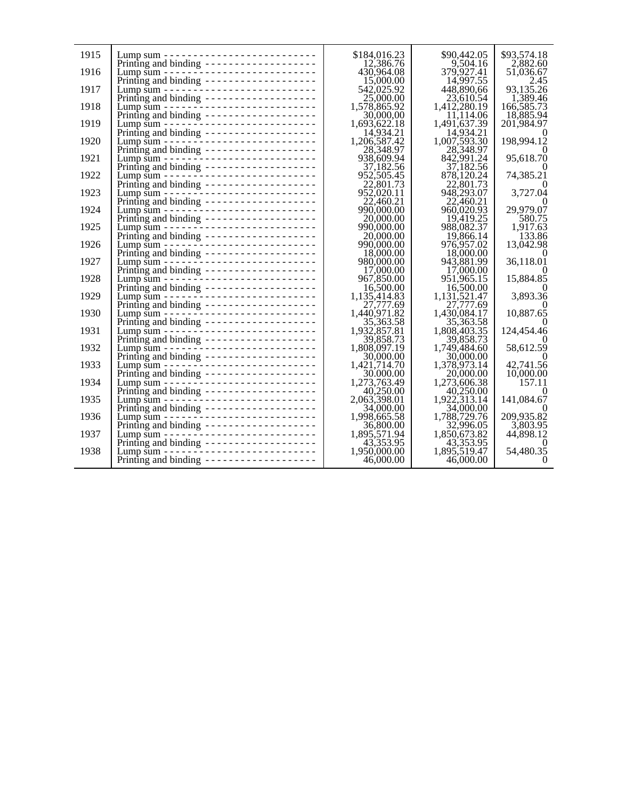| 1915 | Lump sum $----$                                                                  | \$184,016.23 | \$90,442.05  | \$93,574.18 |
|------|----------------------------------------------------------------------------------|--------------|--------------|-------------|
|      |                                                                                  | 12,386.76    | 9.504.16     | 2,882.60    |
| 1916 | Printing and binding -------------------<br>Lump sum --------------------------- | 430.964.08   | 379,927.41   | 51,036.67   |
|      | Printing and binding -------------------                                         | 15,000.00    | 14.997.55    | 2.45        |
| 1917 | Lump sum $ -$                                                                    | 542,025.92   | 448,890,66   | 93.135.26   |
|      |                                                                                  | 25,000.00    | 23,610.54    | 1.389.46    |
| 1918 | Printing and binding $\cdots$ - - - - - - - - - - - - - - - - - -                | 1.578,865.92 | 1.412.280.19 | 166.585.73  |
|      |                                                                                  |              |              |             |
|      | Printing and binding $\cdots$                                                    | 30,000,00    | 11,114.06    | 18,885.94   |
| 1919 | Lump sum - - -                                                                   | 1,693,622.18 | 1,491,637.39 | 201,984.97  |
|      | Printing and binding -------------------                                         | 14.934.21    | 14.934.21    |             |
| 1920 | Lump sum ---------------------------                                             | 1.206.587.42 | 1.007.593.30 | 198.994.12  |
|      | Printing and binding $\cdots$ - - - - - - - - - - - - - - - - - -                | 28,348.97    | 28,348.97    |             |
| 1921 | Lump sum ---                                                                     | 938,609.94   | 842.991.24   | 95,618.70   |
|      |                                                                                  | 37,182.56    | 37,182.56    |             |
| 1922 | Lump sum ------------                                                            | 952,505.45   | 878,120.24   | 74,385.21   |
|      |                                                                                  | 22,801.73    | 22,801.73    |             |
| 1923 |                                                                                  | 952,020.11   | 948,293.07   | 3,727.04    |
|      |                                                                                  | 22,460.21    | 22.460.21    |             |
| 1924 | Lump sum -----------                                                             | 990.000.00   | 960.020.93   | 29.979.07   |
|      | Printing and binding $\cdots$                                                    | 20,000.00    | 19,419.25    | 580.75      |
| 1925 |                                                                                  | 990,000.00   | 988,082.37   | 1.917.63    |
|      | Lump sum ----------                                                              |              |              |             |
|      | Printing and binding -------------------                                         | 20,000.00    | 19,866.14    | 133.86      |
| 1926 | Lump sum -----------                                                             | 990.000.00   | 976,957.02   | 13.042.98   |
|      | Printing and binding $\cdots$                                                    | 18,000.00    | 18,000.00    |             |
| 1927 | Lump sum $        -$                                                             | 980,000.00   | 943,881.99   | 36,118.01   |
|      | Printing and binding -------------------                                         | 17,000.00    | 17,000.00    |             |
| 1928 | <u> - - - - - - - - - - - - -</u><br>Lump sum $ -$<br>--------                   | 967,850.00   | 951,965.15   | 15,884.85   |
|      |                                                                                  | 16,500.00    | 16,500.00    |             |
| 1929 | Lump $\sin$ - - - - - - - - - - - -                                              | 1,135,414.83 | 1,131,521.47 | 3,893.36    |
|      | Printing and binding $\cdots$ - - - - - - - - - - - - - - - - - -                | 27.777.69    | 27.777.69    |             |
| 1930 | Lump sum ---------------------------                                             | 1.440.971.82 | 1.430.084.17 | 10,887.65   |
|      | Printing and binding $\cdots$                                                    | 35.363.58    | 35,363.58    |             |
| 1931 | Lump sum --------------                                                          | 1.932.857.81 | 1.808.403.35 | 124,454.46  |
|      | Printing and binding -------------------                                         | 39.858.73    | 39,858.73    |             |
| 1932 | Lump sum ---------------------------                                             | 1,808,097.19 | 1,749,484.60 | 58,612.59   |
|      |                                                                                  | 30,000.00    | 30,000.00    |             |
| 1933 | Lump sum ---------------------------                                             | 1.421.714.70 | 1.378,973.14 | 42.741.56   |
|      | Printing and binding $---$                                                       | 30.000.00    | 20.000.00    | 10,000.00   |
| 1934 |                                                                                  | 1,273,763.49 | 1,273,606.38 | 157.11      |
|      | Lump sum                                                                         | 40.250.00    | 40.250.00    |             |
| 1935 |                                                                                  |              |              |             |
|      | Lump sum --                                                                      | 2,063,398.01 | 1.922.313.14 | 141,084.67  |
|      | Printing and binding $- - - - - -$                                               | 34,000.00    | 34,000.00    |             |
| 1936 | Lump sum -                                                                       | 1.998.665.58 | 1,788,729.76 | 209,935.82  |
|      |                                                                                  | 36.800.00    | 32.996.05    | 3.803.95    |
| 1937 | Lump sum ---------------------------                                             | 1,895,571.94 | 1,850,673.82 | 44,898.12   |
|      | Printing and binding $- - - - - -$                                               | 43,353.95    | 43,353.95    |             |
|      |                                                                                  | 1,950,000.00 | 1,895,519.47 | 54,480.35   |
| 1938 | Lump sum                                                                         | 46,000.00    | 46,000.00    |             |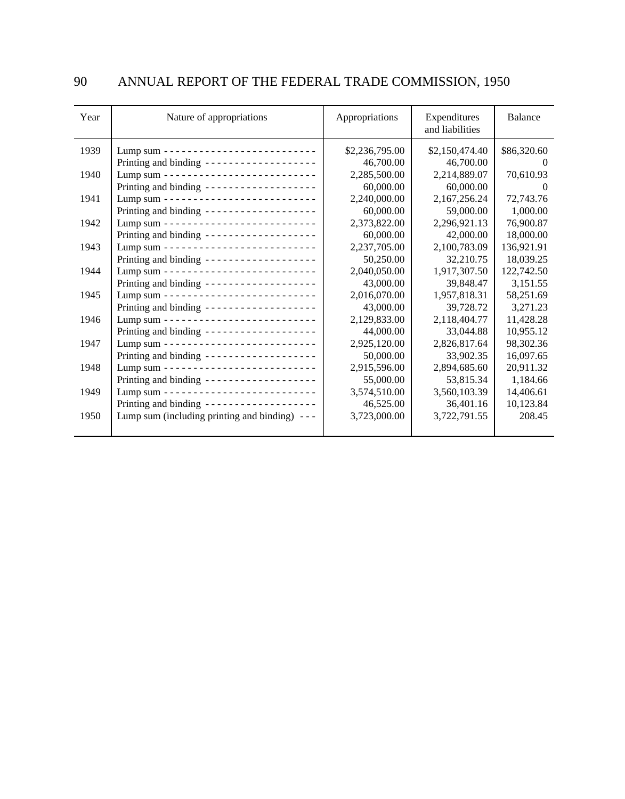| Year | Nature of appropriations                       | Appropriations | Expenditures<br>and liabilities | Balance     |
|------|------------------------------------------------|----------------|---------------------------------|-------------|
| 1939 | Lump sum ---------------------------           | \$2,236,795.00 | \$2,150,474.40                  | \$86,320.60 |
|      | Printing and binding -------------------       | 46,700.00      | 46,700.00                       |             |
| 1940 | Lump sum --------------------------            | 2,285,500.00   | 2,214,889.07                    | 70,610.93   |
|      | Printing and binding -------------------       | 60,000.00      | 60,000.00                       | 0           |
| 1941 | Lump sum --------------------------            | 2,240,000.00   | 2,167,256.24                    | 72,743.76   |
|      | Printing and binding -------------------       | 60,000.00      | 59,000.00                       | 1,000.00    |
| 1942 | Lump sum --------------------------            | 2,373,822.00   | 2,296,921.13                    | 76,900.87   |
|      | Printing and binding -------------------       | 60,000.00      | 42,000.00                       | 18,000.00   |
| 1943 | Lump sum ---------------------------           | 2,237,705.00   | 2,100,783.09                    | 136,921.91  |
|      | Printing and binding -------------------       | 50,250.00      | 32,210.75                       | 18,039.25   |
| 1944 | Lump sum ---------------------------           | 2,040,050.00   | 1,917,307.50                    | 122,742.50  |
|      | Printing and binding -------------------       | 43,000.00      | 39,848.47                       | 3,151.55    |
| 1945 | Lump sum --------------------------            | 2,016,070.00   | 1,957,818.31                    | 58,251.69   |
|      | Printing and binding -------------------       | 43,000.00      | 39,728.72                       | 3,271.23    |
| 1946 | Lump sum ---------------------------           | 2,129,833.00   | 2,118,404.77                    | 11,428.28   |
|      | Printing and binding -------------------       | 44,000.00      | 33,044.88                       | 10,955.12   |
| 1947 | Lump sum ---------------------------           | 2,925,120.00   | 2,826,817.64                    | 98,302.36   |
|      | Printing and binding -------------------       | 50,000.00      | 33,902.35                       | 16,097.65   |
| 1948 | Lump sum --------------------------            | 2,915,596.00   | 2,894,685.60                    | 20,911.32   |
|      | Printing and binding -------------------       | 55,000.00      | 53,815.34                       | 1,184.66    |
| 1949 | Lump sum ---------------------------           | 3,574,510.00   | 3,560,103.39                    | 14,406.61   |
|      | Printing and binding -------------------       | 46,525.00      | 36,401.16                       | 10,123.84   |
| 1950 | Lump sum (including printing and binding) $--$ | 3,723,000.00   | 3,722,791.55                    | 208.45      |
|      |                                                |                |                                 |             |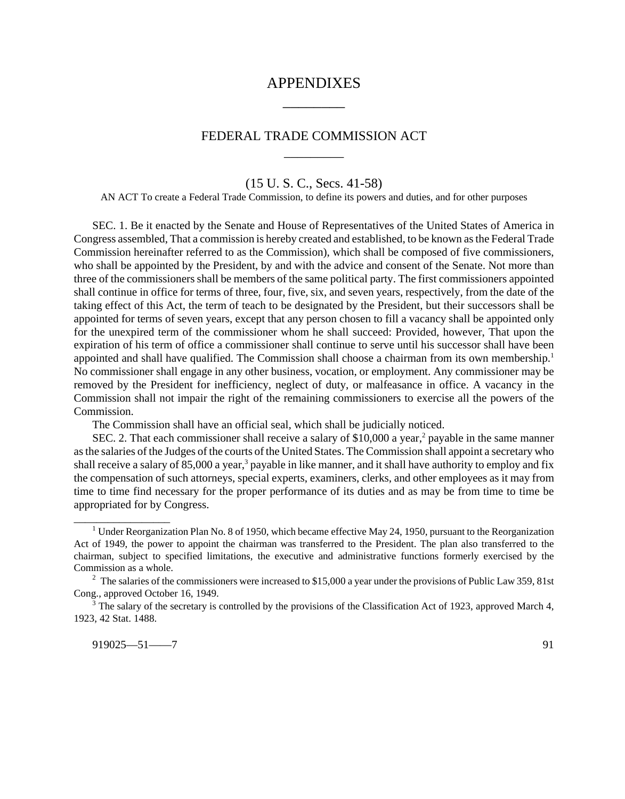# APPENDIXES \_\_\_\_\_\_\_\_

## FEDERAL TRADE COMMISSION ACT \_\_\_\_\_\_\_\_\_

#### (15 U. S. C., Secs. 41-58)

AN ACT To create a Federal Trade Commission, to define its powers and duties, and for other purposes

SEC. 1. Be it enacted by the Senate and House of Representatives of the United States of America in Congress assembled, That a commission is hereby created and established, to be known asthe Federal Trade Commission hereinafter referred to as the Commission), which shall be composed of five commissioners, who shall be appointed by the President, by and with the advice and consent of the Senate. Not more than three of the commissioners shall be members of the same political party. The first commissioners appointed shall continue in office for terms of three, four, five, six, and seven years, respectively, from the date of the taking effect of this Act, the term of teach to be designated by the President, but their successors shall be appointed for terms of seven years, except that any person chosen to fill a vacancy shall be appointed only for the unexpired term of the commissioner whom he shall succeed: Provided, however, That upon the expiration of his term of office a commissioner shall continue to serve until his successor shall have been appointed and shall have qualified. The Commission shall choose a chairman from its own membership.<sup>1</sup> No commissioner shall engage in any other business, vocation, or employment. Any commissioner may be removed by the President for inefficiency, neglect of duty, or malfeasance in office. A vacancy in the Commission shall not impair the right of the remaining commissioners to exercise all the powers of the Commission.

The Commission shall have an official seal, which shall be judicially noticed.

SEC. 2. That each commissioner shall receive a salary of \$10,000 a year,<sup>2</sup> payable in the same manner asthe salaries of the Judges of the courts ofthe United States. The Commission shall appoint a secretary who shall receive a salary of 85,000 a year,<sup>3</sup> payable in like manner, and it shall have authority to employ and fix the compensation of such attorneys, special experts, examiners, clerks, and other employees as it may from time to time find necessary for the proper performance of its duties and as may be from time to time be appropriated for by Congress.

\_\_\_\_\_\_\_\_\_\_\_\_\_\_\_\_\_

<sup>&</sup>lt;sup>1</sup> Under Reorganization Plan No. 8 of 1950, which became effective May 24, 1950, pursuant to the Reorganization Act of 1949, the power to appoint the chairman was transferred to the President. The plan also transferred to the chairman, subject to specified limitations, the executive and administrative functions formerly exercised by the Commission as a whole.

 $2$  The salaries of the commissioners were increased to \$15,000 a year under the provisions of Public Law 359, 81st Cong., approved October 16, 1949.

 $3$  The salary of the secretary is controlled by the provisions of the Classification Act of 1923, approved March 4, 1923, 42 Stat. 1488.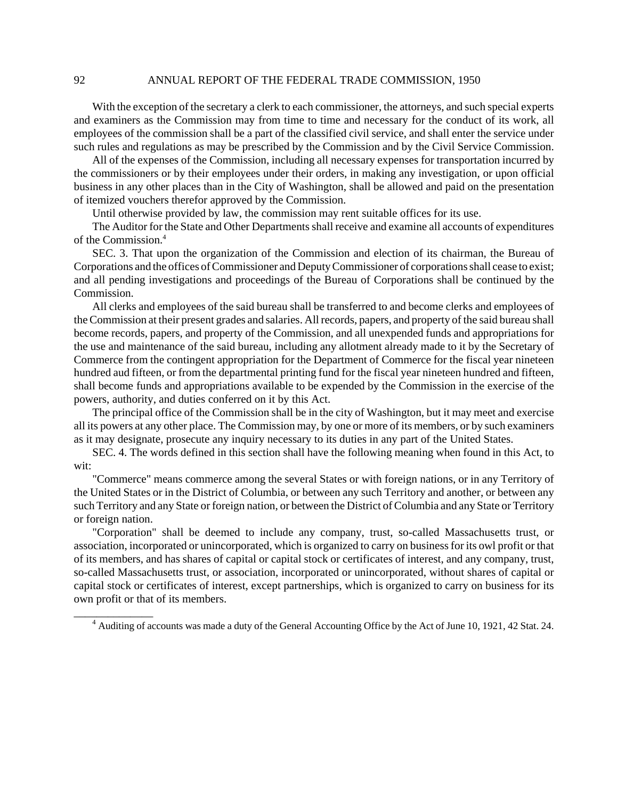With the exception of the secretary a clerk to each commissioner, the attorneys, and such special experts and examiners as the Commission may from time to time and necessary for the conduct of its work, all employees of the commission shall be a part of the classified civil service, and shall enter the service under such rules and regulations as may be prescribed by the Commission and by the Civil Service Commission.

All of the expenses of the Commission, including all necessary expenses for transportation incurred by the commissioners or by their employees under their orders, in making any investigation, or upon official business in any other places than in the City of Washington, shall be allowed and paid on the presentation of itemized vouchers therefor approved by the Commission.

Until otherwise provided by law, the commission may rent suitable offices for its use.

The Auditor for the State and Other Departments shall receive and examine all accounts of expenditures of the Commission.<sup>4</sup>

SEC. 3. That upon the organization of the Commission and election of its chairman, the Bureau of Corporations and the offices of Commissioner and Deputy Commissioner of corporations shall cease to exist; and all pending investigations and proceedings of the Bureau of Corporations shall be continued by the Commission.

All clerks and employees of the said bureau shall be transferred to and become clerks and employees of theCommission at their present grades and salaries. Allrecords, papers, and property of the said bureau shall become records, papers, and property of the Commission, and all unexpended funds and appropriations for the use and maintenance of the said bureau, including any allotment already made to it by the Secretary of Commerce from the contingent appropriation for the Department of Commerce for the fiscal year nineteen hundred aud fifteen, or from the departmental printing fund for the fiscal year nineteen hundred and fifteen, shall become funds and appropriations available to be expended by the Commission in the exercise of the powers, authority, and duties conferred on it by this Act.

The principal office of the Commission shall be in the city of Washington, but it may meet and exercise all its powers at any other place. The Commission may, by one or more of its members, or by such examiners as it may designate, prosecute any inquiry necessary to its duties in any part of the United States.

SEC. 4. The words defined in this section shall have the following meaning when found in this Act, to wit:

"Commerce" means commerce among the several States or with foreign nations, or in any Territory of the United States or in the District of Columbia, or between any such Territory and another, or between any such Territory and any State or foreign nation, or between the District of Columbia and any State or Territory or foreign nation.

"Corporation" shall be deemed to include any company, trust, so-called Massachusetts trust, or association, incorporated or unincorporated, which is organized to carry on businessfor its owl profit or that of its members, and has shares of capital or capital stock or certificates of interest, and any company, trust, so-called Massachusetts trust, or association, incorporated or unincorporated, without shares of capital or capital stock or certificates of interest, except partnerships, which is organized to carry on business for its own profit or that of its members.

\_\_\_\_\_\_\_\_\_\_\_\_\_\_

<sup>4</sup> Auditing of accounts was made a duty of the General Accounting Office by the Act of June 10, 1921, 42 Stat. 24.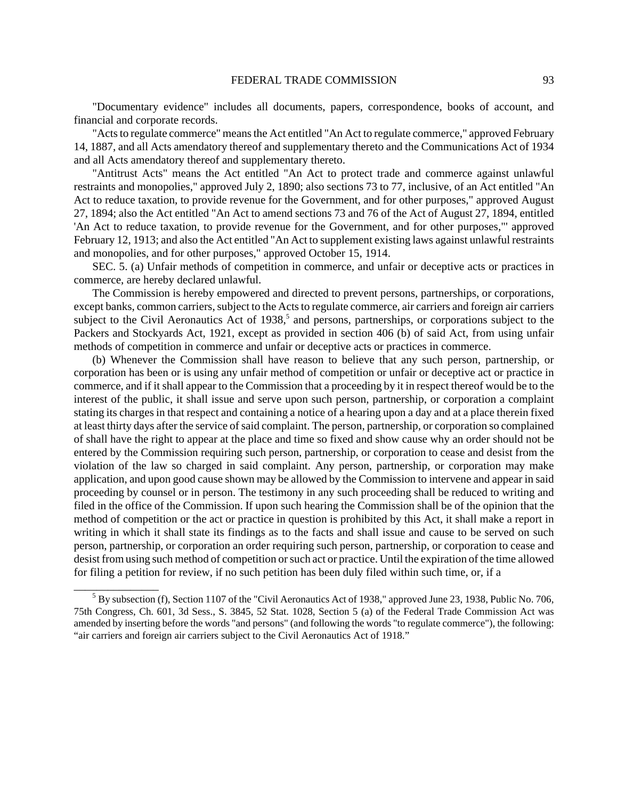"Documentary evidence" includes all documents, papers, correspondence, books of account, and financial and corporate records.

"Acts to regulate commerce" means the Act entitled "An Act to regulate commerce," approved February 14, 1887, and all Acts amendatory thereof and supplementary thereto and the Communications Act of 1934 and all Acts amendatory thereof and supplementary thereto.

"Antitrust Acts" means the Act entitled "An Act to protect trade and commerce against unlawful restraints and monopolies," approved July 2, 1890; also sections 73 to 77, inclusive, of an Act entitled "An Act to reduce taxation, to provide revenue for the Government, and for other purposes," approved August 27, 1894; also the Act entitled "An Act to amend sections 73 and 76 of the Act of August 27, 1894, entitled 'An Act to reduce taxation, to provide revenue for the Government, and for other purposes,"' approved February 12, 1913; and also the Act entitled "An Act to supplement existing laws against unlawful restraints and monopolies, and for other purposes," approved October 15, 1914.

SEC. 5. (a) Unfair methods of competition in commerce, and unfair or deceptive acts or practices in commerce, are hereby declared unlawful.

The Commission is hereby empowered and directed to prevent persons, partnerships, or corporations, except banks, common carriers, subject to the Acts to regulate commerce, air carriers and foreign air carriers subject to the Civil Aeronautics Act of 1938,<sup>5</sup> and persons, partnerships, or corporations subject to the Packers and Stockyards Act, 1921, except as provided in section 406 (b) of said Act, from using unfair methods of competition in commerce and unfair or deceptive acts or practices in commerce.

(b) Whenever the Commission shall have reason to believe that any such person, partnership, or corporation has been or is using any unfair method of competition or unfair or deceptive act or practice in commerce, and if it shall appear to the Commission that a proceeding by it in respect thereof would be to the interest of the public, it shall issue and serve upon such person, partnership, or corporation a complaint stating its charges in that respect and containing a notice of a hearing upon a day and at a place therein fixed at least thirty days after the service ofsaid complaint. The person, partnership, or corporation so complained of shall have the right to appear at the place and time so fixed and show cause why an order should not be entered by the Commission requiring such person, partnership, or corporation to cease and desist from the violation of the law so charged in said complaint. Any person, partnership, or corporation may make application, and upon good cause shown may be allowed by the Commission to intervene and appear in said proceeding by counsel or in person. The testimony in any such proceeding shall be reduced to writing and filed in the office of the Commission. If upon such hearing the Commission shall be of the opinion that the method of competition or the act or practice in question is prohibited by this Act, it shall make a report in writing in which it shall state its findings as to the facts and shall issue and cause to be served on such person, partnership, or corporation an order requiring such person, partnership, or corporation to cease and desist fromusing such method of competition orsuch act or practice. Until the expiration of the time allowed for filing a petition for review, if no such petition has been duly filed within such time, or, if a

\_\_\_\_\_\_\_\_\_\_\_\_\_\_\_

<sup>5</sup> By subsection (f), Section 1107 of the "Civil Aeronautics Act of 1938," approved June 23, 1938, Public No. 706, 75th Congress, Ch. 601, 3d Sess., S. 3845, 52 Stat. 1028, Section 5 (a) of the Federal Trade Commission Act was amended by inserting before the words "and persons" (and following the words "to regulate commerce"), the following: "air carriers and foreign air carriers subject to the Civil Aeronautics Act of 1918."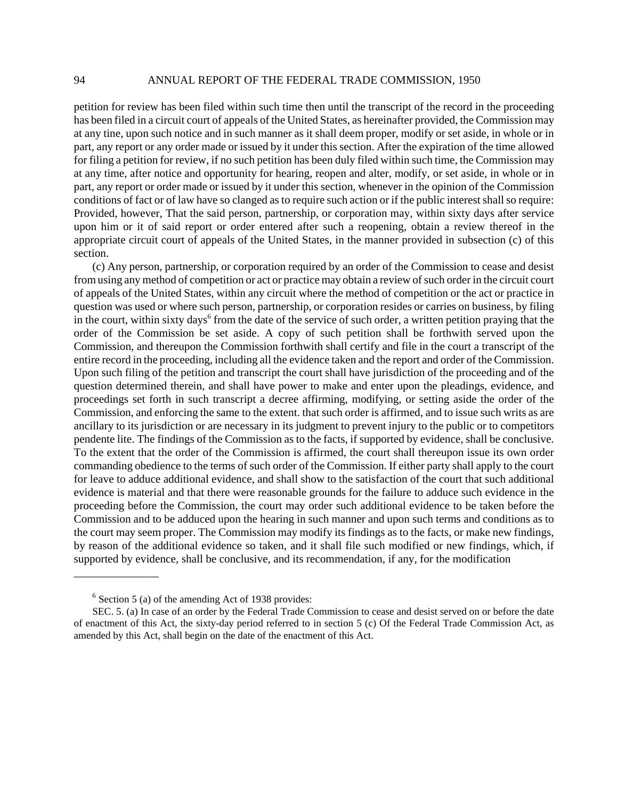petition for review has been filed within such time then until the transcript of the record in the proceeding has been filed in a circuit court of appeals of the United States, as hereinafter provided, the Commission may at any tine, upon such notice and in such manner as it shall deem proper, modify or set aside, in whole or in part, any report or any order made or issued by it under this section. After the expiration of the time allowed for filing a petition for review, if no such petition has been duly filed within such time, the Commission may at any time, after notice and opportunity for hearing, reopen and alter, modify, or set aside, in whole or in part, any report or order made or issued by it under this section, whenever in the opinion of the Commission conditions of fact or of law have so clanged as to require such action or if the public interest shall so require: Provided, however, That the said person, partnership, or corporation may, within sixty days after service upon him or it of said report or order entered after such a reopening, obtain a review thereof in the appropriate circuit court of appeals of the United States, in the manner provided in subsection (c) of this section.

(c) Any person, partnership, or corporation required by an order of the Commission to cease and desist fromusing any method of competition or act or practice may obtain a review ofsuch order in the circuit court of appeals of the United States, within any circuit where the method of competition or the act or practice in question was used or where such person, partnership, or corporation resides or carries on business, by filing in the court, within sixty days<sup>6</sup> from the date of the service of such order, a written petition praying that the order of the Commission be set aside. A copy of such petition shall be forthwith served upon the Commission, and thereupon the Commission forthwith shall certify and file in the court a transcript of the entire record in the proceeding, including all the evidence taken and the report and order of the Commission. Upon such filing of the petition and transcript the court shall have jurisdiction of the proceeding and of the question determined therein, and shall have power to make and enter upon the pleadings, evidence, and proceedings set forth in such transcript a decree affirming, modifying, or setting aside the order of the Commission, and enforcing the same to the extent. that such order is affirmed, and to issue such writs as are ancillary to its jurisdiction or are necessary in its judgment to prevent injury to the public or to competitors pendente lite. The findings of the Commission as to the facts, if supported by evidence, shall be conclusive. To the extent that the order of the Commission is affirmed, the court shall thereupon issue its own order commanding obedience to the terms of such order of the Commission. If either party shall apply to the court for leave to adduce additional evidence, and shall show to the satisfaction of the court that such additional evidence is material and that there were reasonable grounds for the failure to adduce such evidence in the proceeding before the Commission, the court may order such additional evidence to be taken before the Commission and to be adduced upon the hearing in such manner and upon such terms and conditions as to the court may seem proper. The Commission may modify its findings as to the facts, or make new findings, by reason of the additional evidence so taken, and it shall file such modified or new findings, which, if supported by evidence, shall be conclusive, and its recommendation, if any, for the modification

\_\_\_\_\_\_\_\_\_\_\_\_\_\_\_

 $6$  Section 5 (a) of the amending Act of 1938 provides:

SEC. 5. (a) In case of an order by the Federal Trade Commission to cease and desist served on or before the date of enactment of this Act, the sixty-day period referred to in section 5 (c) Of the Federal Trade Commission Act, as amended by this Act, shall begin on the date of the enactment of this Act.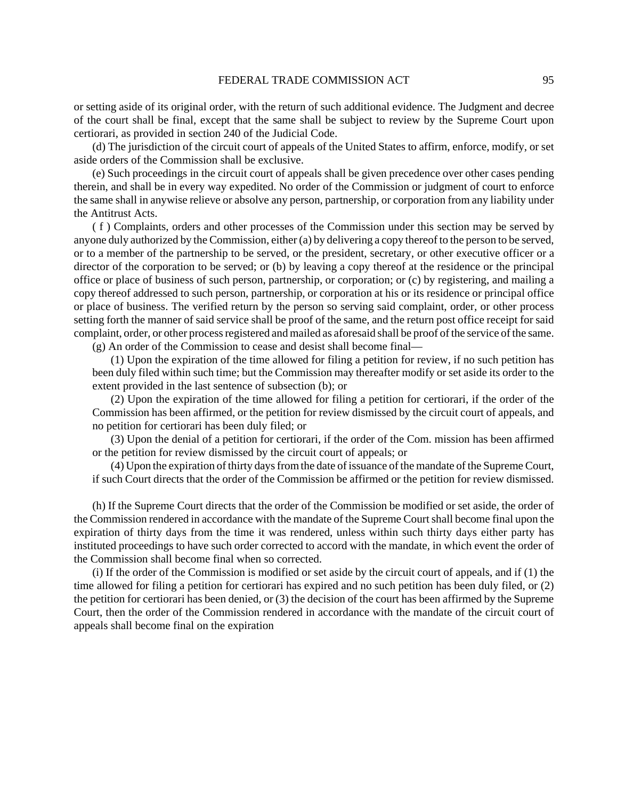or setting aside of its original order, with the return of such additional evidence. The Judgment and decree of the court shall be final, except that the same shall be subject to review by the Supreme Court upon certiorari, as provided in section 240 of the Judicial Code.

(d) The jurisdiction of the circuit court of appeals of the United States to affirm, enforce, modify, or set aside orders of the Commission shall be exclusive.

(e) Such proceedings in the circuit court of appeals shall be given precedence over other cases pending therein, and shall be in every way expedited. No order of the Commission or judgment of court to enforce the same shall in anywise relieve or absolve any person, partnership, or corporation from any liability under the Antitrust Acts.

( f ) Complaints, orders and other processes of the Commission under this section may be served by anyone duly authorized by the Commission, either (a) by delivering a copy thereofto the person to be served, or to a member of the partnership to be served, or the president, secretary, or other executive officer or a director of the corporation to be served; or (b) by leaving a copy thereof at the residence or the principal office or place of business of such person, partnership, or corporation; or (c) by registering, and mailing a copy thereof addressed to such person, partnership, or corporation at his or its residence or principal office or place of business. The verified return by the person so serving said complaint, order, or other process setting forth the manner of said service shall be proof of the same, and the return post office receipt for said complaint, order, or other process registered and mailed as aforesaid shall be proof of the service of the same. (g) An order of the Commission to cease and desist shall become final—

(1) Upon the expiration of the time allowed for filing a petition for review, if no such petition has been duly filed within such time; but the Commission may thereafter modify or set aside its order to the extent provided in the last sentence of subsection (b); or

(2) Upon the expiration of the time allowed for filing a petition for certiorari, if the order of the Commission has been affirmed, or the petition for review dismissed by the circuit court of appeals, and no petition for certiorari has been duly filed; or

(3) Upon the denial of a petition for certiorari, if the order of the Com. mission has been affirmed or the petition for review dismissed by the circuit court of appeals; or

(4) Upon the expiration of thirty days from the date of issuance of the mandate of the Supreme Court, if such Court directs that the order of the Commission be affirmed or the petition for review dismissed.

(h) If the Supreme Court directs that the order of the Commission be modified or set aside, the order of the Commission rendered in accordance with the mandate of the Supreme Courtshall become final upon the expiration of thirty days from the time it was rendered, unless within such thirty days either party has instituted proceedings to have such order corrected to accord with the mandate, in which event the order of the Commission shall become final when so corrected.

(i) If the order of the Commission is modified or set aside by the circuit court of appeals, and if (1) the time allowed for filing a petition for certiorari has expired and no such petition has been duly filed, or (2) the petition for certiorari has been denied, or (3) the decision of the court has been affirmed by the Supreme Court, then the order of the Commission rendered in accordance with the mandate of the circuit court of appeals shall become final on the expiration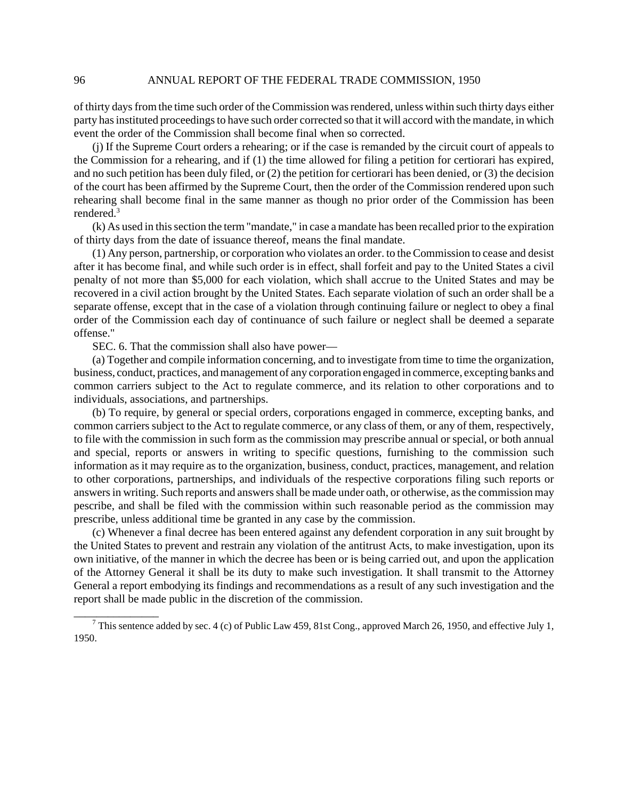of thirty daysfromthe time such order oftheCommission wasrendered, unless within such thirty days either party hasinstituted proceedingsto have such order corrected so that it will accord with the mandate, in which event the order of the Commission shall become final when so corrected.

(j) If the Supreme Court orders a rehearing; or if the case is remanded by the circuit court of appeals to the Commission for a rehearing, and if (1) the time allowed for filing a petition for certiorari has expired, and no such petition has been duly filed, or (2) the petition for certiorari has been denied, or (3) the decision of the court has been affirmed by the Supreme Court, then the order of the Commission rendered upon such rehearing shall become final in the same manner as though no prior order of the Commission has been rendered.<sup>3</sup>

(k) As used in thissection the term"mandate," in case a mandate has been recalled prior to the expiration of thirty days from the date of issuance thereof, means the final mandate.

(1) Any person, partnership, or corporation who violates an order. to the Commission to cease and desist after it has become final, and while such order is in effect, shall forfeit and pay to the United States a civil penalty of not more than \$5,000 for each violation, which shall accrue to the United States and may be recovered in a civil action brought by the United States. Each separate violation of such an order shall be a separate offense, except that in the case of a violation through continuing failure or neglect to obey a final order of the Commission each day of continuance of such failure or neglect shall be deemed a separate offense."

SEC. 6. That the commission shall also have power—

(a) Together and compile information concerning, and to investigate from time to time the organization, business, conduct, practices, and management of any corporation engaged in commerce, excepting banks and common carriers subject to the Act to regulate commerce, and its relation to other corporations and to individuals, associations, and partnerships.

(b) To require, by general or special orders, corporations engaged in commerce, excepting banks, and common carriers subject to the Act to regulate commerce, or any class of them, or any of them, respectively, to file with the commission in such form as the commission may prescribe annual or special, or both annual and special, reports or answers in writing to specific questions, furnishing to the commission such information as it may require as to the organization, business, conduct, practices, management, and relation to other corporations, partnerships, and individuals of the respective corporations filing such reports or answersin writing. Such reports and answersshall be made under oath, or otherwise, asthe commission may pescribe, and shall be filed with the commission within such reasonable period as the commission may prescribe, unless additional time be granted in any case by the commission.

(c) Whenever a final decree has been entered against any defendent corporation in any suit brought by the United States to prevent and restrain any violation of the antitrust Acts, to make investigation, upon its own initiative, of the manner in which the decree has been or is being carried out, and upon the application of the Attorney General it shall be its duty to make such investigation. It shall transmit to the Attorney General a report embodying its findings and recommendations as a result of any such investigation and the report shall be made public in the discretion of the commission.

\_\_\_\_\_\_\_\_\_\_\_\_\_\_\_

<sup>&</sup>lt;sup>7</sup> This sentence added by sec. 4 (c) of Public Law 459, 81st Cong., approved March 26, 1950, and effective July 1, 1950.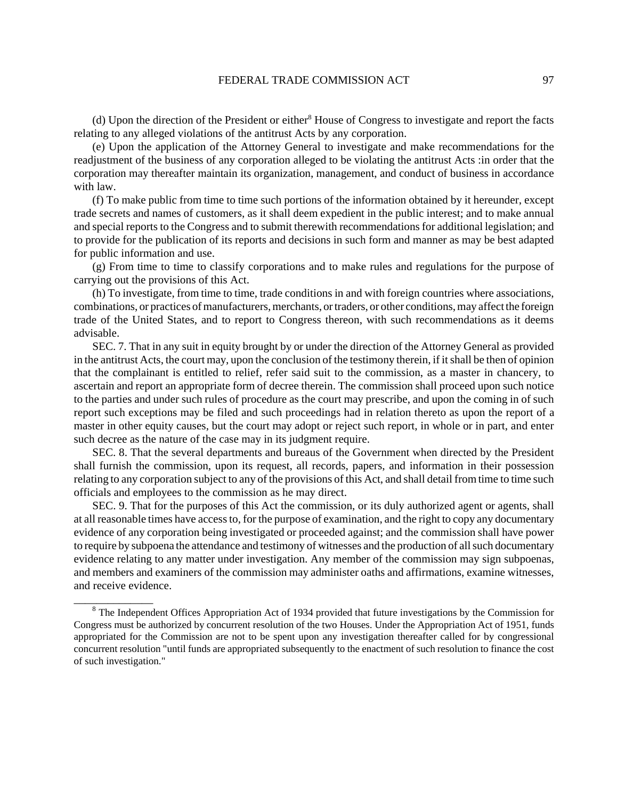(d) Upon the direction of the President or either<sup>8</sup> House of Congress to investigate and report the facts relating to any alleged violations of the antitrust Acts by any corporation.

(e) Upon the application of the Attorney General to investigate and make recommendations for the readjustment of the business of any corporation alleged to be violating the antitrust Acts :in order that the corporation may thereafter maintain its organization, management, and conduct of business in accordance with law.

(f) To make public from time to time such portions of the information obtained by it hereunder, except trade secrets and names of customers, as it shall deem expedient in the public interest; and to make annual and special reports to the Congress and to submit therewith recommendations for additional legislation; and to provide for the publication of its reports and decisions in such form and manner as may be best adapted for public information and use.

(g) From time to time to classify corporations and to make rules and regulations for the purpose of carrying out the provisions of this Act.

(h) To investigate, from time to time, trade conditions in and with foreign countries where associations, combinations, or practices of manufacturers, merchants, or traders, or other conditions, may affect the foreign trade of the United States, and to report to Congress thereon, with such recommendations as it deems advisable.

SEC. 7. That in any suit in equity brought by or under the direction of the Attorney General as provided in the antitrust Acts, the court may, upon the conclusion of the testimony therein, if it shall be then of opinion that the complainant is entitled to relief, refer said suit to the commission, as a master in chancery, to ascertain and report an appropriate form of decree therein. The commission shall proceed upon such notice to the parties and under such rules of procedure as the court may prescribe, and upon the coming in of such report such exceptions may be filed and such proceedings had in relation thereto as upon the report of a master in other equity causes, but the court may adopt or reject such report, in whole or in part, and enter such decree as the nature of the case may in its judgment require.

SEC. 8. That the several departments and bureaus of the Government when directed by the President shall furnish the commission, upon its request, all records, papers, and information in their possession relating to any corporation subject to any of the provisions of this Act, and shall detail fromtime to time such officials and employees to the commission as he may direct.

SEC. 9. That for the purposes of this Act the commission, or its duly authorized agent or agents, shall at all reasonable times have accessto, for the purpose of examination, and the right to copy any documentary evidence of any corporation being investigated or proceeded against; and the commission shall have power to require by subpoena the attendance and testimony of witnesses and the production of all such documentary evidence relating to any matter under investigation. Any member of the commission may sign subpoenas, and members and examiners of the commission may administer oaths and affirmations, examine witnesses, and receive evidence.

\_\_\_\_\_\_\_\_\_\_\_\_\_\_

<sup>&</sup>lt;sup>8</sup> The Independent Offices Appropriation Act of 1934 provided that future investigations by the Commission for Congress must be authorized by concurrent resolution of the two Houses. Under the Appropriation Act of 1951, funds appropriated for the Commission are not to be spent upon any investigation thereafter called for by congressional concurrent resolution "until funds are appropriated subsequently to the enactment of such resolution to finance the cost of such investigation."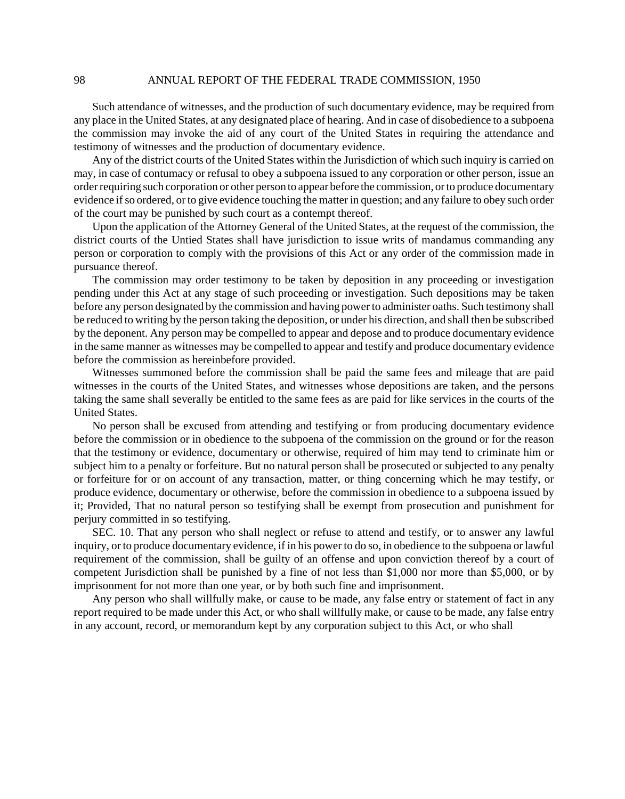Such attendance of witnesses, and the production of such documentary evidence, may be required from any place in the United States, at any designated place of hearing. And in case of disobedience to a subpoena the commission may invoke the aid of any court of the United States in requiring the attendance and testimony of witnesses and the production of documentary evidence.

Any of the district courts of the United States within the Jurisdiction of which such inquiry is carried on may, in case of contumacy or refusal to obey a subpoena issued to any corporation or other person, issue an order requiring such corporation or other person to appear before the commission, or to produce documentary evidence ifso ordered, orto give evidence touching the matter in question; and any failure to obey such order of the court may be punished by such court as a contempt thereof.

Upon the application of the Attorney General of the United States, at the request of the commission, the district courts of the Untied States shall have jurisdiction to issue writs of mandamus commanding any person or corporation to comply with the provisions of this Act or any order of the commission made in pursuance thereof.

The commission may order testimony to be taken by deposition in any proceeding or investigation pending under this Act at any stage of such proceeding or investigation. Such depositions may be taken before any person designated by the commission and having power to administer oaths. Such testimony shall be reduced to writing by the person taking the deposition, or under his direction, and shall then be subscribed by the deponent. Any person may be compelled to appear and depose and to produce documentary evidence in the same manner as witnesses may be compelled to appear and testify and produce documentary evidence before the commission as hereinbefore provided.

Witnesses summoned before the commission shall be paid the same fees and mileage that are paid witnesses in the courts of the United States, and witnesses whose depositions are taken, and the persons taking the same shall severally be entitled to the same fees as are paid for like services in the courts of the United States.

No person shall be excused from attending and testifying or from producing documentary evidence before the commission or in obedience to the subpoena of the commission on the ground or for the reason that the testimony or evidence, documentary or otherwise, required of him may tend to criminate him or subject him to a penalty or forfeiture. But no natural person shall be prosecuted or subjected to any penalty or forfeiture for or on account of any transaction, matter, or thing concerning which he may testify, or produce evidence, documentary or otherwise, before the commission in obedience to a subpoena issued by it; Provided, That no natural person so testifying shall be exempt from prosecution and punishment for perjury committed in so testifying.

SEC. 10. That any person who shall neglect or refuse to attend and testify, or to answer any lawful inquiry, or to produce documentary evidence, if in his power to do so, in obedience to the subpoena or lawful requirement of the commission, shall be guilty of an offense and upon conviction thereof by a court of competent Jurisdiction shall be punished by a fine of not less than \$1,000 nor more than \$5,000, or by imprisonment for not more than one year, or by both such fine and imprisonment.

Any person who shall willfully make, or cause to be made, any false entry or statement of fact in any report required to be made under this Act, or who shall willfully make, or cause to be made, any false entry in any account, record, or memorandum kept by any corporation subject to this Act, or who shall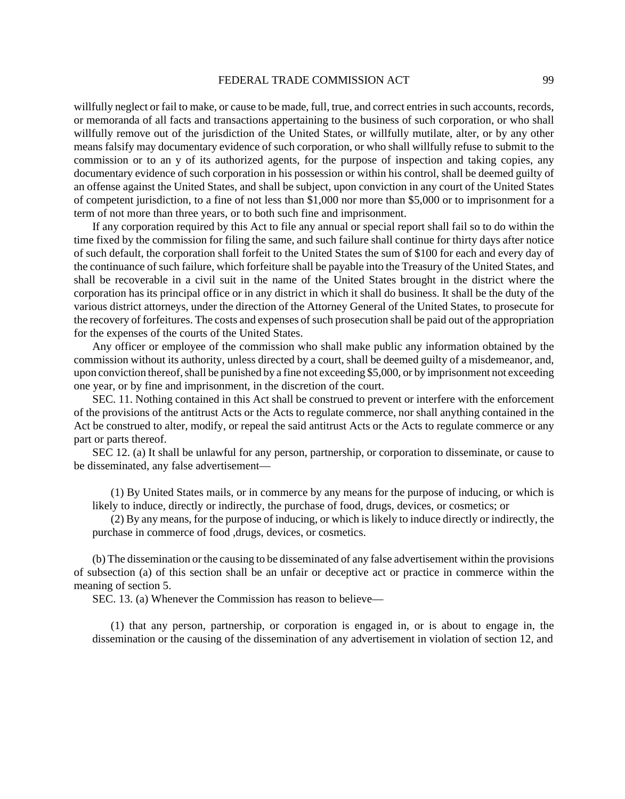## FEDERAL TRADE COMMISSION ACT 99

willfully neglect or fail to make, or cause to be made, full, true, and correct entries in such accounts, records, or memoranda of all facts and transactions appertaining to the business of such corporation, or who shall willfully remove out of the jurisdiction of the United States, or willfully mutilate, alter, or by any other means falsify may documentary evidence of such corporation, or who shall willfully refuse to submit to the commission or to an y of its authorized agents, for the purpose of inspection and taking copies, any documentary evidence of such corporation in his possession or within his control, shall be deemed guilty of an offense against the United States, and shall be subject, upon conviction in any court of the United States of competent jurisdiction, to a fine of not less than \$1,000 nor more than \$5,000 or to imprisonment for a term of not more than three years, or to both such fine and imprisonment.

If any corporation required by this Act to file any annual or special report shall fail so to do within the time fixed by the commission for filing the same, and such failure shall continue for thirty days after notice of such default, the corporation shall forfeit to the United States the sum of \$100 for each and every day of the continuance of such failure, which forfeiture shall be payable into the Treasury of the United States, and shall be recoverable in a civil suit in the name of the United States brought in the district where the corporation has its principal office or in any district in which it shall do business. It shall be the duty of the various district attorneys, under the direction of the Attorney General of the United States, to prosecute for the recovery of forfeitures. The costs and expenses of such prosecution shall be paid out of the appropriation for the expenses of the courts of the United States.

Any officer or employee of the commission who shall make public any information obtained by the commission without its authority, unless directed by a court, shall be deemed guilty of a misdemeanor, and, upon conviction thereof, shall be punished by a fine not exceeding \$5,000, or by imprisonment not exceeding one year, or by fine and imprisonment, in the discretion of the court.

SEC. 11. Nothing contained in this Act shall be construed to prevent or interfere with the enforcement of the provisions of the antitrust Acts or the Acts to regulate commerce, nor shall anything contained in the Act be construed to alter, modify, or repeal the said antitrust Acts or the Acts to regulate commerce or any part or parts thereof.

SEC 12. (a) It shall be unlawful for any person, partnership, or corporation to disseminate, or cause to be disseminated, any false advertisement—

(1) By United States mails, or in commerce by any means for the purpose of inducing, or which is likely to induce, directly or indirectly, the purchase of food, drugs, devices, or cosmetics; or

(2) By any means, for the purpose of inducing, or which is likely to induce directly or indirectly, the purchase in commerce of food ,drugs, devices, or cosmetics.

(b) The dissemination or the causing to be disseminated of any false advertisement within the provisions of subsection (a) of this section shall be an unfair or deceptive act or practice in commerce within the meaning of section 5.

SEC. 13. (a) Whenever the Commission has reason to believe—

(1) that any person, partnership, or corporation is engaged in, or is about to engage in, the dissemination or the causing of the dissemination of any advertisement in violation of section 12, and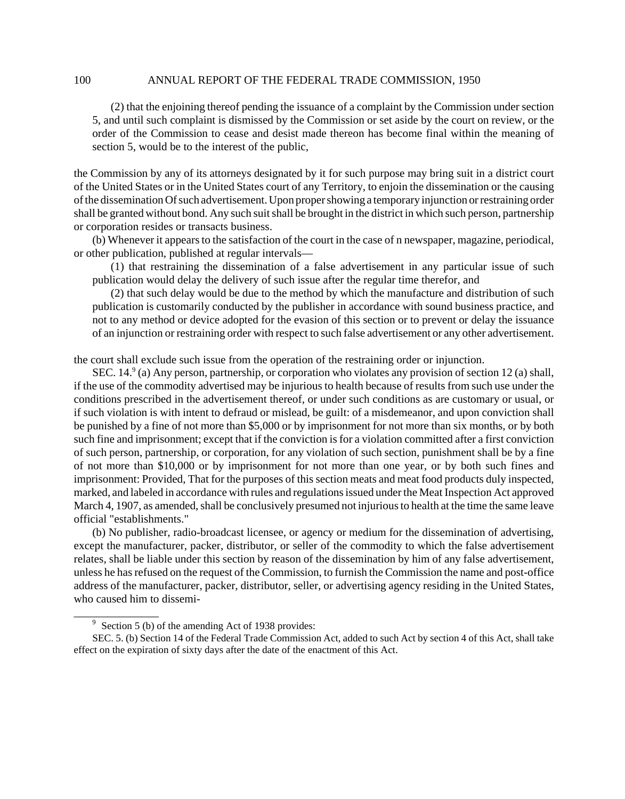(2) that the enjoining thereof pending the issuance of a complaint by the Commission under section 5, and until such complaint is dismissed by the Commission or set aside by the court on review, or the order of the Commission to cease and desist made thereon has become final within the meaning of section 5, would be to the interest of the public,

the Commission by any of its attorneys designated by it for such purpose may bring suit in a district court of the United States or in the United States court of any Territory, to enjoin the dissemination or the causing ofthe dissemination Of such advertisement. Upon proper showing a temporary injunction or restraining order shall be granted without bond. Any such suit shall be brought in the district in which such person, partnership or corporation resides or transacts business.

(b) Whenever it appears to the satisfaction of the court in the case of n newspaper, magazine, periodical, or other publication, published at regular intervals—

(1) that restraining the dissemination of a false advertisement in any particular issue of such publication would delay the delivery of such issue after the regular time therefor, and

(2) that such delay would be due to the method by which the manufacture and distribution of such publication is customarily conducted by the publisher in accordance with sound business practice, and not to any method or device adopted for the evasion of this section or to prevent or delay the issuance of an injunction or restraining order with respect to such false advertisement or any other advertisement.

the court shall exclude such issue from the operation of the restraining order or injunction.

SEC. 14.<sup>9</sup> (a) Any person, partnership, or corporation who violates any provision of section 12 (a) shall, if the use of the commodity advertised may be injurious to health because of results from such use under the conditions prescribed in the advertisement thereof, or under such conditions as are customary or usual, or if such violation is with intent to defraud or mislead, be guilt: of a misdemeanor, and upon conviction shall be punished by a fine of not more than \$5,000 or by imprisonment for not more than six months, or by both such fine and imprisonment; except that if the conviction is for a violation committed after a first conviction of such person, partnership, or corporation, for any violation of such section, punishment shall be by a fine of not more than \$10,000 or by imprisonment for not more than one year, or by both such fines and imprisonment: Provided, That for the purposes of this section meats and meat food products duly inspected, marked, and labeled in accordance with rules and regulationsissued underthe Meat Inspection Act approved March 4, 1907, as amended, shall be conclusively presumed not injurious to health at the time the same leave official "establishments."

(b) No publisher, radio-broadcast licensee, or agency or medium for the dissemination of advertising, except the manufacturer, packer, distributor, or seller of the commodity to which the false advertisement relates, shall be liable under this section by reason of the dissemination by him of any false advertisement, unless he hasrefused on the request of the Commission, to furnish the Commission the name and post-office address of the manufacturer, packer, distributor, seller, or advertising agency residing in the United States, who caused him to dissemi-

\_\_\_\_\_\_\_\_\_\_\_\_\_\_\_

<sup>9</sup> Section 5 (b) of the amending Act of 1938 provides:

SEC. 5. (b) Section 14 of the Federal Trade Commission Act, added to such Act by section 4 of this Act, shall take effect on the expiration of sixty days after the date of the enactment of this Act.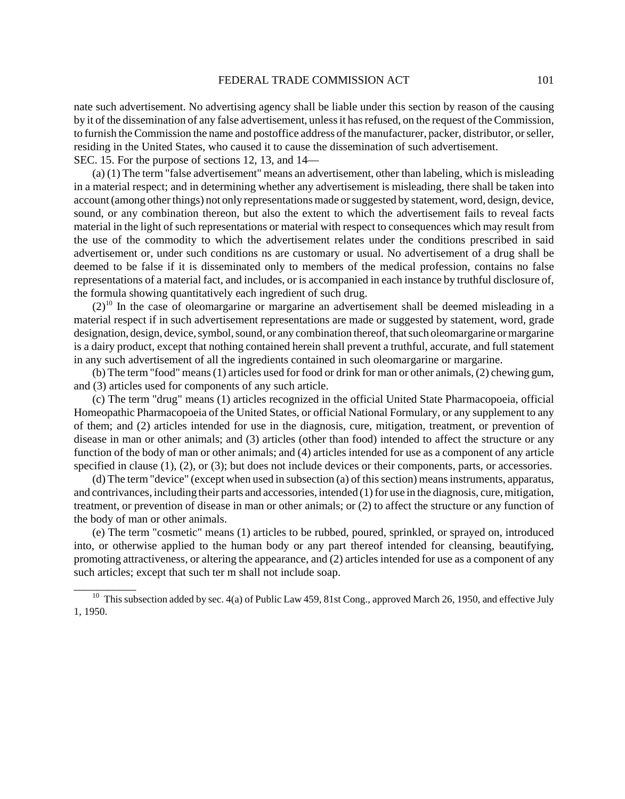nate such advertisement. No advertising agency shall be liable under this section by reason of the causing by it of the dissemination of any false advertisement, unlessit hasrefused, on the request of the Commission, to furnish theCommission the name and postoffice address ofthemanufacturer, packer, distributor, orseller, residing in the United States, who caused it to cause the dissemination of such advertisement. SEC. 15. For the purpose of sections 12, 13, and 14—

(a) (1) The term "false advertisement" means an advertisement, other than labeling, which is misleading in a material respect; and in determining whether any advertisement is misleading, there shall be taken into account (among other things) not only representations made or suggested by statement, word, design, device, sound, or any combination thereon, but also the extent to which the advertisement fails to reveal facts material in the light of such representations or material with respect to consequences which may result from the use of the commodity to which the advertisement relates under the conditions prescribed in said advertisement or, under such conditions ns are customary or usual. No advertisement of a drug shall be deemed to be false if it is disseminated only to members of the medical profession, contains no false representations of a material fact, and includes, or is accompanied in each instance by truthful disclosure of, the formula showing quantitatively each ingredient of such drug.

 $(2)^{10}$  In the case of oleomargarine or margarine an advertisement shall be deemed misleading in a material respect if in such advertisement representations are made or suggested by statement, word, grade designation, design, device, symbol, sound, or any combination thereof, that such oleomargarine or margarine is a dairy product, except that nothing contained herein shall prevent a truthful, accurate, and full statement in any such advertisement of all the ingredients contained in such oleomargarine or margarine.

(b) The term "food" means(1) articles used for food or drink for man or other animals, (2) chewing gum, and (3) articles used for components of any such article.

(c) The term "drug" means (1) articles recognized in the official United State Pharmacopoeia, official Homeopathic Pharmacopoeia of the United States, or official National Formulary, or any supplement to any of them; and (2) articles intended for use in the diagnosis, cure, mitigation, treatment, or prevention of disease in man or other animals; and (3) articles (other than food) intended to affect the structure or any function of the body of man or other animals; and (4) articles intended for use as a component of any article specified in clause (1), (2), or (3); but does not include devices or their components, parts, or accessories.

(d) The term "device" (except when used in subsection (a) of thissection) meansinstruments, apparatus, and contrivances, including their parts and accessories, intended  $(1)$  for use in the diagnosis, cure, mitigation, treatment, or prevention of disease in man or other animals; or (2) to affect the structure or any function of the body of man or other animals.

(e) The term "cosmetic" means (1) articles to be rubbed, poured, sprinkled, or sprayed on, introduced into, or otherwise applied to the human body or any part thereof intended for cleansing, beautifying, promoting attractiveness, or altering the appearance, and (2) articles intended for use as a component of any such articles; except that such ter m shall not include soap.

\_\_\_\_\_\_\_\_\_\_\_

<sup>&</sup>lt;sup>10</sup> This subsection added by sec. 4(a) of Public Law 459, 81st Cong., approved March 26, 1950, and effective July 1, 1950.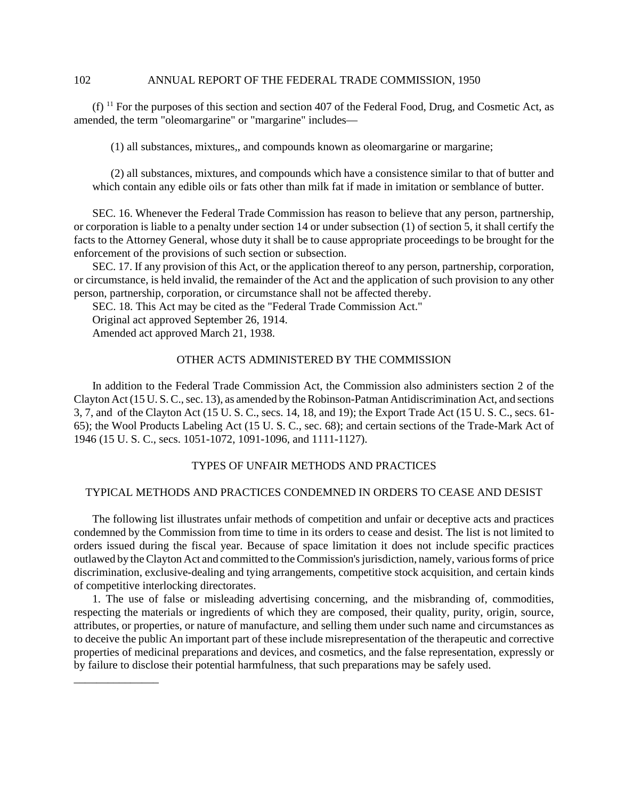$(f)$ <sup>11</sup> For the purposes of this section and section 407 of the Federal Food, Drug, and Cosmetic Act, as amended, the term "oleomargarine" or "margarine" includes—

(1) all substances, mixtures,, and compounds known as oleomargarine or margarine;

(2) all substances, mixtures, and compounds which have a consistence similar to that of butter and which contain any edible oils or fats other than milk fat if made in imitation or semblance of butter.

SEC. 16. Whenever the Federal Trade Commission has reason to believe that any person, partnership, or corporation is liable to a penalty under section 14 or under subsection (1) of section 5, it shall certify the facts to the Attorney General, whose duty it shall be to cause appropriate proceedings to be brought for the enforcement of the provisions of such section or subsection.

SEC. 17. If any provision of this Act, or the application thereof to any person, partnership, corporation, or circumstance, is held invalid, the remainder of the Act and the application of such provision to any other person, partnership, corporation, or circumstance shall not be affected thereby.

SEC. 18. This Act may be cited as the "Federal Trade Commission Act."

Original act approved September 26, 1914.

Amended act approved March 21, 1938.

\_\_\_\_\_\_\_\_\_\_\_\_\_\_\_

## OTHER ACTS ADMINISTERED BY THE COMMISSION

In addition to the Federal Trade Commission Act, the Commission also administers section 2 of the Clayton Act (15 U. S. C., sec. 13), as amended by the Robinson-Patman Antidiscrimination Act, and sections 3, 7, and of the Clayton Act (15 U. S. C., secs. 14, 18, and 19); the Export Trade Act (15 U. S. C., secs. 61- 65); the Wool Products Labeling Act (15 U. S. C., sec. 68); and certain sections of the Trade-Mark Act of 1946 (15 U. S. C., secs. 1051-1072, 1091-1096, and 1111-1127).

## TYPES OF UNFAIR METHODS AND PRACTICES

## TYPICAL METHODS AND PRACTICES CONDEMNED IN ORDERS TO CEASE AND DESIST

The following list illustrates unfair methods of competition and unfair or deceptive acts and practices condemned by the Commission from time to time in its orders to cease and desist. The list is not limited to orders issued during the fiscal year. Because of space limitation it does not include specific practices outlawed by the Clayton Act and committed to the Commission's jurisdiction, namely, various forms of price discrimination, exclusive-dealing and tying arrangements, competitive stock acquisition, and certain kinds of competitive interlocking directorates.

1. The use of false or misleading advertising concerning, and the misbranding of, commodities, respecting the materials or ingredients of which they are composed, their quality, purity, origin, source, attributes, or properties, or nature of manufacture, and selling them under such name and circumstances as to deceive the public An important part of these include misrepresentation of the therapeutic and corrective properties of medicinal preparations and devices, and cosmetics, and the false representation, expressly or by failure to disclose their potential harmfulness, that such preparations may be safely used.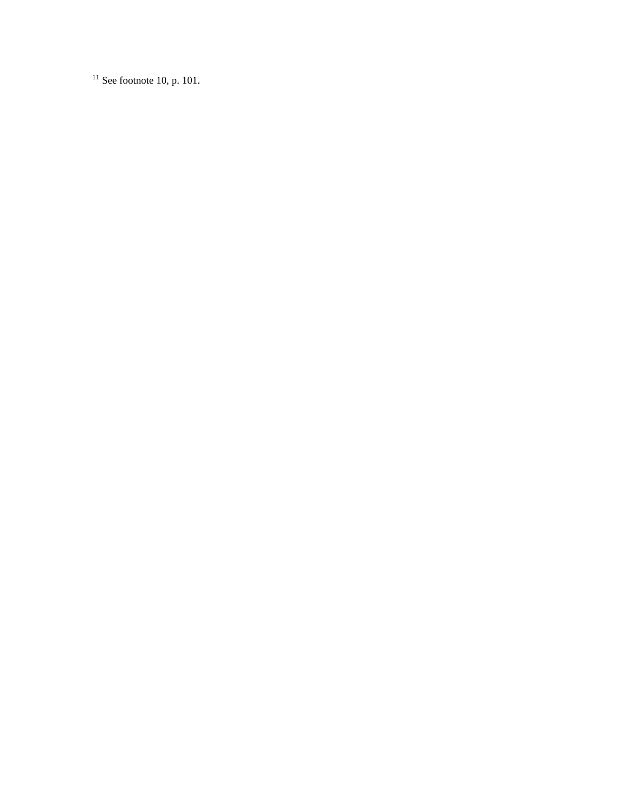See footnote 10, p. 101.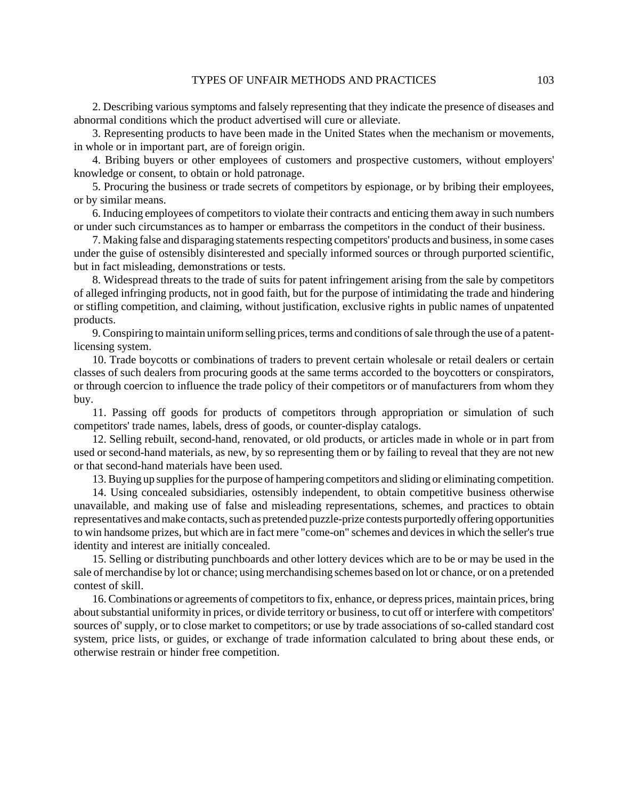2. Describing various symptoms and falsely representing that they indicate the presence of diseases and abnormal conditions which the product advertised will cure or alleviate.

3. Representing products to have been made in the United States when the mechanism or movements, in whole or in important part, are of foreign origin.

4. Bribing buyers or other employees of customers and prospective customers, without employers' knowledge or consent, to obtain or hold patronage.

5. Procuring the business or trade secrets of competitors by espionage, or by bribing their employees, or by similar means.

6. Inducing employees of competitors to violate their contracts and enticing them away in such numbers or under such circumstances as to hamper or embarrass the competitors in the conduct of their business.

7. Making false and disparaging statements respecting competitors' products and business, in some cases under the guise of ostensibly disinterested and specially informed sources or through purported scientific, but in fact misleading, demonstrations or tests.

8. Widespread threats to the trade of suits for patent infringement arising from the sale by competitors of alleged infringing products, not in good faith, but for the purpose of intimidating the trade and hindering or stifling competition, and claiming, without justification, exclusive rights in public names of unpatented products.

9.Conspiring to maintain uniformselling prices, terms and conditions ofsale through the use of a patentlicensing system.

10. Trade boycotts or combinations of traders to prevent certain wholesale or retail dealers or certain classes of such dealers from procuring goods at the same terms accorded to the boycotters or conspirators, or through coercion to influence the trade policy of their competitors or of manufacturers from whom they buy.

11. Passing off goods for products of competitors through appropriation or simulation of such competitors' trade names, labels, dress of goods, or counter-display catalogs.

12. Selling rebuilt, second-hand, renovated, or old products, or articles made in whole or in part from used or second-hand materials, as new, by so representing them or by failing to reveal that they are not new or that second-hand materials have been used.

13. Buying up supplies for the purpose of hampering competitors and sliding or eliminating competition.

14. Using concealed subsidiaries, ostensibly independent, to obtain competitive business otherwise unavailable, and making use of false and misleading representations, schemes, and practices to obtain representatives and make contacts, such as pretended puzzle-prize contests purportedly offering opportunities to win handsome prizes, but which are in fact mere "come-on" schemes and devicesin which the seller's true identity and interest are initially concealed.

15. Selling or distributing punchboards and other lottery devices which are to be or may be used in the sale of merchandise by lot or chance; using merchandising schemes based on lot or chance, or on a pretended contest of skill.

16. Combinations or agreements of competitors to fix, enhance, or depress prices, maintain prices, bring about substantial uniformity in prices, or divide territory or business, to cut off or interfere with competitors' sources of' supply, or to close market to competitors; or use by trade associations of so-called standard cost system, price lists, or guides, or exchange of trade information calculated to bring about these ends, or otherwise restrain or hinder free competition.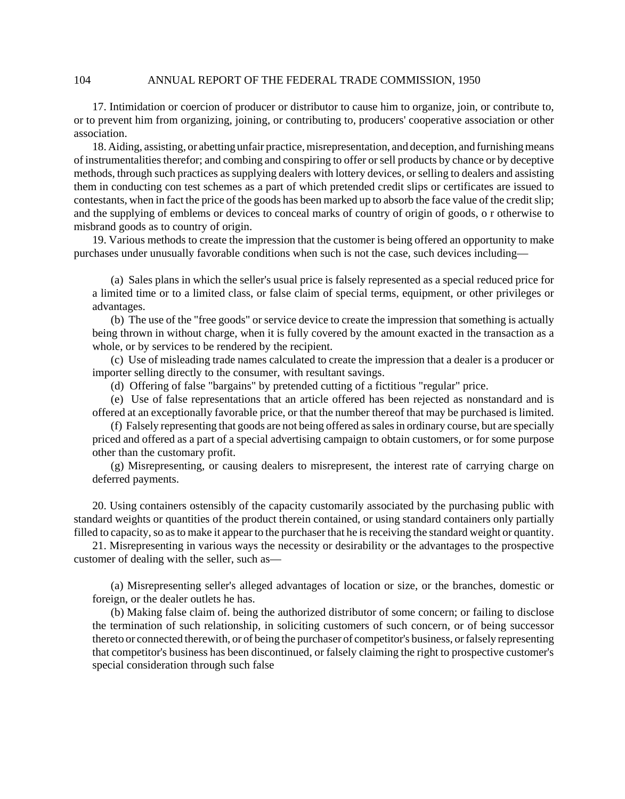17. Intimidation or coercion of producer or distributor to cause him to organize, join, or contribute to, or to prevent him from organizing, joining, or contributing to, producers' cooperative association or other association.

18. Aiding, assisting, or abetting unfair practice, misrepresentation, and deception, and furnishing means of instrumentalitiestherefor; and combing and conspiring to offer orsell products by chance or by deceptive methods, through such practices as supplying dealers with lottery devices, or selling to dealers and assisting them in conducting con test schemes as a part of which pretended credit slips or certificates are issued to contestants, when in fact the price of the goods has been marked up to absorb the face value of the creditslip; and the supplying of emblems or devices to conceal marks of country of origin of goods, o r otherwise to misbrand goods as to country of origin.

19. Various methods to create the impression that the customer is being offered an opportunity to make purchases under unusually favorable conditions when such is not the case, such devices including—

(a) Sales plans in which the seller's usual price is falsely represented as a special reduced price for a limited time or to a limited class, or false claim of special terms, equipment, or other privileges or advantages.

(b) The use of the "free goods" or service device to create the impression that something is actually being thrown in without charge, when it is fully covered by the amount exacted in the transaction as a whole, or by services to be rendered by the recipient.

(c) Use of misleading trade names calculated to create the impression that a dealer is a producer or importer selling directly to the consumer, with resultant savings.

(d) Offering of false "bargains" by pretended cutting of a fictitious "regular" price.

(e) Use of false representations that an article offered has been rejected as nonstandard and is offered at an exceptionally favorable price, or that the number thereof that may be purchased is limited.

(f) Falsely representing that goods are not being offered as sales in ordinary course, but are specially priced and offered as a part of a special advertising campaign to obtain customers, or for some purpose other than the customary profit.

(g) Misrepresenting, or causing dealers to misrepresent, the interest rate of carrying charge on deferred payments.

20. Using containers ostensibly of the capacity customarily associated by the purchasing public with standard weights or quantities of the product therein contained, or using standard containers only partially filled to capacity, so as to make it appear to the purchaser that he is receiving the standard weight or quantity.

21. Misrepresenting in various ways the necessity or desirability or the advantages to the prospective customer of dealing with the seller, such as—

(a) Misrepresenting seller's alleged advantages of location or size, or the branches, domestic or foreign, or the dealer outlets he has.

(b) Making false claim of. being the authorized distributor of some concern; or failing to disclose the termination of such relationship, in soliciting customers of such concern, or of being successor thereto or connected therewith, or of being the purchaser of competitor's business, orfalsely representing that competitor's business has been discontinued, or falsely claiming the right to prospective customer's special consideration through such false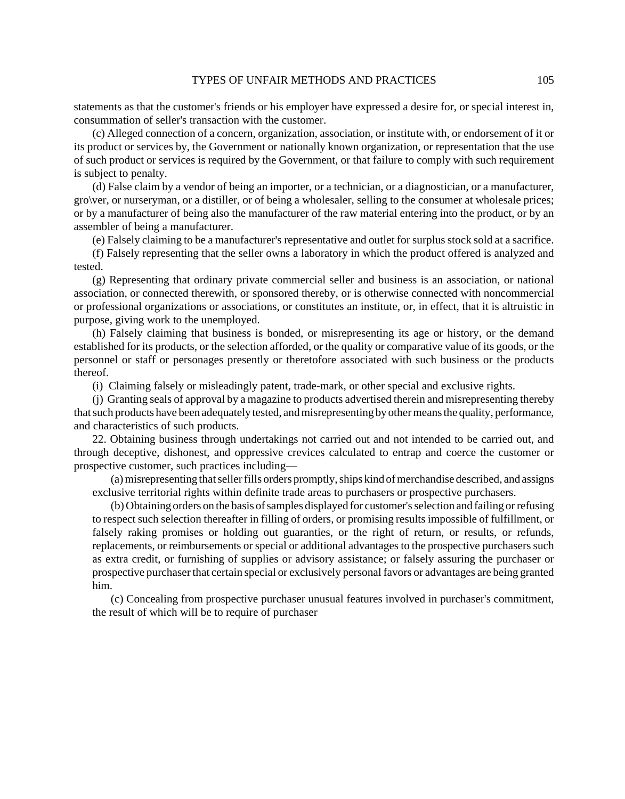statements as that the customer's friends or his employer have expressed a desire for, or special interest in, consummation of seller's transaction with the customer.

(c) Alleged connection of a concern, organization, association, or institute with, or endorsement of it or its product or services by, the Government or nationally known organization, or representation that the use of such product or services is required by the Government, or that failure to comply with such requirement is subject to penalty.

(d) False claim by a vendor of being an importer, or a technician, or a diagnostician, or a manufacturer, gro\ver, or nurseryman, or a distiller, or of being a wholesaler, selling to the consumer at wholesale prices; or by a manufacturer of being also the manufacturer of the raw material entering into the product, or by an assembler of being a manufacturer.

(e) Falsely claiming to be a manufacturer's representative and outlet for surplus stock sold at a sacrifice.

(f) Falsely representing that the seller owns a laboratory in which the product offered is analyzed and tested.

(g) Representing that ordinary private commercial seller and business is an association, or national association, or connected therewith, or sponsored thereby, or is otherwise connected with noncommercial or professional organizations or associations, or constitutes an institute, or, in effect, that it is altruistic in purpose, giving work to the unemployed.

(h) Falsely claiming that business is bonded, or misrepresenting its age or history, or the demand established for its products, or the selection afforded, or the quality or comparative value of its goods, or the personnel or staff or personages presently or theretofore associated with such business or the products thereof.

(i) Claiming falsely or misleadingly patent, trade-mark, or other special and exclusive rights.

(j) Granting seals of approval by a magazine to products advertised therein and misrepresenting thereby that such products have been adequately tested, and misrepresenting by other means the quality, performance, and characteristics of such products.

22. Obtaining business through undertakings not carried out and not intended to be carried out, and through deceptive, dishonest, and oppressive crevices calculated to entrap and coerce the customer or prospective customer, such practices including—

(a)misrepresenting thatsellerfills orders promptly,ships kind ofmerchandise described, and assigns exclusive territorial rights within definite trade areas to purchasers or prospective purchasers.

(b) Obtaining orders on the basis ofsamples displayed for customer'sselection and failing orrefusing to respect such selection thereafter in filling of orders, or promising results impossible of fulfillment, or falsely raking promises or holding out guaranties, or the right of return, or results, or refunds, replacements, or reimbursements or special or additional advantages to the prospective purchasers such as extra credit, or furnishing of supplies or advisory assistance; or falsely assuring the purchaser or prospective purchaserthat certain special or exclusively personal favors or advantages are being granted him.

(c) Concealing from prospective purchaser unusual features involved in purchaser's commitment, the result of which will be to require of purchaser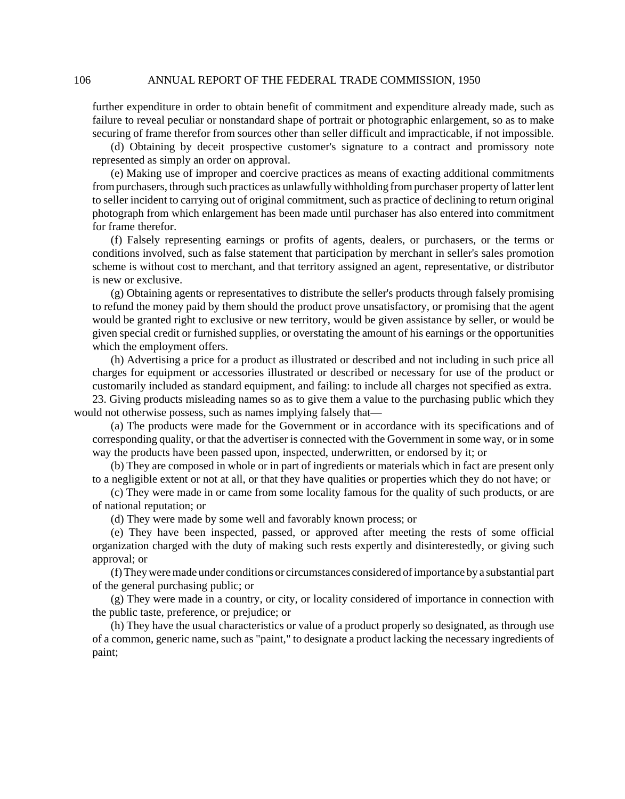further expenditure in order to obtain benefit of commitment and expenditure already made, such as failure to reveal peculiar or nonstandard shape of portrait or photographic enlargement, so as to make securing of frame therefor from sources other than seller difficult and impracticable, if not impossible.

(d) Obtaining by deceit prospective customer's signature to a contract and promissory note represented as simply an order on approval.

(e) Making use of improper and coercive practices as means of exacting additional commitments from purchasers, through such practices as unlawfully withholding from purchaser property of latter lent to seller incident to carrying out of original commitment, such as practice of declining to return original photograph from which enlargement has been made until purchaser has also entered into commitment for frame therefor.

(f) Falsely representing earnings or profits of agents, dealers, or purchasers, or the terms or conditions involved, such as false statement that participation by merchant in seller's sales promotion scheme is without cost to merchant, and that territory assigned an agent, representative, or distributor is new or exclusive.

(g) Obtaining agents or representatives to distribute the seller's products through falsely promising to refund the money paid by them should the product prove unsatisfactory, or promising that the agent would be granted right to exclusive or new territory, would be given assistance by seller, or would be given special credit or furnished supplies, or overstating the amount of his earnings or the opportunities which the employment offers.

(h) Advertising a price for a product as illustrated or described and not including in such price all charges for equipment or accessories illustrated or described or necessary for use of the product or customarily included as standard equipment, and failing: to include all charges not specified as extra.

23. Giving products misleading names so as to give them a value to the purchasing public which they would not otherwise possess, such as names implying falsely that—

(a) The products were made for the Government or in accordance with its specifications and of corresponding quality, or that the advertiser is connected with the Government in some way, or in some way the products have been passed upon, inspected, underwritten, or endorsed by it; or

(b) They are composed in whole or in part of ingredients or materials which in fact are present only to a negligible extent or not at all, or that they have qualities or properties which they do not have; or

(c) They were made in or came from some locality famous for the quality of such products, or are of national reputation; or

(d) They were made by some well and favorably known process; or

(e) They have been inspected, passed, or approved after meeting the rests of some official organization charged with the duty of making such rests expertly and disinterestedly, or giving such approval; or

(f)Theyweremade under conditions or circumstances considered ofimportance by a substantial part of the general purchasing public; or

(g) They were made in a country, or city, or locality considered of importance in connection with the public taste, preference, or prejudice; or

(h) They have the usual characteristics or value of a product properly so designated, as through use of a common, generic name, such as "paint," to designate a product lacking the necessary ingredients of paint;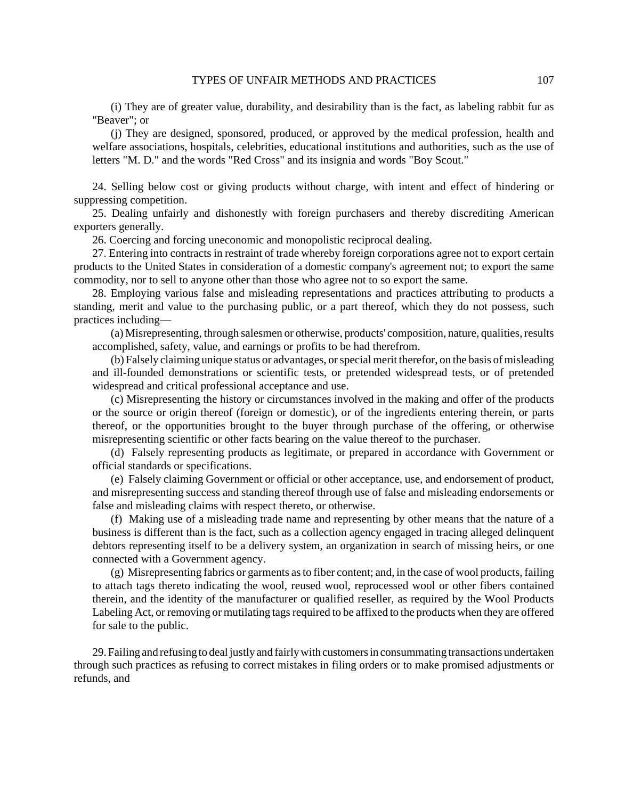(i) They are of greater value, durability, and desirability than is the fact, as labeling rabbit fur as "Beaver"; or

(j) They are designed, sponsored, produced, or approved by the medical profession, health and welfare associations, hospitals, celebrities, educational institutions and authorities, such as the use of letters "M. D." and the words "Red Cross" and its insignia and words "Boy Scout."

24. Selling below cost or giving products without charge, with intent and effect of hindering or suppressing competition.

25. Dealing unfairly and dishonestly with foreign purchasers and thereby discrediting American exporters generally.

26. Coercing and forcing uneconomic and monopolistic reciprocal dealing.

27. Entering into contracts in restraint of trade whereby foreign corporations agree not to export certain products to the United States in consideration of a domestic company's agreement not; to export the same commodity, nor to sell to anyone other than those who agree not to so export the same.

28. Employing various false and misleading representations and practices attributing to products a standing, merit and value to the purchasing public, or a part thereof, which they do not possess, such practices including—

(a) Misrepresenting, through salesmen or otherwise, products' composition, nature, qualities,results accomplished, safety, value, and earnings or profits to be had therefrom.

 $(b)$  Falsely claiming unique status or advantages, or special merit therefor, on the basis of misleading and ill-founded demonstrations or scientific tests, or pretended widespread tests, or of pretended widespread and critical professional acceptance and use.

(c) Misrepresenting the history or circumstances involved in the making and offer of the products or the source or origin thereof (foreign or domestic), or of the ingredients entering therein, or parts thereof, or the opportunities brought to the buyer through purchase of the offering, or otherwise misrepresenting scientific or other facts bearing on the value thereof to the purchaser.

(d) Falsely representing products as legitimate, or prepared in accordance with Government or official standards or specifications.

(e) Falsely claiming Government or official or other acceptance, use, and endorsement of product, and misrepresenting success and standing thereof through use of false and misleading endorsements or false and misleading claims with respect thereto, or otherwise.

(f) Making use of a misleading trade name and representing by other means that the nature of a business is different than is the fact, such as a collection agency engaged in tracing alleged delinquent debtors representing itself to be a delivery system, an organization in search of missing heirs, or one connected with a Government agency.

(g) Misrepresenting fabrics or garments as to fiber content; and, in the case of wool products, failing to attach tags thereto indicating the wool, reused wool, reprocessed wool or other fibers contained therein, and the identity of the manufacturer or qualified reseller, as required by the Wool Products Labeling Act, or removing or mutilating tags required to be affixed to the products when they are offered for sale to the public.

29. Failing and refusing to deal justly and fairly with customers in consummating transactions undertaken through such practices as refusing to correct mistakes in filing orders or to make promised adjustments or refunds, and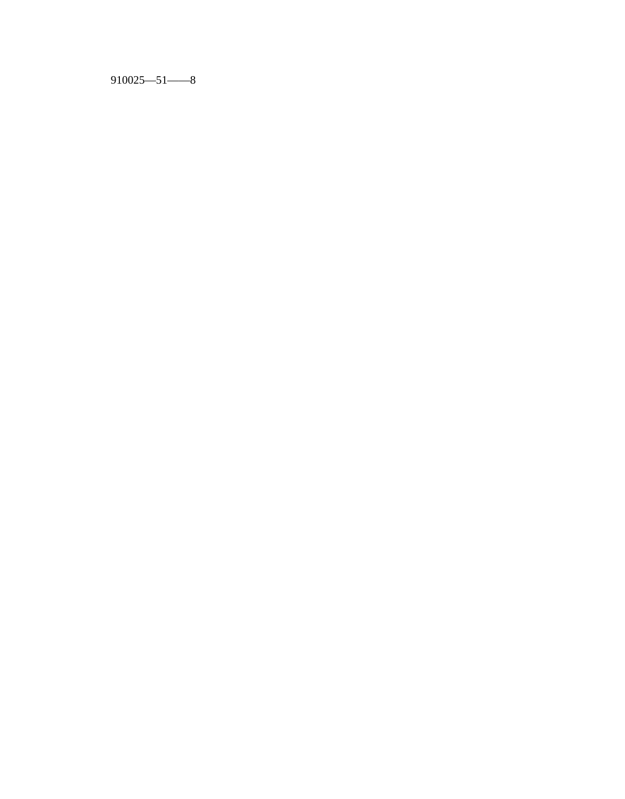910025—51——8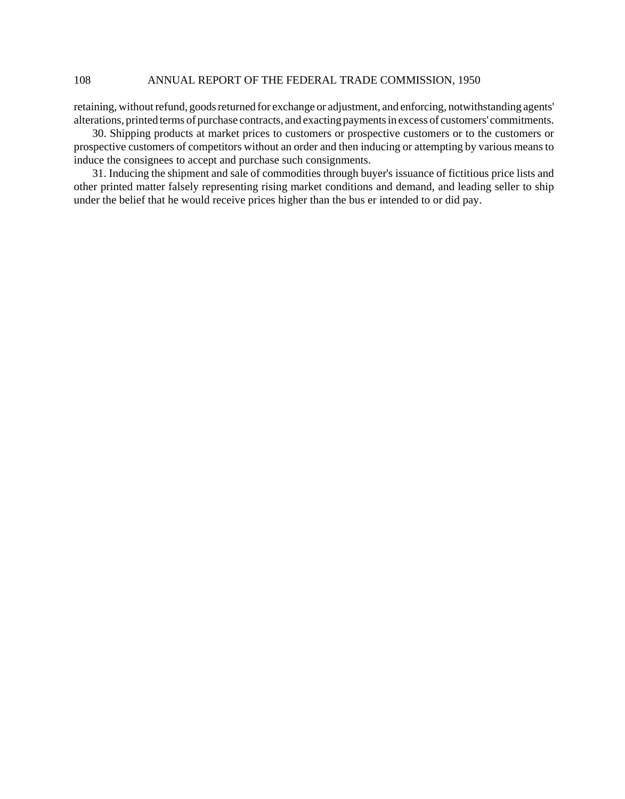retaining, without refund, goods returned for exchange or adjustment, and enforcing, notwithstanding agents' alterations, printed terms of purchase contracts, and exacting paymentsin excess of customers' commitments.

30. Shipping products at market prices to customers or prospective customers or to the customers or prospective customers of competitors without an order and then inducing or attempting by various meansto induce the consignees to accept and purchase such consignments.

31. Inducing the shipment and sale of commodities through buyer's issuance of fictitious price lists and other printed matter falsely representing rising market conditions and demand, and leading seller to ship under the belief that he would receive prices higher than the bus er intended to or did pay.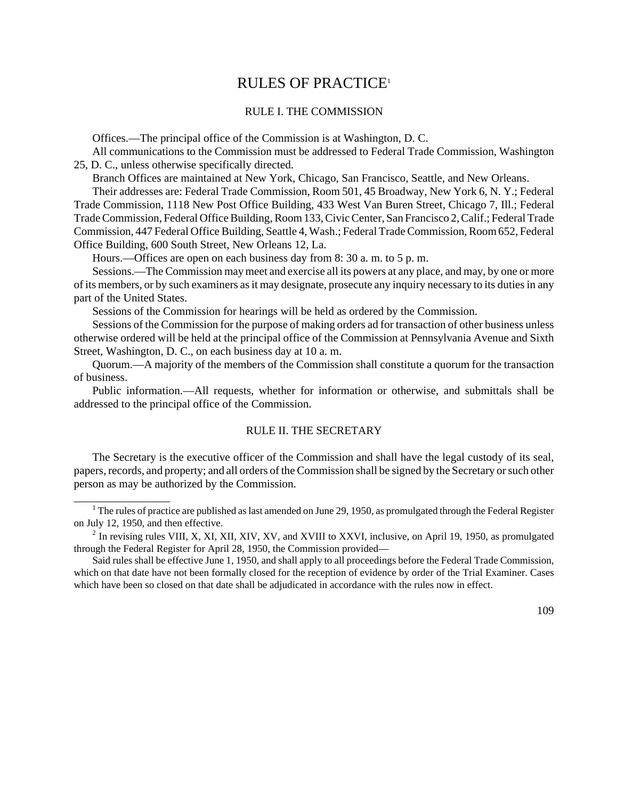# RULES OF PRACTICE<sup>1</sup>

## RULE I. THE COMMISSION

Offices.—The principal office of the Commission is at Washington, D. C.

All communications to the Commission must be addressed to Federal Trade Commission, Washington 25, D. C., unless otherwise specifically directed.

Branch Offices are maintained at New York, Chicago, San Francisco, Seattle, and New Orleans.

Their addresses are: Federal Trade Commission, Room 501, 45 Broadway, New York 6, N. Y.; Federal Trade Commission, 1118 New Post Office Building, 433 West Van Buren Street, Chicago 7, Ill.; Federal Trade Commission, Federal Office Building, Room 133, Civic Center, San Francisco 2, Calif.; Federal Trade Commission, 447 Federal Office Building, Seattle 4, Wash.; Federal TradeCommission,Room652, Federal Office Building, 600 South Street, New Orleans 12, La.

Hours.—Offices are open on each business day from 8: 30 a. m. to 5 p. m.

\_\_\_\_\_\_\_\_\_\_\_\_\_\_\_\_\_

Sessions.—The Commission may meet and exercise all its powers at any place, and may, by one or more of its members, or by such examiners asit may designate, prosecute any inquiry necessary to its dutiesin any part of the United States.

Sessions of the Commission for hearings will be held as ordered by the Commission.

Sessions of the Commission for the purpose of making orders ad for transaction of other business unless otherwise ordered will be held at the principal office of the Commission at Pennsylvania Avenue and Sixth Street, Washington, D. C., on each business day at 10 a. m.

Quorum.—A majority of the members of the Commission shall constitute a quorum for the transaction of business.

Public information.—All requests, whether for information or otherwise, and submittals shall be addressed to the principal office of the Commission.

## RULE II. THE SECRETARY

The Secretary is the executive officer of the Commission and shall have the legal custody of its seal, papers, records, and property; and all orders of the Commission shall be signed by the Secretary or such other person as may be authorized by the Commission.

 $1$  The rules of practice are published as last amended on June 29, 1950, as promulgated through the Federal Register on July 12, 1950, and then effective.

 $2$  In revising rules VIII, X, XI, XII, XIV, XV, and XVIII to XXVI, inclusive, on April 19, 1950, as promulgated through the Federal Register for April 28, 1950, the Commission provided—

Said rules shall be effective June 1, 1950, and shall apply to all proceedings before the Federal Trade Commission, which on that date have not been formally closed for the reception of evidence by order of the Trial Examiner. Cases which have been so closed on that date shall be adjudicated in accordance with the rules now in effect.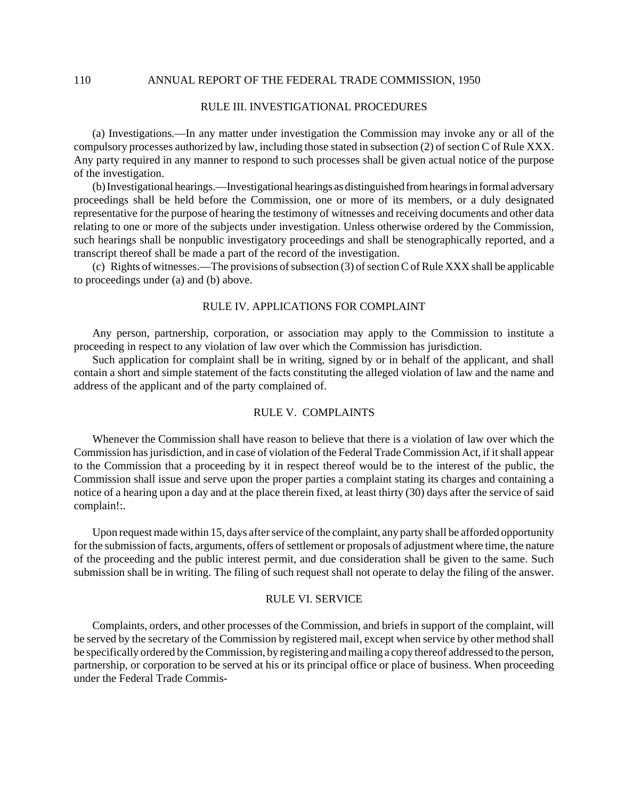#### RULE III. INVESTIGATIONAL PROCEDURES

(a) Investigations.—In any matter under investigation the Commission may invoke any or all of the compulsory processes authorized by law, including those stated in subsection (2) of section C of Rule XXX. Any party required in any manner to respond to such processes shall be given actual notice of the purpose of the investigation.

(b) Investigational hearings.—Investigational hearings as distinguished from hearings in formal adversary proceedings shall be held before the Commission, one or more of its members, or a duly designated representative for the purpose of hearing the testimony of witnesses and receiving documents and other data relating to one or more of the subjects under investigation. Unless otherwise ordered by the Commission, such hearings shall be nonpublic investigatory proceedings and shall be stenographically reported, and a transcript thereof shall be made a part of the record of the investigation.

(c) Rights of witnesses.—The provisions of subsection (3) of section C of Rule XXX shall be applicable to proceedings under (a) and (b) above.

#### RULE IV. APPLICATIONS FOR COMPLAINT

Any person, partnership, corporation, or association may apply to the Commission to institute a proceeding in respect to any violation of law over which the Commission has jurisdiction.

Such application for complaint shall be in writing, signed by or in behalf of the applicant, and shall contain a short and simple statement of the facts constituting the alleged violation of law and the name and address of the applicant and of the party complained of.

## RULE V. COMPLAINTS

Whenever the Commission shall have reason to believe that there is a violation of law over which the Commission has jurisdiction, and in case of violation of the Federal Trade Commission Act, if it shall appear to the Commission that a proceeding by it in respect thereof would be to the interest of the public, the Commission shall issue and serve upon the proper parties a complaint stating its charges and containing a notice of a hearing upon a day and at the place therein fixed, at least thirty (30) days after the service of said complain!:.

Upon request made within 15, days after service of the complaint, any party shall be afforded opportunity for the submission of facts, arguments, offers of settlement or proposals of adjustment where time, the nature of the proceeding and the public interest permit, and due consideration shall be given to the same. Such submission shall be in writing. The filing of such request shall not operate to delay the filing of the answer.

## RULE VI. SERVICE

Complaints, orders, and other processes of the Commission, and briefs in support of the complaint, will be served by the secretary of the Commission by registered mail, except when service by other method shall be specifically ordered by the Commission, by registering and mailing a copy thereof addressed to the person, partnership, or corporation to be served at his or its principal office or place of business. When proceeding under the Federal Trade Commis-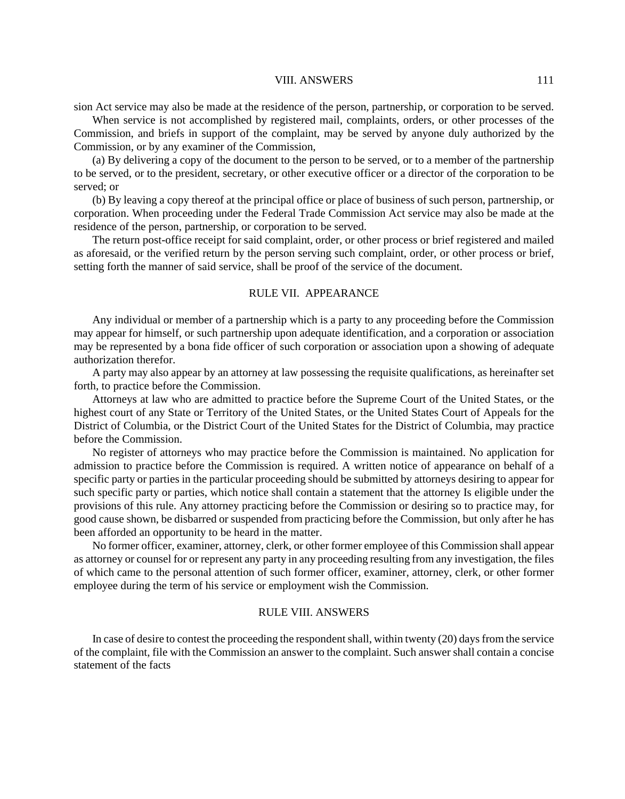#### VIII. ANSWERS 111

sion Act service may also be made at the residence of the person, partnership, or corporation to be served.

When service is not accomplished by registered mail, complaints, orders, or other processes of the Commission, and briefs in support of the complaint, may be served by anyone duly authorized by the Commission, or by any examiner of the Commission,

(a) By delivering a copy of the document to the person to be served, or to a member of the partnership to be served, or to the president, secretary, or other executive officer or a director of the corporation to be served; or

(b) By leaving a copy thereof at the principal office or place of business of such person, partnership, or corporation. When proceeding under the Federal Trade Commission Act service may also be made at the residence of the person, partnership, or corporation to be served.

The return post-office receipt for said complaint, order, or other process or brief registered and mailed as aforesaid, or the verified return by the person serving such complaint, order, or other process or brief, setting forth the manner of said service, shall be proof of the service of the document.

## RULE VII. APPEARANCE

Any individual or member of a partnership which is a party to any proceeding before the Commission may appear for himself, or such partnership upon adequate identification, and a corporation or association may be represented by a bona fide officer of such corporation or association upon a showing of adequate authorization therefor.

A party may also appear by an attorney at law possessing the requisite qualifications, as hereinafter set forth, to practice before the Commission.

Attorneys at law who are admitted to practice before the Supreme Court of the United States, or the highest court of any State or Territory of the United States, or the United States Court of Appeals for the District of Columbia, or the District Court of the United States for the District of Columbia, may practice before the Commission.

No register of attorneys who may practice before the Commission is maintained. No application for admission to practice before the Commission is required. A written notice of appearance on behalf of a specific party or parties in the particular proceeding should be submitted by attorneys desiring to appear for such specific party or parties, which notice shall contain a statement that the attorney Is eligible under the provisions of this rule. Any attorney practicing before the Commission or desiring so to practice may, for good cause shown, be disbarred or suspended from practicing before the Commission, but only after he has been afforded an opportunity to be heard in the matter.

No former officer, examiner, attorney, clerk, or other former employee of this Commission shall appear as attorney or counsel for or represent any party in any proceeding resulting from any investigation, the files of which came to the personal attention of such former officer, examiner, attorney, clerk, or other former employee during the term of his service or employment wish the Commission.

#### RULE VIII. ANSWERS

In case of desire to contest the proceeding the respondent shall, within twenty (20) days from the service of the complaint, file with the Commission an answer to the complaint. Such answer shall contain a concise statement of the facts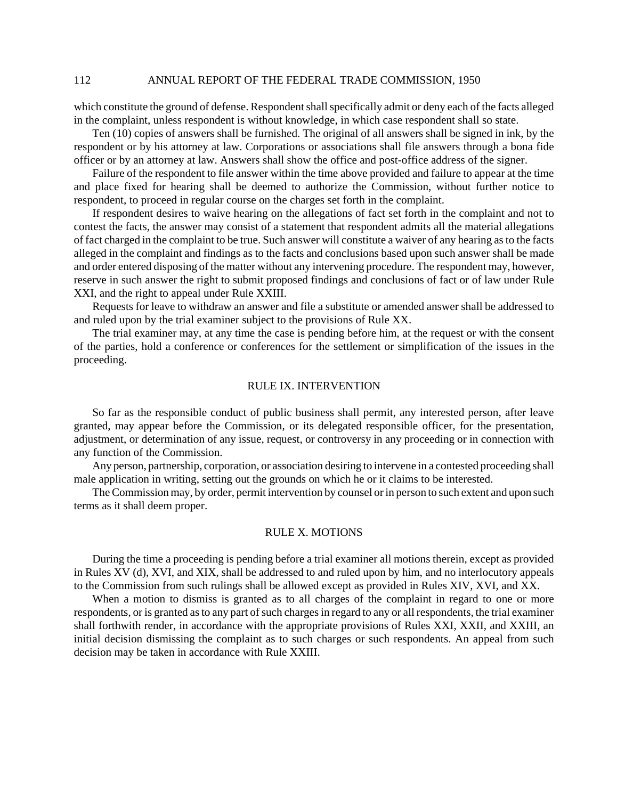which constitute the ground of defense. Respondent shall specifically admit or deny each of the facts alleged in the complaint, unless respondent is without knowledge, in which case respondent shall so state.

Ten (10) copies of answers shall be furnished. The original of all answers shall be signed in ink, by the respondent or by his attorney at law. Corporations or associations shall file answers through a bona fide officer or by an attorney at law. Answers shall show the office and post-office address of the signer.

Failure of the respondent to file answer within the time above provided and failure to appear at the time and place fixed for hearing shall be deemed to authorize the Commission, without further notice to respondent, to proceed in regular course on the charges set forth in the complaint.

If respondent desires to waive hearing on the allegations of fact set forth in the complaint and not to contest the facts, the answer may consist of a statement that respondent admits all the material allegations of fact charged in the complaint to be true. Such answer will constitute a waiver of any hearing asto the facts alleged in the complaint and findings as to the facts and conclusions based upon such answer shall be made and order entered disposing of the matter without any intervening procedure. The respondent may, however, reserve in such answer the right to submit proposed findings and conclusions of fact or of law under Rule XXI, and the right to appeal under Rule XXIII.

Requests for leave to withdraw an answer and file a substitute or amended answer shall be addressed to and ruled upon by the trial examiner subject to the provisions of Rule XX.

The trial examiner may, at any time the case is pending before him, at the request or with the consent of the parties, hold a conference or conferences for the settlement or simplification of the issues in the proceeding.

#### RULE IX. INTERVENTION

So far as the responsible conduct of public business shall permit, any interested person, after leave granted, may appear before the Commission, or its delegated responsible officer, for the presentation, adjustment, or determination of any issue, request, or controversy in any proceeding or in connection with any function of the Commission.

Any person, partnership, corporation, or association desiring to intervene in a contested proceeding shall male application in writing, setting out the grounds on which he or it claims to be interested.

The Commission may, by order, permit intervention by counsel or in person to such extent and upon such terms as it shall deem proper.

## RULE X. MOTIONS

During the time a proceeding is pending before a trial examiner all motions therein, except as provided in Rules XV (d), XVI, and XIX, shall be addressed to and ruled upon by him, and no interlocutory appeals to the Commission from such rulings shall be allowed except as provided in Rules XIV, XVI, and XX.

When a motion to dismiss is granted as to all charges of the complaint in regard to one or more respondents, or is granted as to any part of such charges in regard to any or all respondents, the trial examiner shall forthwith render, in accordance with the appropriate provisions of Rules XXI, XXII, and XXIII, an initial decision dismissing the complaint as to such charges or such respondents. An appeal from such decision may be taken in accordance with Rule XXIII.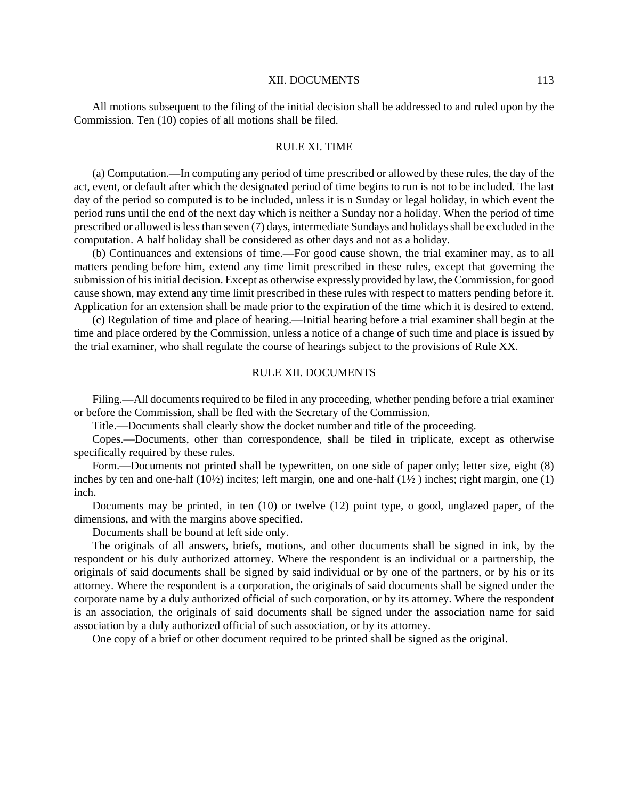#### XII. DOCUMENTS 113

All motions subsequent to the filing of the initial decision shall be addressed to and ruled upon by the Commission. Ten (10) copies of all motions shall be filed.

#### RULE XI. TIME

(a) Computation.—In computing any period of time prescribed or allowed by these rules, the day of the act, event, or default after which the designated period of time begins to run is not to be included. The last day of the period so computed is to be included, unless it is n Sunday or legal holiday, in which event the period runs until the end of the next day which is neither a Sunday nor a holiday. When the period of time prescribed or allowed is less than seven (7) days, intermediate Sundays and holidays shall be excluded in the computation. A half holiday shall be considered as other days and not as a holiday.

(b) Continuances and extensions of time.—For good cause shown, the trial examiner may, as to all matters pending before him, extend any time limit prescribed in these rules, except that governing the submission of his initial decision. Except as otherwise expressly provided by law, the Commission, for good cause shown, may extend any time limit prescribed in these rules with respect to matters pending before it. Application for an extension shall be made prior to the expiration of the time which it is desired to extend.

(c) Regulation of time and place of hearing.—Initial hearing before a trial examiner shall begin at the time and place ordered by the Commission, unless a notice of a change of such time and place is issued by the trial examiner, who shall regulate the course of hearings subject to the provisions of Rule XX.

#### RULE XII. DOCUMENTS

Filing.—All documents required to be filed in any proceeding, whether pending before a trial examiner or before the Commission, shall be fled with the Secretary of the Commission.

Title.—Documents shall clearly show the docket number and title of the proceeding.

Copes.—Documents, other than correspondence, shall be filed in triplicate, except as otherwise specifically required by these rules.

Form.—Documents not printed shall be typewritten, on one side of paper only; letter size, eight (8) inches by ten and one-half (10½) incites; left margin, one and one-half (1½ ) inches; right margin, one (1) inch.

Documents may be printed, in ten (10) or twelve (12) point type, o good, unglazed paper, of the dimensions, and with the margins above specified.

Documents shall be bound at left side only.

The originals of all answers, briefs, motions, and other documents shall be signed in ink, by the respondent or his duly authorized attorney. Where the respondent is an individual or a partnership, the originals of said documents shall be signed by said individual or by one of the partners, or by his or its attorney. Where the respondent is a corporation, the originals of said documents shall be signed under the corporate name by a duly authorized official of such corporation, or by its attorney. Where the respondent is an association, the originals of said documents shall be signed under the association name for said association by a duly authorized official of such association, or by its attorney.

One copy of a brief or other document required to be printed shall be signed as the original.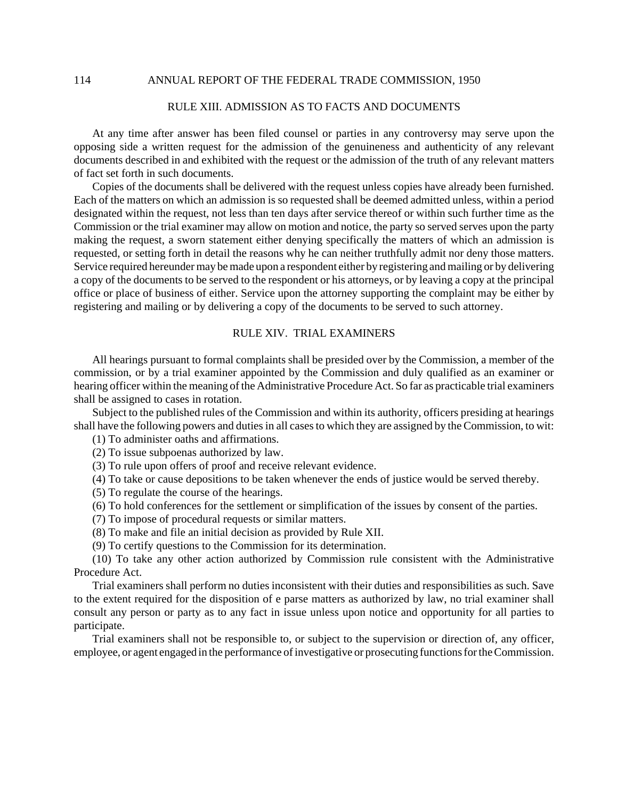#### RULE XIII. ADMISSION AS TO FACTS AND DOCUMENTS

At any time after answer has been filed counsel or parties in any controversy may serve upon the opposing side a written request for the admission of the genuineness and authenticity of any relevant documents described in and exhibited with the request or the admission of the truth of any relevant matters of fact set forth in such documents.

Copies of the documents shall be delivered with the request unless copies have already been furnished. Each of the matters on which an admission is so requested shall be deemed admitted unless, within a period designated within the request, not less than ten days after service thereof or within such further time as the Commission or the trial examiner may allow on motion and notice, the party so served serves upon the party making the request, a sworn statement either denying specifically the matters of which an admission is requested, or setting forth in detail the reasons why he can neither truthfully admit nor deny those matters. Service required hereunder may be made upon a respondent either by registering and mailing or by delivering a copy of the documents to be served to the respondent or his attorneys, or by leaving a copy at the principal office or place of business of either. Service upon the attorney supporting the complaint may be either by registering and mailing or by delivering a copy of the documents to be served to such attorney.

## RULE XIV. TRIAL EXAMINERS

All hearings pursuant to formal complaints shall be presided over by the Commission, a member of the commission, or by a trial examiner appointed by the Commission and duly qualified as an examiner or hearing officer within the meaning of the Administrative Procedure Act. So far as practicable trial examiners shall be assigned to cases in rotation.

Subject to the published rules of the Commission and within its authority, officers presiding at hearings shall have the following powers and dutiesin all casesto which they are assigned by the Commission, to wit:

(1) To administer oaths and affirmations.

- (2) To issue subpoenas authorized by law.
- (3) To rule upon offers of proof and receive relevant evidence.
- (4) To take or cause depositions to be taken whenever the ends of justice would be served thereby.
- (5) To regulate the course of the hearings.
- (6) To hold conferences for the settlement or simplification of the issues by consent of the parties.
- (7) To impose of procedural requests or similar matters.
- (8) To make and file an initial decision as provided by Rule XII.
- (9) To certify questions to the Commission for its determination.

(10) To take any other action authorized by Commission rule consistent with the Administrative Procedure Act.

Trial examiners shall perform no duties inconsistent with their duties and responsibilities as such. Save to the extent required for the disposition of e parse matters as authorized by law, no trial examiner shall consult any person or party as to any fact in issue unless upon notice and opportunity for all parties to participate.

Trial examiners shall not be responsible to, or subject to the supervision or direction of, any officer, employee, or agent engaged in the performance of investigative or prosecuting functions for the Commission.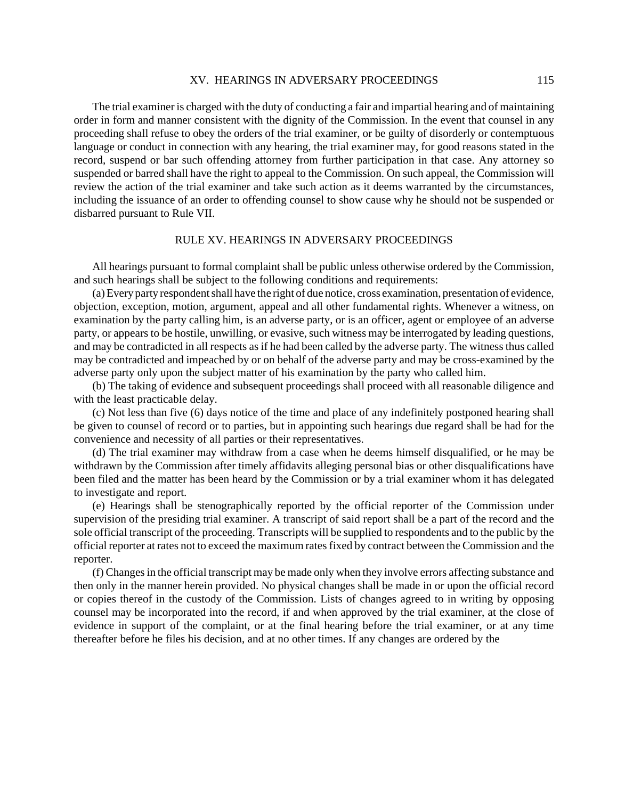#### XV. HEARINGS IN ADVERSARY PROCEEDINGS 115

The trial examiner is charged with the duty of conducting a fair and impartial hearing and of maintaining order in form and manner consistent with the dignity of the Commission. In the event that counsel in any proceeding shall refuse to obey the orders of the trial examiner, or be guilty of disorderly or contemptuous language or conduct in connection with any hearing, the trial examiner may, for good reasons stated in the record, suspend or bar such offending attorney from further participation in that case. Any attorney so suspended or barred shall have the right to appeal to the Commission. On such appeal, the Commission will review the action of the trial examiner and take such action as it deems warranted by the circumstances, including the issuance of an order to offending counsel to show cause why he should not be suspended or disbarred pursuant to Rule VII.

#### RULE XV. HEARINGS IN ADVERSARY PROCEEDINGS

All hearings pursuant to formal complaint shall be public unless otherwise ordered by the Commission, and such hearings shall be subject to the following conditions and requirements:

(a) Every party respondent shall have the right of due notice, cross examination, presentation of evidence, objection, exception, motion, argument, appeal and all other fundamental rights. Whenever a witness, on examination by the party calling him, is an adverse party, or is an officer, agent or employee of an adverse party, or appears to be hostile, unwilling, or evasive, such witness may be interrogated by leading questions, and may be contradicted in all respects as if he had been called by the adverse party. The witness thus called may be contradicted and impeached by or on behalf of the adverse party and may be cross-examined by the adverse party only upon the subject matter of his examination by the party who called him.

(b) The taking of evidence and subsequent proceedings shall proceed with all reasonable diligence and with the least practicable delay.

(c) Not less than five (6) days notice of the time and place of any indefinitely postponed hearing shall be given to counsel of record or to parties, but in appointing such hearings due regard shall be had for the convenience and necessity of all parties or their representatives.

(d) The trial examiner may withdraw from a case when he deems himself disqualified, or he may be withdrawn by the Commission after timely affidavits alleging personal bias or other disqualifications have been filed and the matter has been heard by the Commission or by a trial examiner whom it has delegated to investigate and report.

(e) Hearings shall be stenographically reported by the official reporter of the Commission under supervision of the presiding trial examiner. A transcript of said report shall be a part of the record and the sole official transcript of the proceeding. Transcripts will be supplied to respondents and to the public by the official reporter at rates not to exceed the maximum ratesfixed by contract between the Commission and the reporter.

(f) Changesin the official transcript may be made only when they involve errors affecting substance and then only in the manner herein provided. No physical changes shall be made in or upon the official record or copies thereof in the custody of the Commission. Lists of changes agreed to in writing by opposing counsel may be incorporated into the record, if and when approved by the trial examiner, at the close of evidence in support of the complaint, or at the final hearing before the trial examiner, or at any time thereafter before he files his decision, and at no other times. If any changes are ordered by the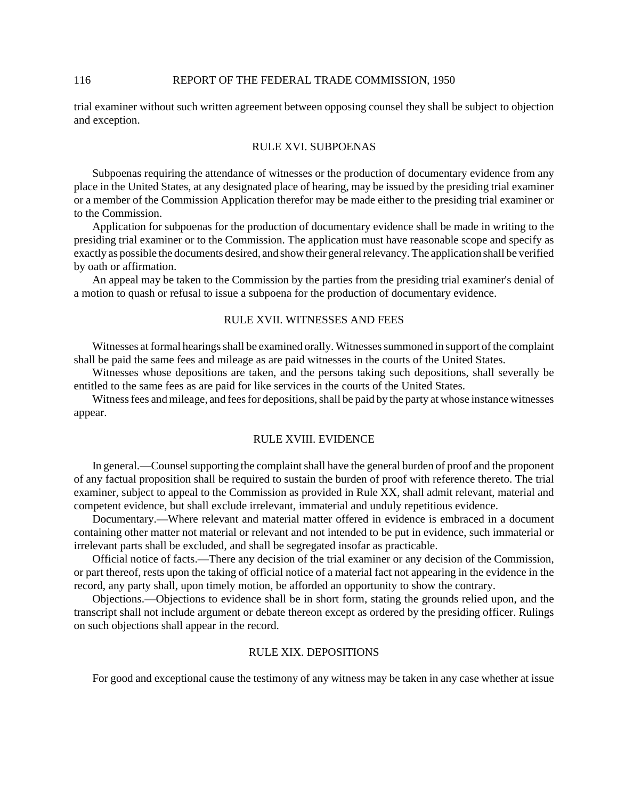trial examiner without such written agreement between opposing counsel they shall be subject to objection and exception.

#### RULE XVI. SUBPOENAS

Subpoenas requiring the attendance of witnesses or the production of documentary evidence from any place in the United States, at any designated place of hearing, may be issued by the presiding trial examiner or a member of the Commission Application therefor may be made either to the presiding trial examiner or to the Commission.

Application for subpoenas for the production of documentary evidence shall be made in writing to the presiding trial examiner or to the Commission. The application must have reasonable scope and specify as exactly as possible the documents desired, and showtheir generalrelevancy.The application shall be verified by oath or affirmation.

An appeal may be taken to the Commission by the parties from the presiding trial examiner's denial of a motion to quash or refusal to issue a subpoena for the production of documentary evidence.

#### RULE XVII. WITNESSES AND FEES

Witnesses at formal hearings shall be examined orally. Witnesses summoned in support of the complaint shall be paid the same fees and mileage as are paid witnesses in the courts of the United States.

Witnesses whose depositions are taken, and the persons taking such depositions, shall severally be entitled to the same fees as are paid for like services in the courts of the United States.

Witness fees and mileage, and fees for depositions, shall be paid by the party at whose instance witnesses appear.

#### RULE XVIII. EVIDENCE

In general.—Counsel supporting the complaint shall have the general burden of proof and the proponent of any factual proposition shall be required to sustain the burden of proof with reference thereto. The trial examiner, subject to appeal to the Commission as provided in Rule XX, shall admit relevant, material and competent evidence, but shall exclude irrelevant, immaterial and unduly repetitious evidence.

Documentary.—Where relevant and material matter offered in evidence is embraced in a document containing other matter not material or relevant and not intended to be put in evidence, such immaterial or irrelevant parts shall be excluded, and shall be segregated insofar as practicable.

Official notice of facts.—There any decision of the trial examiner or any decision of the Commission, or part thereof, rests upon the taking of official notice of a material fact not appearing in the evidence in the record, any party shall, upon timely motion, be afforded an opportunity to show the contrary.

Objections.—Objections to evidence shall be in short form, stating the grounds relied upon, and the transcript shall not include argument or debate thereon except as ordered by the presiding officer. Rulings on such objections shall appear in the record.

#### RULE XIX. DEPOSITIONS

For good and exceptional cause the testimony of any witness may be taken in any case whether at issue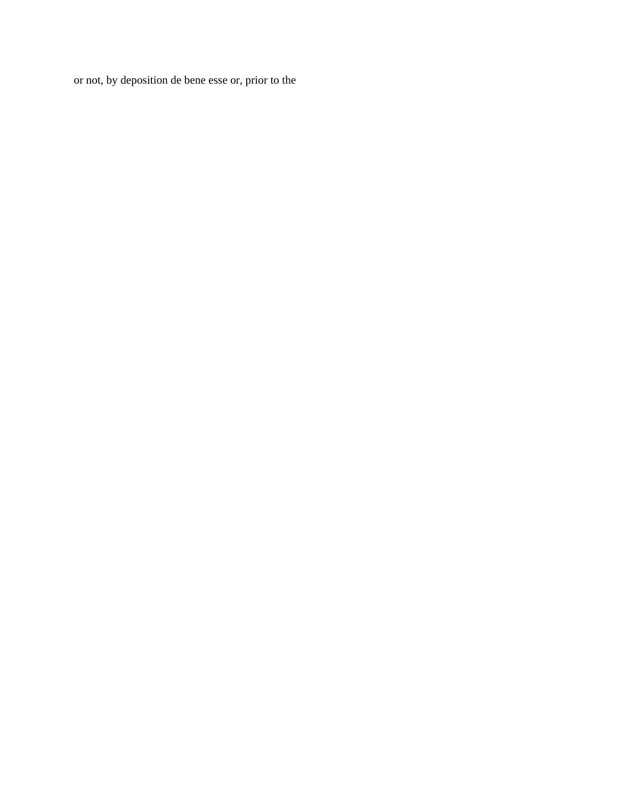or not, by deposition de bene esse or, prior to the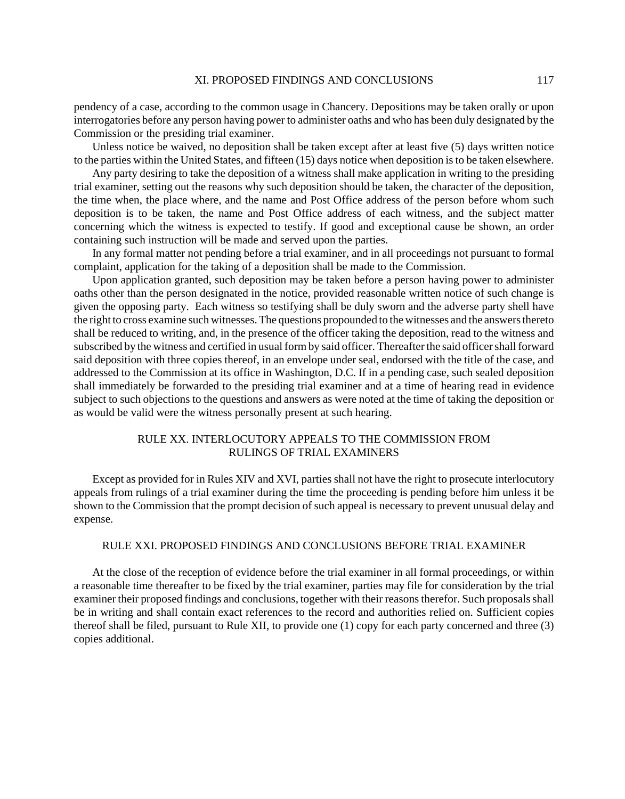pendency of a case, according to the common usage in Chancery. Depositions may be taken orally or upon interrogatories before any person having power to administer oaths and who has been duly designated by the Commission or the presiding trial examiner.

Unless notice be waived, no deposition shall be taken except after at least five (5) days written notice to the parties within the United States, and fifteen (15) days notice when deposition isto be taken elsewhere.

Any party desiring to take the deposition of a witness shall make application in writing to the presiding trial examiner, setting out the reasons why such deposition should be taken, the character of the deposition, the time when, the place where, and the name and Post Office address of the person before whom such deposition is to be taken, the name and Post Office address of each witness, and the subject matter concerning which the witness is expected to testify. If good and exceptional cause be shown, an order containing such instruction will be made and served upon the parties.

In any formal matter not pending before a trial examiner, and in all proceedings not pursuant to formal complaint, application for the taking of a deposition shall be made to the Commission.

Upon application granted, such deposition may be taken before a person having power to administer oaths other than the person designated in the notice, provided reasonable written notice of such change is given the opposing party. Each witness so testifying shall be duly sworn and the adverse party shell have the right to cross examine such witnesses. The questions propounded to the witnesses and the answers thereto shall be reduced to writing, and, in the presence of the officer taking the deposition, read to the witness and subscribed by the witness and certified in usual form by said officer. Thereafter the said officer shall forward said deposition with three copies thereof, in an envelope under seal, endorsed with the title of the case, and addressed to the Commission at its office in Washington, D.C. If in a pending case, such sealed deposition shall immediately be forwarded to the presiding trial examiner and at a time of hearing read in evidence subject to such objections to the questions and answers as were noted at the time of taking the deposition or as would be valid were the witness personally present at such hearing.

## RULE XX. INTERLOCUTORY APPEALS TO THE COMMISSION FROM RULINGS OF TRIAL EXAMINERS

Except as provided for in Rules XIV and XVI, parties shall not have the right to prosecute interlocutory appeals from rulings of a trial examiner during the time the proceeding is pending before him unless it be shown to the Commission that the prompt decision of such appeal is necessary to prevent unusual delay and expense.

## RULE XXI. PROPOSED FINDINGS AND CONCLUSIONS BEFORE TRIAL EXAMINER

At the close of the reception of evidence before the trial examiner in all formal proceedings, or within a reasonable time thereafter to be fixed by the trial examiner, parties may file for consideration by the trial examiner their proposed findings and conclusions, together with their reasons therefor. Such proposals shall be in writing and shall contain exact references to the record and authorities relied on. Sufficient copies thereof shall be filed, pursuant to Rule XII, to provide one (1) copy for each party concerned and three (3) copies additional.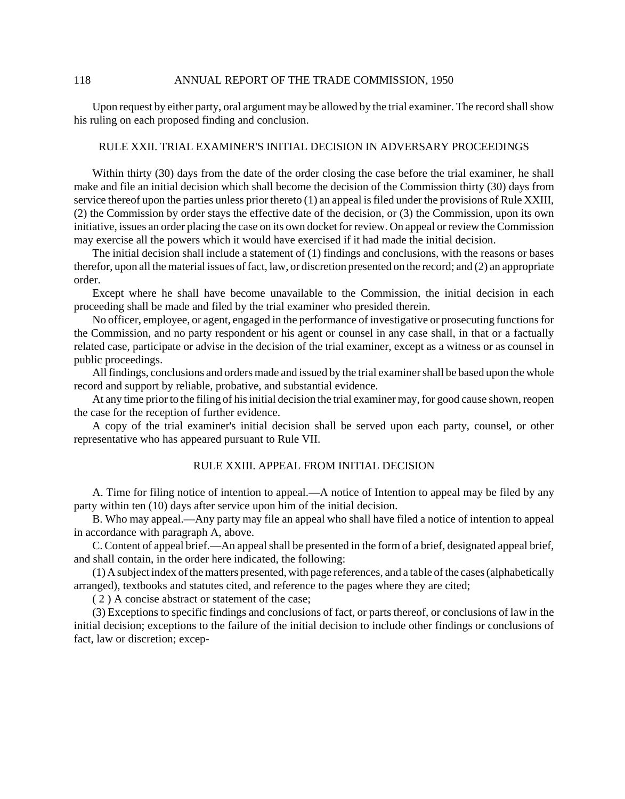Upon request by either party, oral argument may be allowed by the trial examiner. The record shallshow his ruling on each proposed finding and conclusion.

## RULE XXII. TRIAL EXAMINER'S INITIAL DECISION IN ADVERSARY PROCEEDINGS

Within thirty (30) days from the date of the order closing the case before the trial examiner, he shall make and file an initial decision which shall become the decision of the Commission thirty (30) days from service thereof upon the parties unless prior thereto (1) an appeal isfiled under the provisions of Rule XXIII, (2) the Commission by order stays the effective date of the decision, or (3) the Commission, upon its own initiative, issues an order placing the case on its own docket for review. On appeal or review the Commission may exercise all the powers which it would have exercised if it had made the initial decision.

The initial decision shall include a statement of (1) findings and conclusions, with the reasons or bases therefor, upon all the material issues offact, law, or discretion presented on the record; and (2) an appropriate order.

Except where he shall have become unavailable to the Commission, the initial decision in each proceeding shall be made and filed by the trial examiner who presided therein.

No officer, employee, or agent, engaged in the performance of investigative or prosecuting functionsfor the Commission, and no party respondent or his agent or counsel in any case shall, in that or a factually related case, participate or advise in the decision of the trial examiner, except as a witness or as counsel in public proceedings.

All findings, conclusions and orders made and issued by the trial examiner shall be based upon the whole record and support by reliable, probative, and substantial evidence.

At any time prior to the filing of his initial decision the trial examiner may, for good cause shown, reopen the case for the reception of further evidence.

A copy of the trial examiner's initial decision shall be served upon each party, counsel, or other representative who has appeared pursuant to Rule VII.

## RULE XXIII. APPEAL FROM INITIAL DECISION

A. Time for filing notice of intention to appeal.—A notice of Intention to appeal may be filed by any party within ten (10) days after service upon him of the initial decision.

B. Who may appeal.—Any party may file an appeal who shall have filed a notice of intention to appeal in accordance with paragraph A, above.

C. Content of appeal brief.—An appeal shall be presented in the form of a brief, designated appeal brief, and shall contain, in the order here indicated, the following:

(1) A subject index ofthematters presented, with page references, and a table ofthe cases(alphabetically arranged), textbooks and statutes cited, and reference to the pages where they are cited;

( 2 ) A concise abstract or statement of the case;

(3) Exceptions to specific findings and conclusions of fact, or parts thereof, or conclusions of law in the initial decision; exceptions to the failure of the initial decision to include other findings or conclusions of fact, law or discretion; excep-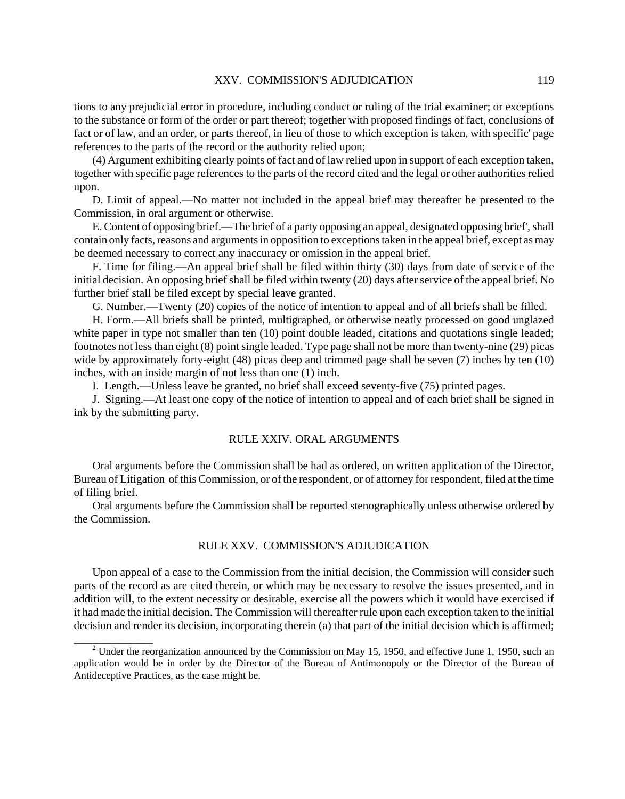tions to any prejudicial error in procedure, including conduct or ruling of the trial examiner; or exceptions to the substance or form of the order or part thereof; together with proposed findings of fact, conclusions of fact or of law, and an order, or parts thereof, in lieu of those to which exception is taken, with specific' page references to the parts of the record or the authority relied upon;

(4) Argument exhibiting clearly points of fact and of law relied upon in support of each exception taken, together with specific page references to the parts of the record cited and the legal or other authorities relied upon.

D. Limit of appeal.—No matter not included in the appeal brief may thereafter be presented to the Commission, in oral argument or otherwise.

E. Content of opposing brief.—The brief of a party opposing an appeal, designated opposing brief', shall contain only facts, reasons and arguments in opposition to exceptions taken in the appeal brief, except as may be deemed necessary to correct any inaccuracy or omission in the appeal brief.

F. Time for filing.—An appeal brief shall be filed within thirty (30) days from date of service of the initial decision. An opposing brief shall be filed within twenty (20) days afterservice of the appeal brief. No further brief stall be filed except by special leave granted.

G. Number.—Twenty (20) copies of the notice of intention to appeal and of all briefs shall be filled.

H. Form.—All briefs shall be printed, multigraphed, or otherwise neatly processed on good unglazed white paper in type not smaller than ten (10) point double leaded, citations and quotations single leaded; footnotes not less than eight (8) point single leaded. Type page shall not be more than twenty-nine (29) picas wide by approximately forty-eight (48) picas deep and trimmed page shall be seven (7) inches by ten (10) inches, with an inside margin of not less than one (1) inch.

I. Length.—Unless leave be granted, no brief shall exceed seventy-five (75) printed pages.

J. Signing.—At least one copy of the notice of intention to appeal and of each brief shall be signed in ink by the submitting party.

## RULE XXIV. ORAL ARGUMENTS

Oral arguments before the Commission shall be had as ordered, on written application of the Director, Bureau of Litigation of this Commission, or of the respondent, or of attorney for respondent, filed at the time of filing brief.

Oral arguments before the Commission shall be reported stenographically unless otherwise ordered by the Commission.

#### RULE XXV. COMMISSION'S ADJUDICATION

Upon appeal of a case to the Commission from the initial decision, the Commission will consider such parts of the record as are cited therein, or which may be necessary to resolve the issues presented, and in addition will, to the extent necessity or desirable, exercise all the powers which it would have exercised if it had made the initial decision. The Commission will thereafter rule upon each exception taken to the initial decision and render its decision, incorporating therein (a) that part of the initial decision which is affirmed;

\_\_\_\_\_\_\_\_\_\_\_\_\_\_

<sup>&</sup>lt;sup>2</sup> Under the reorganization announced by the Commission on May 15, 1950, and effective June 1, 1950, such an application would be in order by the Director of the Bureau of Antimonopoly or the Director of the Bureau of Antideceptive Practices, as the case might be.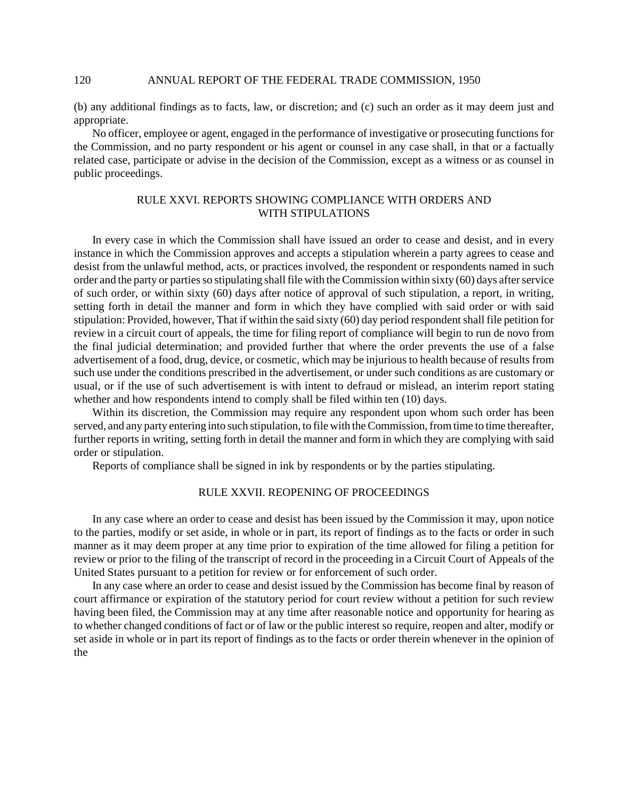(b) any additional findings as to facts, law, or discretion; and (c) such an order as it may deem just and appropriate.

No officer, employee or agent, engaged in the performance of investigative or prosecuting functions for the Commission, and no party respondent or his agent or counsel in any case shall, in that or a factually related case, participate or advise in the decision of the Commission, except as a witness or as counsel in public proceedings.

## RULE XXVI. REPORTS SHOWING COMPLIANCE WITH ORDERS AND WITH STIPULATIONS

In every case in which the Commission shall have issued an order to cease and desist, and in every instance in which the Commission approves and accepts a stipulation wherein a party agrees to cease and desist from the unlawful method, acts, or practices involved, the respondent or respondents named in such order and the party or parties so stipulating shall file with the Commission within sixty (60) days after service of such order, or within sixty (60) days after notice of approval of such stipulation, a report, in writing, setting forth in detail the manner and form in which they have complied with said order or with said stipulation: Provided, however, That if within the said sixty (60) day period respondentshall file petition for review in a circuit court of appeals, the time for filing report of compliance will begin to run de novo from the final judicial determination; and provided further that where the order prevents the use of a false advertisement of a food, drug, device, or cosmetic, which may be injurious to health because of results from such use under the conditions prescribed in the advertisement, or under such conditions as are customary or usual, or if the use of such advertisement is with intent to defraud or mislead, an interim report stating whether and how respondents intend to comply shall be filed within ten (10) days.

Within its discretion, the Commission may require any respondent upon whom such order has been served, and any party entering into such stipulation, to file with the Commission, from time to time thereafter, further reports in writing, setting forth in detail the manner and form in which they are complying with said order or stipulation.

Reports of compliance shall be signed in ink by respondents or by the parties stipulating.

## RULE XXVII. REOPENING OF PROCEEDINGS

In any case where an order to cease and desist has been issued by the Commission it may, upon notice to the parties, modify or set aside, in whole or in part, its report of findings as to the facts or order in such manner as it may deem proper at any time prior to expiration of the time allowed for filing a petition for review or prior to the filing of the transcript of record in the proceeding in a Circuit Court of Appeals of the United States pursuant to a petition for review or for enforcement of such order.

In any case where an order to cease and desist issued by the Commission has become final by reason of court affirmance or expiration of the statutory period for court review without a petition for such review having been filed, the Commission may at any time after reasonable notice and opportunity for hearing as to whether changed conditions of fact or of law or the public interest so require, reopen and alter, modify or set aside in whole or in part its report of findings as to the facts or order therein whenever in the opinion of the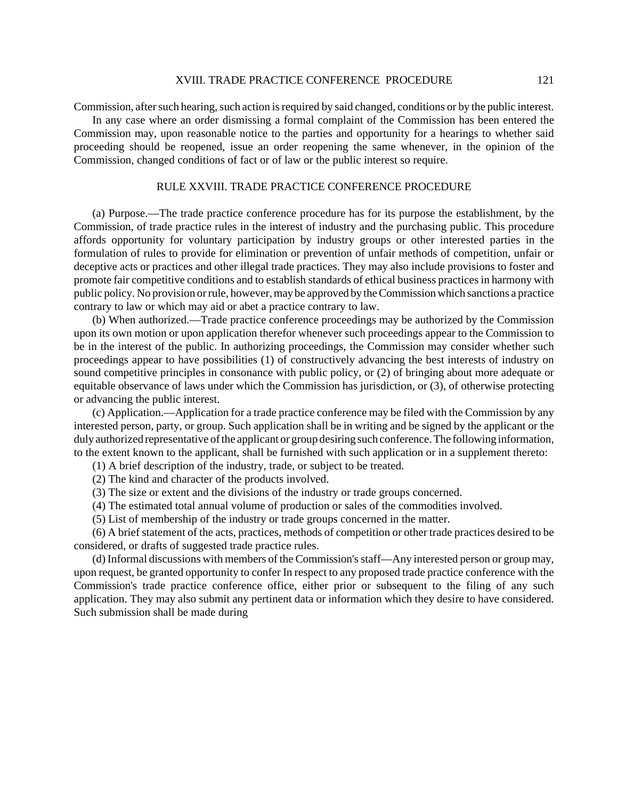#### XVIII. TRADE PRACTICE CONFERENCE PROCEDURE 121

Commission, after such hearing, such action is required by said changed, conditions or by the public interest. In any case where an order dismissing a formal complaint of the Commission has been entered the Commission may, upon reasonable notice to the parties and opportunity for a hearings to whether said proceeding should be reopened, issue an order reopening the same whenever, in the opinion of the Commission, changed conditions of fact or of law or the public interest so require.

## RULE XXVIII. TRADE PRACTICE CONFERENCE PROCEDURE

(a) Purpose.—The trade practice conference procedure has for its purpose the establishment, by the Commission, of trade practice rules in the interest of industry and the purchasing public. This procedure affords opportunity for voluntary participation by industry groups or other interested parties in the formulation of rules to provide for elimination or prevention of unfair methods of competition, unfair or deceptive acts or practices and other illegal trade practices. They may also include provisions to foster and promote fair competitive conditions and to establish standards of ethical business practicesin harmony with public policy. No provision orrule, however,may be approved by theCommission which sanctions a practice contrary to law or which may aid or abet a practice contrary to law.

(b) When authorized.—Trade practice conference proceedings may be authorized by the Commission upon its own motion or upon application therefor whenever such proceedings appear to the Commission to be in the interest of the public. In authorizing proceedings, the Commission may consider whether such proceedings appear to have possibilities (1) of constructively advancing the best interests of industry on sound competitive principles in consonance with public policy, or (2) of bringing about more adequate or equitable observance of laws under which the Commission has jurisdiction, or (3), of otherwise protecting or advancing the public interest.

(c) Application.—Application for a trade practice conference may be filed with the Commission by any interested person, party, or group. Such application shall be in writing and be signed by the applicant or the duly authorized representative of the applicant or group desiring such conference. The following information, to the extent known to the applicant, shall be furnished with such application or in a supplement thereto:

(1) A brief description of the industry, trade, or subject to be treated.

(2) The kind and character of the products involved.

(3) The size or extent and the divisions of the industry or trade groups concerned.

(4) The estimated total annual volume of production or sales of the commodities involved.

(5) List of membership of the industry or trade groups concerned in the matter.

(6) A brief statement of the acts, practices, methods of competition or other trade practices desired to be considered, or drafts of suggested trade practice rules.

(d) Informal discussions with members of the Commission'sstaff—Any interested person or group may, upon request, be granted opportunity to confer In respect to any proposed trade practice conference with the Commission's trade practice conference office, either prior or subsequent to the filing of any such application. They may also submit any pertinent data or information which they desire to have considered. Such submission shall be made during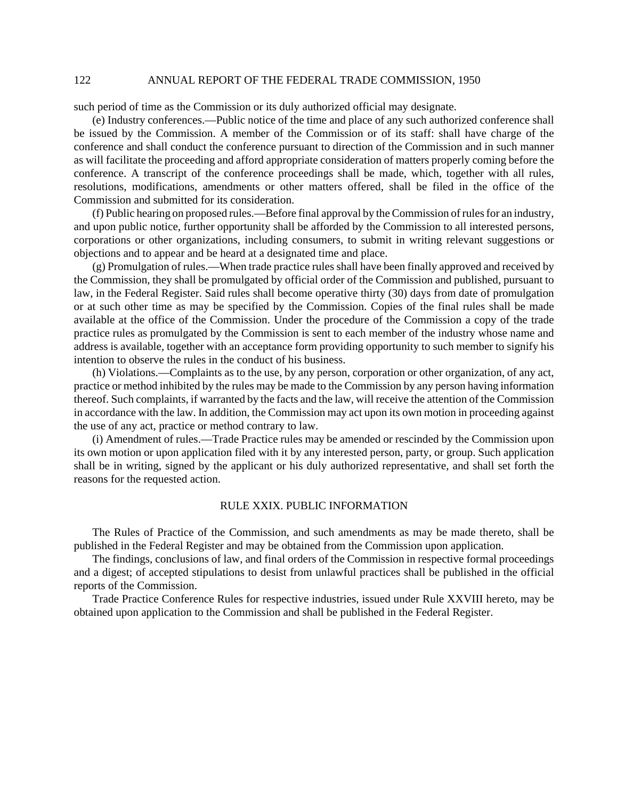such period of time as the Commission or its duly authorized official may designate.

(e) Industry conferences.—Public notice of the time and place of any such authorized conference shall be issued by the Commission. A member of the Commission or of its staff: shall have charge of the conference and shall conduct the conference pursuant to direction of the Commission and in such manner as will facilitate the proceeding and afford appropriate consideration of matters properly coming before the conference. A transcript of the conference proceedings shall be made, which, together with all rules, resolutions, modifications, amendments or other matters offered, shall be filed in the office of the Commission and submitted for its consideration.

(f) Public hearing on proposed rules.—Before final approval by the Commission ofrulesfor an industry, and upon public notice, further opportunity shall be afforded by the Commission to all interested persons, corporations or other organizations, including consumers, to submit in writing relevant suggestions or objections and to appear and be heard at a designated time and place.

(g) Promulgation of rules.—When trade practice rules shall have been finally approved and received by the Commission, they shall be promulgated by official order of the Commission and published, pursuant to law, in the Federal Register. Said rules shall become operative thirty (30) days from date of promulgation or at such other time as may be specified by the Commission. Copies of the final rules shall be made available at the office of the Commission. Under the procedure of the Commission a copy of the trade practice rules as promulgated by the Commission is sent to each member of the industry whose name and address is available, together with an acceptance form providing opportunity to such member to signify his intention to observe the rules in the conduct of his business.

(h) Violations.—Complaints as to the use, by any person, corporation or other organization, of any act, practice or method inhibited by the rules may be made to the Commission by any person having information thereof. Such complaints, if warranted by the facts and the law, will receive the attention of the Commission in accordance with the law. In addition, the Commission may act upon its own motion in proceeding against the use of any act, practice or method contrary to law.

(i) Amendment of rules.—Trade Practice rules may be amended or rescinded by the Commission upon its own motion or upon application filed with it by any interested person, party, or group. Such application shall be in writing, signed by the applicant or his duly authorized representative, and shall set forth the reasons for the requested action.

#### RULE XXIX. PUBLIC INFORMATION

The Rules of Practice of the Commission, and such amendments as may be made thereto, shall be published in the Federal Register and may be obtained from the Commission upon application.

The findings, conclusions of law, and final orders of the Commission in respective formal proceedings and a digest; of accepted stipulations to desist from unlawful practices shall be published in the official reports of the Commission.

Trade Practice Conference Rules for respective industries, issued under Rule XXVIII hereto, may be obtained upon application to the Commission and shall be published in the Federal Register.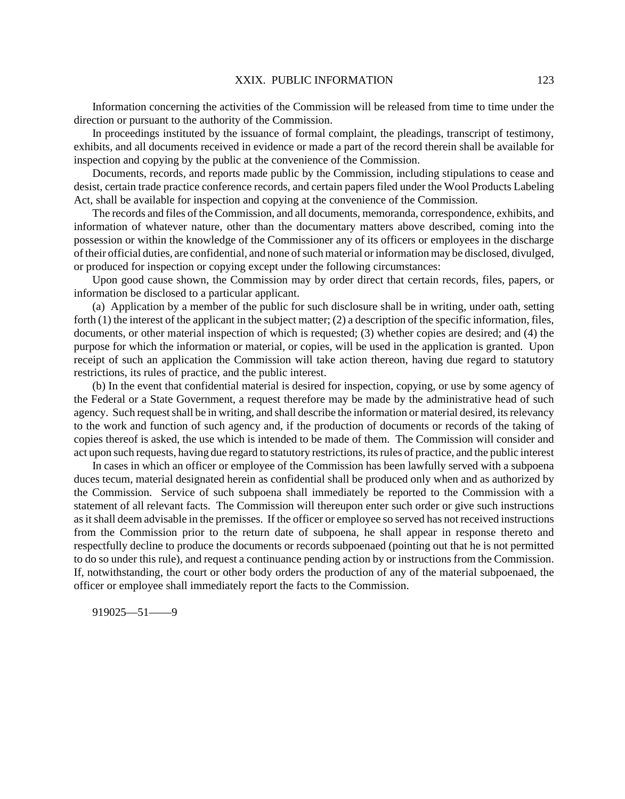Information concerning the activities of the Commission will be released from time to time under the direction or pursuant to the authority of the Commission.

In proceedings instituted by the issuance of formal complaint, the pleadings, transcript of testimony, exhibits, and all documents received in evidence or made a part of the record therein shall be available for inspection and copying by the public at the convenience of the Commission.

Documents, records, and reports made public by the Commission, including stipulations to cease and desist, certain trade practice conference records, and certain papers filed under the Wool Products Labeling Act, shall be available for inspection and copying at the convenience of the Commission.

The records and files of the Commission, and all documents, memoranda, correspondence, exhibits, and information of whatever nature, other than the documentary matters above described, coming into the possession or within the knowledge of the Commissioner any of its officers or employees in the discharge oftheir official duties, are confidential, and none ofsuch material orinformation may be disclosed, divulged, or produced for inspection or copying except under the following circumstances:

Upon good cause shown, the Commission may by order direct that certain records, files, papers, or information be disclosed to a particular applicant.

(a) Application by a member of the public for such disclosure shall be in writing, under oath, setting forth (1) the interest of the applicant in the subject matter; (2) a description of the specific information, files, documents, or other material inspection of which is requested; (3) whether copies are desired; and (4) the purpose for which the information or material, or copies, will be used in the application is granted. Upon receipt of such an application the Commission will take action thereon, having due regard to statutory restrictions, its rules of practice, and the public interest.

(b) In the event that confidential material is desired for inspection, copying, or use by some agency of the Federal or a State Government, a request therefore may be made by the administrative head of such agency. Such request shall be in writing, and shall describe the information or material desired, its relevancy to the work and function of such agency and, if the production of documents or records of the taking of copies thereof is asked, the use which is intended to be made of them. The Commission will consider and act upon such requests, having due regard to statutory restrictions, itsrules of practice, and the public interest

In cases in which an officer or employee of the Commission has been lawfully served with a subpoena duces tecum, material designated herein as confidential shall be produced only when and as authorized by the Commission. Service of such subpoena shall immediately be reported to the Commission with a statement of all relevant facts. The Commission will thereupon enter such order or give such instructions as it shall deem advisable in the premisses. If the officer or employee so served has not received instructions from the Commission prior to the return date of subpoena, he shall appear in response thereto and respectfully decline to produce the documents or records subpoenaed (pointing out that he is not permitted to do so under this rule), and request a continuance pending action by or instructions from the Commission. If, notwithstanding, the court or other body orders the production of any of the material subpoenaed, the officer or employee shall immediately report the facts to the Commission.

919025—51——9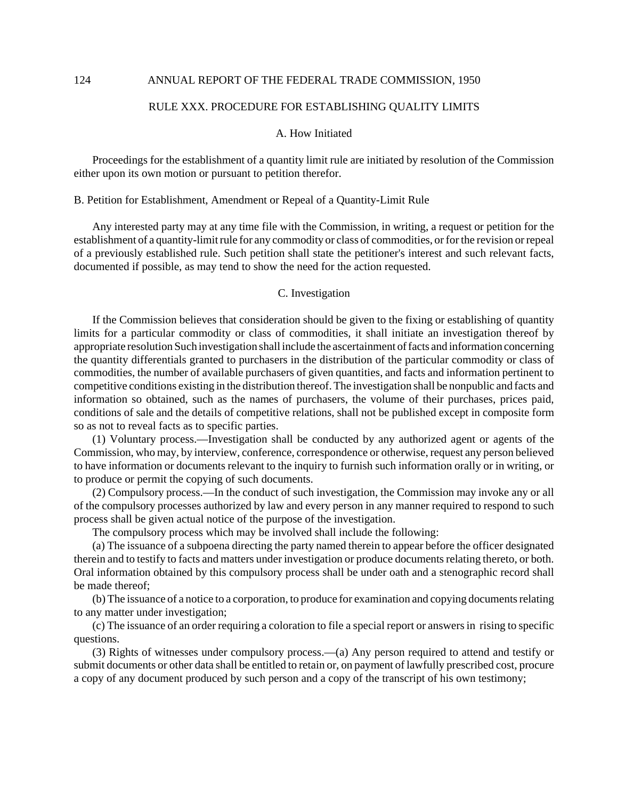#### RULE XXX. PROCEDURE FOR ESTABLISHING QUALITY LIMITS

## A. How Initiated

Proceedings for the establishment of a quantity limit rule are initiated by resolution of the Commission either upon its own motion or pursuant to petition therefor.

#### B. Petition for Establishment, Amendment or Repeal of a Quantity-Limit Rule

Any interested party may at any time file with the Commission, in writing, a request or petition for the establishment of a quantity-limit rule for any commodity or class of commodities, or for the revision or repeal of a previously established rule. Such petition shall state the petitioner's interest and such relevant facts, documented if possible, as may tend to show the need for the action requested.

#### C. Investigation

If the Commission believes that consideration should be given to the fixing or establishing of quantity limits for a particular commodity or class of commodities, it shall initiate an investigation thereof by appropriate resolution Such investigation shall include the ascertainment of facts and information concerning the quantity differentials granted to purchasers in the distribution of the particular commodity or class of commodities, the number of available purchasers of given quantities, and facts and information pertinent to competitive conditions existing in the distribution thereof. The investigation shall be nonpublic and facts and information so obtained, such as the names of purchasers, the volume of their purchases, prices paid, conditions of sale and the details of competitive relations, shall not be published except in composite form so as not to reveal facts as to specific parties.

(1) Voluntary process.—Investigation shall be conducted by any authorized agent or agents of the Commission, who may, by interview, conference, correspondence or otherwise, request any person believed to have information or documents relevant to the inquiry to furnish such information orally or in writing, or to produce or permit the copying of such documents.

(2) Compulsory process.—In the conduct of such investigation, the Commission may invoke any or all of the compulsory processes authorized by law and every person in any manner required to respond to such process shall be given actual notice of the purpose of the investigation.

The compulsory process which may be involved shall include the following:

(a) The issuance of a subpoena directing the party named therein to appear before the officer designated therein and to testify to facts and matters under investigation or produce documentsrelating thereto, or both. Oral information obtained by this compulsory process shall be under oath and a stenographic record shall be made thereof;

(b) The issuance of a notice to a corporation, to produce for examination and copying documentsrelating to any matter under investigation;

(c) The issuance of an order requiring a coloration to file a special report or answersin rising to specific questions.

(3) Rights of witnesses under compulsory process.—(a) Any person required to attend and testify or submit documents or other data shall be entitled to retain or, on payment of lawfully prescribed cost, procure a copy of any document produced by such person and a copy of the transcript of his own testimony;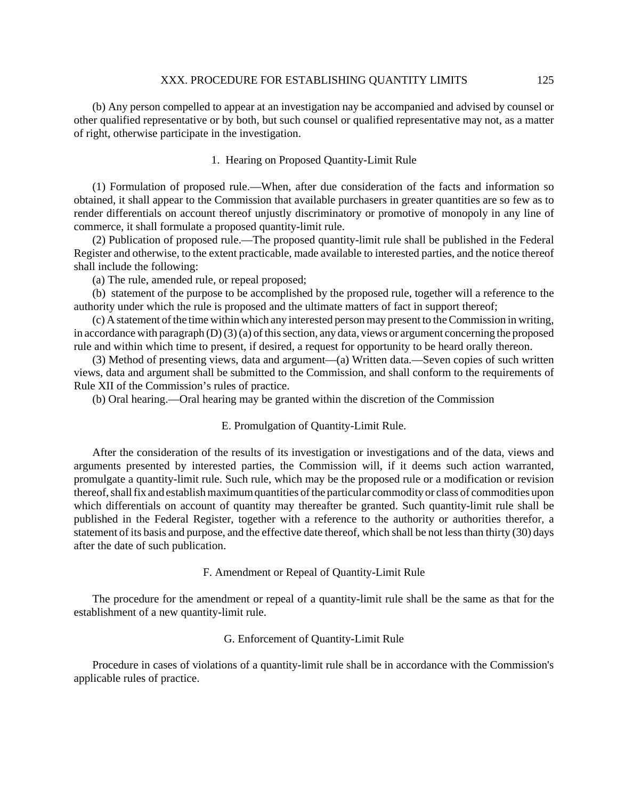### XXX. PROCEDURE FOR ESTABLISHING QUANTITY LIMITS 125

(b) Any person compelled to appear at an investigation nay be accompanied and advised by counsel or other qualified representative or by both, but such counsel or qualified representative may not, as a matter of right, otherwise participate in the investigation.

## 1. Hearing on Proposed Quantity-Limit Rule

(1) Formulation of proposed rule.—When, after due consideration of the facts and information so obtained, it shall appear to the Commission that available purchasers in greater quantities are so few as to render differentials on account thereof unjustly discriminatory or promotive of monopoly in any line of commerce, it shall formulate a proposed quantity-limit rule.

(2) Publication of proposed rule.—The proposed quantity-limit rule shall be published in the Federal Register and otherwise, to the extent practicable, made available to interested parties, and the notice thereof shall include the following:

(a) The rule, amended rule, or repeal proposed;

(b) statement of the purpose to be accomplished by the proposed rule, together will a reference to the authority under which the rule is proposed and the ultimate matters of fact in support thereof;

(c) A statement ofthe time within which any interested personmay present to theCommission in writing, in accordance with paragraph  $(D)$  (3)(a) of this section, any data, views or argument concerning the proposed rule and within which time to present, if desired, a request for opportunity to be heard orally thereon.

(3) Method of presenting views, data and argument—(a) Written data.—Seven copies of such written views, data and argument shall be submitted to the Commission, and shall conform to the requirements of Rule XII of the Commission's rules of practice.

(b) Oral hearing.—Oral hearing may be granted within the discretion of the Commission

#### E. Promulgation of Quantity-Limit Rule.

After the consideration of the results of its investigation or investigations and of the data, views and arguments presented by interested parties, the Commission will, if it deems such action warranted, promulgate a quantity-limit rule. Such rule, which may be the proposed rule or a modification or revision thereof, shall fix and establish maximum quantities of the particular commodity or class of commodities upon which differentials on account of quantity may thereafter be granted. Such quantity-limit rule shall be published in the Federal Register, together with a reference to the authority or authorities therefor, a statement of its basis and purpose, and the effective date thereof, which shall be not less than thirty (30) days after the date of such publication.

## F. Amendment or Repeal of Quantity-Limit Rule

The procedure for the amendment or repeal of a quantity-limit rule shall be the same as that for the establishment of a new quantity-limit rule.

#### G. Enforcement of Quantity-Limit Rule

Procedure in cases of violations of a quantity-limit rule shall be in accordance with the Commission's applicable rules of practice.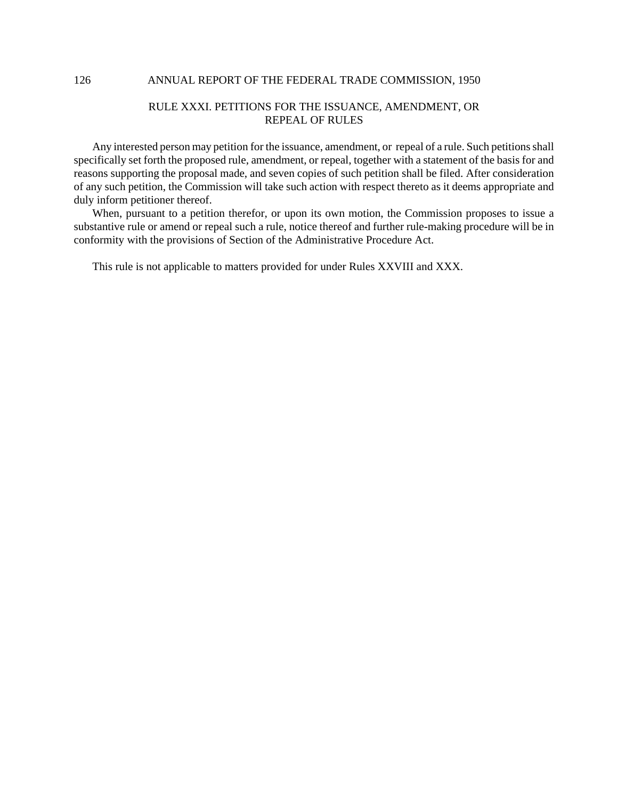## RULE XXXI. PETITIONS FOR THE ISSUANCE, AMENDMENT, OR REPEAL OF RULES

Any interested person may petition for the issuance, amendment, or repeal of a rule. Such petitions shall specifically set forth the proposed rule, amendment, or repeal, together with a statement of the basis for and reasons supporting the proposal made, and seven copies of such petition shall be filed. After consideration of any such petition, the Commission will take such action with respect thereto as it deems appropriate and duly inform petitioner thereof.

When, pursuant to a petition therefor, or upon its own motion, the Commission proposes to issue a substantive rule or amend or repeal such a rule, notice thereof and further rule-making procedure will be in conformity with the provisions of Section of the Administrative Procedure Act.

This rule is not applicable to matters provided for under Rules XXVIII and XXX.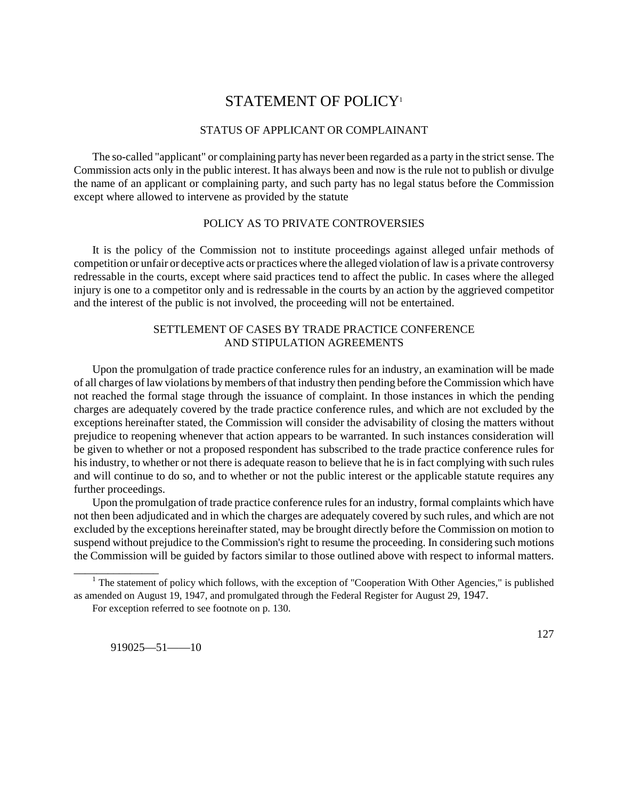# STATEMENT OF POLICY<sup>1</sup>

## STATUS OF APPLICANT OR COMPLAINANT

The so-called "applicant" or complaining party has never been regarded as a party in the strictsense. The Commission acts only in the public interest. It has always been and now is the rule not to publish or divulge the name of an applicant or complaining party, and such party has no legal status before the Commission except where allowed to intervene as provided by the statute

## POLICY AS TO PRIVATE CONTROVERSIES

It is the policy of the Commission not to institute proceedings against alleged unfair methods of competition or unfair or deceptive acts or practices where the alleged violation oflaw is a private controversy redressable in the courts, except where said practices tend to affect the public. In cases where the alleged injury is one to a competitor only and is redressable in the courts by an action by the aggrieved competitor and the interest of the public is not involved, the proceeding will not be entertained.

## SETTLEMENT OF CASES BY TRADE PRACTICE CONFERENCE AND STIPULATION AGREEMENTS

Upon the promulgation of trade practice conference rules for an industry, an examination will be made of all charges oflaw violations bymembers ofthat industry then pending before the Commission which have not reached the formal stage through the issuance of complaint. In those instances in which the pending charges are adequately covered by the trade practice conference rules, and which are not excluded by the exceptions hereinafter stated, the Commission will consider the advisability of closing the matters without prejudice to reopening whenever that action appears to be warranted. In such instances consideration will be given to whether or not a proposed respondent has subscribed to the trade practice conference rules for his industry, to whether or not there is adequate reason to believe that he is in fact complying with such rules and will continue to do so, and to whether or not the public interest or the applicable statute requires any further proceedings.

Upon the promulgation of trade practice conference rules for an industry, formal complaints which have not then been adjudicated and in which the charges are adequately covered by such rules, and which are not excluded by the exceptions hereinafter stated, may be brought directly before the Commission on motion to suspend without prejudice to the Commission's right to resume the proceeding. In considering such motions the Commission will be guided by factors similar to those outlined above with respect to informal matters.

\_\_\_\_\_\_\_\_\_\_\_\_\_\_\_

<sup>&</sup>lt;sup>1</sup> The statement of policy which follows, with the exception of "Cooperation With Other Agencies," is published as amended on August 19, 1947, and promulgated through the Federal Register for August 29, 1947.

For exception referred to see footnote on p. 130.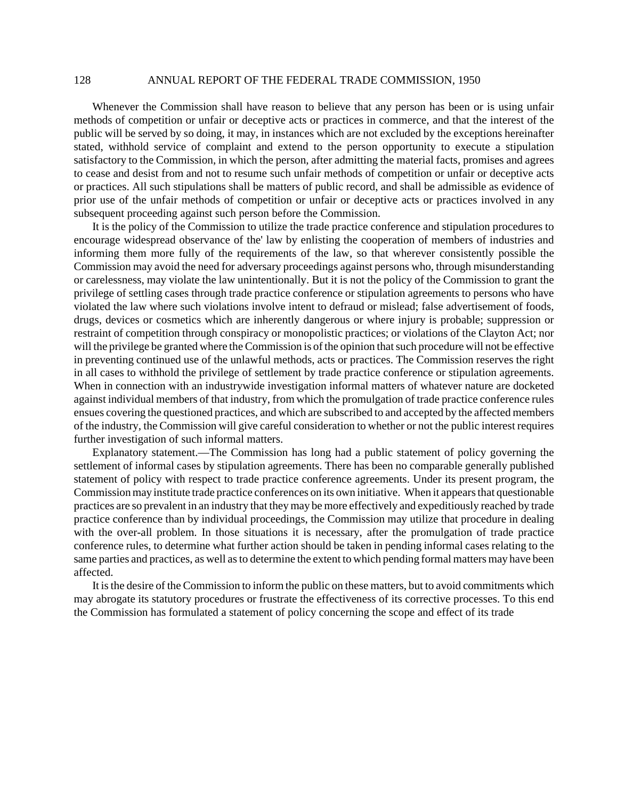Whenever the Commission shall have reason to believe that any person has been or is using unfair methods of competition or unfair or deceptive acts or practices in commerce, and that the interest of the public will be served by so doing, it may, in instances which are not excluded by the exceptions hereinafter stated, withhold service of complaint and extend to the person opportunity to execute a stipulation satisfactory to the Commission, in which the person, after admitting the material facts, promises and agrees to cease and desist from and not to resume such unfair methods of competition or unfair or deceptive acts or practices. All such stipulations shall be matters of public record, and shall be admissible as evidence of prior use of the unfair methods of competition or unfair or deceptive acts or practices involved in any subsequent proceeding against such person before the Commission.

It is the policy of the Commission to utilize the trade practice conference and stipulation procedures to encourage widespread observance of the' law by enlisting the cooperation of members of industries and informing them more fully of the requirements of the law, so that wherever consistently possible the Commission may avoid the need for adversary proceedings against persons who, through misunderstanding or carelessness, may violate the law unintentionally. But it is not the policy of the Commission to grant the privilege of settling cases through trade practice conference or stipulation agreements to persons who have violated the law where such violations involve intent to defraud or mislead; false advertisement of foods, drugs, devices or cosmetics which are inherently dangerous or where injury is probable; suppression or restraint of competition through conspiracy or monopolistic practices; or violations of the Clayton Act; nor will the privilege be granted where the Commission is of the opinion that such procedure will not be effective in preventing continued use of the unlawful methods, acts or practices. The Commission reserves the right in all cases to withhold the privilege of settlement by trade practice conference or stipulation agreements. When in connection with an industrywide investigation informal matters of whatever nature are docketed against individual members of that industry, from which the promulgation of trade practice conference rules ensues covering the questioned practices, and which are subscribed to and accepted by the affected members of the industry, the Commission will give careful consideration to whether or not the public interest requires further investigation of such informal matters.

Explanatory statement.—The Commission has long had a public statement of policy governing the settlement of informal cases by stipulation agreements. There has been no comparable generally published statement of policy with respect to trade practice conference agreements. Under its present program, the Commissionmay institute trade practice conferences on its own initiative. When it appears that questionable practices are so prevalent in an industry that theymay be more effectively and expeditiously reached by trade practice conference than by individual proceedings, the Commission may utilize that procedure in dealing with the over-all problem. In those situations it is necessary, after the promulgation of trade practice conference rules, to determine what further action should be taken in pending informal cases relating to the same parties and practices, as well asto determine the extent to which pending formal matters may have been affected.

It isthe desire of the Commission to informthe public on these matters, but to avoid commitments which may abrogate its statutory procedures or frustrate the effectiveness of its corrective processes. To this end the Commission has formulated a statement of policy concerning the scope and effect of its trade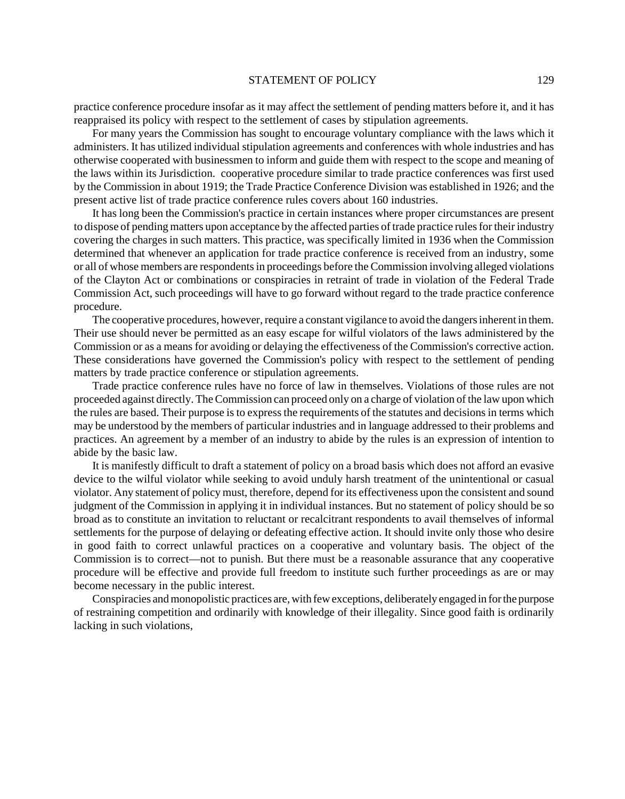practice conference procedure insofar as it may affect the settlement of pending matters before it, and it has reappraised its policy with respect to the settlement of cases by stipulation agreements.

For many years the Commission has sought to encourage voluntary compliance with the laws which it administers. It has utilized individual stipulation agreements and conferences with whole industries and has otherwise cooperated with businessmen to inform and guide them with respect to the scope and meaning of the laws within its Jurisdiction. cooperative procedure similar to trade practice conferences was first used by the Commission in about 1919; the Trade Practice Conference Division was established in 1926; and the present active list of trade practice conference rules covers about 160 industries.

It has long been the Commission's practice in certain instances where proper circumstances are present to dispose of pending matters upon acceptance by the affected parties of trade practice rules for their industry covering the charges in such matters. This practice, was specifically limited in 1936 when the Commission determined that whenever an application for trade practice conference is received from an industry, some or all of whose members are respondentsin proceedings before the Commission involving alleged violations of the Clayton Act or combinations or conspiracies in retraint of trade in violation of the Federal Trade Commission Act, such proceedings will have to go forward without regard to the trade practice conference procedure.

The cooperative procedures, however, require a constant vigilance to avoid the dangers inherent in them. Their use should never be permitted as an easy escape for wilful violators of the laws administered by the Commission or as a meansfor avoiding or delaying the effectiveness of the Commission's corrective action. These considerations have governed the Commission's policy with respect to the settlement of pending matters by trade practice conference or stipulation agreements.

Trade practice conference rules have no force of law in themselves. Violations of those rules are not proceeded against directly. TheCommission can proceed only on a charge of violation ofthe law upon which the rules are based. Their purpose is to expressthe requirements of the statutes and decisions in terms which may be understood by the members of particular industries and in language addressed to their problems and practices. An agreement by a member of an industry to abide by the rules is an expression of intention to abide by the basic law.

It is manifestly difficult to draft a statement of policy on a broad basis which does not afford an evasive device to the wilful violator while seeking to avoid unduly harsh treatment of the unintentional or casual violator. Any statement of policy must, therefore, depend for its effectiveness upon the consistent and sound judgment of the Commission in applying it in individual instances. But no statement of policy should be so broad as to constitute an invitation to reluctant or recalcitrant respondents to avail themselves of informal settlements for the purpose of delaying or defeating effective action. It should invite only those who desire in good faith to correct unlawful practices on a cooperative and voluntary basis. The object of the Commission is to correct—not to punish. But there must be a reasonable assurance that any cooperative procedure will be effective and provide full freedom to institute such further proceedings as are or may become necessary in the public interest.

Conspiracies and monopolistic practices are, with few exceptions, deliberately engaged in for the purpose of restraining competition and ordinarily with knowledge of their illegality. Since good faith is ordinarily lacking in such violations,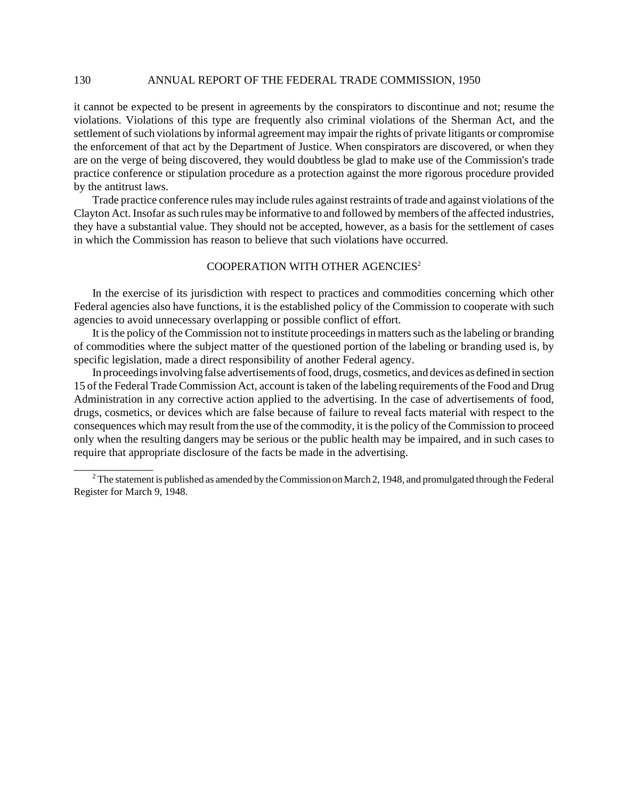it cannot be expected to be present in agreements by the conspirators to discontinue and not; resume the violations. Violations of this type are frequently also criminal violations of the Sherman Act, and the settlement of such violations by informal agreement may impair the rights of private litigants or compromise the enforcement of that act by the Department of Justice. When conspirators are discovered, or when they are on the verge of being discovered, they would doubtless be glad to make use of the Commission's trade practice conference or stipulation procedure as a protection against the more rigorous procedure provided by the antitrust laws.

Trade practice conference rules may include rules against restraints of trade and against violations of the Clayton Act. Insofar assuch rules may be informative to and followed by members of the affected industries, they have a substantial value. They should not be accepted, however, as a basis for the settlement of cases in which the Commission has reason to believe that such violations have occurred.

### COOPERATION WITH OTHER AGENCIES<sup>2</sup>

In the exercise of its jurisdiction with respect to practices and commodities concerning which other Federal agencies also have functions, it is the established policy of the Commission to cooperate with such agencies to avoid unnecessary overlapping or possible conflict of effort.

It is the policy of the Commission not to institute proceedings in matters such as the labeling or branding of commodities where the subject matter of the questioned portion of the labeling or branding used is, by specific legislation, made a direct responsibility of another Federal agency.

In proceedings involving false advertisements of food, drugs, cosmetics, and devices as defined in section 15 of the Federal Trade Commission Act, account istaken of the labeling requirements of the Food and Drug Administration in any corrective action applied to the advertising. In the case of advertisements of food, drugs, cosmetics, or devices which are false because of failure to reveal facts material with respect to the consequences which may result fromthe use of the commodity, it isthe policy of the Commission to proceed only when the resulting dangers may be serious or the public health may be impaired, and in such cases to require that appropriate disclosure of the facts be made in the advertising.

\_\_\_\_\_\_\_\_\_\_\_\_\_\_

 $2$  The statement is published as amended by the Commission on March 2, 1948, and promulgated through the Federal Register for March 9, 1948.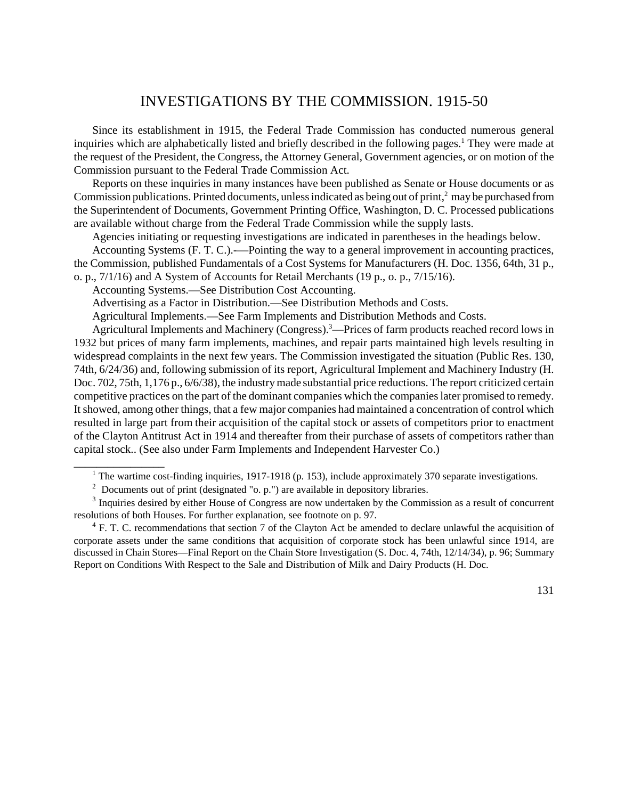### INVESTIGATIONS BY THE COMMISSION. 1915-50

Since its establishment in 1915, the Federal Trade Commission has conducted numerous general inquiries which are alphabetically listed and briefly described in the following pages.<sup>1</sup> They were made at the request of the President, the Congress, the Attorney General, Government agencies, or on motion of the Commission pursuant to the Federal Trade Commission Act.

Reports on these inquiries in many instances have been published as Senate or House documents or as Commission publications. Printed documents, unless indicated as being out of print,<sup>2</sup> may be purchased from the Superintendent of Documents, Government Printing Office, Washington, D. C. Processed publications are available without charge from the Federal Trade Commission while the supply lasts.

Agencies initiating or requesting investigations are indicated in parentheses in the headings below.

Accounting Systems (F. T. C.).-—Pointing the way to a general improvement in accounting practices, the Commission, published Fundamentals of a Cost Systems for Manufacturers (H. Doc. 1356, 64th, 31 p.,

o. p., 7/1/16) and A System of Accounts for Retail Merchants (19 p., o. p., 7/15/16).

Accounting Systems.—See Distribution Cost Accounting.

\_\_\_\_\_\_\_\_\_\_\_\_\_\_\_\_

Advertising as a Factor in Distribution.—See Distribution Methods and Costs.

Agricultural Implements.—See Farm Implements and Distribution Methods and Costs.

Agricultural Implements and Machinery (Congress).<sup>3</sup>—Prices of farm products reached record lows in 1932 but prices of many farm implements, machines, and repair parts maintained high levels resulting in widespread complaints in the next few years. The Commission investigated the situation (Public Res. 130, 74th, 6/24/36) and, following submission of its report, Agricultural Implement and Machinery Industry (H. Doc. 702, 75th, 1,176 p., 6/6/38), the industry made substantial price reductions. The report criticized certain competitive practices on the part of the dominant companies which the companieslater promised to remedy. It showed, among other things, that a few major companies had maintained a concentration of control which resulted in large part from their acquisition of the capital stock or assets of competitors prior to enactment of the Clayton Antitrust Act in 1914 and thereafter from their purchase of assets of competitors rather than capital stock.. (See also under Farm Implements and Independent Harvester Co.)

<sup>1</sup> The wartime cost-finding inquiries, 1917-1918 (p. 153), include approximately 370 separate investigations.

 $2$  Documents out of print (designated "o. p.") are available in depository libraries.

<sup>&</sup>lt;sup>3</sup> Inquiries desired by either House of Congress are now undertaken by the Commission as a result of concurrent resolutions of both Houses. For further explanation, see footnote on p. 97.

<sup>&</sup>lt;sup>4</sup> F. T. C. recommendations that section 7 of the Clayton Act be amended to declare unlawful the acquisition of corporate assets under the same conditions that acquisition of corporate stock has been unlawful since 1914, are discussed in Chain Stores—Final Report on the Chain Store Investigation (S. Doc. 4, 74th, 12/14/34), p. 96; Summary Report on Conditions With Respect to the Sale and Distribution of Milk and Dairy Products (H. Doc.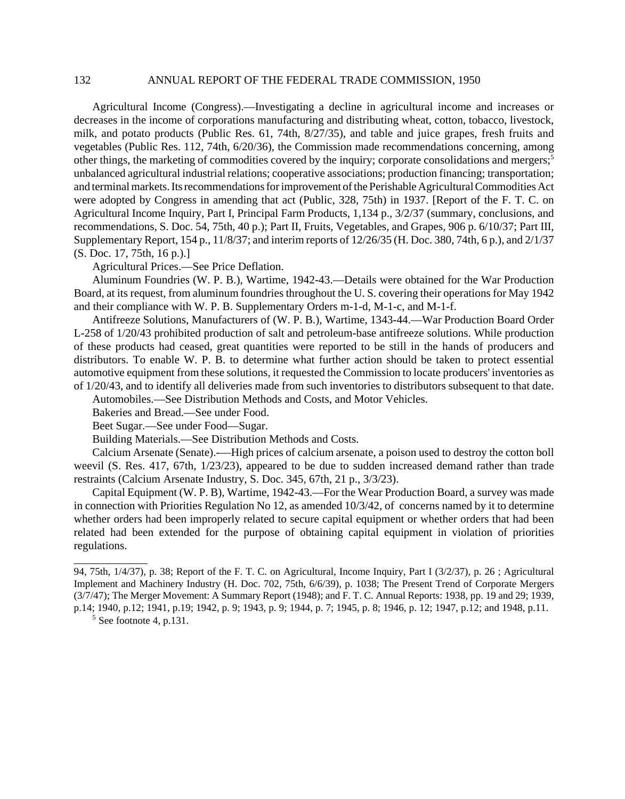Agricultural Income (Congress).—Investigating a decline in agricultural income and increases or decreases in the income of corporations manufacturing and distributing wheat, cotton, tobacco, livestock, milk, and potato products (Public Res. 61, 74th, 8/27/35), and table and juice grapes, fresh fruits and vegetables (Public Res. 112, 74th, 6/20/36), the Commission made recommendations concerning, among other things, the marketing of commodities covered by the inquiry; corporate consolidations and mergers;<sup>5</sup> unbalanced agricultural industrial relations; cooperative associations; production financing; transportation; and terminal markets. Its recommendations for improvement of the Perishable Agricultural Commodities Act were adopted by Congress in amending that act (Public, 328, 75th) in 1937. [Report of the F. T. C. on Agricultural Income Inquiry, Part I, Principal Farm Products, 1,134 p., 3/2/37 (summary, conclusions, and recommendations, S. Doc. 54, 75th, 40 p.); Part II, Fruits, Vegetables, and Grapes, 906 p. 6/10/37; Part III, Supplementary Report, 154 p., 11/8/37; and interim reports of 12/26/35 (H. Doc. 380, 74th, 6 p.), and 2/1/37 (S. Doc. 17, 75th, 16 p.).]

Agricultural Prices.—See Price Deflation.

Aluminum Foundries (W. P. B.), Wartime, 1942-43.—Details were obtained for the War Production Board, at its request, from aluminum foundries throughout the U. S. covering their operations for May 1942 and their compliance with W. P. B. Supplementary Orders m-1-d, M-1-c, and M-1-f.

Antifreeze Solutions, Manufacturers of (W. P. B.), Wartime, 1343-44.—War Production Board Order L-258 of 1/20/43 prohibited production of salt and petroleum-base antifreeze solutions. While production of these products had ceased, great quantities were reported to be still in the hands of producers and distributors. To enable W. P. B. to determine what further action should be taken to protect essential automotive equipment from these solutions, it requested the Commission to locate producers' inventories as of 1/20/43, and to identify all deliveries made from such inventories to distributors subsequent to that date.

Automobiles.—See Distribution Methods and Costs, and Motor Vehicles.

Bakeries and Bread.—See under Food.

Beet Sugar.—See under Food—Sugar.

Building Materials.—See Distribution Methods and Costs.

Calcium Arsenate (Senate).-—High prices of calcium arsenate, a poison used to destroy the cotton boll weevil (S. Res. 417, 67th, 1/23/23), appeared to be due to sudden increased demand rather than trade restraints (Calcium Arsenate Industry, S. Doc. 345, 67th, 21 p., 3/3/23).

Capital Equipment (W. P. B), Wartime, 1942-43.—For the Wear Production Board, a survey was made in connection with Priorities Regulation No 12, as amended 10/3/42, of concerns named by it to determine whether orders had been improperly related to secure capital equipment or whether orders that had been related had been extended for the purpose of obtaining capital equipment in violation of priorities regulations.

\_\_\_\_\_\_\_\_\_\_\_\_\_

<sup>94,</sup> 75th, 1/4/37), p. 38; Report of the F. T. C. on Agricultural, Income Inquiry, Part I (3/2/37), p. 26 ; Agricultural Implement and Machinery Industry (H. Doc. 702, 75th, 6/6/39), p. 1038; The Present Trend of Corporate Mergers (3/7/47); The Merger Movement: A Summary Report (1948); and F. T. C. Annual Reports: 1938, pp. 19 and 29; 1939, p.14; 1940, p.12; 1941, p.19; 1942, p. 9; 1943, p. 9; 1944, p. 7; 1945, p. 8; 1946, p. 12; 1947, p.12; and 1948, p.11.

 $5$  See footnote 4, p.131.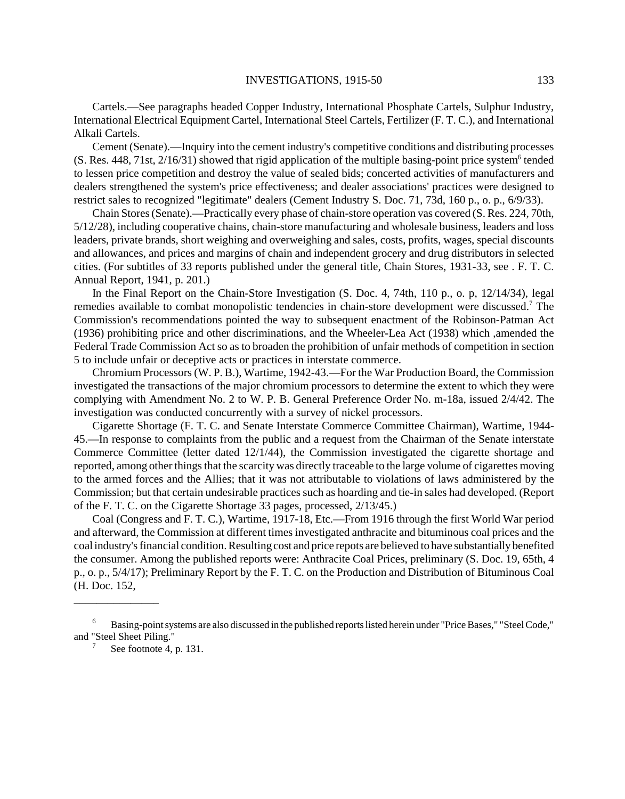Cartels.—See paragraphs headed Copper Industry, International Phosphate Cartels, Sulphur Industry, International Electrical Equipment Cartel, International Steel Cartels, Fertilizer (F. T. C.), and International Alkali Cartels.

Cement (Senate).—Inquiry into the cement industry's competitive conditions and distributing processes  $(S. Res. 448, 71st, 2/16/31)$  showed that rigid application of the multiple basing-point price system<sup>6</sup> tended to lessen price competition and destroy the value of sealed bids; concerted activities of manufacturers and dealers strengthened the system's price effectiveness; and dealer associations' practices were designed to restrict sales to recognized "legitimate" dealers (Cement Industry S. Doc. 71, 73d, 160 p., o. p., 6/9/33).

Chain Stores(Senate).—Practically every phase of chain-store operation vas covered (S. Res. 224, 70th, 5/12/28), including cooperative chains, chain-store manufacturing and wholesale business, leaders and loss leaders, private brands, short weighing and overweighing and sales, costs, profits, wages, special discounts and allowances, and prices and margins of chain and independent grocery and drug distributors in selected cities. (For subtitles of 33 reports published under the general title, Chain Stores, 1931-33, see . F. T. C. Annual Report, 1941, p. 201.)

In the Final Report on the Chain-Store Investigation (S. Doc. 4, 74th, 110 p., o. p, 12/14/34), legal remedies available to combat monopolistic tendencies in chain-store development were discussed.<sup>7</sup> The Commission's recommendations pointed the way to subsequent enactment of the Robinson-Patman Act (1936) prohibiting price and other discriminations, and the Wheeler-Lea Act (1938) which ,amended the Federal Trade Commission Act so as to broaden the prohibition of unfair methods of competition in section 5 to include unfair or deceptive acts or practices in interstate commerce.

Chromium Processors (W. P. B.), Wartime, 1942-43.—For the War Production Board, the Commission investigated the transactions of the major chromium processors to determine the extent to which they were complying with Amendment No. 2 to W. P. B. General Preference Order No. m-18a, issued 2/4/42. The investigation was conducted concurrently with a survey of nickel processors.

Cigarette Shortage (F. T. C. and Senate Interstate Commerce Committee Chairman), Wartime, 1944- 45.—In response to complaints from the public and a request from the Chairman of the Senate interstate Commerce Committee (letter dated 12/1/44), the Commission investigated the cigarette shortage and reported, among other things that the scarcity was directly traceable to the large volume of cigarettes moving to the armed forces and the Allies; that it was not attributable to violations of laws administered by the Commission; but that certain undesirable practices such as hoarding and tie-in sales had developed. (Report of the F. T. C. on the Cigarette Shortage 33 pages, processed, 2/13/45.)

Coal (Congress and F. T. C.), Wartime, 1917-18, Etc.—From 1916 through the first World War period and afterward, the Commission at different times investigated anthracite and bituminous coal prices and the coal industry'sfinancial condition.Resulting cost and price repots are believed to have substantially benefited the consumer. Among the published reports were: Anthracite Coal Prices, preliminary (S. Doc. 19, 65th, 4 p., o. p., 5/4/17); Preliminary Report by the F. T. C. on the Production and Distribution of Bituminous Coal (H. Doc. 152,

\_\_\_\_\_\_\_\_\_\_\_\_\_\_\_

<sup>6</sup> Basing-pointsystems are also discussed in the published reports listed herein under "Price Bases," "Steel Code," and "Steel Sheet Piling."

See footnote 4, p. 131.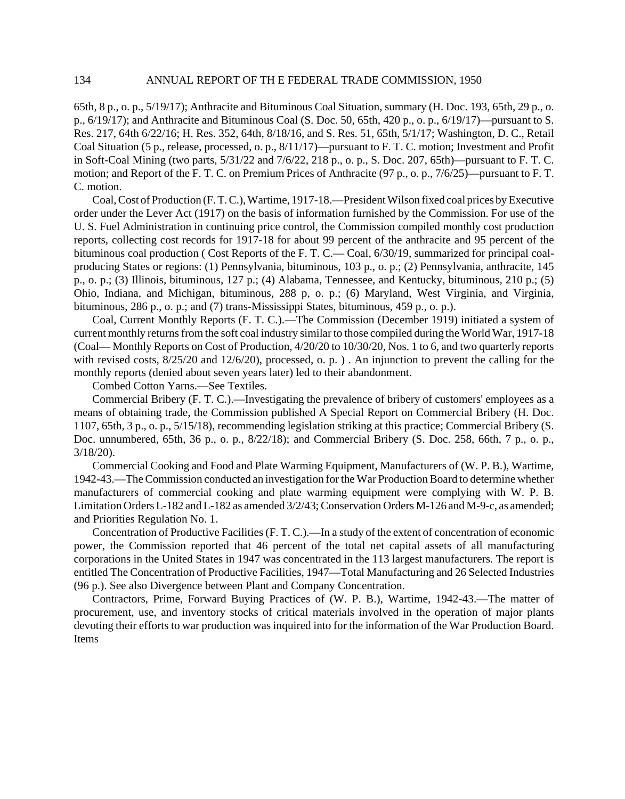65th, 8 p., o. p., 5/19/17); Anthracite and Bituminous Coal Situation, summary (H. Doc. 193, 65th, 29 p., o. p., 6/19/17); and Anthracite and Bituminous Coal (S. Doc. 50, 65th, 420 p., o. p., 6/19/17)—pursuant to S. Res. 217, 64th 6/22/16; H. Res. 352, 64th, 8/18/16, and S. Res. 51, 65th, 5/1/17; Washington, D. C., Retail Coal Situation (5 p., release, processed, o. p., 8/11/17)—pursuant to F. T. C. motion; Investment and Profit in Soft-Coal Mining (two parts, 5/31/22 and 7/6/22, 218 p., o. p., S. Doc. 207, 65th)—pursuant to F. T. C. motion; and Report of the F. T. C. on Premium Prices of Anthracite (97 p., o. p., 7/6/25)—pursuant to F. T. C. motion.

Coal,Cost of Production (F. T. C.), Wartime, 1917-18.—President Wilson fixed coal prices by Executive order under the Lever Act (1917) on the basis of information furnished by the Commission. For use of the U. S. Fuel Administration in continuing price control, the Commission compiled monthly cost production reports, collecting cost records for 1917-18 for about 99 percent of the anthracite and 95 percent of the bituminous coal production ( Cost Reports of the F. T. C.— Coal, 6/30/19, summarized for principal coalproducing States or regions: (1) Pennsylvania, bituminous, 103 p., o. p.; (2) Pennsylvania, anthracite, 145 p., o. p.; (3) Illinois, bituminous, 127 p.; (4) Alabama, Tennessee, and Kentucky, bituminous, 210 p.; (5) Ohio, Indiana, and Michigan, bituminous, 288 p, o. p.; (6) Maryland, West Virginia, and Virginia, bituminous, 286 p., o. p.; and (7) trans-Mississippi States, bituminous, 459 p., o. p.).

Coal, Current Monthly Reports (F. T. C.).—The Commission (December 1919) initiated a system of current monthly returns from the soft coal industry similar to those compiled during the World War, 1917-18 (Coal— Monthly Reports on Cost of Production, 4/20/20 to 10/30/20, Nos. 1 to 6, and two quarterly reports with revised costs,  $8/25/20$  and  $12/6/20$ , processed, o. p.). An injunction to prevent the calling for the monthly reports (denied about seven years later) led to their abandonment.

Combed Cotton Yarns.—See Textiles.

Commercial Bribery (F. T. C.).—Investigating the prevalence of bribery of customers' employees as a means of obtaining trade, the Commission published A Special Report on Commercial Bribery (H. Doc. 1107, 65th, 3 p., o. p., 5/15/18), recommending legislation striking at this practice; Commercial Bribery (S. Doc. unnumbered, 65th, 36 p., o. p., 8/22/18); and Commercial Bribery (S. Doc. 258, 66th, 7 p., o. p., 3/18/20).

Commercial Cooking and Food and Plate Warming Equipment, Manufacturers of (W. P. B.), Wartime, 1942-43.—The Commission conducted an investigation for the War Production Board to determine whether manufacturers of commercial cooking and plate warming equipment were complying with W. P. B. Limitation Orders L-182 and L-182 as amended 3/2/43; Conservation Orders M-126 and M-9-c, as amended; and Priorities Regulation No. 1.

Concentration of Productive Facilities(F. T. C.).—In a study of the extent of concentration of economic power, the Commission reported that 46 percent of the total net capital assets of all manufacturing corporations in the United States in 1947 was concentrated in the 113 largest manufacturers. The report is entitled The Concentration of Productive Facilities, 1947—Total Manufacturing and 26 Selected Industries (96 p.). See also Divergence between Plant and Company Concentration.

Contractors, Prime, Forward Buying Practices of (W. P. B.), Wartime, 1942-43.—The matter of procurement, use, and inventory stocks of critical materials involved in the operation of major plants devoting their efforts to war production was inquired into for the information of the War Production Board. Items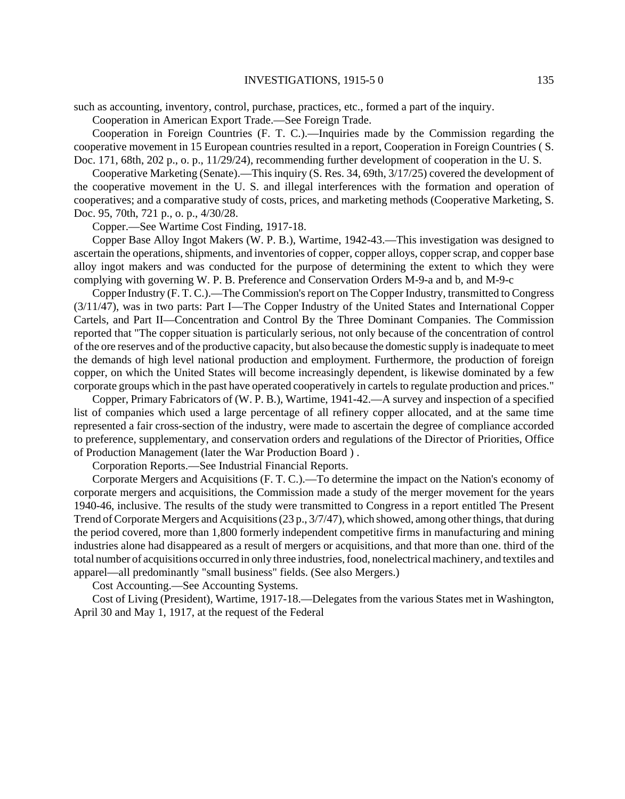such as accounting, inventory, control, purchase, practices, etc., formed a part of the inquiry.

Cooperation in American Export Trade.—See Foreign Trade.

Cooperation in Foreign Countries (F. T. C.).—Inquiries made by the Commission regarding the cooperative movement in 15 European countries resulted in a report, Cooperation in Foreign Countries ( S. Doc. 171, 68th, 202 p., o. p., 11/29/24), recommending further development of cooperation in the U. S.

Cooperative Marketing (Senate).—This inquiry (S. Res. 34, 69th, 3/17/25) covered the development of the cooperative movement in the U. S. and illegal interferences with the formation and operation of cooperatives; and a comparative study of costs, prices, and marketing methods (Cooperative Marketing, S. Doc. 95, 70th, 721 p., o. p., 4/30/28.

Copper.—See Wartime Cost Finding, 1917-18.

Copper Base Alloy Ingot Makers (W. P. B.), Wartime, 1942-43.—This investigation was designed to ascertain the operations, shipments, and inventories of copper, copper alloys, copper scrap, and copper base alloy ingot makers and was conducted for the purpose of determining the extent to which they were complying with governing W. P. B. Preference and Conservation Orders M-9-a and b, and M-9-c

Copper Industry (F. T. C.).—The Commission's report on The Copper Industry, transmitted to Congress (3/11/47), was in two parts: Part I—The Copper Industry of the United States and International Copper Cartels, and Part II—Concentration and Control By the Three Dominant Companies. The Commission reported that "The copper situation is particularly serious, not only because of the concentration of control of the ore reserves and of the productive capacity, but also because the domestic supply isinadequate to meet the demands of high level national production and employment. Furthermore, the production of foreign copper, on which the United States will become increasingly dependent, is likewise dominated by a few corporate groups which in the past have operated cooperatively in cartels to regulate production and prices."

Copper, Primary Fabricators of (W. P. B.), Wartime, 1941-42.—A survey and inspection of a specified list of companies which used a large percentage of all refinery copper allocated, and at the same time represented a fair cross-section of the industry, were made to ascertain the degree of compliance accorded to preference, supplementary, and conservation orders and regulations of the Director of Priorities, Office of Production Management (later the War Production Board ) .

Corporation Reports.—See Industrial Financial Reports.

Corporate Mergers and Acquisitions (F. T. C.).—To determine the impact on the Nation's economy of corporate mergers and acquisitions, the Commission made a study of the merger movement for the years 1940-46, inclusive. The results of the study were transmitted to Congress in a report entitled The Present Trend of Corporate Mergers and Acquisitions (23 p., 3/7/47), which showed, among other things, that during the period covered, more than 1,800 formerly independent competitive firms in manufacturing and mining industries alone had disappeared as a result of mergers or acquisitions, and that more than one. third of the total number of acquisitions occurred in only three industries,food, nonelectricalmachinery, and textiles and apparel—all predominantly "small business" fields. (See also Mergers.)

Cost Accounting.—See Accounting Systems.

Cost of Living (President), Wartime, 1917-18.—Delegates from the various States met in Washington, April 30 and May 1, 1917, at the request of the Federal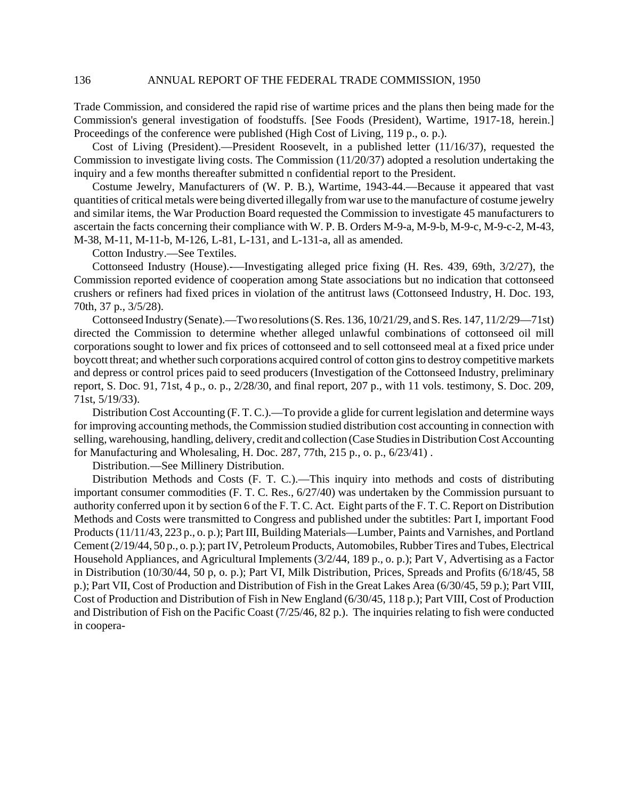Trade Commission, and considered the rapid rise of wartime prices and the plans then being made for the Commission's general investigation of foodstuffs. [See Foods (President), Wartime, 1917-18, herein.] Proceedings of the conference were published (High Cost of Living, 119 p., o. p.).

Cost of Living (President).—President Roosevelt, in a published letter (11/16/37), requested the Commission to investigate living costs. The Commission (11/20/37) adopted a resolution undertaking the inquiry and a few months thereafter submitted n confidential report to the President.

Costume Jewelry, Manufacturers of (W. P. B.), Wartime, 1943-44.—Because it appeared that vast quantities of critical metals were being diverted illegally fromwar use to the manufacture of costume jewelry and similar items, the War Production Board requested the Commission to investigate 45 manufacturers to ascertain the facts concerning their compliance with W. P. B. Orders M-9-a, M-9-b, M-9-c, M-9-c-2, M-43, M-38, M-11, M-11-b, M-126, L-81, L-131, and L-131-a, all as amended.

Cotton Industry.—See Textiles.

Cottonseed Industry (House).-—Investigating alleged price fixing (H. Res. 439, 69th, 3/2/27), the Commission reported evidence of cooperation among State associations but no indication that cottonseed crushers or refiners had fixed prices in violation of the antitrust laws (Cottonseed Industry, H. Doc. 193, 70th, 37 p., 3/5/28).

Cottonseed Industry (Senate).—Two resolutions(S.Res. 136, 10/21/29, and S.Res. 147, 11/2/29—71st) directed the Commission to determine whether alleged unlawful combinations of cottonseed oil mill corporations sought to lower and fix prices of cottonseed and to sell cottonseed meal at a fixed price under boycott threat; and whether such corporations acquired control of cotton gins to destroy competitive markets and depress or control prices paid to seed producers (Investigation of the Cottonseed Industry, preliminary report, S. Doc. 91, 71st, 4 p., o. p., 2/28/30, and final report, 207 p., with 11 vols. testimony, S. Doc. 209, 71st, 5/19/33).

Distribution Cost Accounting (F. T. C.).—To provide a glide for current legislation and determine ways for improving accounting methods, the Commission studied distribution cost accounting in connection with selling, warehousing, handling, delivery, credit and collection (Case Studiesin DistributionCost Accounting for Manufacturing and Wholesaling, H. Doc. 287, 77th, 215 p., o. p., 6/23/41) .

Distribution.—See Millinery Distribution.

Distribution Methods and Costs (F. T. C.).—This inquiry into methods and costs of distributing important consumer commodities (F. T. C. Res., 6/27/40) was undertaken by the Commission pursuant to authority conferred upon it by section 6 of the F. T. C. Act. Eight parts of the F. T. C. Report on Distribution Methods and Costs were transmitted to Congress and published under the subtitles: Part I, important Food Products(11/11/43, 223 p., o. p.); Part III, Building Materials—Lumber, Paints and Varnishes, and Portland Cement (2/19/44, 50 p., o. p.); part IV, Petroleum Products, Automobiles, Rubber Tires and Tubes, Electrical Household Appliances, and Agricultural Implements (3/2/44, 189 p., o. p.); Part V, Advertising as a Factor in Distribution (10/30/44, 50 p, o. p.); Part VI, Milk Distribution, Prices, Spreads and Profits (6/18/45, 58 p.); Part VII, Cost of Production and Distribution of Fish in the Great Lakes Area (6/30/45, 59 p.); Part VIII, Cost of Production and Distribution of Fish in New England (6/30/45, 118 p.); Part VIII, Cost of Production and Distribution of Fish on the Pacific Coast (7/25/46, 82 p.). The inquiries relating to fish were conducted in coopera-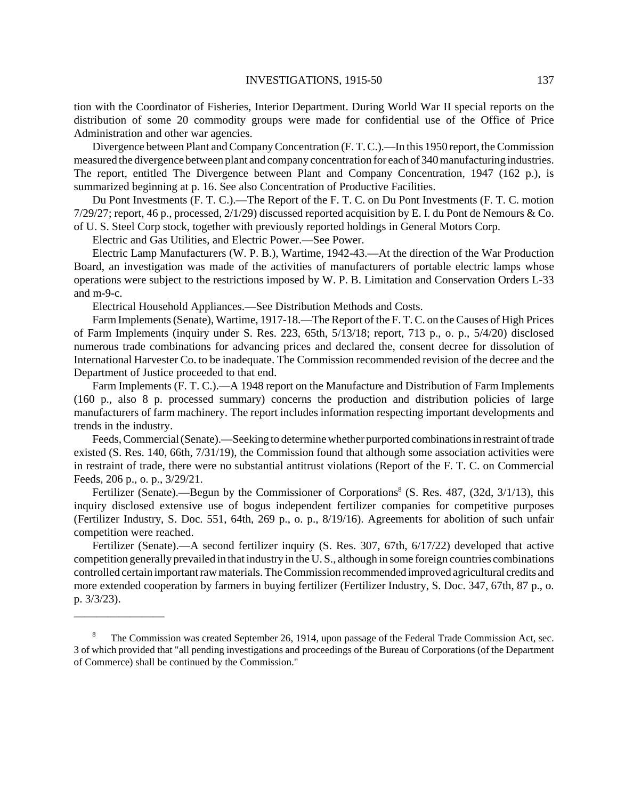tion with the Coordinator of Fisheries, Interior Department. During World War II special reports on the distribution of some 20 commodity groups were made for confidential use of the Office of Price Administration and other war agencies.

Divergence between Plant and Company Concentration (F. T. C.).—In this 1950 report, the Commission measured the divergence between plant and company concentration for each of 340 manufacturing industries. The report, entitled The Divergence between Plant and Company Concentration, 1947 (162 p.), is summarized beginning at p. 16. See also Concentration of Productive Facilities.

Du Pont Investments (F. T. C.).—The Report of the F. T. C. on Du Pont Investments (F. T. C. motion 7/29/27; report, 46 p., processed, 2/1/29) discussed reported acquisition by E. I. du Pont de Nemours & Co. of U. S. Steel Corp stock, together with previously reported holdings in General Motors Corp.

Electric and Gas Utilities, and Electric Power.—See Power.

\_\_\_\_\_\_\_\_\_\_\_\_\_\_\_\_

Electric Lamp Manufacturers (W. P. B.), Wartime, 1942-43.—At the direction of the War Production Board, an investigation was made of the activities of manufacturers of portable electric lamps whose operations were subject to the restrictions imposed by W. P. B. Limitation and Conservation Orders L-33 and m-9-c.

Electrical Household Appliances.—See Distribution Methods and Costs.

FarmImplements(Senate), Wartime, 1917-18.—The Report of the F. T. C. on the Causes of High Prices of Farm Implements (inquiry under S. Res. 223, 65th, 5/13/18; report, 713 p., o. p., 5/4/20) disclosed numerous trade combinations for advancing prices and declared the, consent decree for dissolution of International Harvester Co. to be inadequate. The Commission recommended revision of the decree and the Department of Justice proceeded to that end.

Farm Implements (F. T. C.).—A 1948 report on the Manufacture and Distribution of Farm Implements (160 p., also 8 p. processed summary) concerns the production and distribution policies of large manufacturers of farm machinery. The report includes information respecting important developments and trends in the industry.

Feeds,Commercial(Senate).—Seeking to determinewhether purported combinations in restraint of trade existed (S. Res. 140, 66th, 7/31/19), the Commission found that although some association activities were in restraint of trade, there were no substantial antitrust violations (Report of the F. T. C. on Commercial Feeds, 206 p., o. p., 3/29/21.

Fertilizer (Senate).—Begun by the Commissioner of Corporations<sup>8</sup> (S. Res. 487, (32d, 3/1/13), this inquiry disclosed extensive use of bogus independent fertilizer companies for competitive purposes (Fertilizer Industry, S. Doc. 551, 64th, 269 p., o. p., 8/19/16). Agreements for abolition of such unfair competition were reached.

Fertilizer (Senate).—A second fertilizer inquiry (S. Res. 307, 67th, 6/17/22) developed that active competition generally prevailed in that industry in the U. S., although in some foreign countries combinations controlled certain importantrawmaterials.TheCommission recommended improved agricultural credits and more extended cooperation by farmers in buying fertilizer (Fertilizer Industry, S. Doc. 347, 67th, 87 p., o. p. 3/3/23).

<sup>8</sup> The Commission was created September 26, 1914, upon passage of the Federal Trade Commission Act, sec. 3 of which provided that "all pending investigations and proceedings of the Bureau of Corporations (of the Department of Commerce) shall be continued by the Commission."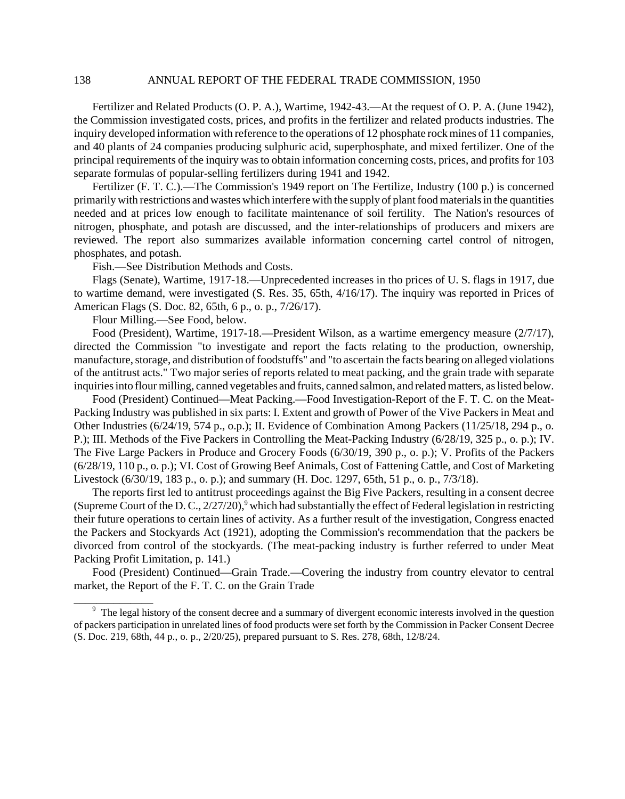Fertilizer and Related Products (O. P. A.), Wartime, 1942-43.—At the request of O. P. A. (June 1942), the Commission investigated costs, prices, and profits in the fertilizer and related products industries. The inquiry developed information with reference to the operations of 12 phosphate rock mines of 11 companies, and 40 plants of 24 companies producing sulphuric acid, superphosphate, and mixed fertilizer. One of the principal requirements of the inquiry was to obtain information concerning costs, prices, and profits for 103 separate formulas of popular-selling fertilizers during 1941 and 1942.

Fertilizer (F. T. C.).—The Commission's 1949 report on The Fertilize, Industry (100 p.) is concerned primarily with restrictions and wastes which interfere with the supply of plant food materials in the quantities needed and at prices low enough to facilitate maintenance of soil fertility. The Nation's resources of nitrogen, phosphate, and potash are discussed, and the inter-relationships of producers and mixers are reviewed. The report also summarizes available information concerning cartel control of nitrogen, phosphates, and potash.

Fish.—See Distribution Methods and Costs.

Flags (Senate), Wartime, 1917-18.—Unprecedented increases in tho prices of U. S. flags in 1917, due to wartime demand, were investigated (S. Res. 35, 65th, 4/16/17). The inquiry was reported in Prices of American Flags (S. Doc. 82, 65th, 6 p., o. p., 7/26/17).

Flour Milling.—See Food, below.

\_\_\_\_\_\_\_\_\_\_\_\_\_\_

Food (President), Wartime, 1917-18.—President Wilson, as a wartime emergency measure (2/7/17), directed the Commission "to investigate and report the facts relating to the production, ownership, manufacture, storage, and distribution of foodstuffs" and "to ascertain the facts bearing on alleged violations of the antitrust acts." Two major series of reports related to meat packing, and the grain trade with separate inquiries into flour milling, canned vegetables and fruits, canned salmon, and related matters, as listed below.

Food (President) Continued—Meat Packing.—Food Investigation-Report of the F. T. C. on the Meat-Packing Industry was published in six parts: I. Extent and growth of Power of the Vive Packers in Meat and Other Industries (6/24/19, 574 p., o.p.); II. Evidence of Combination Among Packers (11/25/18, 294 p., o. P.); III. Methods of the Five Packers in Controlling the Meat-Packing Industry (6/28/19, 325 p., o. p.); IV. The Five Large Packers in Produce and Grocery Foods (6/30/19, 390 p., o. p.); V. Profits of the Packers (6/28/19, 110 p., o. p.); VI. Cost of Growing Beef Animals, Cost of Fattening Cattle, and Cost of Marketing Livestock (6/30/19, 183 p., o. p.); and summary (H. Doc. 1297, 65th, 51 p., o. p., 7/3/18).

The reports first led to antitrust proceedings against the Big Five Packers, resulting in a consent decree (Supreme Court of the D. C.,  $2/27/20$ ),<sup>9</sup> which had substantially the effect of Federal legislation in restricting their future operations to certain lines of activity. As a further result of the investigation, Congress enacted the Packers and Stockyards Act (1921), adopting the Commission's recommendation that the packers be divorced from control of the stockyards. (The meat-packing industry is further referred to under Meat Packing Profit Limitation, p. 141.)

Food (President) Continued—Grain Trade.—Covering the industry from country elevator to central market, the Report of the F. T. C. on the Grain Trade

<sup>&</sup>lt;sup>9</sup> The legal history of the consent decree and a summary of divergent economic interests involved in the question of packers participation in unrelated lines of food products were set forth by the Commission in Packer Consent Decree (S. Doc. 219, 68th, 44 p., o. p., 2/20/25), prepared pursuant to S. Res. 278, 68th, 12/8/24.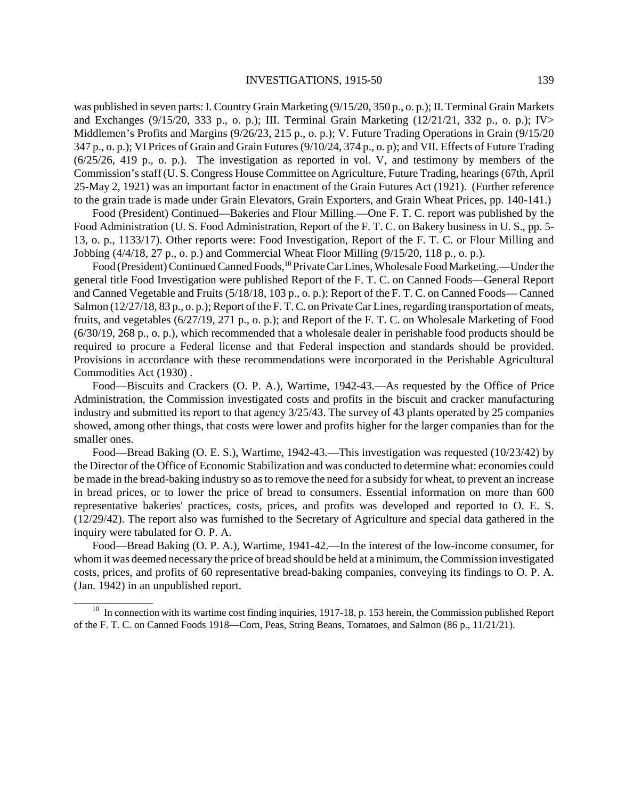was published in seven parts: I. Country Grain Marketing (9/15/20, 350 p., o. p.); II. Terminal Grain Markets and Exchanges (9/15/20, 333 p., o. p.); III. Terminal Grain Marketing (12/21/21, 332 p., o. p.); IV> Middlemen's Profits and Margins (9/26/23, 215 p., o. p.); V. Future Trading Operations in Grain (9/15/20 347 p., o. p.); VI Prices of Grain and Grain Futures(9/10/24, 374 p., o. p); and VII. Effects of Future Trading (6/25/26, 419 p., o. p.). The investigation as reported in vol. V, and testimony by members of the Commission'sstaff(U. S. Congress House Committee on Agriculture, Future Trading, hearings(67th, April 25-May 2, 1921) was an important factor in enactment of the Grain Futures Act (1921). (Further reference to the grain trade is made under Grain Elevators, Grain Exporters, and Grain Wheat Prices, pp. 140-141.)

Food (President) Continued—Bakeries and Flour Milling.—One F. T. C. report was published by the Food Administration (U. S. Food Administration, Report of the F. T. C. on Bakery business in U. S., pp. 5- 13, o. p., 1133/17). Other reports were: Food Investigation, Report of the F. T. C. or Flour Milling and Jobbing (4/4/18, 27 p., o. p.) and Commercial Wheat Floor Milling (9/15/20, 118 p., o. p.).

Food (President) Continued Canned Foods,<sup>10</sup> Private Car Lines, Wholesale Food Marketing.—Under the general title Food Investigation were published Report of the F. T. C. on Canned Foods—General Report and Canned Vegetable and Fruits (5/18/18, 103 p., o. p.); Report of the F. T. C. on Canned Foods— Canned Salmon (12/27/18, 83 p., o. p.); Report of the F. T. C. on Private Car Lines, regarding transportation of meats, fruits, and vegetables (6/27/19, 271 p., o. p.); and Report of the F. T. C. on Wholesale Marketing of Food (6/30/19, 268 p., o. p.), which recommended that a wholesale dealer in perishable food products should be required to procure a Federal license and that Federal inspection and standards should be provided. Provisions in accordance with these recommendations were incorporated in the Perishable Agricultural Commodities Act (1930) .

Food—Biscuits and Crackers (O. P. A.), Wartime, 1942-43.—As requested by the Office of Price Administration, the Commission investigated costs and profits in the biscuit and cracker manufacturing industry and submitted its report to that agency 3/25/43. The survey of 43 plants operated by 25 companies showed, among other things, that costs were lower and profits higher for the larger companies than for the smaller ones.

Food—Bread Baking (O. E. S.), Wartime, 1942-43.—This investigation was requested (10/23/42) by the Director of the Office of Economic Stabilization and was conducted to determine what: economies could be made in the bread-baking industry so asto remove the need for a subsidy for wheat, to prevent an increase in bread prices, or to lower the price of bread to consumers. Essential information on more than 600 representative bakeries' practices, costs, prices, and profits was developed and reported to O. E. S. (12/29/42). The report also was furnished to the Secretary of Agriculture and special data gathered in the inquiry were tabulated for O. P. A.

Food—Bread Baking (O. P. A.), Wartime, 1941-42.—In the interest of the low-income consumer, for whom it was deemed necessary the price of bread should be held at a minimum, the Commission investigated costs, prices, and profits of 60 representative bread-baking companies, conveying its findings to O. P. A. (Jan. 1942) in an unpublished report.

\_\_\_\_\_\_\_\_\_\_\_\_\_\_

 $10$  In connection with its wartime cost finding inquiries, 1917-18, p. 153 herein, the Commission published Report of the F. T. C. on Canned Foods 1918—Corn, Peas, String Beans, Tomatoes, and Salmon (86 p., 11/21/21).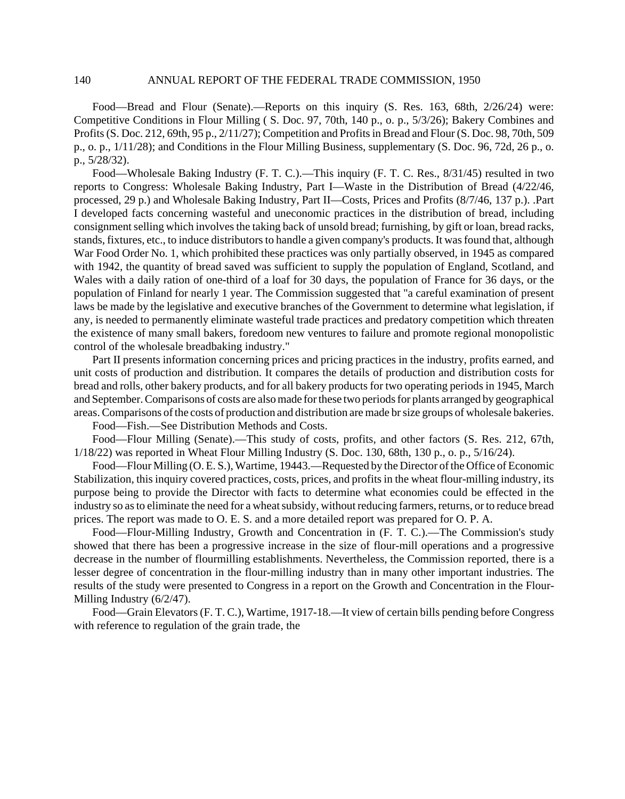Food—Bread and Flour (Senate).—Reports on this inquiry (S. Res. 163, 68th, 2/26/24) were: Competitive Conditions in Flour Milling ( S. Doc. 97, 70th, 140 p., o. p., 5/3/26); Bakery Combines and Profits(S. Doc. 212, 69th, 95 p., 2/11/27); Competition and Profitsin Bread and Flour (S. Doc. 98, 70th, 509 p., o. p., 1/11/28); and Conditions in the Flour Milling Business, supplementary (S. Doc. 96, 72d, 26 p., o. p., 5/28/32).

Food—Wholesale Baking Industry (F. T. C.).—This inquiry (F. T. C. Res., 8/31/45) resulted in two reports to Congress: Wholesale Baking Industry, Part I—Waste in the Distribution of Bread (4/22/46, processed, 29 p.) and Wholesale Baking Industry, Part II—Costs, Prices and Profits (8/7/46, 137 p.). .Part I developed facts concerning wasteful and uneconomic practices in the distribution of bread, including consignment selling which involves the taking back of unsold bread; furnishing, by gift or loan, bread racks, stands, fixtures, etc., to induce distributors to handle a given company's products. It was found that, although War Food Order No. 1, which prohibited these practices was only partially observed, in 1945 as compared with 1942, the quantity of bread saved was sufficient to supply the population of England, Scotland, and Wales with a daily ration of one-third of a loaf for 30 days, the population of France for 36 days, or the population of Finland for nearly 1 year. The Commission suggested that "a careful examination of present laws be made by the legislative and executive branches of the Government to determine what legislation, if any, is needed to permanently eliminate wasteful trade practices and predatory competition which threaten the existence of many small bakers, foredoom new ventures to failure and promote regional monopolistic control of the wholesale breadbaking industry."

Part II presents information concerning prices and pricing practices in the industry, profits earned, and unit costs of production and distribution. It compares the details of production and distribution costs for bread and rolls, other bakery products, and for all bakery products for two operating periods in 1945, March and September. Comparisons of costs are also made for these two periods for plants arranged by geographical areas.Comparisons ofthe costs of production and distribution are made brsize groups of wholesale bakeries.

Food—Fish.—See Distribution Methods and Costs.

Food—Flour Milling (Senate).—This study of costs, profits, and other factors (S. Res. 212, 67th, 1/18/22) was reported in Wheat Flour Milling Industry (S. Doc. 130, 68th, 130 p., o. p., 5/16/24).

Food—Flour Milling (O. E. S.), Wartime, 19443.—Requested by the Director of the Office of Economic Stabilization, this inquiry covered practices, costs, prices, and profits in the wheat flour-milling industry, its purpose being to provide the Director with facts to determine what economies could be effected in the industry so as to eliminate the need for a wheat subsidy, without reducing farmers, returns, or to reduce bread prices. The report was made to O. E. S. and a more detailed report was prepared for O. P. A.

Food—Flour-Milling Industry, Growth and Concentration in (F. T. C.).—The Commission's study showed that there has been a progressive increase in the size of flour-mill operations and a progressive decrease in the number of flourmilling establishments. Nevertheless, the Commission reported, there is a lesser degree of concentration in the flour-milling industry than in many other important industries. The results of the study were presented to Congress in a report on the Growth and Concentration in the Flour-Milling Industry (6/2/47).

Food—Grain Elevators (F. T. C.), Wartime, 1917-18.—It view of certain bills pending before Congress with reference to regulation of the grain trade, the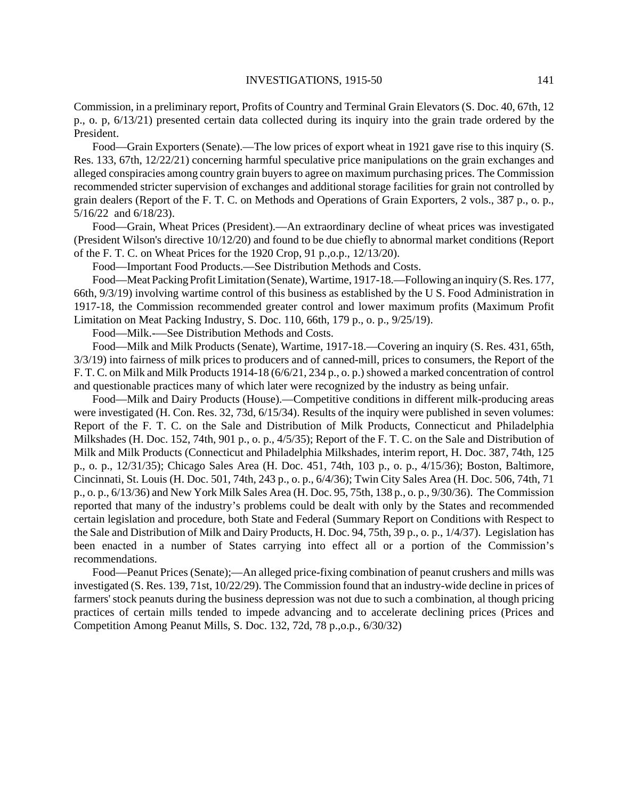Commission, in a preliminary report, Profits of Country and Terminal Grain Elevators (S. Doc. 40, 67th, 12 p., o. p, 6/13/21) presented certain data collected during its inquiry into the grain trade ordered by the President.

Food—Grain Exporters (Senate).—The low prices of export wheat in 1921 gave rise to this inquiry (S. Res. 133, 67th, 12/22/21) concerning harmful speculative price manipulations on the grain exchanges and alleged conspiracies among country grain buyers to agree on maximum purchasing prices. The Commission recommended stricter supervision of exchanges and additional storage facilities for grain not controlled by grain dealers (Report of the F. T. C. on Methods and Operations of Grain Exporters, 2 vols., 387 p., o. p., 5/16/22 and 6/18/23).

Food—Grain, Wheat Prices (President).—An extraordinary decline of wheat prices was investigated (President Wilson's directive 10/12/20) and found to be due chiefly to abnormal market conditions (Report of the F. T. C. on Wheat Prices for the 1920 Crop, 91 p.,o.p., 12/13/20).

Food—Important Food Products.—See Distribution Methods and Costs.

Food—Meat Packing Profit Limitation (Senate), Wartime, 1917-18.—Following an inquiry (S. Res. 177, 66th, 9/3/19) involving wartime control of this business as established by the U S. Food Administration in 1917-18, the Commission recommended greater control and lower maximum profits (Maximum Profit Limitation on Meat Packing Industry, S. Doc. 110, 66th, 179 p., o. p., 9/25/19).

Food—Milk.-—See Distribution Methods and Costs.

Food—Milk and Milk Products (Senate), Wartime, 1917-18.—Covering an inquiry (S. Res. 431, 65th, 3/3/19) into fairness of milk prices to producers and of canned-mill, prices to consumers, the Report of the F. T. C. on Milk and Milk Products 1914-18 (6/6/21, 234 p., o. p.) showed a marked concentration of control and questionable practices many of which later were recognized by the industry as being unfair.

Food—Milk and Dairy Products (House).—Competitive conditions in different milk-producing areas were investigated (H. Con. Res. 32, 73d, 6/15/34). Results of the inquiry were published in seven volumes: Report of the F. T. C. on the Sale and Distribution of Milk Products, Connecticut and Philadelphia Milkshades (H. Doc. 152, 74th, 901 p., o. p., 4/5/35); Report of the F. T. C. on the Sale and Distribution of Milk and Milk Products (Connecticut and Philadelphia Milkshades, interim report, H. Doc. 387, 74th, 125 p., o. p., 12/31/35); Chicago Sales Area (H. Doc. 451, 74th, 103 p., o. p., 4/15/36); Boston, Baltimore, Cincinnati, St. Louis (H. Doc. 501, 74th, 243 p., o. p., 6/4/36); Twin City Sales Area (H. Doc. 506, 74th, 71 p., o. p., 6/13/36) and New York Milk Sales Area (H. Doc. 95, 75th, 138 p., o. p., 9/30/36). The Commission reported that many of the industry's problems could be dealt with only by the States and recommended certain legislation and procedure, both State and Federal (Summary Report on Conditions with Respect to the Sale and Distribution of Milk and Dairy Products, H. Doc. 94, 75th, 39 p., o. p., 1/4/37). Legislation has been enacted in a number of States carrying into effect all or a portion of the Commission's recommendations.

Food—Peanut Prices (Senate);—An alleged price-fixing combination of peanut crushers and mills was investigated (S. Res. 139, 71st, 10/22/29). The Commission found that an industry-wide decline in prices of farmers' stock peanuts during the business depression was not due to such a combination, al though pricing practices of certain mills tended to impede advancing and to accelerate declining prices (Prices and Competition Among Peanut Mills, S. Doc. 132, 72d, 78 p.,o.p., 6/30/32)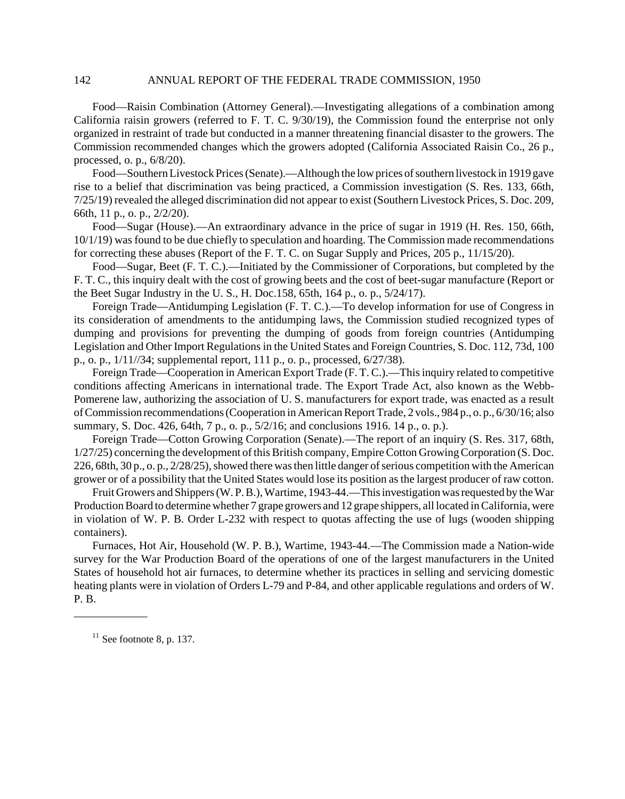Food—Raisin Combination (Attorney General).—Investigating allegations of a combination among California raisin growers (referred to F. T. C. 9/30/19), the Commission found the enterprise not only organized in restraint of trade but conducted in a manner threatening financial disaster to the growers. The Commission recommended changes which the growers adopted (California Associated Raisin Co., 26 p., processed, o. p., 6/8/20).

Food—Southern Livestock Prices (Senate).—Although the low prices of southern livestock in 1919 gave rise to a belief that discrimination vas being practiced, a Commission investigation (S. Res. 133, 66th, 7/25/19) revealed the alleged discrimination did not appear to exist (Southern Livestock Prices, S. Doc. 209, 66th, 11 p., o. p., 2/2/20).

Food—Sugar (House).—An extraordinary advance in the price of sugar in 1919 (H. Res. 150, 66th, 10/1/19) was found to be due chiefly to speculation and hoarding. The Commission made recommendations for correcting these abuses (Report of the F. T. C. on Sugar Supply and Prices, 205 p., 11/15/20).

Food—Sugar, Beet (F. T. C.).—Initiated by the Commissioner of Corporations, but completed by the F. T. C., this inquiry dealt with the cost of growing beets and the cost of beet-sugar manufacture (Report or the Beet Sugar Industry in the U. S., H. Doc.158, 65th, 164 p., o. p., 5/24/17).

Foreign Trade—Antidumping Legislation (F. T. C.).—To develop information for use of Congress in its consideration of amendments to the antidumping laws, the Commission studied recognized types of dumping and provisions for preventing the dumping of goods from foreign countries (Antidumping Legislation and Other Import Regulations in the United States and Foreign Countries, S. Doc. 112, 73d, 100 p., o. p., 1/11//34; supplemental report, 111 p., o. p., processed, 6/27/38).

Foreign Trade—Cooperation in American Export Trade (F. T. C.).—This inquiry related to competitive conditions affecting Americans in international trade. The Export Trade Act, also known as the Webb-Pomerene law, authorizing the association of U. S. manufacturers for export trade, was enacted as a result ofCommission recommendations(Cooperation in AmericanReport Trade, 2 vols., 984 p., o. p., 6/30/16; also summary, S. Doc. 426, 64th, 7 p., o. p., 5/2/16; and conclusions 1916. 14 p., o. p.).

Foreign Trade—Cotton Growing Corporation (Senate).—The report of an inquiry (S. Res. 317, 68th, 1/27/25) concerning the development of this British company, Empire Cotton Growing Corporation (S. Doc. 226, 68th, 30 p., o. p., 2/28/25), showed there was then little danger of serious competition with the American grower or of a possibility that the United States would lose its position as the largest producer of raw cotton.

FruitGrowers and Shippers(W. P. B.), Wartime, 1943-44.—This investigation was requested by the War Production Board to determine whether 7 grape growers and 12 grape shippers, all located in California, were in violation of W. P. B. Order L-232 with respect to quotas affecting the use of lugs (wooden shipping containers).

Furnaces, Hot Air, Household (W. P. B.), Wartime, 1943-44.—The Commission made a Nation-wide survey for the War Production Board of the operations of one of the largest manufacturers in the United States of household hot air furnaces, to determine whether its practices in selling and servicing domestic heating plants were in violation of Orders L-79 and P-84, and other applicable regulations and orders of W. P. B.

\_\_\_\_\_\_\_\_\_\_\_\_\_

 $11$  See footnote 8, p. 137.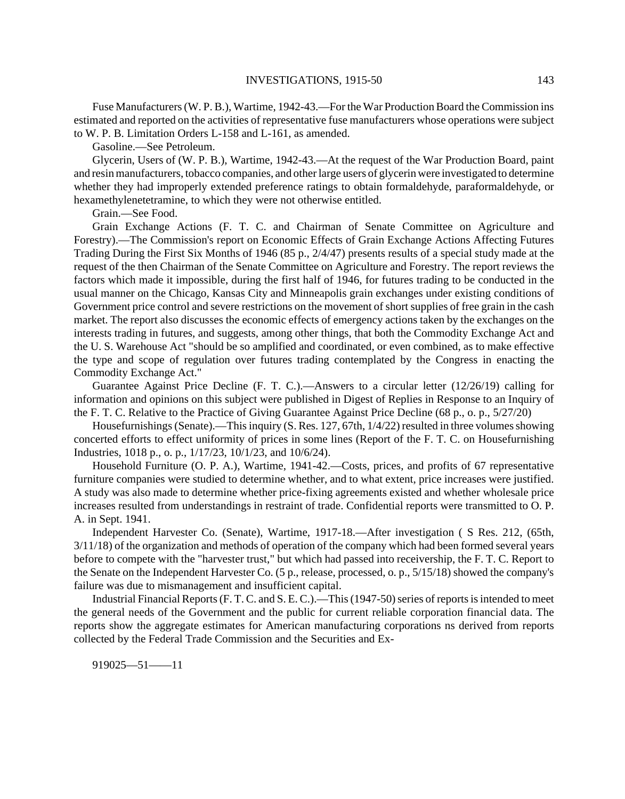#### INVESTIGATIONS, 1915-50 143

Fuse Manufacturers (W. P. B.), Wartime, 1942-43.—For the War Production Board the Commission ins estimated and reported on the activities of representative fuse manufacturers whose operations were subject to W. P. B. Limitation Orders L-158 and L-161, as amended.

Gasoline.—See Petroleum.

Glycerin, Users of (W. P. B.), Wartime, 1942-43.—At the request of the War Production Board, paint and resin manufacturers, tobacco companies, and other large users of glycerin were investigated to determine whether they had improperly extended preference ratings to obtain formaldehyde, paraformaldehyde, or hexamethylenetetramine, to which they were not otherwise entitled.

Grain.—See Food.

Grain Exchange Actions (F. T. C. and Chairman of Senate Committee on Agriculture and Forestry).—The Commission's report on Economic Effects of Grain Exchange Actions Affecting Futures Trading During the First Six Months of 1946 (85 p., 2/4/47) presents results of a special study made at the request of the then Chairman of the Senate Committee on Agriculture and Forestry. The report reviews the factors which made it impossible, during the first half of 1946, for futures trading to be conducted in the usual manner on the Chicago, Kansas City and Minneapolis grain exchanges under existing conditions of Government price control and severe restrictions on the movement of short supplies of free grain in the cash market. The report also discusses the economic effects of emergency actions taken by the exchanges on the interests trading in futures, and suggests, among other things, that both the Commodity Exchange Act and the U. S. Warehouse Act "should be so amplified and coordinated, or even combined, as to make effective the type and scope of regulation over futures trading contemplated by the Congress in enacting the Commodity Exchange Act."

Guarantee Against Price Decline (F. T. C.).—Answers to a circular letter (12/26/19) calling for information and opinions on this subject were published in Digest of Replies in Response to an Inquiry of the F. T. C. Relative to the Practice of Giving Guarantee Against Price Decline (68 p., o. p., 5/27/20)

Housefurnishings (Senate).—This inquiry (S. Res. 127, 67th, 1/4/22) resulted in three volumes showing concerted efforts to effect uniformity of prices in some lines (Report of the F. T. C. on Housefurnishing Industries, 1018 p., o. p., 1/17/23, 10/1/23, and 10/6/24).

Household Furniture (O. P. A.), Wartime, 1941-42.—Costs, prices, and profits of 67 representative furniture companies were studied to determine whether, and to what extent, price increases were justified. A study was also made to determine whether price-fixing agreements existed and whether wholesale price increases resulted from understandings in restraint of trade. Confidential reports were transmitted to O. P. A. in Sept. 1941.

Independent Harvester Co. (Senate), Wartime, 1917-18.—After investigation ( S Res. 212, (65th, 3/11/18) of the organization and methods of operation of the company which had been formed several years before to compete with the "harvester trust," but which had passed into receivership, the F. T. C. Report to the Senate on the Independent Harvester Co. (5 p., release, processed, o. p., 5/15/18) showed the company's failure was due to mismanagement and insufficient capital.

Industrial Financial Reports (F. T. C. and S. E. C.).—This (1947-50) series of reports is intended to meet the general needs of the Government and the public for current reliable corporation financial data. The reports show the aggregate estimates for American manufacturing corporations ns derived from reports collected by the Federal Trade Commission and the Securities and Ex-

919025—51——11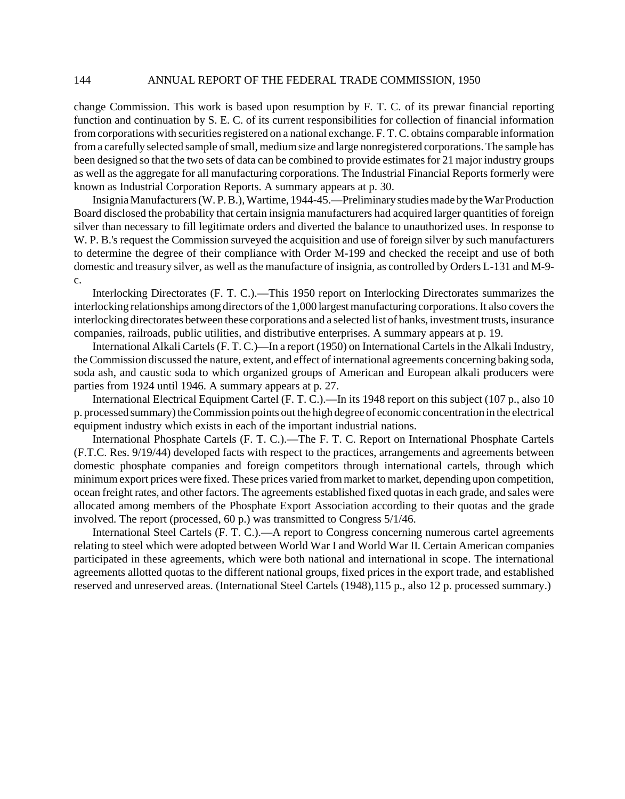change Commission. This work is based upon resumption by F. T. C. of its prewar financial reporting function and continuation by S. E. C. of its current responsibilities for collection of financial information from corporations with securities registered on a national exchange. F. T. C. obtains comparable information from a carefully selected sample of small, medium size and large nonregistered corporations. The sample has been designed so that the two sets of data can be combined to provide estimatesfor 21 major industry groups as well as the aggregate for all manufacturing corporations. The Industrial Financial Reports formerly were known as Industrial Corporation Reports. A summary appears at p. 30.

InsigniaManufacturers(W. P.B.),Wartime, 1944-45.—Preliminary studiesmade by the War Production Board disclosed the probability that certain insignia manufacturers had acquired larger quantities of foreign silver than necessary to fill legitimate orders and diverted the balance to unauthorized uses. In response to W. P. B.'s request the Commission surveyed the acquisition and use of foreign silver by such manufacturers to determine the degree of their compliance with Order M-199 and checked the receipt and use of both domestic and treasury silver, as well as the manufacture of insignia, as controlled by Orders L-131 and M-9 c.

Interlocking Directorates (F. T. C.).—This 1950 report on Interlocking Directorates summarizes the interlocking relationships among directors of the 1,000 largest manufacturing corporations. It also covers the interlocking directorates between these corporations and a selected list of hanks, investment trusts, insurance companies, railroads, public utilities, and distributive enterprises. A summary appears at p. 19.

International Alkali Cartels (F. T. C.)—In a report (1950) on International Cartels in the Alkali Industry, the Commission discussed the nature, extent, and effect of international agreements concerning baking soda, soda ash, and caustic soda to which organized groups of American and European alkali producers were parties from 1924 until 1946. A summary appears at p. 27.

International Electrical Equipment Cartel (F. T. C.).—In its 1948 report on this subject (107 p., also 10 p. processed summary) the Commission points out the high degree of economic concentration in the electrical equipment industry which exists in each of the important industrial nations.

International Phosphate Cartels (F. T. C.).—The F. T. C. Report on International Phosphate Cartels (F.T.C. Res. 9/19/44) developed facts with respect to the practices, arrangements and agreements between domestic phosphate companies and foreign competitors through international cartels, through which minimumexport prices were fixed. These prices varied frommarket to market, depending upon competition, ocean freight rates, and other factors. The agreements established fixed quotas in each grade, and sales were allocated among members of the Phosphate Export Association according to their quotas and the grade involved. The report (processed, 60 p.) was transmitted to Congress 5/1/46.

International Steel Cartels (F. T. C.).—A report to Congress concerning numerous cartel agreements relating to steel which were adopted between World War I and World War II. Certain American companies participated in these agreements, which were both national and international in scope. The international agreements allotted quotas to the different national groups, fixed prices in the export trade, and established reserved and unreserved areas. (International Steel Cartels (1948),115 p., also 12 p. processed summary.)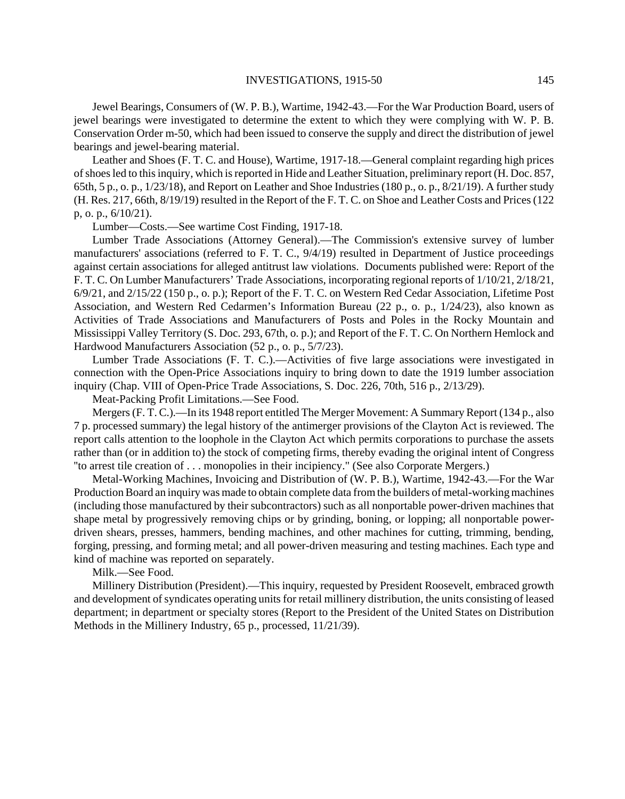Jewel Bearings, Consumers of (W. P. B.), Wartime, 1942-43.—For the War Production Board, users of jewel bearings were investigated to determine the extent to which they were complying with W. P. B. Conservation Order m-50, which had been issued to conserve the supply and direct the distribution of jewel bearings and jewel-bearing material.

Leather and Shoes (F. T. C. and House), Wartime, 1917-18.—General complaint regarding high prices ofshoesled to thisinquiry, which isreported in Hide and Leather Situation, preliminary report (H. Doc. 857, 65th, 5 p., o. p., 1/23/18), and Report on Leather and Shoe Industries (180 p., o. p., 8/21/19). A further study (H. Res. 217, 66th, 8/19/19) resulted in the Report of the F. T. C. on Shoe and Leather Costs and Prices (122 p, o. p., 6/10/21).

Lumber—Costs.—See wartime Cost Finding, 1917-18.

Lumber Trade Associations (Attorney General).—The Commission's extensive survey of lumber manufacturers' associations (referred to F. T. C., 9/4/19) resulted in Department of Justice proceedings against certain associations for alleged antitrust law violations. Documents published were: Report of the F. T. C. On Lumber Manufacturers' Trade Associations, incorporating regional reports of 1/10/21, 2/18/21, 6/9/21, and 2/15/22 (150 p., o. p.); Report of the F. T. C. on Western Red Cedar Association, Lifetime Post Association, and Western Red Cedarmen's Information Bureau (22 p., o. p., 1/24/23), also known as Activities of Trade Associations and Manufacturers of Posts and Poles in the Rocky Mountain and Mississippi Valley Territory (S. Doc. 293, 67th, o. p.); and Report of the F. T. C. On Northern Hemlock and Hardwood Manufacturers Association (52 p., o. p., 5/7/23).

Lumber Trade Associations (F. T. C.).—Activities of five large associations were investigated in connection with the Open-Price Associations inquiry to bring down to date the 1919 lumber association inquiry (Chap. VIII of Open-Price Trade Associations, S. Doc. 226, 70th, 516 p., 2/13/29).

Meat-Packing Profit Limitations.—See Food.

Mergers(F. T. C.).—In its 1948 report entitled The Merger Movement: A Summary Report (134 p., also 7 p. processed summary) the legal history of the antimerger provisions of the Clayton Act is reviewed. The report calls attention to the loophole in the Clayton Act which permits corporations to purchase the assets rather than (or in addition to) the stock of competing firms, thereby evading the original intent of Congress ''to arrest tile creation of . . . monopolies in their incipiency." (See also Corporate Mergers.)

Metal-Working Machines, Invoicing and Distribution of (W. P. B.), Wartime, 1942-43.—For the War Production Board an inquiry was made to obtain complete data from the builders of metal-working machines (including those manufactured by their subcontractors) such as all nonportable power-driven machines that shape metal by progressively removing chips or by grinding, boning, or lopping; all nonportable powerdriven shears, presses, hammers, bending machines, and other machines for cutting, trimming, bending, forging, pressing, and forming metal; and all power-driven measuring and testing machines. Each type and kind of machine was reported on separately.

Milk.—See Food.

Millinery Distribution (President).—This inquiry, requested by President Roosevelt, embraced growth and development of syndicates operating units for retail millinery distribution, the units consisting of leased department; in department or specialty stores (Report to the President of the United States on Distribution Methods in the Millinery Industry, 65 p., processed, 11/21/39).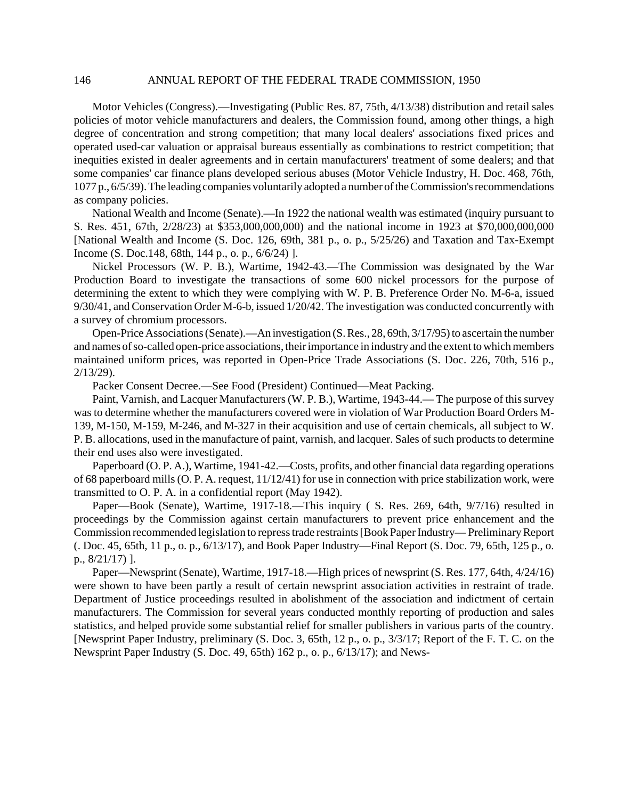Motor Vehicles (Congress).—Investigating (Public Res. 87, 75th, 4/13/38) distribution and retail sales policies of motor vehicle manufacturers and dealers, the Commission found, among other things, a high degree of concentration and strong competition; that many local dealers' associations fixed prices and operated used-car valuation or appraisal bureaus essentially as combinations to restrict competition; that inequities existed in dealer agreements and in certain manufacturers' treatment of some dealers; and that some companies' car finance plans developed serious abuses (Motor Vehicle Industry, H. Doc. 468, 76th, 1077 p., 6/5/39).The leading companies voluntarily adopted a number of the Commission's recommendations as company policies.

National Wealth and Income (Senate).—In 1922 the national wealth was estimated (inquiry pursuant to S. Res. 451, 67th, 2/28/23) at \$353,000,000,000) and the national income in 1923 at \$70,000,000,000 [National Wealth and Income (S. Doc. 126, 69th, 381 p., o. p., 5/25/26) and Taxation and Tax-Exempt Income (S. Doc.148, 68th, 144 p., o. p., 6/6/24) ].

Nickel Processors (W. P. B.), Wartime, 1942-43.—The Commission was designated by the War Production Board to investigate the transactions of some 600 nickel processors for the purpose of determining the extent to which they were complying with W. P. B. Preference Order No. M-6-a, issued 9/30/41, and Conservation Order M-6-b, issued 1/20/42. The investigation was conducted concurrently with a survey of chromium processors.

Open-PriceAssociations(Senate).—An investigation (S. Res., 28, 69th, 3/17/95) to ascertain the number and names of so-called open-price associations, their importance in industry and the extent to which members maintained uniform prices, was reported in Open-Price Trade Associations (S. Doc. 226, 70th, 516 p., 2/13/29).

Packer Consent Decree.—See Food (President) Continued—Meat Packing.

Paint, Varnish, and Lacquer Manufacturers (W. P. B.), Wartime, 1943-44.— The purpose of this survey was to determine whether the manufacturers covered were in violation of War Production Board Orders M-139, M-150, M-159, M-246, and M-327 in their acquisition and use of certain chemicals, all subject to W. P. B. allocations, used in the manufacture of paint, varnish, and lacquer. Sales of such products to determine their end uses also were investigated.

Paperboard (O. P. A.), Wartime, 1941-42.—Costs, profits, and other financial data regarding operations of 68 paperboard mills (O. P. A. request, 11/12/41) for use in connection with price stabilization work, were transmitted to O. P. A. in a confidential report (May 1942).

Paper—Book (Senate), Wartime, 1917-18.—This inquiry ( S. Res. 269, 64th, 9/7/16) resulted in proceedings by the Commission against certain manufacturers to prevent price enhancement and the Commission recommended legislation to repress trade restraints [Book Paper Industry—Preliminary Report (. Doc. 45, 65th, 11 p., o. p., 6/13/17), and Book Paper Industry—Final Report (S. Doc. 79, 65th, 125 p., o. p., 8/21/17) ].

Paper—Newsprint (Senate), Wartime, 1917-18.—High prices of newsprint (S. Res. 177, 64th, 4/24/16) were shown to have been partly a result of certain newsprint association activities in restraint of trade. Department of Justice proceedings resulted in abolishment of the association and indictment of certain manufacturers. The Commission for several years conducted monthly reporting of production and sales statistics, and helped provide some substantial relief for smaller publishers in various parts of the country. [Newsprint Paper Industry, preliminary (S. Doc. 3, 65th, 12 p., o. p., 3/3/17; Report of the F. T. C. on the Newsprint Paper Industry (S. Doc. 49, 65th) 162 p., o. p., 6/13/17); and News-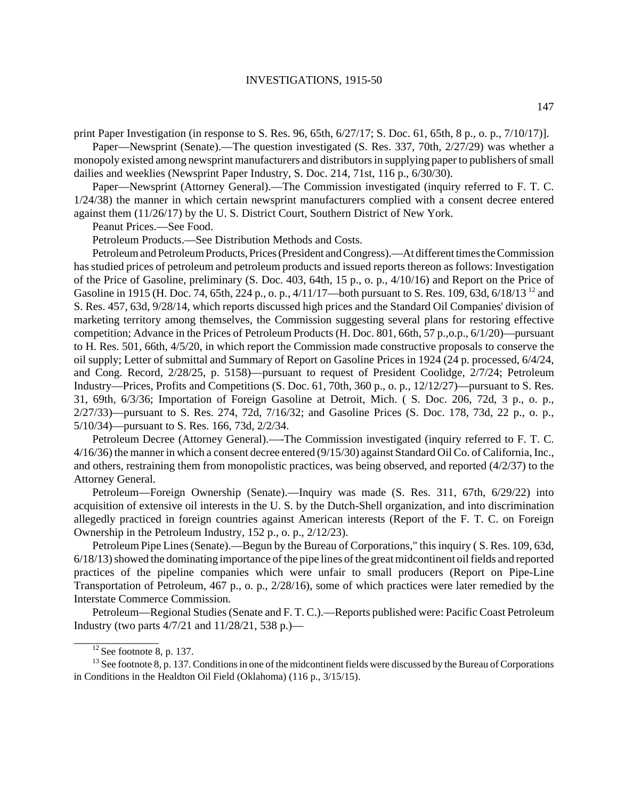print Paper Investigation (in response to S. Res. 96, 65th, 6/27/17; S. Doc. 61, 65th, 8 p., o. p., 7/10/17)].

Paper—Newsprint (Senate).—The question investigated (S. Res. 337, 70th, 2/27/29) was whether a monopoly existed among newsprint manufacturers and distributorsin supplying paper to publishers ofsmall dailies and weeklies (Newsprint Paper Industry, S. Doc. 214, 71st, 116 p., 6/30/30).

Paper—Newsprint (Attorney General).—The Commission investigated (inquiry referred to F. T. C. 1/24/38) the manner in which certain newsprint manufacturers complied with a consent decree entered against them (11/26/17) by the U. S. District Court, Southern District of New York.

Peanut Prices.—See Food.

Petroleum Products.—See Distribution Methods and Costs.

Petroleum and Petroleum Products, Prices (President and Congress).—At different times the Commission has studied prices of petroleum and petroleum products and issued reports thereon as follows: Investigation of the Price of Gasoline, preliminary (S. Doc. 403, 64th, 15 p., o. p., 4/10/16) and Report on the Price of Gasoline in 1915 (H. Doc. 74, 65th, 224 p., o. p., 4/11/17—both pursuant to S. Res. 109, 63d, 6/18/13 <sup>12</sup> and S. Res. 457, 63d, 9/28/14, which reports discussed high prices and the Standard Oil Companies' division of marketing territory among themselves, the Commission suggesting several plans for restoring effective competition; Advance in the Prices of Petroleum Products (H. Doc. 801, 66th, 57 p.,o.p., 6/1/20)—pursuant to H. Res. 501, 66th, 4/5/20, in which report the Commission made constructive proposals to conserve the oil supply; Letter of submittal and Summary of Report on Gasoline Prices in 1924 (24 p. processed, 6/4/24, and Cong. Record, 2/28/25, p. 5158)—pursuant to request of President Coolidge, 2/7/24; Petroleum Industry—Prices, Profits and Competitions (S. Doc. 61, 70th, 360 p., o. p., 12/12/27)—pursuant to S. Res. 31, 69th, 6/3/36; Importation of Foreign Gasoline at Detroit, Mich. ( S. Doc. 206, 72d, 3 p., o. p., 2/27/33)—pursuant to S. Res. 274, 72d, 7/16/32; and Gasoline Prices (S. Doc. 178, 73d, 22 p., o. p., 5/10/34)—pursuant to S. Res. 166, 73d, 2/2/34.

Petroleum Decree (Attorney General).—-The Commission investigated (inquiry referred to F. T. C. 4/16/36) the manner in which a consent decree entered (9/15/30) against Standard OilCo. of California, Inc., and others, restraining them from monopolistic practices, was being observed, and reported (4/2/37) to the Attorney General.

Petroleum—Foreign Ownership (Senate).—Inquiry was made (S. Res. 311, 67th, 6/29/22) into acquisition of extensive oil interests in the U. S. by the Dutch-Shell organization, and into discrimination allegedly practiced in foreign countries against American interests (Report of the F. T. C. on Foreign Ownership in the Petroleum Industry, 152 p., o. p., 2/12/23).

Petroleum Pipe Lines(Senate).—Begun by the Bureau of Corporations," this inquiry ( S. Res. 109, 63d, 6/18/13) showed the dominating importance of the pipe lines of the great midcontinent oil fields and reported practices of the pipeline companies which were unfair to small producers (Report on Pipe-Line Transportation of Petroleum, 467 p., o. p., 2/28/16), some of which practices were later remedied by the Interstate Commerce Commission.

Petroleum—Regional Studies(Senate and F. T. C.).—Reports published were: Pacific Coast Petroleum Industry (two parts 4/7/21 and 11/28/21, 538 p.)—

\_\_\_\_\_\_\_\_\_\_\_\_\_\_\_

 $\frac{12}{12}$ See footnote 8, p. 137.

 $13$  See footnote 8, p. 137. Conditions in one of the midcontinent fields were discussed by the Bureau of Corporations in Conditions in the Healdton Oil Field (Oklahoma) (116 p., 3/15/15).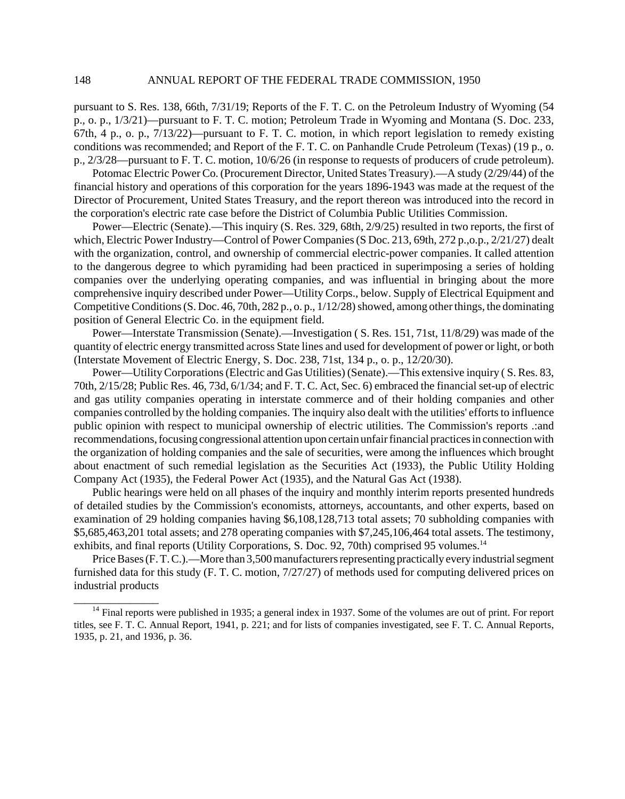pursuant to S. Res. 138, 66th, 7/31/19; Reports of the F. T. C. on the Petroleum Industry of Wyoming (54 p., o. p., 1/3/21)—pursuant to F. T. C. motion; Petroleum Trade in Wyoming and Montana (S. Doc. 233, 67th, 4 p., o. p., 7/13/22)—pursuant to F. T. C. motion, in which report legislation to remedy existing conditions was recommended; and Report of the F. T. C. on Panhandle Crude Petroleum (Texas) (19 p., o. p., 2/3/28—pursuant to F. T. C. motion, 10/6/26 (in response to requests of producers of crude petroleum).

Potomac Electric Power Co. (Procurement Director, United States Treasury).—A study (2/29/44) of the financial history and operations of this corporation for the years 1896-1943 was made at the request of the Director of Procurement, United States Treasury, and the report thereon was introduced into the record in the corporation's electric rate case before the District of Columbia Public Utilities Commission.

Power—Electric (Senate).—This inquiry (S. Res. 329, 68th, 2/9/25) resulted in two reports, the first of which, Electric Power Industry—Control of Power Companies(S Doc. 213, 69th, 272 p.,o.p., 2/21/27) dealt with the organization, control, and ownership of commercial electric-power companies. It called attention to the dangerous degree to which pyramiding had been practiced in superimposing a series of holding companies over the underlying operating companies, and was influential in bringing about the more comprehensive inquiry described under Power—Utility Corps., below. Supply of Electrical Equipment and Competitive Conditions (S. Doc. 46, 70th, 282 p., o. p., 1/12/28) showed, among other things, the dominating position of General Electric Co. in the equipment field.

Power—Interstate Transmission (Senate).—Investigation ( S. Res. 151, 71st, 11/8/29) was made of the quantity of electric energy transmitted across State lines and used for development of power or light, or both (Interstate Movement of Electric Energy, S. Doc. 238, 71st, 134 p., o. p., 12/20/30).

Power—Utility Corporations (Electric and Gas Utilities) (Senate).—This extensive inquiry ( S. Res. 83, 70th, 2/15/28; Public Res. 46, 73d, 6/1/34; and F. T. C. Act, Sec. 6) embraced the financial set-up of electric and gas utility companies operating in interstate commerce and of their holding companies and other companies controlled by the holding companies. The inquiry also dealt with the utilities' effortsto influence public opinion with respect to municipal ownership of electric utilities. The Commission's reports .:and recommendations, focusing congressional attention upon certain unfair financial practices in connection with the organization of holding companies and the sale of securities, were among the influences which brought about enactment of such remedial legislation as the Securities Act (1933), the Public Utility Holding Company Act (1935), the Federal Power Act (1935), and the Natural Gas Act (1938).

Public hearings were held on all phases of the inquiry and monthly interim reports presented hundreds of detailed studies by the Commission's economists, attorneys, accountants, and other experts, based on examination of 29 holding companies having \$6,108,128,713 total assets; 70 subholding companies with \$5,685,463,201 total assets; and 278 operating companies with \$7,245,106,464 total assets. The testimony, exhibits, and final reports (Utility Corporations, S. Doc. 92, 70th) comprised 95 volumes.<sup>14</sup>

PriceBases(F.T.C.).—More than 3,500 manufacturers representing practically every industrial segment furnished data for this study (F. T. C. motion, 7/27/27) of methods used for computing delivered prices on industrial products

\_\_\_\_\_\_\_\_\_\_\_\_\_\_\_

<sup>&</sup>lt;sup>14</sup> Final reports were published in 1935; a general index in 1937. Some of the volumes are out of print. For report titles, see F. T. C. Annual Report, 1941, p. 221; and for lists of companies investigated, see F. T. C. Annual Reports, 1935, p. 21, and 1936, p. 36.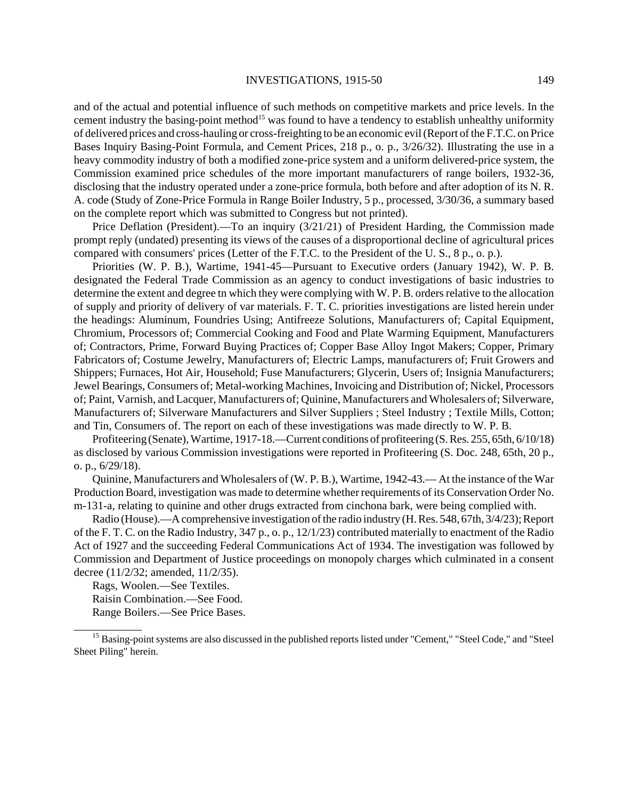and of the actual and potential influence of such methods on competitive markets and price levels. In the cement industry the basing-point method<sup>15</sup> was found to have a tendency to establish unhealthy uniformity of delivered prices and cross-hauling or cross-freighting to be an economic evil(Report ofthe F.T.C. on Price Bases Inquiry Basing-Point Formula, and Cement Prices, 218 p., o. p., 3/26/32). Illustrating the use in a heavy commodity industry of both a modified zone-price system and a uniform delivered-price system, the Commission examined price schedules of the more important manufacturers of range boilers, 1932-36, disclosing that the industry operated under a zone-price formula, both before and after adoption of its N. R. A. code (Study of Zone-Price Formula in Range Boiler Industry, 5 p., processed, 3/30/36, a summary based on the complete report which was submitted to Congress but not printed).

Price Deflation (President).—To an inquiry (3/21/21) of President Harding, the Commission made prompt reply (undated) presenting its views of the causes of a disproportional decline of agricultural prices compared with consumers' prices (Letter of the F.T.C. to the President of the U. S., 8 p., o. p.).

Priorities (W. P. B.), Wartime, 1941-45—Pursuant to Executive orders (January 1942), W. P. B. designated the Federal Trade Commission as an agency to conduct investigations of basic industries to determine the extent and degree tn which they were complying with W. P. B. orders relative to the allocation of supply and priority of delivery of var materials. F. T. C. priorities investigations are listed herein under the headings: Aluminum, Foundries Using; Antifreeze Solutions, Manufacturers of; Capital Equipment, Chromium, Processors of; Commercial Cooking and Food and Plate Warming Equipment, Manufacturers of; Contractors, Prime, Forward Buying Practices of; Copper Base Alloy Ingot Makers; Copper, Primary Fabricators of; Costume Jewelry, Manufacturers of; Electric Lamps, manufacturers of; Fruit Growers and Shippers; Furnaces, Hot Air, Household; Fuse Manufacturers; Glycerin, Users of; Insignia Manufacturers; Jewel Bearings, Consumers of; Metal-working Machines, Invoicing and Distribution of; Nickel, Processors of; Paint, Varnish, and Lacquer, Manufacturers of; Quinine, Manufacturers and Wholesalers of; Silverware, Manufacturers of; Silverware Manufacturers and Silver Suppliers ; Steel Industry ; Textile Mills, Cotton; and Tin, Consumers of. The report on each of these investigations was made directly to W. P. B.

Profiteering (Senate), Wartime, 1917-18.—Current conditions of profiteering (S. Res. 255, 65th, 6/10/18) as disclosed by various Commission investigations were reported in Profiteering (S. Doc. 248, 65th, 20 p., o. p., 6/29/18).

Quinine, Manufacturers and Wholesalers of (W. P. B.), Wartime, 1942-43.— At the instance of the War Production Board, investigation was made to determine whether requirements of its Conservation Order No. m-131-a, relating to quinine and other drugs extracted from cinchona bark, were being complied with.

Radio (House).—A comprehensive investigation of the radio industry (H. Res. 548, 67th, 3/4/23); Report of the F. T. C. on the Radio Industry, 347 p., o. p., 12/1/23) contributed materially to enactment of the Radio Act of 1927 and the succeeding Federal Communications Act of 1934. The investigation was followed by Commission and Department of Justice proceedings on monopoly charges which culminated in a consent decree (11/2/32; amended, 11/2/35).

Rags, Woolen.—See Textiles.

\_\_\_\_\_\_\_\_\_\_\_\_

Raisin Combination.—See Food.

Range Boilers.—See Price Bases.

<sup>&</sup>lt;sup>15</sup> Basing-point systems are also discussed in the published reports listed under "Cement," "Steel Code," and "Steel Sheet Piling" herein.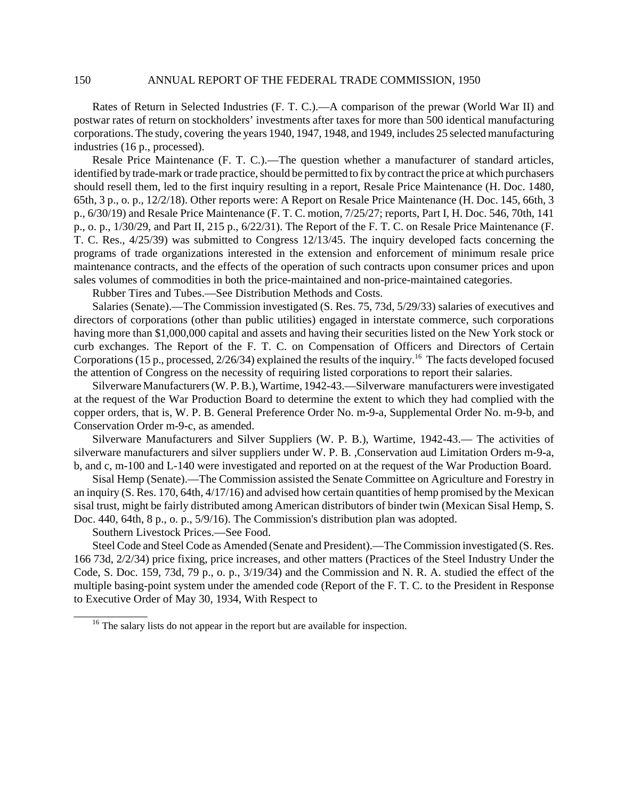Rates of Return in Selected Industries (F. T. C.).—A comparison of the prewar (World War II) and postwar rates of return on stockholders' investments after taxes for more than 500 identical manufacturing corporations. The study, covering the years 1940, 1947, 1948, and 1949, includes 25 selected manufacturing industries (16 p., processed).

Resale Price Maintenance (F. T. C.).—The question whether a manufacturer of standard articles, identified by trade-mark or trade practice, should be permitted to fix by contract the price at which purchasers should resell them, led to the first inquiry resulting in a report, Resale Price Maintenance (H. Doc. 1480, 65th, 3 p., o. p., 12/2/18). Other reports were: A Report on Resale Price Maintenance (H. Doc. 145, 66th, 3 p., 6/30/19) and Resale Price Maintenance (F. T. C. motion, 7/25/27; reports, Part I, H. Doc. 546, 70th, 141 p., o. p., 1/30/29, and Part II, 215 p., 6/22/31). The Report of the F. T. C. on Resale Price Maintenance (F. T. C. Res., 4/25/39) was submitted to Congress 12/13/45. The inquiry developed facts concerning the programs of trade organizations interested in the extension and enforcement of minimum resale price maintenance contracts, and the effects of the operation of such contracts upon consumer prices and upon sales volumes of commodities in both the price-maintained and non-price-maintained categories.

Rubber Tires and Tubes.—See Distribution Methods and Costs.

Salaries (Senate).—The Commission investigated (S. Res. 75, 73d, 5/29/33) salaries of executives and directors of corporations (other than public utilities) engaged in interstate commerce, such corporations having more than \$1,000,000 capital and assets and having their securities listed on the New York stock or curb exchanges. The Report of the F. T. C. on Compensation of Officers and Directors of Certain Corporations (15 p., processed, 2/26/34) explained the results of the inquiry.<sup>16</sup> The facts developed focused the attention of Congress on the necessity of requiring listed corporations to report their salaries.

Silverware Manufacturers(W. P.B.),Wartime, 1942-43.—Silverware manufacturers were investigated at the request of the War Production Board to determine the extent to which they had complied with the copper orders, that is, W. P. B. General Preference Order No. m-9-a, Supplemental Order No. m-9-b, and Conservation Order m-9-c, as amended.

Silverware Manufacturers and Silver Suppliers (W. P. B.), Wartime, 1942-43.— The activities of silverware manufacturers and silver suppliers under W. P. B. ,Conservation aud Limitation Orders m-9-a, b, and c, m-100 and L-140 were investigated and reported on at the request of the War Production Board.

Sisal Hemp (Senate).—The Commission assisted the Senate Committee on Agriculture and Forestry in an inquiry (S. Res. 170, 64th, 4/17/16) and advised how certain quantities of hemp promised by the Mexican sisal trust, might be fairly distributed among American distributors of binder twin (Mexican Sisal Hemp, S. Doc. 440, 64th, 8 p., o. p., 5/9/16). The Commission's distribution plan was adopted.

Southern Livestock Prices.—See Food.

\_\_\_\_\_\_\_\_\_\_\_\_\_

Steel Code and Steel Code as Amended (Senate and President).—The Commission investigated (S. Res. 166 73d, 2/2/34) price fixing, price increases, and other matters (Practices of the Steel Industry Under the Code, S. Doc. 159, 73d, 79 p., o. p., 3/19/34) and the Commission and N. R. A. studied the effect of the multiple basing-point system under the amended code (Report of the F. T. C. to the President in Response to Executive Order of May 30, 1934, With Respect to

<sup>&</sup>lt;sup>16</sup> The salary lists do not appear in the report but are available for inspection.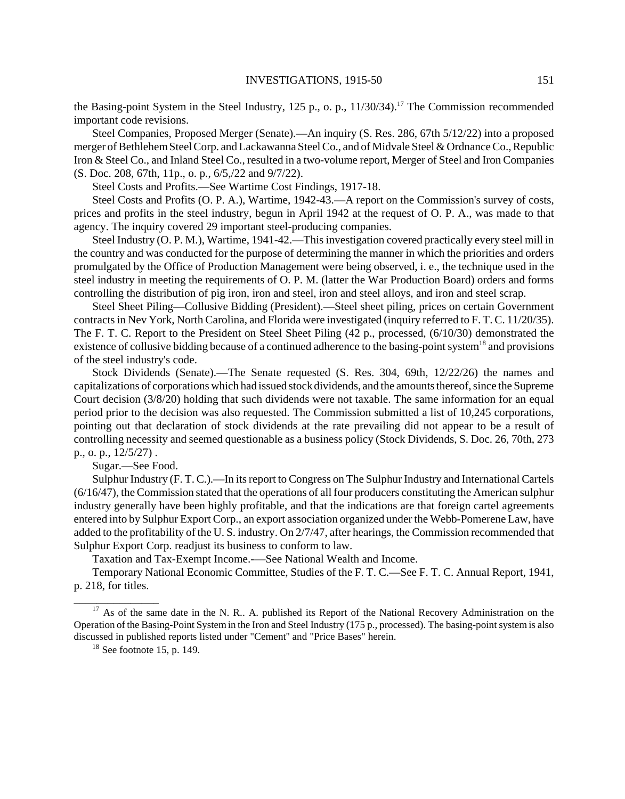the Basing-point System in the Steel Industry, 125 p., o. p., 11/30/34).<sup>17</sup> The Commission recommended important code revisions.

Steel Companies, Proposed Merger (Senate).—An inquiry (S. Res. 286, 67th 5/12/22) into a proposed merger of Bethlehem Steel Corp. and Lackawanna Steel Co., and of Midvale Steel & Ordnance Co., Republic Iron & Steel Co., and Inland Steel Co., resulted in a two-volume report, Merger of Steel and Iron Companies (S. Doc. 208, 67th, 11p., o. p., 6/5,/22 and 9/7/22).

Steel Costs and Profits.—See Wartime Cost Findings, 1917-18.

Steel Costs and Profits (O. P. A.), Wartime, 1942-43.—A report on the Commission's survey of costs, prices and profits in the steel industry, begun in April 1942 at the request of O. P. A., was made to that agency. The inquiry covered 29 important steel-producing companies.

Steel Industry (O. P. M.), Wartime, 1941-42.—This investigation covered practically every steel mill in the country and was conducted for the purpose of determining the manner in which the priorities and orders promulgated by the Office of Production Management were being observed, i. e., the technique used in the steel industry in meeting the requirements of O. P. M. (latter the War Production Board) orders and forms controlling the distribution of pig iron, iron and steel, iron and steel alloys, and iron and steel scrap.

Steel Sheet Piling—Collusive Bidding (President).—Steel sheet piling, prices on certain Government contractsin Nev York, North Carolina, and Florida were investigated (inquiry referred to F. T. C. 11/20/35). The F. T. C. Report to the President on Steel Sheet Piling (42 p., processed, (6/10/30) demonstrated the existence of collusive bidding because of a continued adherence to the basing-point system<sup>18</sup> and provisions of the steel industry's code.

Stock Dividends (Senate).—The Senate requested (S. Res. 304, 69th, 12/22/26) the names and capitalizations of corporations which had issued stock dividends, and the amounts thereof, since the Supreme Court decision (3/8/20) holding that such dividends were not taxable. The same information for an equal period prior to the decision was also requested. The Commission submitted a list of 10,245 corporations, pointing out that declaration of stock dividends at the rate prevailing did not appear to be a result of controlling necessity and seemed questionable as a business policy (Stock Dividends, S. Doc. 26, 70th, 273 p., o. p., 12/5/27) .

### Sugar.—See Food.

Sulphur Industry (F. T. C.).—In itsreport to Congress on The Sulphur Industry and International Cartels (6/16/47), the Commission stated that the operations of all four producers constituting the American sulphur industry generally have been highly profitable, and that the indications are that foreign cartel agreements entered into by Sulphur Export Corp., an export association organized under the Webb-Pomerene Law, have added to the profitability of the U. S. industry. On 2/7/47, after hearings, the Commission recommended that Sulphur Export Corp. readjust its business to conform to law.

Taxation and Tax-Exempt Income.-—See National Wealth and Income.

Temporary National Economic Committee, Studies of the F. T. C.—See F. T. C. Annual Report, 1941, p. 218, for titles.

\_\_\_\_\_\_\_\_\_\_\_\_\_\_\_

<sup>&</sup>lt;sup>17</sup> As of the same date in the N. R.. A. published its Report of the National Recovery Administration on the Operation of the Basing-Point System in the Iron and Steel Industry (175 p., processed). The basing-point system is also discussed in published reports listed under "Cement'' and "Price Bases" herein.

 $18$  See footnote 15, p. 149.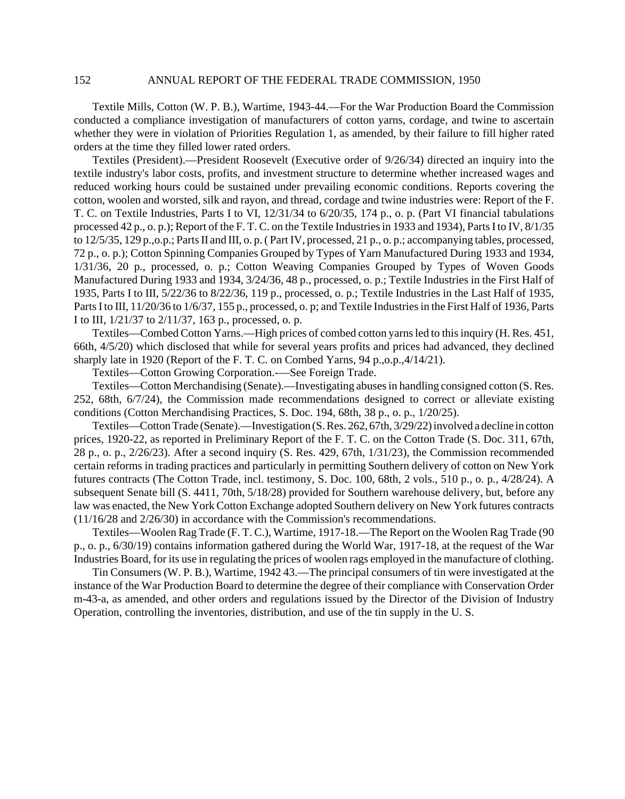Textile Mills, Cotton (W. P. B.), Wartime, 1943-44.—For the War Production Board the Commission conducted a compliance investigation of manufacturers of cotton yarns, cordage, and twine to ascertain whether they were in violation of Priorities Regulation 1, as amended, by their failure to fill higher rated orders at the time they filled lower rated orders.

Textiles (President).—President Roosevelt (Executive order of 9/26/34) directed an inquiry into the textile industry's labor costs, profits, and investment structure to determine whether increased wages and reduced working hours could be sustained under prevailing economic conditions. Reports covering the cotton, woolen and worsted, silk and rayon, and thread, cordage and twine industries were: Report of the F. T. C. on Textile Industries, Parts I to VI, 12/31/34 to 6/20/35, 174 p., o. p. (Part VI financial tabulations processed 42 p., o. p.); Report of the F. T. C. on the Textile Industries in 1933 and 1934), Parts I to IV, 8/1/35 to 12/5/35, 129 p., o.p.; Parts II and III, o.p. (Part IV, processed, 21 p., o.p.; accompanying tables, processed, 72 p., o. p.); Cotton Spinning Companies Grouped by Types of Yarn Manufactured During 1933 and 1934, 1/31/36, 20 p., processed, o. p.; Cotton Weaving Companies Grouped by Types of Woven Goods Manufactured During 1933 and 1934, 3/24/36, 48 p., processed, o. p.; Textile Industries in the First Half of 1935, Parts I to III, 5/22/36 to 8/22/36, 119 p., processed, o. p.; Textile Industries in the Last Half of 1935, Parts I to III, 11/20/36 to 1/6/37, 155 p., processed, o. p; and Textile Industries in the First Half of 1936, Parts I to III, 1/21/37 to 2/11/37, 163 p., processed, o. p.

Textiles—Combed Cotton Yarns.—High prices of combed cotton yarnsled to thisinquiry (H. Res. 451, 66th, 4/5/20) which disclosed that while for several years profits and prices had advanced, they declined sharply late in 1920 (Report of the F. T. C. on Combed Yarns, 94 p.,o.p.,4/14/21).

Textiles—Cotton Growing Corporation.-—See Foreign Trade.

Textiles—Cotton Merchandising (Senate).—Investigating abusesin handling consigned cotton (S. Res. 252, 68th, 6/7/24), the Commission made recommendations designed to correct or alleviate existing conditions (Cotton Merchandising Practices, S. Doc. 194, 68th, 38 p., o. p., 1/20/25).

Textiles—Cotton Trade (Senate).—Investigation (S. Res. 262, 67th, 3/29/22) involved a decline in cotton prices, 1920-22, as reported in Preliminary Report of the F. T. C. on the Cotton Trade (S. Doc. 311, 67th, 28 p., o. p., 2/26/23). After a second inquiry (S. Res. 429, 67th, 1/31/23), the Commission recommended certain reforms in trading practices and particularly in permitting Southern delivery of cotton on New York futures contracts (The Cotton Trade, incl. testimony, S. Doc. 100, 68th, 2 vols., 510 p., o. p., 4/28/24). A subsequent Senate bill (S. 4411, 70th, 5/18/28) provided for Southern warehouse delivery, but, before any law was enacted, the New York Cotton Exchange adopted Southern delivery on New York futures contracts (11/16/28 and 2/26/30) in accordance with the Commission's recommendations.

Textiles—Woolen Rag Trade (F. T. C.), Wartime, 1917-18.—The Report on the Woolen Rag Trade (90 p., o. p., 6/30/19) contains information gathered during the World War, 1917-18, at the request of the War Industries Board, for its use in regulating the prices of woolen rags employed in the manufacture of clothing.

Tin Consumers (W. P. B.), Wartime, 1942 43.—The principal consumers of tin were investigated at the instance of the War Production Board to determine the degree of their compliance with Conservation Order m-43-a, as amended, and other orders and regulations issued by the Director of the Division of Industry Operation, controlling the inventories, distribution, and use of the tin supply in the U. S.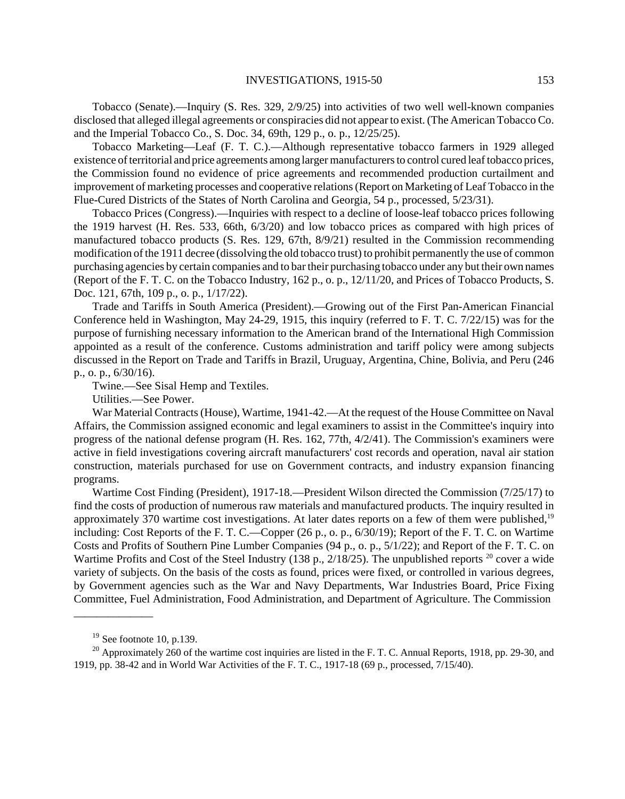#### INVESTIGATIONS, 1915-50 153

Tobacco (Senate).—Inquiry (S. Res. 329, 2/9/25) into activities of two well well-known companies disclosed that alleged illegal agreements or conspiracies did not appearto exist.(The American Tobacco Co. and the Imperial Tobacco Co., S. Doc. 34, 69th, 129 p., o. p., 12/25/25).

Tobacco Marketing—Leaf (F. T. C.).—Although representative tobacco farmers in 1929 alleged existence of territorial and price agreements among larger manufacturers to control cured leaf tobacco prices, the Commission found no evidence of price agreements and recommended production curtailment and improvement of marketing processes and cooperative relations(Report on Marketing of Leaf Tobacco in the Flue-Cured Districts of the States of North Carolina and Georgia, 54 p., processed, 5/23/31).

Tobacco Prices (Congress).—Inquiries with respect to a decline of loose-leaf tobacco prices following the 1919 harvest (H. Res. 533, 66th, 6/3/20) and low tobacco prices as compared with high prices of manufactured tobacco products (S. Res. 129, 67th, 8/9/21) resulted in the Commission recommending modification of the 1911 decree (dissolving the old tobacco trust) to prohibit permanently the use of common purchasing agencies by certain companies and to bartheir purchasing tobacco under any but their own names (Report of the F. T. C. on the Tobacco Industry, 162 p., o. p., 12/11/20, and Prices of Tobacco Products, S. Doc. 121, 67th, 109 p., o. p., 1/17/22).

Trade and Tariffs in South America (President).—Growing out of the First Pan-American Financial Conference held in Washington, May 24-29, 1915, this inquiry (referred to F. T. C. 7/22/15) was for the purpose of furnishing necessary information to the American brand of the International High Commission appointed as a result of the conference. Customs administration and tariff policy were among subjects discussed in the Report on Trade and Tariffs in Brazil, Uruguay, Argentina, Chine, Bolivia, and Peru (246 p., o. p., 6/30/16).

Twine.—See Sisal Hemp and Textiles.

Utilities.—See Power.

War Material Contracts(House), Wartime, 1941-42.—At the request of the House Committee on Naval Affairs, the Commission assigned economic and legal examiners to assist in the Committee's inquiry into progress of the national defense program (H. Res. 162, 77th, 4/2/41). The Commission's examiners were active in field investigations covering aircraft manufacturers' cost records and operation, naval air station construction, materials purchased for use on Government contracts, and industry expansion financing programs.

Wartime Cost Finding (President), 1917-18.—President Wilson directed the Commission (7/25/17) to find the costs of production of numerous raw materials and manufactured products. The inquiry resulted in approximately 370 wartime cost investigations. At later dates reports on a few of them were published,<sup>19</sup> including: Cost Reports of the F. T. C.—Copper (26 p., o. p., 6/30/19); Report of the F. T. C. on Wartime Costs and Profits of Southern Pine Lumber Companies (94 p., o. p., 5/1/22); and Report of the F. T. C. on Wartime Profits and Cost of the Steel Industry (138 p.,  $2/18/25$ ). The unpublished reports  $^{20}$  cover a wide variety of subjects. On the basis of the costs as found, prices were fixed, or controlled in various degrees, by Government agencies such as the War and Navy Departments, War Industries Board, Price Fixing Committee, Fuel Administration, Food Administration, and Department of Agriculture. The Commission

\_\_\_\_\_\_\_\_\_\_\_\_\_\_

 $19$  See footnote 10, p.139.

<sup>&</sup>lt;sup>20</sup> Approximately 260 of the wartime cost inquiries are listed in the F. T. C. Annual Reports, 1918, pp. 29-30, and 1919, pp. 38-42 and in World War Activities of the F. T. C., 1917-18 (69 p., processed, 7/15/40).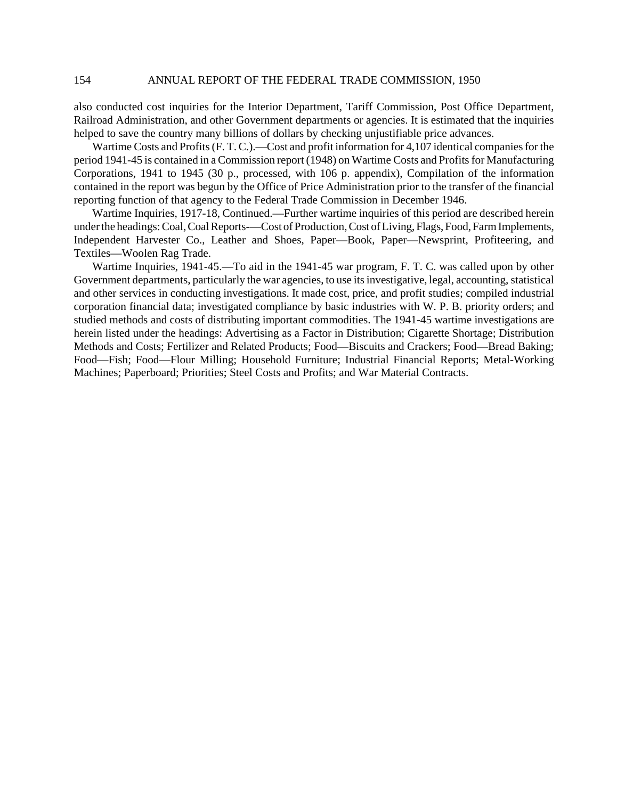also conducted cost inquiries for the Interior Department, Tariff Commission, Post Office Department, Railroad Administration, and other Government departments or agencies. It is estimated that the inquiries helped to save the country many billions of dollars by checking unjustifiable price advances.

Wartime Costs and Profits (F. T. C.).—Cost and profit information for 4,107 identical companies for the period 1941-45 is contained in a Commission report (1948) on Wartime Costs and Profits for Manufacturing Corporations, 1941 to 1945 (30 p., processed, with 106 p. appendix), Compilation of the information contained in the report was begun by the Office of Price Administration prior to the transfer of the financial reporting function of that agency to the Federal Trade Commission in December 1946.

Wartime Inquiries, 1917-18, Continued.—Further wartime inquiries of this period are described herein under the headings: Coal, Coal Reports-—Cost of Production, Cost of Living, Flags, Food, Farm Implements, Independent Harvester Co., Leather and Shoes, Paper—Book, Paper—Newsprint, Profiteering, and Textiles—Woolen Rag Trade.

Wartime Inquiries, 1941-45.—To aid in the 1941-45 war program, F. T. C. was called upon by other Government departments, particularly the war agencies, to use itsinvestigative, legal, accounting, statistical and other services in conducting investigations. It made cost, price, and profit studies; compiled industrial corporation financial data; investigated compliance by basic industries with W. P. B. priority orders; and studied methods and costs of distributing important commodities. The 1941-45 wartime investigations are herein listed under the headings: Advertising as a Factor in Distribution; Cigarette Shortage; Distribution Methods and Costs; Fertilizer and Related Products; Food—Biscuits and Crackers; Food—Bread Baking; Food—Fish; Food—Flour Milling; Household Furniture; Industrial Financial Reports; Metal-Working Machines; Paperboard; Priorities; Steel Costs and Profits; and War Material Contracts.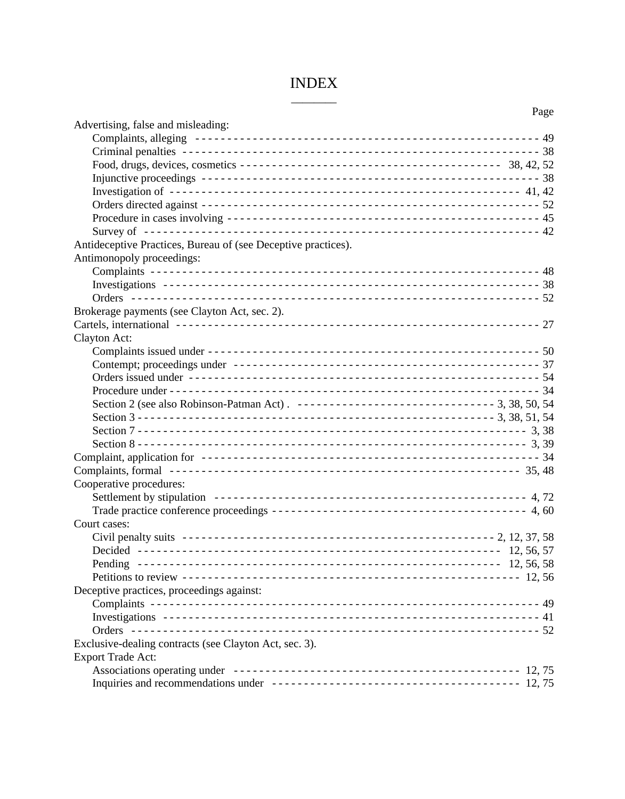# INDEX  $\overline{\phantom{a}}$

| Section 2 (see also Robinson-Patman Act). --------------------------------- 3, 38, 50, 54 |                                                               | Page |
|-------------------------------------------------------------------------------------------|---------------------------------------------------------------|------|
|                                                                                           | Advertising, false and misleading:                            |      |
|                                                                                           |                                                               |      |
|                                                                                           |                                                               |      |
|                                                                                           |                                                               |      |
|                                                                                           |                                                               |      |
|                                                                                           |                                                               |      |
|                                                                                           |                                                               |      |
|                                                                                           |                                                               |      |
|                                                                                           |                                                               |      |
|                                                                                           | Antideceptive Practices, Bureau of (see Deceptive practices). |      |
|                                                                                           | Antimonopoly proceedings:                                     |      |
|                                                                                           |                                                               |      |
|                                                                                           |                                                               |      |
|                                                                                           |                                                               |      |
|                                                                                           | Brokerage payments (see Clayton Act, sec. 2).                 |      |
|                                                                                           |                                                               |      |
|                                                                                           | Clayton Act:                                                  |      |
|                                                                                           |                                                               |      |
|                                                                                           |                                                               |      |
|                                                                                           |                                                               |      |
|                                                                                           |                                                               |      |
|                                                                                           |                                                               |      |
|                                                                                           |                                                               |      |
|                                                                                           |                                                               |      |
|                                                                                           |                                                               |      |
|                                                                                           |                                                               |      |
|                                                                                           |                                                               |      |
|                                                                                           | Cooperative procedures:                                       |      |
|                                                                                           |                                                               |      |
|                                                                                           |                                                               |      |
|                                                                                           | Court cases:                                                  |      |
|                                                                                           |                                                               |      |
|                                                                                           |                                                               |      |
|                                                                                           |                                                               |      |
|                                                                                           |                                                               |      |
|                                                                                           | Deceptive practices, proceedings against:                     |      |
|                                                                                           |                                                               |      |
|                                                                                           |                                                               |      |
|                                                                                           |                                                               |      |
|                                                                                           | Exclusive-dealing contracts (see Clayton Act, sec. 3).        |      |
|                                                                                           | <b>Export Trade Act:</b>                                      |      |
|                                                                                           |                                                               |      |
|                                                                                           |                                                               |      |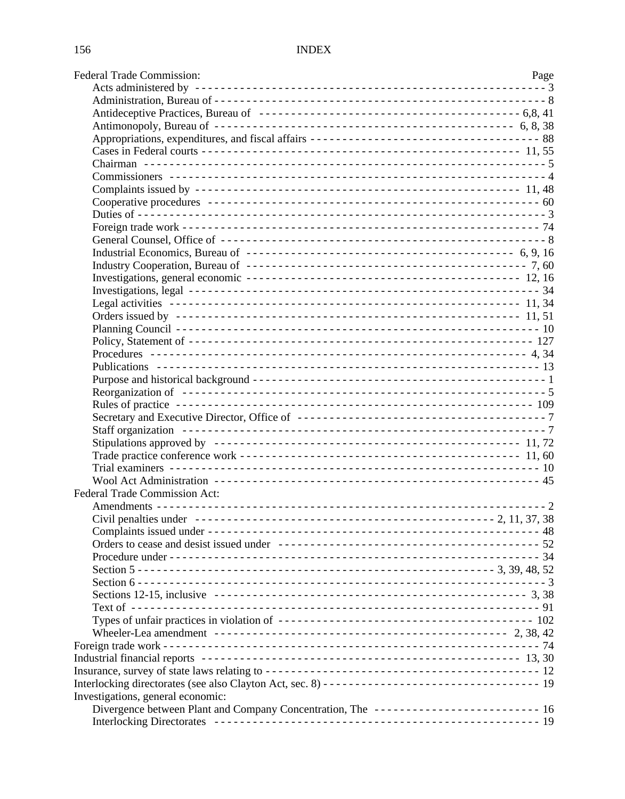# 156 INDEX

| <b>Federal Trade Commission:</b>                                                   | Page |
|------------------------------------------------------------------------------------|------|
|                                                                                    |      |
|                                                                                    |      |
|                                                                                    |      |
|                                                                                    |      |
|                                                                                    |      |
|                                                                                    |      |
|                                                                                    |      |
|                                                                                    |      |
|                                                                                    |      |
|                                                                                    |      |
|                                                                                    |      |
|                                                                                    |      |
|                                                                                    |      |
|                                                                                    |      |
|                                                                                    |      |
|                                                                                    |      |
|                                                                                    |      |
|                                                                                    |      |
|                                                                                    |      |
|                                                                                    |      |
|                                                                                    |      |
|                                                                                    |      |
|                                                                                    |      |
|                                                                                    |      |
|                                                                                    |      |
|                                                                                    |      |
|                                                                                    |      |
|                                                                                    |      |
|                                                                                    |      |
|                                                                                    |      |
|                                                                                    |      |
|                                                                                    |      |
| <b>Federal Trade Commission Act:</b>                                               |      |
|                                                                                    |      |
|                                                                                    |      |
|                                                                                    |      |
|                                                                                    |      |
|                                                                                    |      |
|                                                                                    |      |
|                                                                                    |      |
|                                                                                    |      |
|                                                                                    |      |
|                                                                                    |      |
|                                                                                    |      |
|                                                                                    |      |
|                                                                                    |      |
|                                                                                    |      |
|                                                                                    |      |
| Investigations, general economic:                                                  |      |
| Divergence between Plant and Company Concentration, The ----------------------- 16 |      |
|                                                                                    |      |